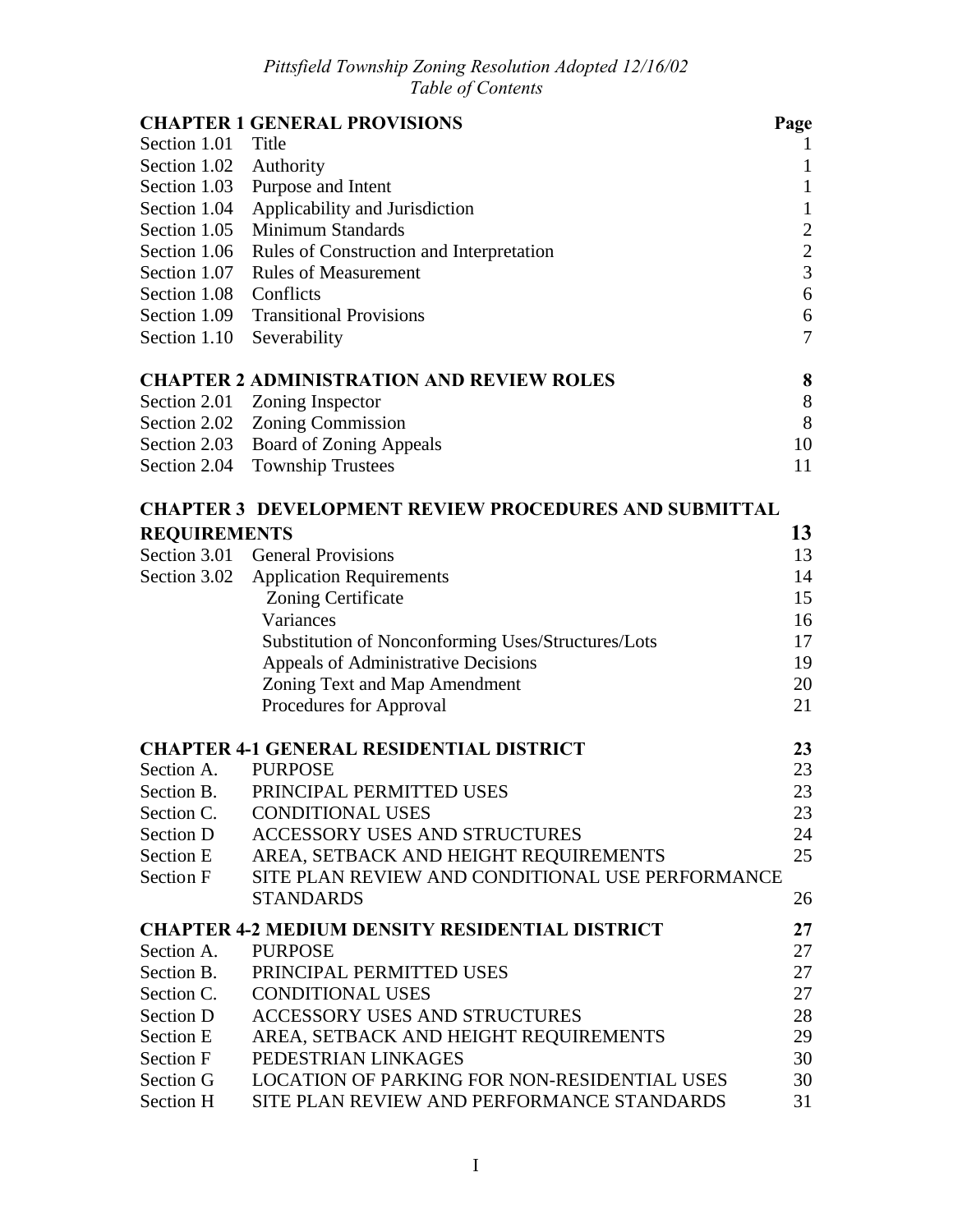|                        | <b>CHAPTER 1 GENERAL PROVISIONS</b>                                  | Page             |
|------------------------|----------------------------------------------------------------------|------------------|
| Section 1.01 Title     |                                                                      |                  |
| Section 1.02 Authority |                                                                      | $\mathbf{1}$     |
| Section 1.03           | Purpose and Intent                                                   | $\mathbf{1}$     |
| Section 1.04           | Applicability and Jurisdiction                                       | $\mathbf{1}$     |
| Section 1.05           | <b>Minimum Standards</b>                                             | $\overline{c}$   |
|                        | Section 1.06 Rules of Construction and Interpretation                | $\overline{c}$   |
| Section 1.07           | <b>Rules of Measurement</b>                                          | $\overline{3}$   |
| Section 1.08 Conflicts |                                                                      | $\boldsymbol{6}$ |
|                        | Section 1.09 Transitional Provisions                                 | 6                |
| Section 1.10           | Severability                                                         | $\overline{7}$   |
|                        | <b>CHAPTER 2 ADMINISTRATION AND REVIEW ROLES</b>                     | 8                |
|                        | Section 2.01 Zoning Inspector                                        | 8                |
|                        | Section 2.02 Zoning Commission                                       | $8\,$            |
|                        | Section 2.03 Board of Zoning Appeals                                 | 10               |
|                        | Section 2.04 Township Trustees                                       | 11               |
|                        | <b>CHAPTER 3 DEVELOPMENT REVIEW PROCEDURES AND SUBMITTAL</b>         |                  |
| <b>REQUIREMENTS</b>    |                                                                      | 13               |
|                        | Section 3.01 General Provisions                                      | 13               |
|                        | Section 3.02 Application Requirements                                | 14               |
|                        | <b>Zoning Certificate</b>                                            | 15               |
|                        | Variances                                                            | 16               |
|                        | Substitution of Nonconforming Uses/Structures/Lots                   | 17               |
|                        | Appeals of Administrative Decisions                                  | 19               |
|                        | Zoning Text and Map Amendment                                        | 20               |
|                        | Procedures for Approval                                              | 21               |
|                        | <b>CHAPTER 4-1 GENERAL RESIDENTIAL DISTRICT</b>                      | 23               |
| Section A.             | <b>PURPOSE</b>                                                       | 23               |
| Section B.             | PRINCIPAL PERMITTED USES                                             | 23               |
| Section C.             | <b>CONDITIONAL USES</b>                                              | 23               |
| Section D              | <b>ACCESSORY USES AND STRUCTURES</b>                                 | 24               |
| <b>Section E</b>       | AREA, SETBACK AND HEIGHT REQUIREMENTS                                | 25               |
| Section F              | SITE PLAN REVIEW AND CONDITIONAL USE PERFORMANCE<br><b>STANDARDS</b> | 26               |
|                        | <b>CHAPTER 4-2 MEDIUM DENSITY RESIDENTIAL DISTRICT</b>               | 27               |
| Section A.             | <b>PURPOSE</b>                                                       | 27               |
| Section B.             | PRINCIPAL PERMITTED USES                                             | 27               |
| Section C.             | <b>CONDITIONAL USES</b>                                              | 27               |
| Section D              | <b>ACCESSORY USES AND STRUCTURES</b>                                 | 28               |
| <b>Section E</b>       | AREA, SETBACK AND HEIGHT REQUIREMENTS                                | 29               |
| Section F              | PEDESTRIAN LINKAGES                                                  | 30               |
| Section G              | <b>LOCATION OF PARKING FOR NON-RESIDENTIAL USES</b>                  | 30               |
| Section H              | SITE PLAN REVIEW AND PERFORMANCE STANDARDS                           | 31               |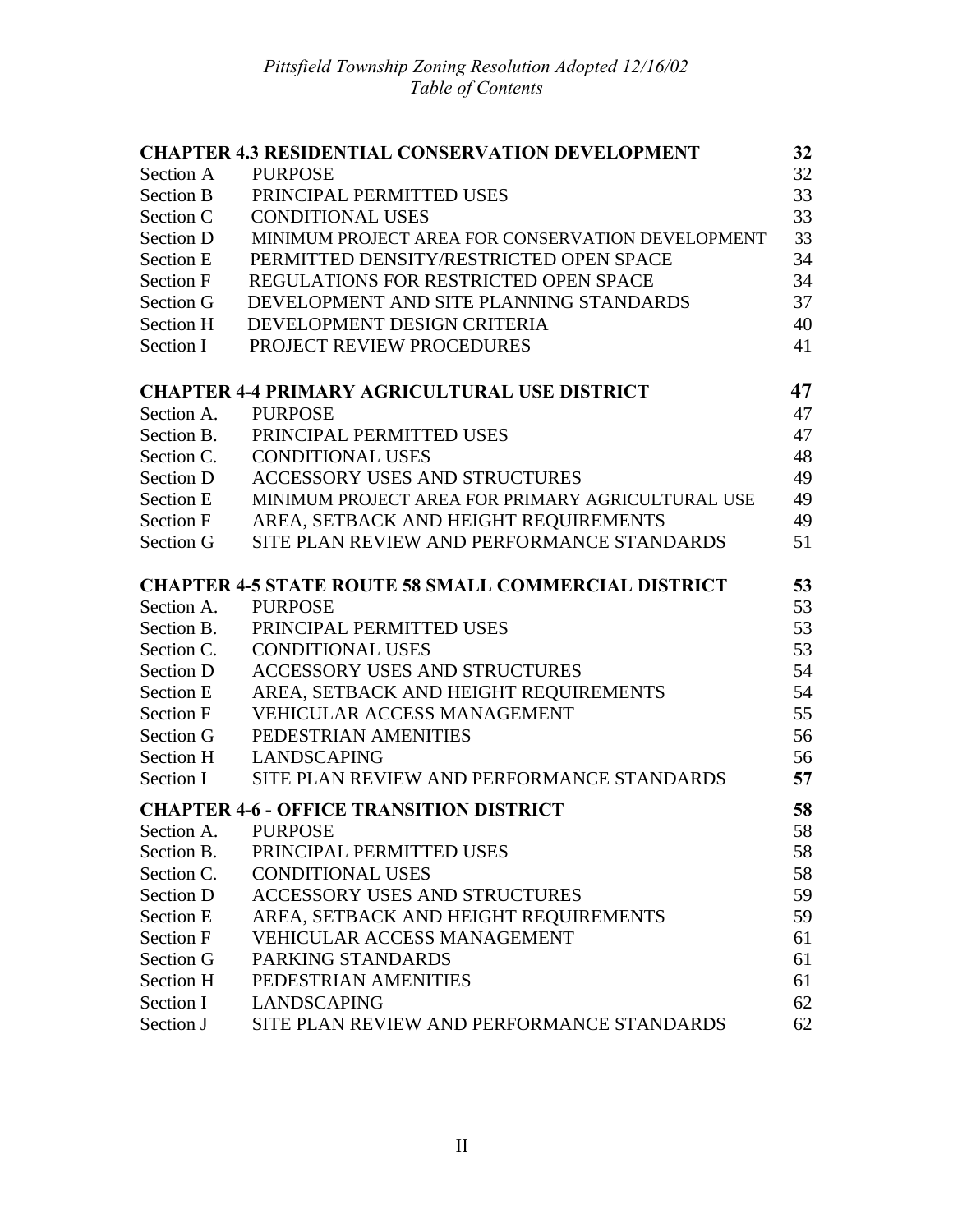| <b>CHAPTER 4.3 RESIDENTIAL CONSERVATION DEVELOPMENT</b><br>32 |                                                             |    |  |
|---------------------------------------------------------------|-------------------------------------------------------------|----|--|
| Section A                                                     | <b>PURPOSE</b>                                              |    |  |
| <b>Section B</b>                                              | PRINCIPAL PERMITTED USES                                    | 33 |  |
| Section C                                                     | <b>CONDITIONAL USES</b>                                     | 33 |  |
| Section D                                                     | MINIMUM PROJECT AREA FOR CONSERVATION DEVELOPMENT           | 33 |  |
| <b>Section E</b>                                              | PERMITTED DENSITY/RESTRICTED OPEN SPACE                     | 34 |  |
| <b>Section F</b>                                              | REGULATIONS FOR RESTRICTED OPEN SPACE                       |    |  |
| Section G                                                     | DEVELOPMENT AND SITE PLANNING STANDARDS                     | 37 |  |
| Section H                                                     | DEVELOPMENT DESIGN CRITERIA                                 | 40 |  |
| Section I                                                     | PROJECT REVIEW PROCEDURES                                   | 41 |  |
|                                                               | <b>CHAPTER 4-4 PRIMARY AGRICULTURAL USE DISTRICT</b>        | 47 |  |
| Section A.                                                    | <b>PURPOSE</b>                                              | 47 |  |
| Section B.                                                    | PRINCIPAL PERMITTED USES                                    | 47 |  |
| Section C.                                                    | <b>CONDITIONAL USES</b>                                     | 48 |  |
| Section D                                                     | <b>ACCESSORY USES AND STRUCTURES</b>                        | 49 |  |
| <b>Section E</b>                                              | MINIMUM PROJECT AREA FOR PRIMARY AGRICULTURAL USE           | 49 |  |
| <b>Section F</b>                                              | AREA, SETBACK AND HEIGHT REQUIREMENTS                       | 49 |  |
| Section G                                                     | SITE PLAN REVIEW AND PERFORMANCE STANDARDS                  | 51 |  |
|                                                               | <b>CHAPTER 4-5 STATE ROUTE 58 SMALL COMMERCIAL DISTRICT</b> | 53 |  |
| Section A.                                                    | <b>PURPOSE</b>                                              | 53 |  |
| Section B.                                                    | PRINCIPAL PERMITTED USES                                    | 53 |  |
| Section C.                                                    | <b>CONDITIONAL USES</b>                                     | 53 |  |
| Section D                                                     | <b>ACCESSORY USES AND STRUCTURES</b>                        | 54 |  |
| <b>Section E</b>                                              | AREA, SETBACK AND HEIGHT REQUIREMENTS                       | 54 |  |
| <b>Section F</b>                                              | <b>VEHICULAR ACCESS MANAGEMENT</b>                          | 55 |  |
| Section G                                                     | PEDESTRIAN AMENITIES                                        | 56 |  |
| Section H                                                     | <b>LANDSCAPING</b>                                          | 56 |  |
| Section I                                                     | SITE PLAN REVIEW AND PERFORMANCE STANDARDS                  | 57 |  |
|                                                               | <b>CHAPTER 4-6 - OFFICE TRANSITION DISTRICT</b>             | 58 |  |
| Section A                                                     | PURPOSE                                                     | 58 |  |
| Section B.                                                    | PRINCIPAL PERMITTED USES                                    | 58 |  |
| Section C.                                                    | <b>CONDITIONAL USES</b>                                     | 58 |  |
| Section D                                                     | <b>ACCESSORY USES AND STRUCTURES</b>                        | 59 |  |
| Section E                                                     | AREA, SETBACK AND HEIGHT REQUIREMENTS                       | 59 |  |
| <b>Section F</b>                                              | VEHICULAR ACCESS MANAGEMENT                                 | 61 |  |
| Section G                                                     | PARKING STANDARDS                                           | 61 |  |
| Section H                                                     | PEDESTRIAN AMENITIES                                        | 61 |  |
| Section I                                                     | <b>LANDSCAPING</b>                                          | 62 |  |
| Section J                                                     | SITE PLAN REVIEW AND PERFORMANCE STANDARDS                  | 62 |  |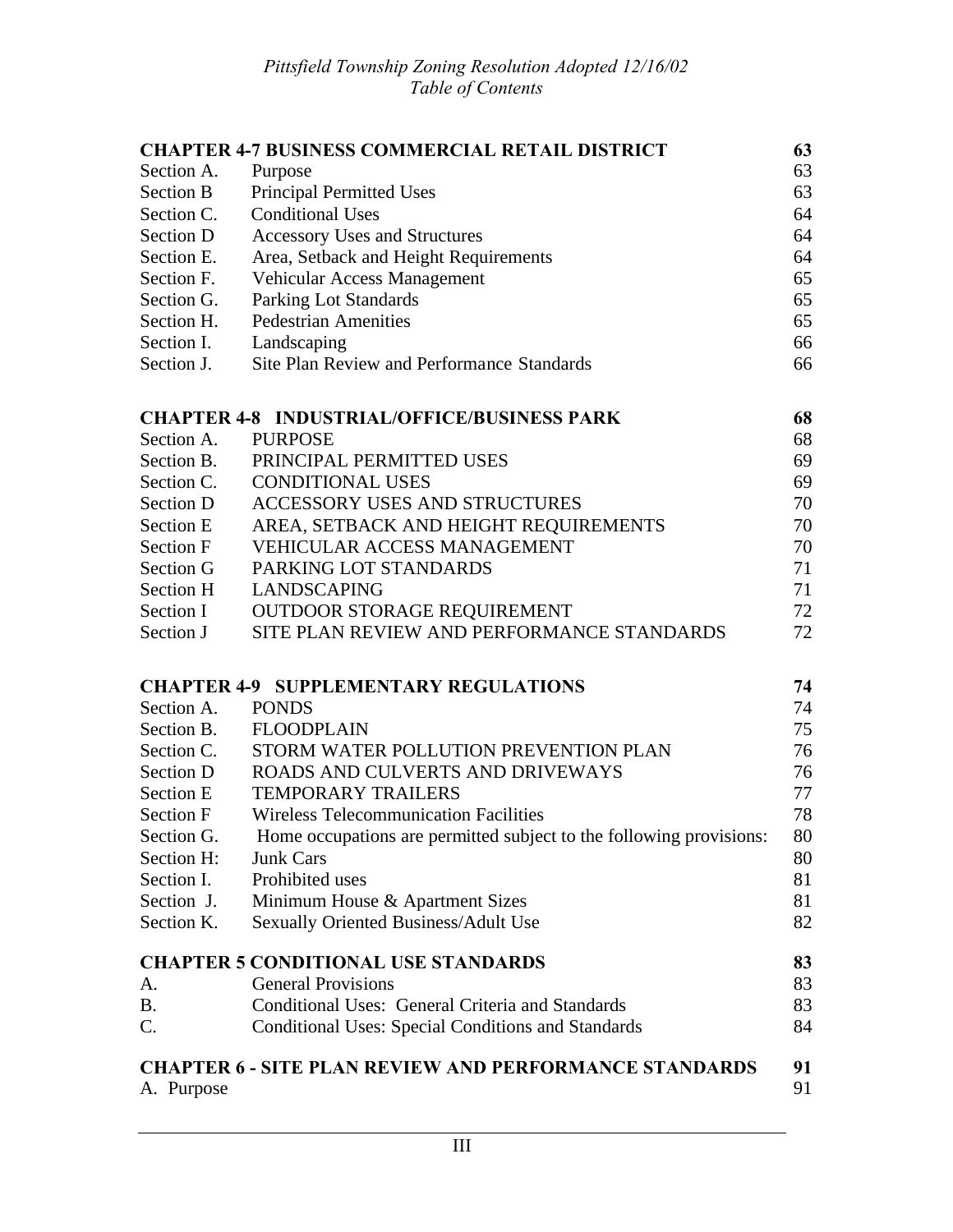|                                                    | <b>CHAPTER 4-7 BUSINESS COMMERCIAL RETAIL DISTRICT</b>              | 63       |
|----------------------------------------------------|---------------------------------------------------------------------|----------|
| Section A.                                         | Purpose                                                             | 63       |
| <b>Section B</b>                                   | Principal Permitted Uses                                            | 63       |
| Section C.                                         | <b>Conditional Uses</b>                                             | 64       |
| Section D                                          | <b>Accessory Uses and Structures</b>                                |          |
| Section E.                                         | Area, Setback and Height Requirements                               |          |
| Section F.                                         | Vehicular Access Management                                         | 65       |
| Section G.                                         | Parking Lot Standards                                               | 65       |
| Section H.                                         | <b>Pedestrian Amenities</b>                                         | 65       |
| Section I.                                         | Landscaping                                                         | 66       |
| Section J.                                         | <b>Site Plan Review and Performance Standards</b>                   | 66       |
|                                                    | <b>CHAPTER 4-8 INDUSTRIAL/OFFICE/BUSINESS PARK</b>                  | 68       |
| Section A.                                         | <b>PURPOSE</b>                                                      | 68       |
| Section B.                                         | PRINCIPAL PERMITTED USES                                            | 69       |
| Section C.                                         | <b>CONDITIONAL USES</b>                                             | 69       |
| Section D                                          | <b>ACCESSORY USES AND STRUCTURES</b>                                | 70       |
| Section E<br>AREA, SETBACK AND HEIGHT REQUIREMENTS |                                                                     |          |
| VEHICULAR ACCESS MANAGEMENT<br><b>Section F</b>    |                                                                     |          |
| Section G<br>PARKING LOT STANDARDS                 |                                                                     |          |
| Section H                                          | <b>LANDSCAPING</b>                                                  | 71       |
| Section I                                          | OUTDOOR STORAGE REQUIREMENT                                         | 72       |
| Section J                                          | SITE PLAN REVIEW AND PERFORMANCE STANDARDS                          | 72       |
|                                                    | <b>CHAPTER 4-9 SUPPLEMENTARY REGULATIONS</b>                        | 74       |
| Section A.                                         | <b>PONDS</b>                                                        | 74       |
| Section B.                                         | <b>FLOODPLAIN</b>                                                   | 75       |
| Section C.                                         | STORM WATER POLLUTION PREVENTION PLAN                               | 76       |
| Section D                                          | ROADS AND CULVERTS AND DRIVEWAYS                                    | 76       |
| <b>Section E</b>                                   | <b>TEMPORARY TRAILERS</b>                                           | 77       |
| <b>Section F</b>                                   | <b>Wireless Telecommunication Facilities</b>                        | 78       |
| Section G.                                         | Home occupations are permitted subject to the following provisions: | 80       |
| Section H:                                         | <b>Junk Cars</b>                                                    | 80       |
| Section I.                                         | Prohibited uses                                                     | 81       |
| Section J.                                         | Minimum House & Apartment Sizes                                     | 81       |
| Section K.                                         | Sexually Oriented Business/Adult Use                                | 82       |
|                                                    | <b>CHAPTER 5 CONDITIONAL USE STANDARDS</b>                          | 83       |
| A.                                                 | <b>General Provisions</b>                                           | 83       |
| <b>B.</b>                                          | Conditional Uses: General Criteria and Standards                    | 83       |
| C.                                                 | <b>Conditional Uses: Special Conditions and Standards</b>           | 84       |
| A. Purpose                                         | <b>CHAPTER 6 - SITE PLAN REVIEW AND PERFORMANCE STANDARDS</b>       | 91<br>91 |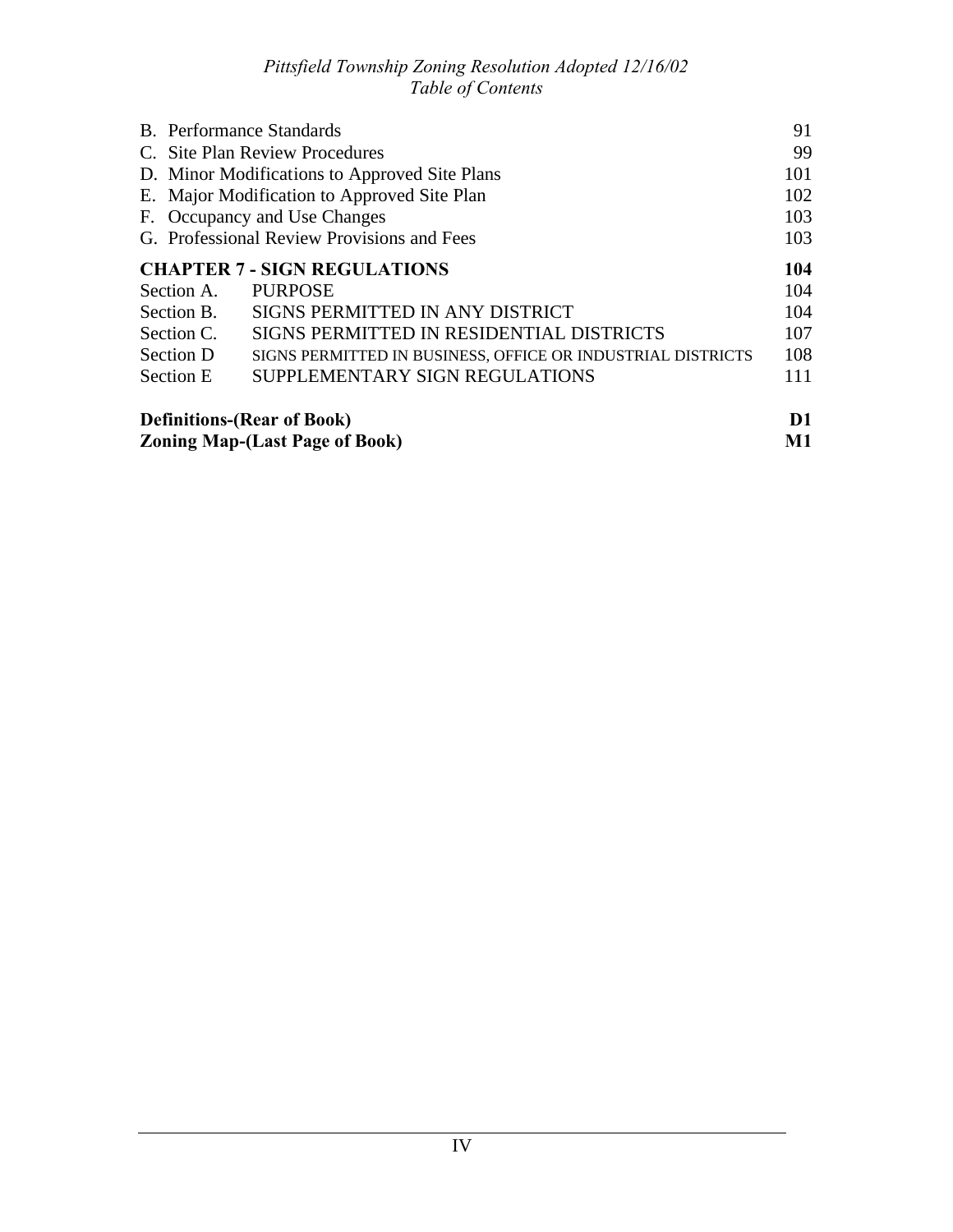|                                       | <b>B.</b> Performance Standards                             | 91  |
|---------------------------------------|-------------------------------------------------------------|-----|
|                                       | C. Site Plan Review Procedures                              |     |
|                                       | D. Minor Modifications to Approved Site Plans               |     |
|                                       | E. Major Modification to Approved Site Plan                 |     |
| F. Occupancy and Use Changes          |                                                             | 103 |
|                                       | G. Professional Review Provisions and Fees                  |     |
|                                       | <b>CHAPTER 7 - SIGN REGULATIONS</b>                         | 104 |
| Section A.                            | <b>PURPOSE</b>                                              | 104 |
| Section B.                            | SIGNS PERMITTED IN ANY DISTRICT                             | 104 |
| Section C.                            | SIGNS PERMITTED IN RESIDENTIAL DISTRICTS                    | 107 |
| Section D                             | SIGNS PERMITTED IN BUSINESS, OFFICE OR INDUSTRIAL DISTRICTS | 108 |
| Section E                             | SUPPLEMENTARY SIGN REGULATIONS                              | 111 |
|                                       | <b>Definitions-(Rear of Book)</b>                           | D1  |
| <b>Zoning Map-(Last Page of Book)</b> |                                                             | M1  |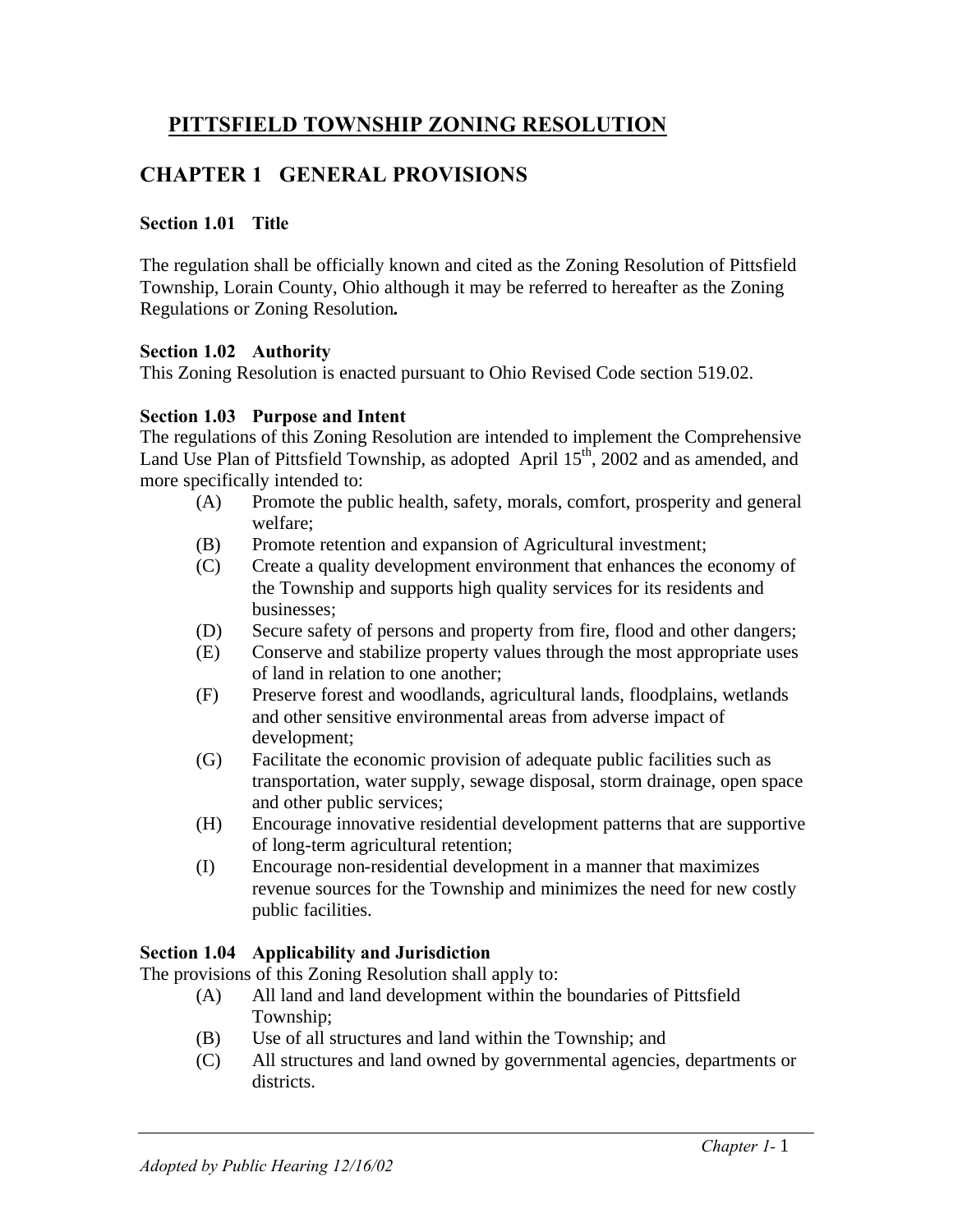# **PITTSFIELD TOWNSHIP ZONING RESOLUTION**

# **CHAPTER 1 GENERAL PROVISIONS**

### **Section 1.01 Title**

The regulation shall be officially known and cited as the Zoning Resolution of Pittsfield Township, Lorain County, Ohio although it may be referred to hereafter as the Zoning Regulations or Zoning Resolution**.**

#### **Section 1.02 Authority**

This Zoning Resolution is enacted pursuant to Ohio Revised Code section 519.02.

## **Section 1.03 Purpose and Intent**

The regulations of this Zoning Resolution are intended to implement the Comprehensive Land Use Plan of Pittsfield Township, as adopted April 15<sup>th</sup>, 2002 and as amended, and more specifically intended to:

- (A) Promote the public health, safety, morals, comfort, prosperity and general welfare;
- (B) Promote retention and expansion of Agricultural investment;
- (C) Create a quality development environment that enhances the economy of the Township and supports high quality services for its residents and businesses;
- (D) Secure safety of persons and property from fire, flood and other dangers;
- (E) Conserve and stabilize property values through the most appropriate uses of land in relation to one another;
- (F) Preserve forest and woodlands, agricultural lands, floodplains, wetlands and other sensitive environmental areas from adverse impact of development;
- (G) Facilitate the economic provision of adequate public facilities such as transportation, water supply, sewage disposal, storm drainage, open space and other public services;
- (H) Encourage innovative residential development patterns that are supportive of long-term agricultural retention;
- (I) Encourage non-residential development in a manner that maximizes revenue sources for the Township and minimizes the need for new costly public facilities.

## **Section 1.04 Applicability and Jurisdiction**

The provisions of this Zoning Resolution shall apply to:

- (A) All land and land development within the boundaries of Pittsfield Township;
- (B) Use of all structures and land within the Township; and
- (C) All structures and land owned by governmental agencies, departments or districts.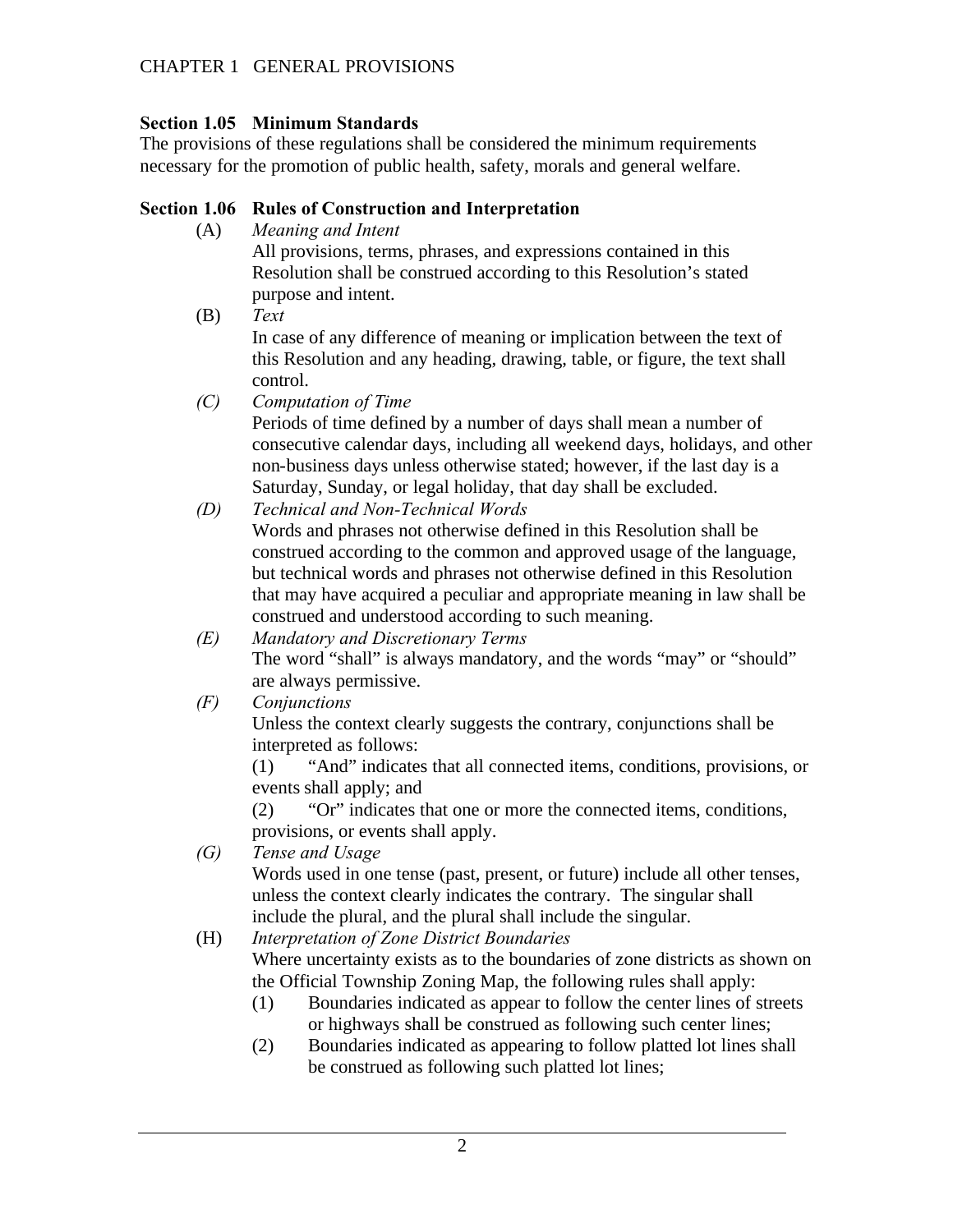## **Section 1.05 Minimum Standards**

The provisions of these regulations shall be considered the minimum requirements necessary for the promotion of public health, safety, morals and general welfare.

## **Section 1.06 Rules of Construction and Interpretation**

(A) *Meaning and Intent*

All provisions, terms, phrases, and expressions contained in this Resolution shall be construed according to this Resolution's stated purpose and intent.

- (B) *Text* In case of any difference of meaning or implication between the text of this Resolution and any heading, drawing, table, or figure, the text shall control.
- *(C) Computation of Time*

Periods of time defined by a number of days shall mean a number of consecutive calendar days, including all weekend days, holidays, and other non-business days unless otherwise stated; however, if the last day is a Saturday, Sunday, or legal holiday, that day shall be excluded.

- *(D) Technical and Non-Technical Words* Words and phrases not otherwise defined in this Resolution shall be construed according to the common and approved usage of the language, but technical words and phrases not otherwise defined in this Resolution that may have acquired a peculiar and appropriate meaning in law shall be construed and understood according to such meaning.
- *(E) Mandatory and Discretionary Terms* The word "shall" is always mandatory, and the words "may" or "should" are always permissive.
- *(F) Conjunctions*

Unless the context clearly suggests the contrary, conjunctions shall be interpreted as follows:

(1) "And" indicates that all connected items, conditions, provisions, or events shall apply; and

(2) "Or" indicates that one or more the connected items, conditions, provisions, or events shall apply.

*(G) Tense and Usage*

Words used in one tense (past, present, or future) include all other tenses, unless the context clearly indicates the contrary. The singular shall include the plural, and the plural shall include the singular.

(H) *Interpretation of Zone District Boundaries* Where uncertainty exists as to the boundaries of zone districts as shown on the Official Township Zoning Map, the following rules shall apply:

- (1) Boundaries indicated as appear to follow the center lines of streets or highways shall be construed as following such center lines;
- (2) Boundaries indicated as appearing to follow platted lot lines shall be construed as following such platted lot lines;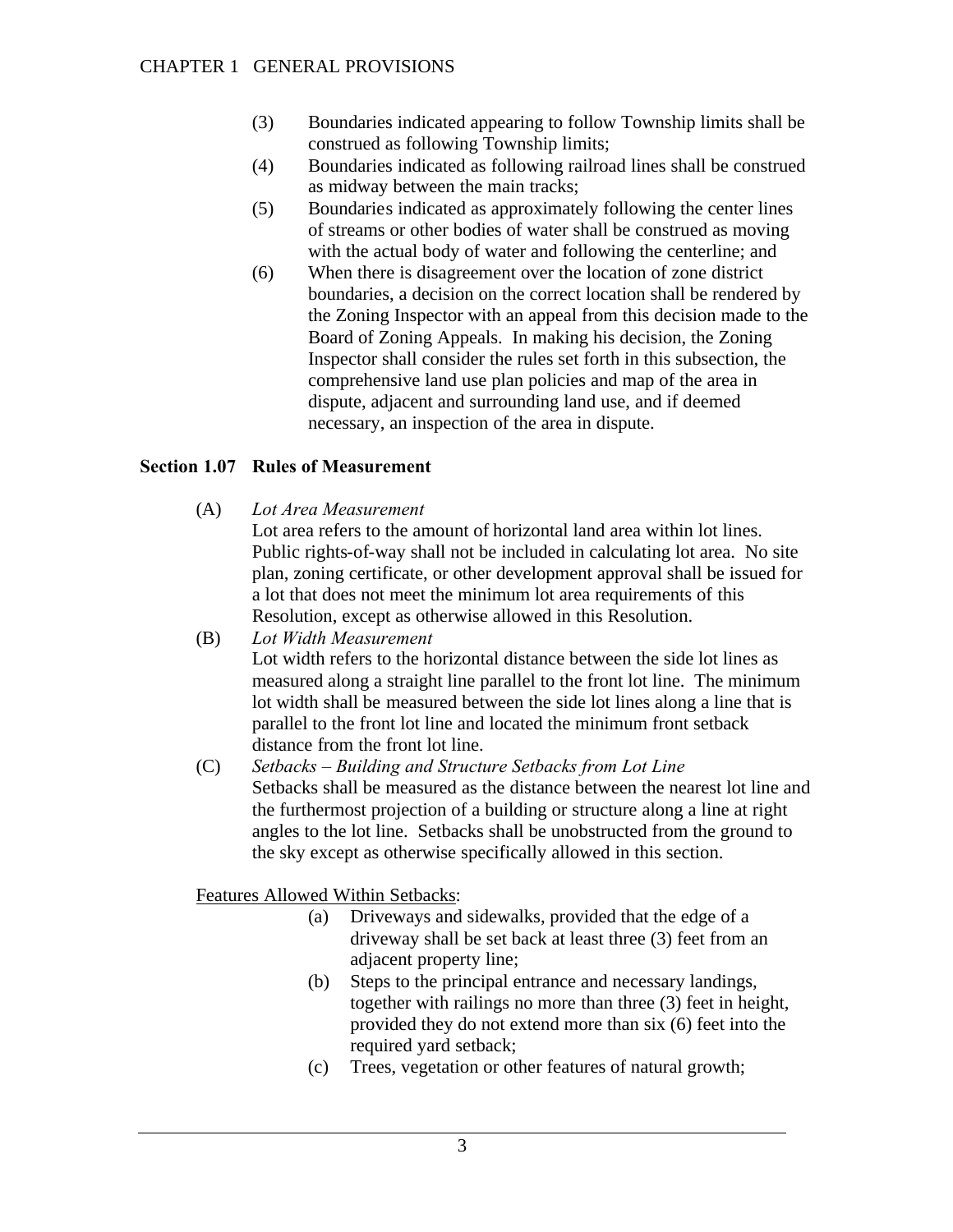- (3) Boundaries indicated appearing to follow Township limits shall be construed as following Township limits;
- (4) Boundaries indicated as following railroad lines shall be construed as midway between the main tracks;
- (5) Boundaries indicated as approximately following the center lines of streams or other bodies of water shall be construed as moving with the actual body of water and following the centerline; and
- (6) When there is disagreement over the location of zone district boundaries, a decision on the correct location shall be rendered by the Zoning Inspector with an appeal from this decision made to the Board of Zoning Appeals. In making his decision, the Zoning Inspector shall consider the rules set forth in this subsection, the comprehensive land use plan policies and map of the area in dispute, adjacent and surrounding land use, and if deemed necessary, an inspection of the area in dispute.

## **Section 1.07 Rules of Measurement**

(A) *Lot Area Measurement*

Lot area refers to the amount of horizontal land area within lot lines. Public rights-of-way shall not be included in calculating lot area. No site plan, zoning certificate, or other development approval shall be issued for a lot that does not meet the minimum lot area requirements of this Resolution, except as otherwise allowed in this Resolution.

- (B) *Lot Width Measurement* Lot width refers to the horizontal distance between the side lot lines as measured along a straight line parallel to the front lot line. The minimum lot width shall be measured between the side lot lines along a line that is parallel to the front lot line and located the minimum front setback distance from the front lot line.
- (C) *Setbacks Building and Structure Setbacks from Lot Line* Setbacks shall be measured as the distance between the nearest lot line and the furthermost projection of a building or structure along a line at right angles to the lot line. Setbacks shall be unobstructed from the ground to the sky except as otherwise specifically allowed in this section.

Features Allowed Within Setbacks:

- (a) Driveways and sidewalks, provided that the edge of a driveway shall be set back at least three (3) feet from an adiacent property line:
- (b) Steps to the principal entrance and necessary landings, together with railings no more than three (3) feet in height, provided they do not extend more than six (6) feet into the required yard setback;
- (c) Trees, vegetation or other features of natural growth;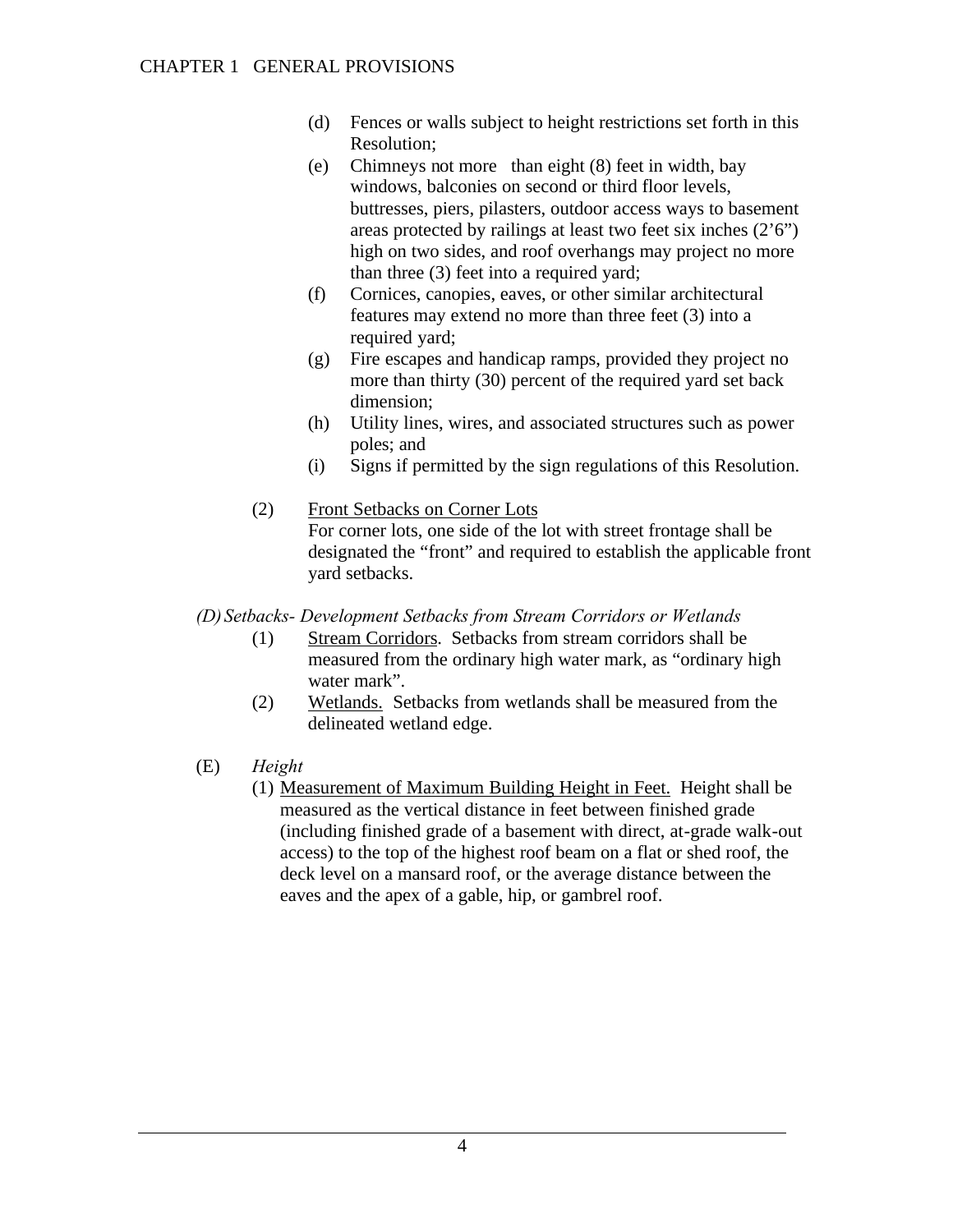- (d) Fences or walls subject to height restrictions set forth in this Resolution;
- (e) Chimneys not more than eight (8) feet in width, bay windows, balconies on second or third floor levels, buttresses, piers, pilasters, outdoor access ways to basement areas protected by railings at least two feet six inches  $(2'6'')$ high on two sides, and roof overhangs may project no more than three (3) feet into a required yard;
- (f) Cornices, canopies, eaves, or other similar architectural features may extend no more than three feet (3) into a required yard;
- (g) Fire escapes and handicap ramps, provided they project no more than thirty (30) percent of the required yard set back dimension;
- (h) Utility lines, wires, and associated structures such as power poles; and
- (i) Signs if permitted by the sign regulations of this Resolution.
- (2) Front Setbacks on Corner Lots For corner lots, one side of the lot with street frontage shall be designated the "front" and required to establish the applicable front yard setbacks.

*(D)Setbacks- Development Setbacks from Stream Corridors or Wetlands*

- (1) Stream Corridors. Setbacks from stream corridors shall be measured from the ordinary high water mark, as "ordinary high water mark".
- (2) Wetlands. Setbacks from wetlands shall be measured from the delineated wetland edge.
- (E) *Height*
	- (1) Measurement of Maximum Building Height in Feet. Height shall be measured as the vertical distance in feet between finished grade (including finished grade of a basement with direct, at-grade walk-out access) to the top of the highest roof beam on a flat or shed roof, the deck level on a mansard roof, or the average distance between the eaves and the apex of a gable, hip, or gambrel roof.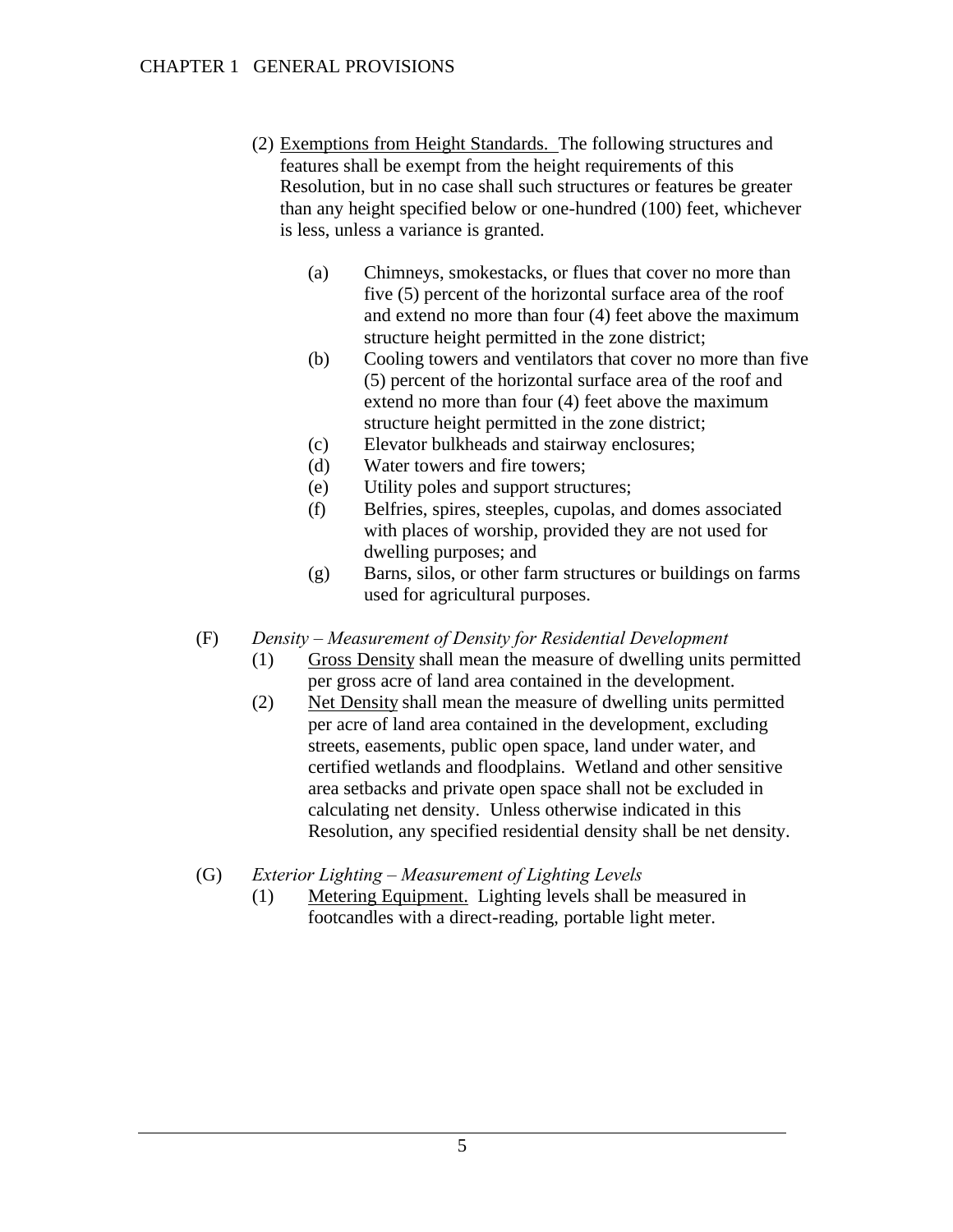- (2) Exemptions from Height Standards. The following structures and features shall be exempt from the height requirements of this Resolution, but in no case shall such structures or features be greater than any height specified below or one-hundred (100) feet, whichever is less, unless a variance is granted.
	- (a) Chimneys, smokestacks, or flues that cover no more than five (5) percent of the horizontal surface area of the roof and extend no more than four (4) feet above the maximum structure height permitted in the zone district;
	- (b) Cooling towers and ventilators that cover no more than five (5) percent of the horizontal surface area of the roof and extend no more than four (4) feet above the maximum structure height permitted in the zone district;
	- (c) Elevator bulkheads and stairway enclosures;
	- (d) Water towers and fire towers;
	- (e) Utility poles and support structures;
	- (f) Belfries, spires, steeples, cupolas, and domes associated with places of worship, provided they are not used for dwelling purposes; and
	- (g) Barns, silos, or other farm structures or buildings on farms used for agricultural purposes.
- (F) *Density Measurement of Density for Residential Development*
	- (1) Gross Density shall mean the measure of dwelling units permitted per gross acre of land area contained in the development.
	- (2) Net Density shall mean the measure of dwelling units permitted per acre of land area contained in the development, excluding streets, easements, public open space, land under water, and certified wetlands and floodplains. Wetland and other sensitive area setbacks and private open space shall not be excluded in calculating net density. Unless otherwise indicated in this Resolution, any specified residential density shall be net density.
- (G) *Exterior Lighting Measurement of Lighting Levels*
	- (1) Metering Equipment. Lighting levels shall be measured in footcandles with a direct-reading, portable light meter.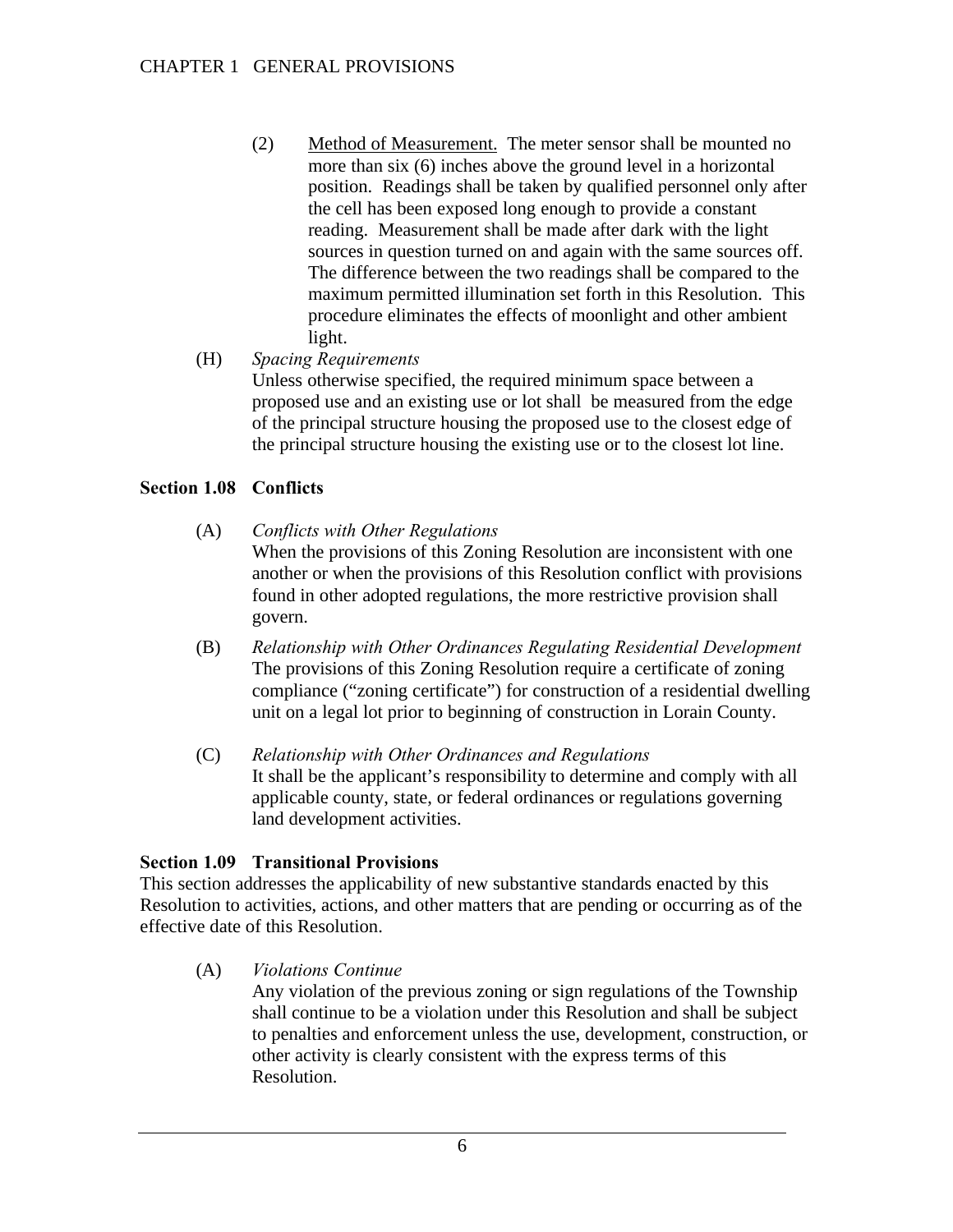(2) Method of Measurement. The meter sensor shall be mounted no more than six (6) inches above the ground level in a horizontal position. Readings shall be taken by qualified personnel only after the cell has been exposed long enough to provide a constant reading. Measurement shall be made after dark with the light sources in question turned on and again with the same sources off. The difference between the two readings shall be compared to the maximum permitted illumination set forth in this Resolution. This procedure eliminates the effects of moonlight and other ambient light.

## (H) *Spacing Requirements*

Unless otherwise specified, the required minimum space between a proposed use and an existing use or lot shall be measured from the edge of the principal structure housing the proposed use to the closest edge of the principal structure housing the existing use or to the closest lot line.

## **Section 1.08 Conflicts**

- (A) *Conflicts with Other Regulations* When the provisions of this Zoning Resolution are inconsistent with one another or when the provisions of this Resolution conflict with provisions found in other adopted regulations, the more restrictive provision shall govern.
- (B) *Relationship with Other Ordinances Regulating Residential Development* The provisions of this Zoning Resolution require a certificate of zoning compliance ("zoning certificate") for construction of a residential dwelling unit on a legal lot prior to beginning of construction in Lorain County.
- (C) *Relationship with Other Ordinances and Regulations* It shall be the applicant's responsibility to determine and comply with all applicable county, state, or federal ordinances or regulations governing land development activities.

#### **Section 1.09 Transitional Provisions**

This section addresses the applicability of new substantive standards enacted by this Resolution to activities, actions, and other matters that are pending or occurring as of the effective date of this Resolution.

(A) *Violations Continue*

Any violation of the previous zoning or sign regulations of the Township shall continue to be a violation under this Resolution and shall be subject to penalties and enforcement unless the use, development, construction, or other activity is clearly consistent with the express terms of this Resolution.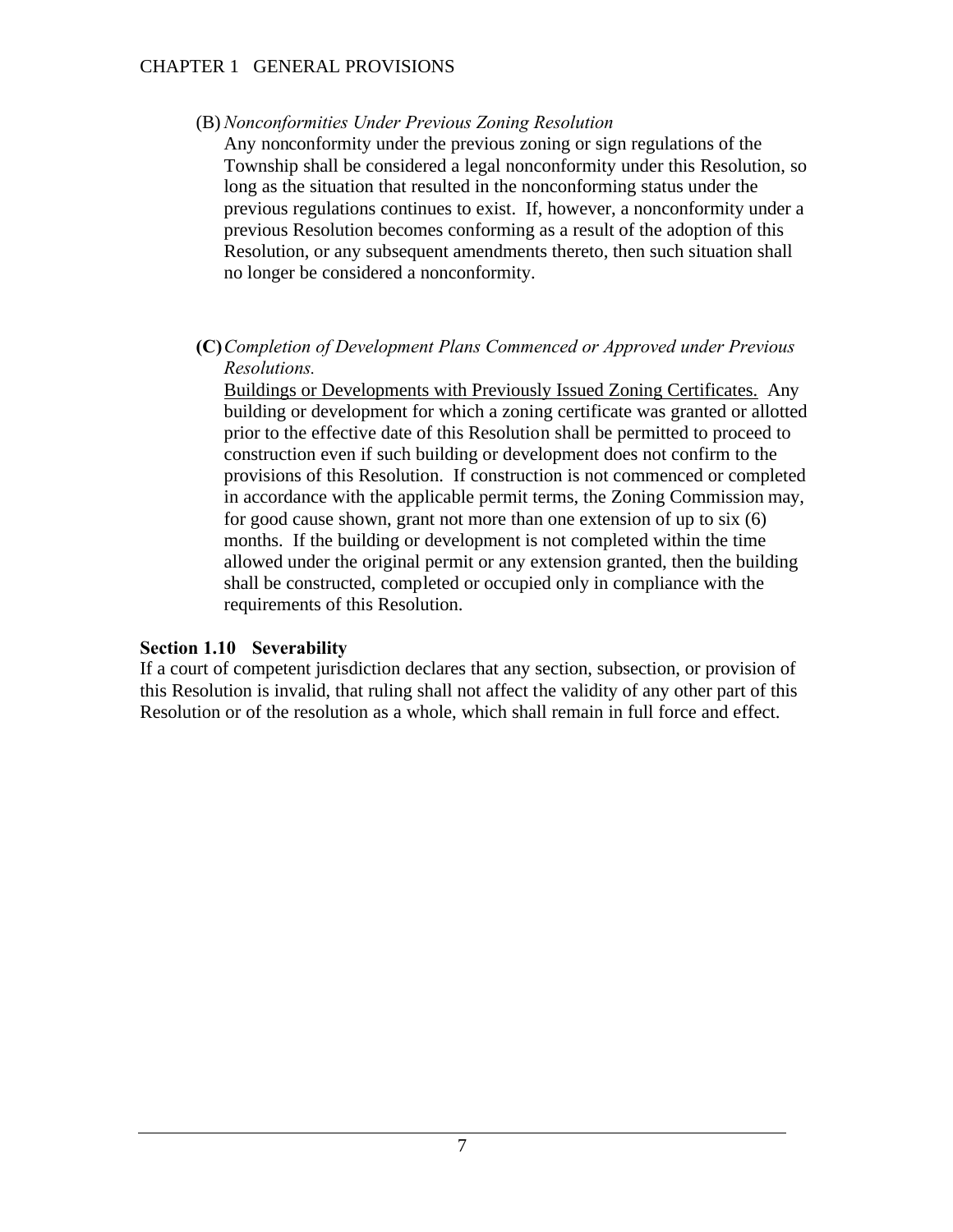#### CHAPTER 1 GENERAL PROVISIONS

(B) *Nonconformities Under Previous Zoning Resolution*

Any nonconformity under the previous zoning or sign regulations of the Township shall be considered a legal nonconformity under this Resolution, so long as the situation that resulted in the nonconforming status under the previous regulations continues to exist. If, however, a nonconformity under a previous Resolution becomes conforming as a result of the adoption of this Resolution, or any subsequent amendments thereto, then such situation shall no longer be considered a nonconformity.

### **(C)***Completion of Development Plans Commenced or Approved under Previous Resolutions.*

Buildings or Developments with Previously Issued Zoning Certificates. Any building or development for which a zoning certificate was granted or allotted prior to the effective date of this Resolution shall be permitted to proceed to construction even if such building or development does not confirm to the provisions of this Resolution. If construction is not commenced or completed in accordance with the applicable permit terms, the Zoning Commission may, for good cause shown, grant not more than one extension of up to six (6) months. If the building or development is not completed within the time allowed under the original permit or any extension granted, then the building shall be constructed, completed or occupied only in compliance with the requirements of this Resolution.

#### **Section 1.10 Severability**

If a court of competent jurisdiction declares that any section, subsection, or provision of this Resolution is invalid, that ruling shall not affect the validity of any other part of this Resolution or of the resolution as a whole, which shall remain in full force and effect.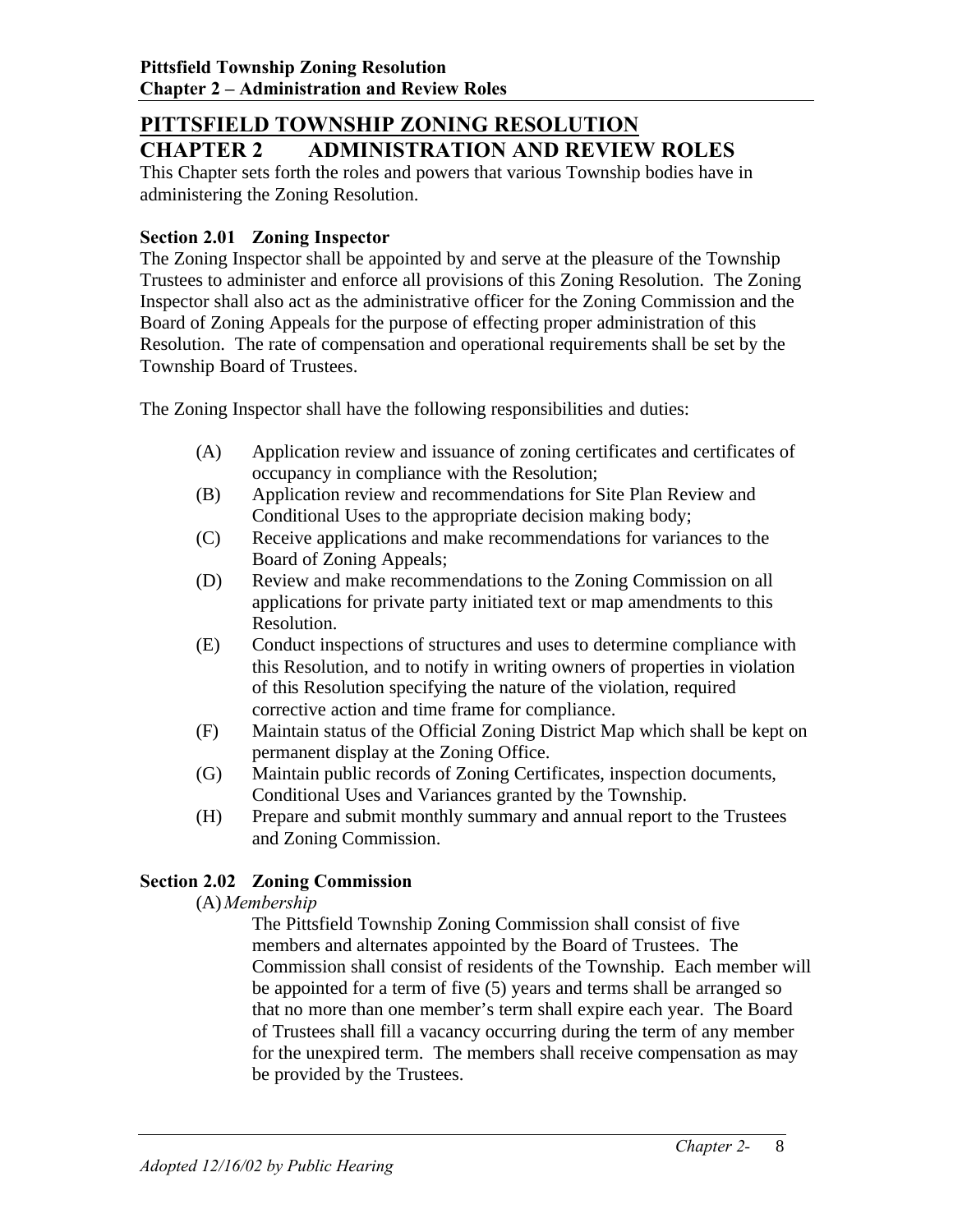# **PITTSFIELD TOWNSHIP ZONING RESOLUTION CHAPTER 2 ADMINISTRATION AND REVIEW ROLES**

This Chapter sets forth the roles and powers that various Township bodies have in administering the Zoning Resolution.

### **Section 2.01 Zoning Inspector**

The Zoning Inspector shall be appointed by and serve at the pleasure of the Township Trustees to administer and enforce all provisions of this Zoning Resolution. The Zoning Inspector shall also act as the administrative officer for the Zoning Commission and the Board of Zoning Appeals for the purpose of effecting proper administration of this Resolution. The rate of compensation and operational requirements shall be set by the Township Board of Trustees.

The Zoning Inspector shall have the following responsibilities and duties:

- (A) Application review and issuance of zoning certificates and certificates of occupancy in compliance with the Resolution;
- (B) Application review and recommendations for Site Plan Review and Conditional Uses to the appropriate decision making body;
- (C) Receive applications and make recommendations for variances to the Board of Zoning Appeals;
- (D) Review and make recommendations to the Zoning Commission on all applications for private party initiated text or map amendments to this Resolution.
- (E) Conduct inspections of structures and uses to determine compliance with this Resolution, and to notify in writing owners of properties in violation of this Resolution specifying the nature of the violation, required corrective action and time frame for compliance.
- (F) Maintain status of the Official Zoning District Map which shall be kept on permanent display at the Zoning Office.
- (G) Maintain public records of Zoning Certificates, inspection documents, Conditional Uses and Variances granted by the Township.
- (H) Prepare and submit monthly summary and annual report to the Trustees and Zoning Commission.

# **Section 2.02 Zoning Commission**

## (A)*Membership*

The Pittsfield Township Zoning Commission shall consist of five members and alternates appointed by the Board of Trustees. The Commission shall consist of residents of the Township. Each member will be appointed for a term of five (5) years and terms shall be arranged so that no more than one member's term shall expire each year. The Board of Trustees shall fill a vacancy occurring during the term of any member for the unexpired term. The members shall receive compensation as may be provided by the Trustees.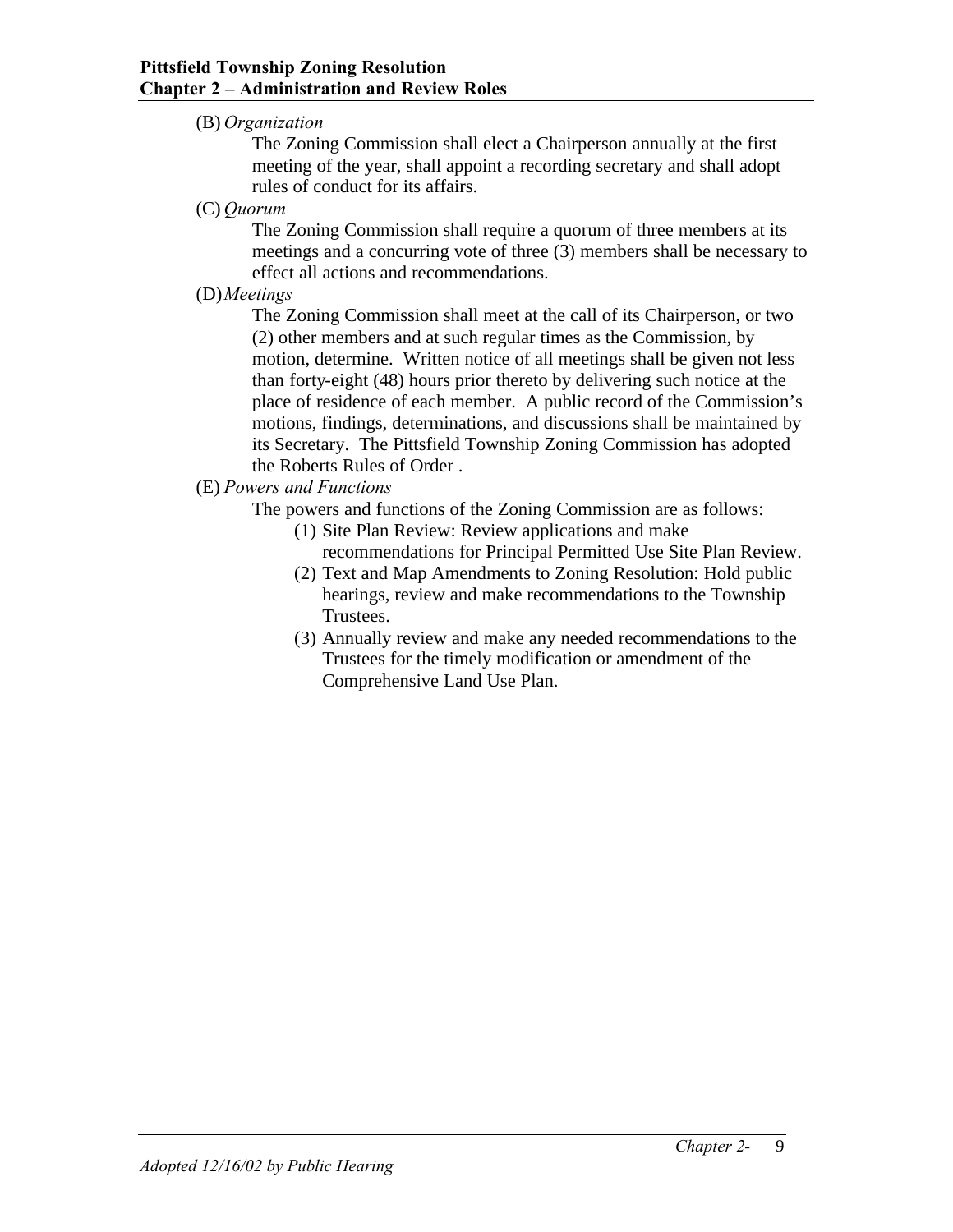### (B) *Organization*

The Zoning Commission shall elect a Chairperson annually at the first meeting of the year, shall appoint a recording secretary and shall adopt rules of conduct for its affairs.

(C) *Quorum*

The Zoning Commission shall require a quorum of three members at its meetings and a concurring vote of three (3) members shall be necessary to effect all actions and recommendations.

(D)*Meetings*

The Zoning Commission shall meet at the call of its Chairperson, or two (2) other members and at such regular times as the Commission, by motion, determine. Written notice of all meetings shall be given not less than forty-eight (48) hours prior thereto by delivering such notice at the place of residence of each member. A public record of the Commission's motions, findings, determinations, and discussions shall be maintained by its Secretary. The Pittsfield Township Zoning Commission has adopted the Roberts Rules of Order .

## (E) *Powers and Functions*

The powers and functions of the Zoning Commission are as follows:

- (1) Site Plan Review: Review applications and make recommendations for Principal Permitted Use Site Plan Review.
- (2) Text and Map Amendments to Zoning Resolution: Hold public hearings, review and make recommendations to the Township Trustees.
- (3) Annually review and make any needed recommendations to the Trustees for the timely modification or amendment of the Comprehensive Land Use Plan.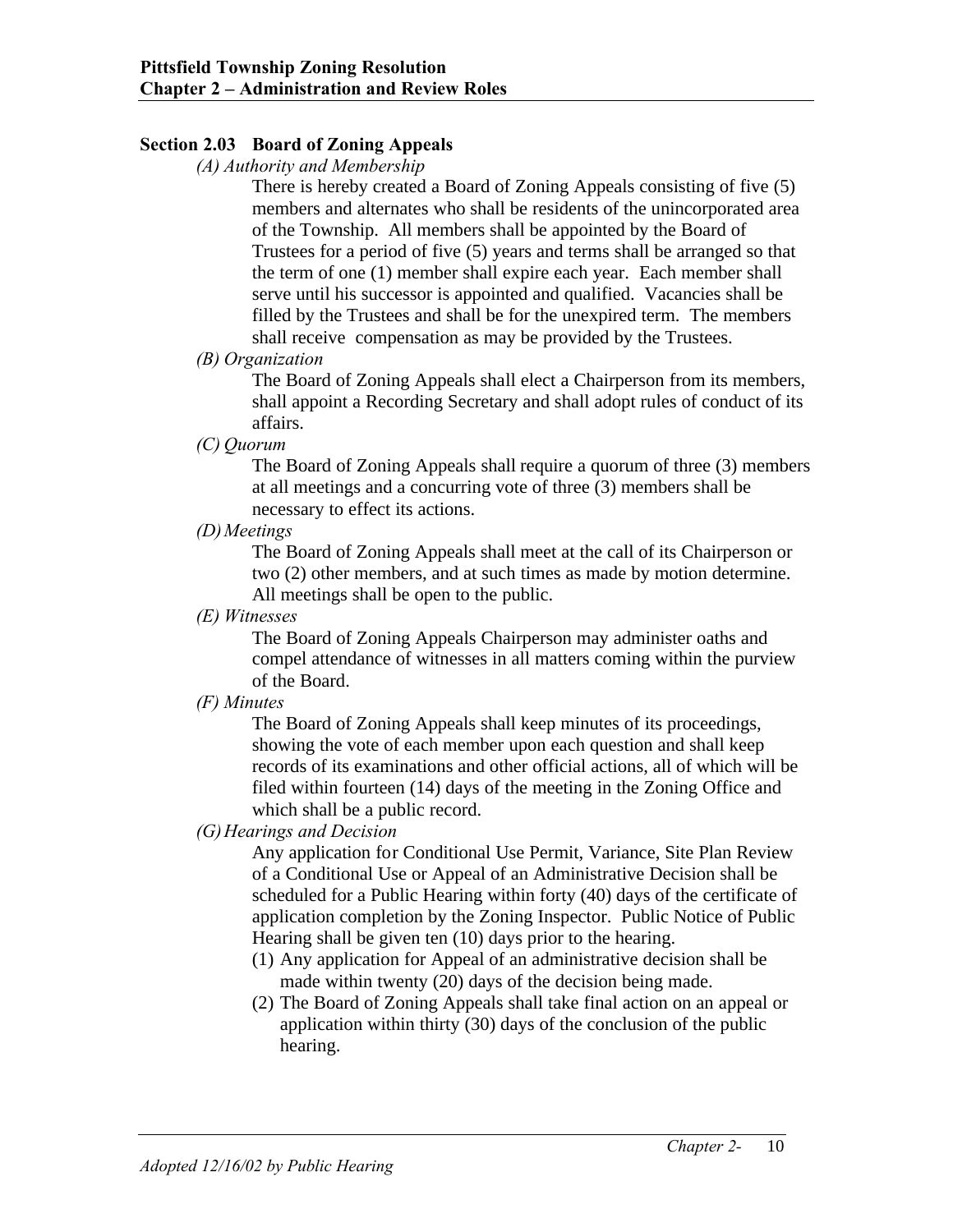### **Section 2.03 Board of Zoning Appeals**

#### *(A) Authority and Membership*

There is hereby created a Board of Zoning Appeals consisting of five (5) members and alternates who shall be residents of the unincorporated area of the Township. All members shall be appointed by the Board of Trustees for a period of five (5) years and terms shall be arranged so that the term of one (1) member shall expire each year. Each member shall serve until his successor is appointed and qualified. Vacancies shall be filled by the Trustees and shall be for the unexpired term. The members shall receive compensation as may be provided by the Trustees.

#### *(B) Organization*

The Board of Zoning Appeals shall elect a Chairperson from its members, shall appoint a Recording Secretary and shall adopt rules of conduct of its affairs.

#### *(C) Quorum*

The Board of Zoning Appeals shall require a quorum of three (3) members at all meetings and a concurring vote of three (3) members shall be necessary to effect its actions.

*(D)Meetings*

The Board of Zoning Appeals shall meet at the call of its Chairperson or two (2) other members, and at such times as made by motion determine. All meetings shall be open to the public.

*(E) Witnesses*

The Board of Zoning Appeals Chairperson may administer oaths and compel attendance of witnesses in all matters coming within the purview of the Board.

#### *(F) Minutes*

The Board of Zoning Appeals shall keep minutes of its proceedings, showing the vote of each member upon each question and shall keep records of its examinations and other official actions, all of which will be filed within fourteen (14) days of the meeting in the Zoning Office and which shall be a public record.

*(G)Hearings and Decision*

Any application for Conditional Use Permit, Variance, Site Plan Review of a Conditional Use or Appeal of an Administrative Decision shall be scheduled for a Public Hearing within forty (40) days of the certificate of application completion by the Zoning Inspector. Public Notice of Public Hearing shall be given ten (10) days prior to the hearing.

- (1) Any application for Appeal of an administrative decision shall be made within twenty (20) days of the decision being made.
- (2) The Board of Zoning Appeals shall take final action on an appeal or application within thirty (30) days of the conclusion of the public hearing.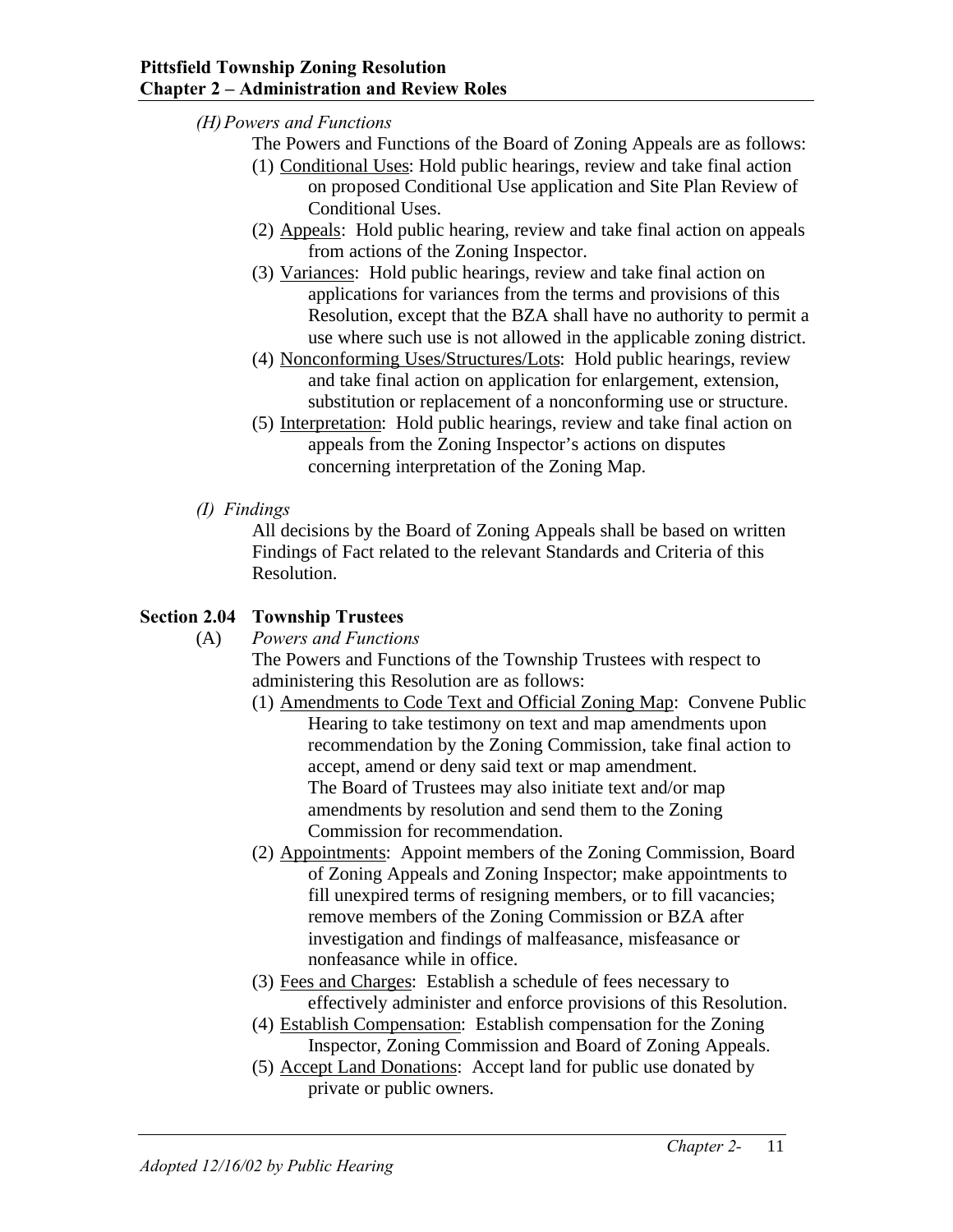- *(H)Powers and Functions*
	- The Powers and Functions of the Board of Zoning Appeals are as follows:
	- (1) Conditional Uses: Hold public hearings, review and take final action on proposed Conditional Use application and Site Plan Review of Conditional Uses.
	- (2) Appeals: Hold public hearing, review and take final action on appeals from actions of the Zoning Inspector.
	- (3) Variances: Hold public hearings, review and take final action on applications for variances from the terms and provisions of this Resolution, except that the BZA shall have no authority to permit a use where such use is not allowed in the applicable zoning district.
	- (4) Nonconforming Uses/Structures/Lots: Hold public hearings, review and take final action on application for enlargement, extension, substitution or replacement of a nonconforming use or structure.
	- (5) Interpretation: Hold public hearings, review and take final action on appeals from the Zoning Inspector's actions on disputes concerning interpretation of the Zoning Map.
- *(I) Findings*

All decisions by the Board of Zoning Appeals shall be based on written Findings of Fact related to the relevant Standards and Criteria of this Resolution.

## **Section 2.04 Township Trustees**

(A) *Powers and Functions*

The Powers and Functions of the Township Trustees with respect to administering this Resolution are as follows:

- (1) Amendments to Code Text and Official Zoning Map: Convene Public Hearing to take testimony on text and map amendments upon recommendation by the Zoning Commission, take final action to accept, amend or deny said text or map amendment. The Board of Trustees may also initiate text and/or map amendments by resolution and send them to the Zoning Commission for recommendation.
- (2) Appointments: Appoint members of the Zoning Commission, Board of Zoning Appeals and Zoning Inspector; make appointments to fill unexpired terms of resigning members, or to fill vacancies; remove members of the Zoning Commission or BZA after investigation and findings of malfeasance, misfeasance or nonfeasance while in office.
- (3) Fees and Charges: Establish a schedule of fees necessary to effectively administer and enforce provisions of this Resolution.
- (4) Establish Compensation: Establish compensation for the Zoning Inspector, Zoning Commission and Board of Zoning Appeals.
- (5) Accept Land Donations: Accept land for public use donated by private or public owners.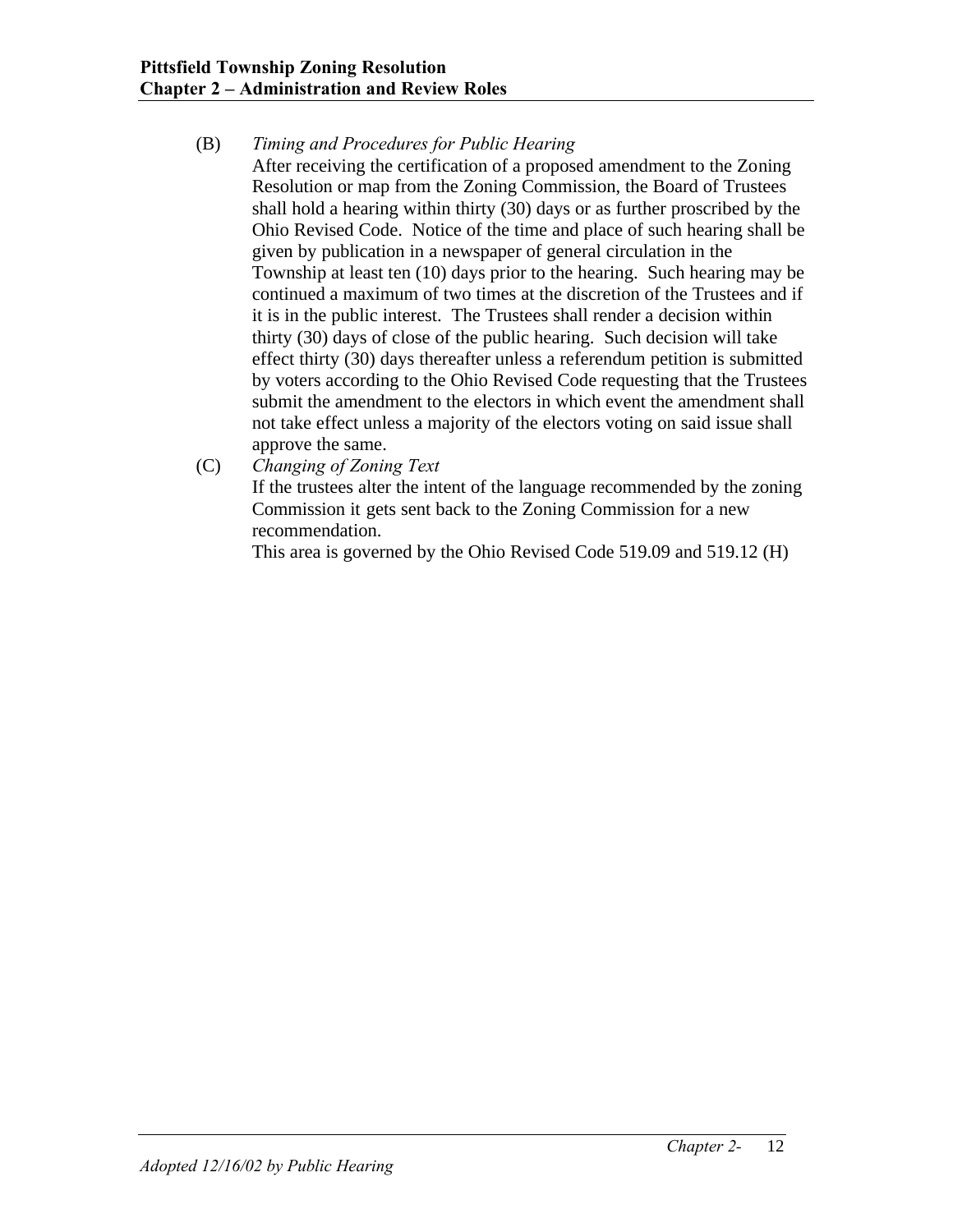## (B) *Timing and Procedures for Public Hearing*

After receiving the certification of a proposed amendment to the Zoning Resolution or map from the Zoning Commission, the Board of Trustees shall hold a hearing within thirty (30) days or as further proscribed by the Ohio Revised Code. Notice of the time and place of such hearing shall be given by publication in a newspaper of general circulation in the Township at least ten (10) days prior to the hearing. Such hearing may be continued a maximum of two times at the discretion of the Trustees and if it is in the public interest. The Trustees shall render a decision within thirty (30) days of close of the public hearing. Such decision will take effect thirty (30) days thereafter unless a referendum petition is submitted by voters according to the Ohio Revised Code requesting that the Trustees submit the amendment to the electors in which event the amendment shall not take effect unless a majority of the electors voting on said issue shall approve the same.

(C) *Changing of Zoning Text*

If the trustees alter the intent of the language recommended by the zoning Commission it gets sent back to the Zoning Commission for a new recommendation.

This area is governed by the Ohio Revised Code 519.09 and 519.12 (H)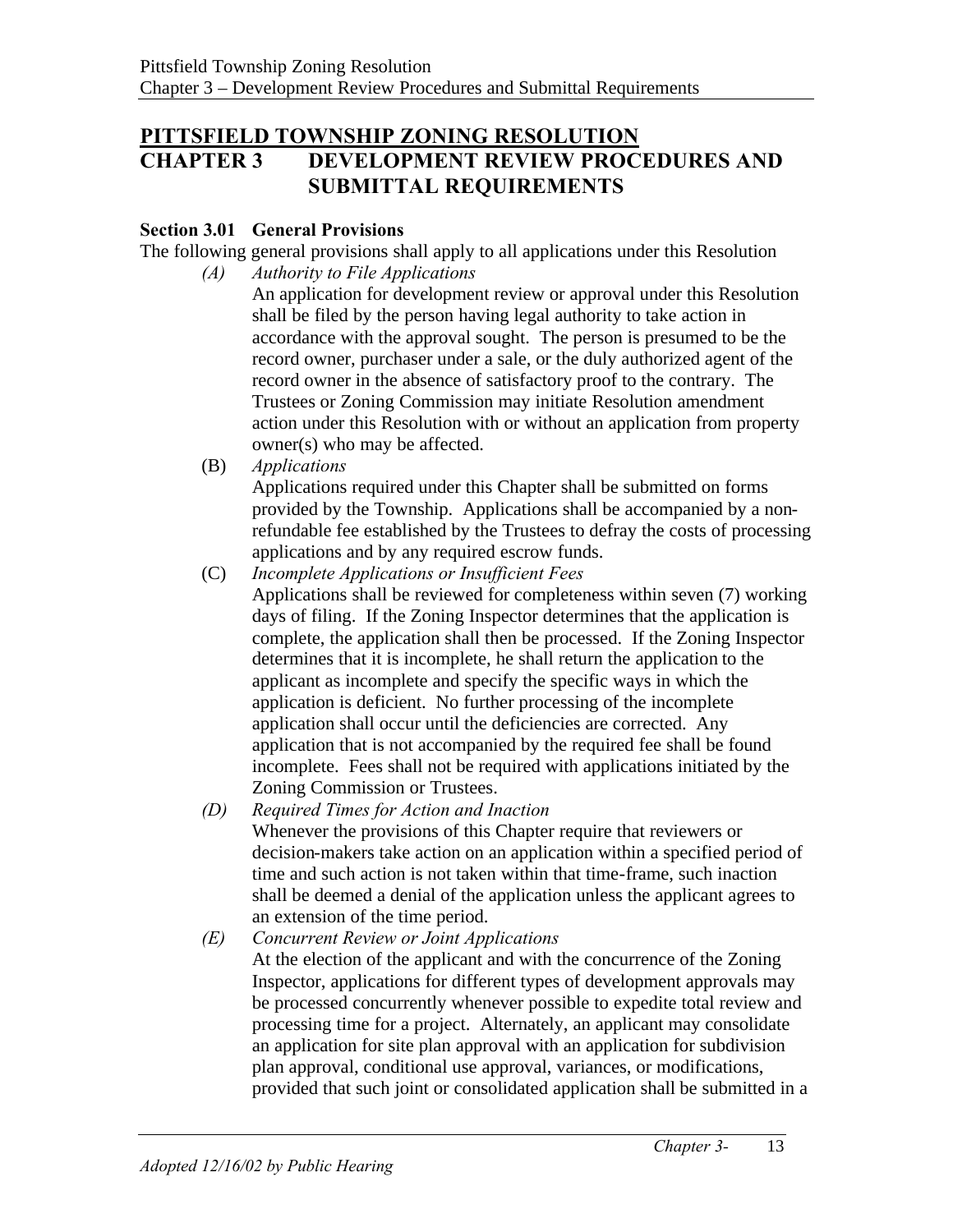# **PITTSFIELD TOWNSHIP ZONING RESOLUTION CHAPTER 3 DEVELOPMENT REVIEW PROCEDURES AND SUBMITTAL REQUIREMENTS**

## **Section 3.01 General Provisions**

The following general provisions shall apply to all applications under this Resolution *(A) Authority to File Applications*

> An application for development review or approval under this Resolution shall be filed by the person having legal authority to take action in accordance with the approval sought. The person is presumed to be the record owner, purchaser under a sale, or the duly authorized agent of the record owner in the absence of satisfactory proof to the contrary. The Trustees or Zoning Commission may initiate Resolution amendment action under this Resolution with or without an application from property owner(s) who may be affected.

(B) *Applications* 

Applications required under this Chapter shall be submitted on forms provided by the Township. Applications shall be accompanied by a nonrefundable fee established by the Trustees to defray the costs of processing applications and by any required escrow funds.

- (C) *Incomplete Applications or Insufficient Fees* Applications shall be reviewed for completeness within seven (7) working days of filing. If the Zoning Inspector determines that the application is complete, the application shall then be processed. If the Zoning Inspector determines that it is incomplete, he shall return the application to the applicant as incomplete and specify the specific ways in which the application is deficient. No further processing of the incomplete application shall occur until the deficiencies are corrected. Any application that is not accompanied by the required fee shall be found incomplete. Fees shall not be required with applications initiated by the Zoning Commission or Trustees.
- *(D) Required Times for Action and Inaction* Whenever the provisions of this Chapter require that reviewers or decision-makers take action on an application within a specified period of time and such action is not taken within that time-frame, such inaction shall be deemed a denial of the application unless the applicant agrees to an extension of the time period.
- *(E) Concurrent Review or Joint Applications* At the election of the applicant and with the concurrence of the Zoning Inspector, applications for different types of development approvals may be processed concurrently whenever possible to expedite total review and processing time for a project. Alternately, an applicant may consolidate an application for site plan approval with an application for subdivision plan approval, conditional use approval, variances, or modifications, provided that such joint or consolidated application shall be submitted in a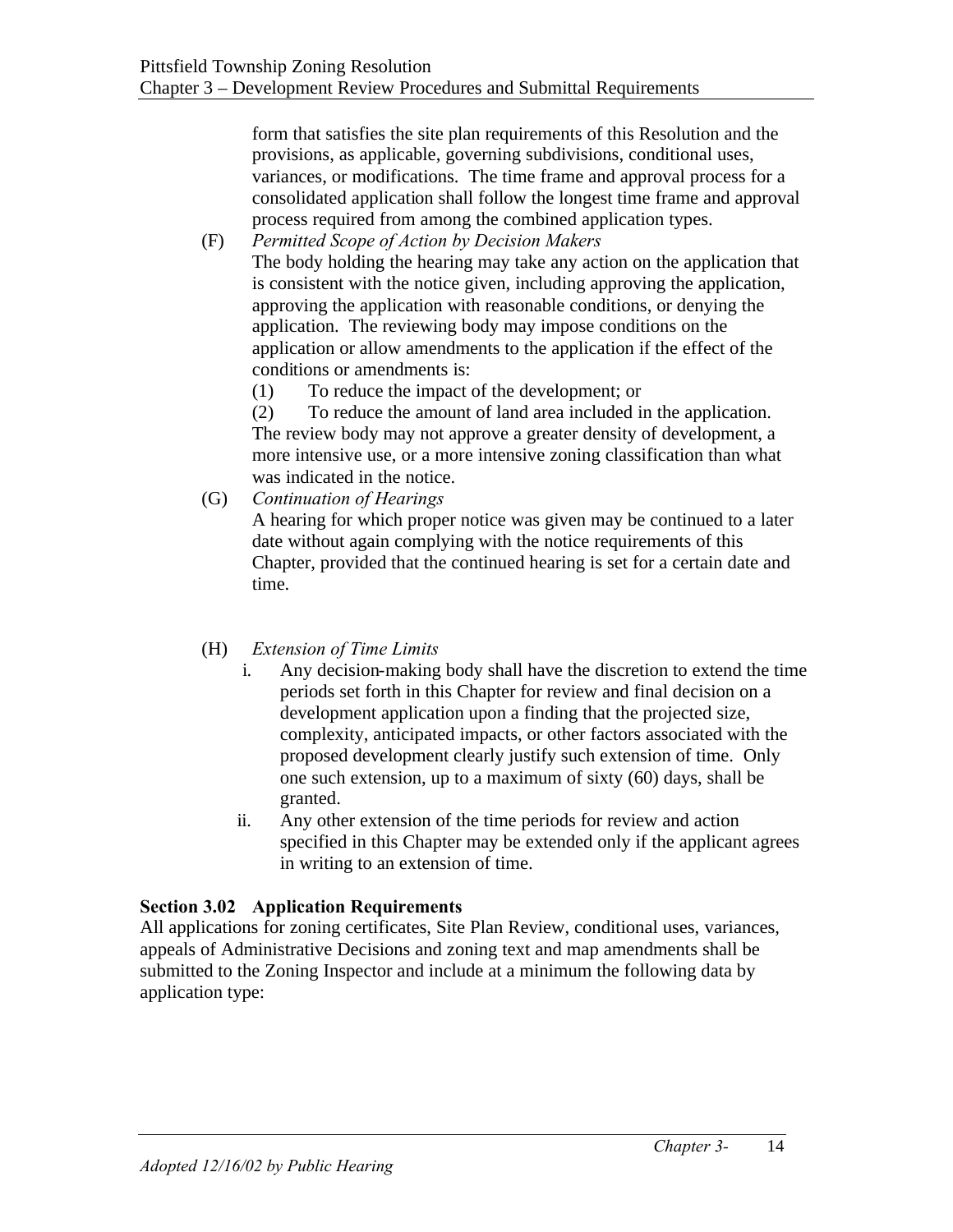form that satisfies the site plan requirements of this Resolution and the provisions, as applicable, governing subdivisions, conditional uses, variances, or modifications. The time frame and approval process for a consolidated application shall follow the longest time frame and approval process required from among the combined application types.

(F) *Permitted Scope of Action by Decision Makers* The body holding the hearing may take any action on the application that is consistent with the notice given, including approving the application, approving the application with reasonable conditions, or denying the application. The reviewing body may impose conditions on the application or allow amendments to the application if the effect of the conditions or amendments is:

(1) To reduce the impact of the development; or

(2) To reduce the amount of land area included in the application. The review body may not approve a greater density of development, a more intensive use, or a more intensive zoning classification than what was indicated in the notice.

(G) *Continuation of Hearings*

A hearing for which proper notice was given may be continued to a later date without again complying with the notice requirements of this Chapter, provided that the continued hearing is set for a certain date and time.

## (H) *Extension of Time Limits*

- i. Any decision-making body shall have the discretion to extend the time periods set forth in this Chapter for review and final decision on a development application upon a finding that the projected size, complexity, anticipated impacts, or other factors associated with the proposed development clearly justify such extension of time. Only one such extension, up to a maximum of sixty (60) days, shall be granted.
- ii. Any other extension of the time periods for review and action specified in this Chapter may be extended only if the applicant agrees in writing to an extension of time.

## **Section 3.02 Application Requirements**

All applications for zoning certificates, Site Plan Review, conditional uses, variances, appeals of Administrative Decisions and zoning text and map amendments shall be submitted to the Zoning Inspector and include at a minimum the following data by application type: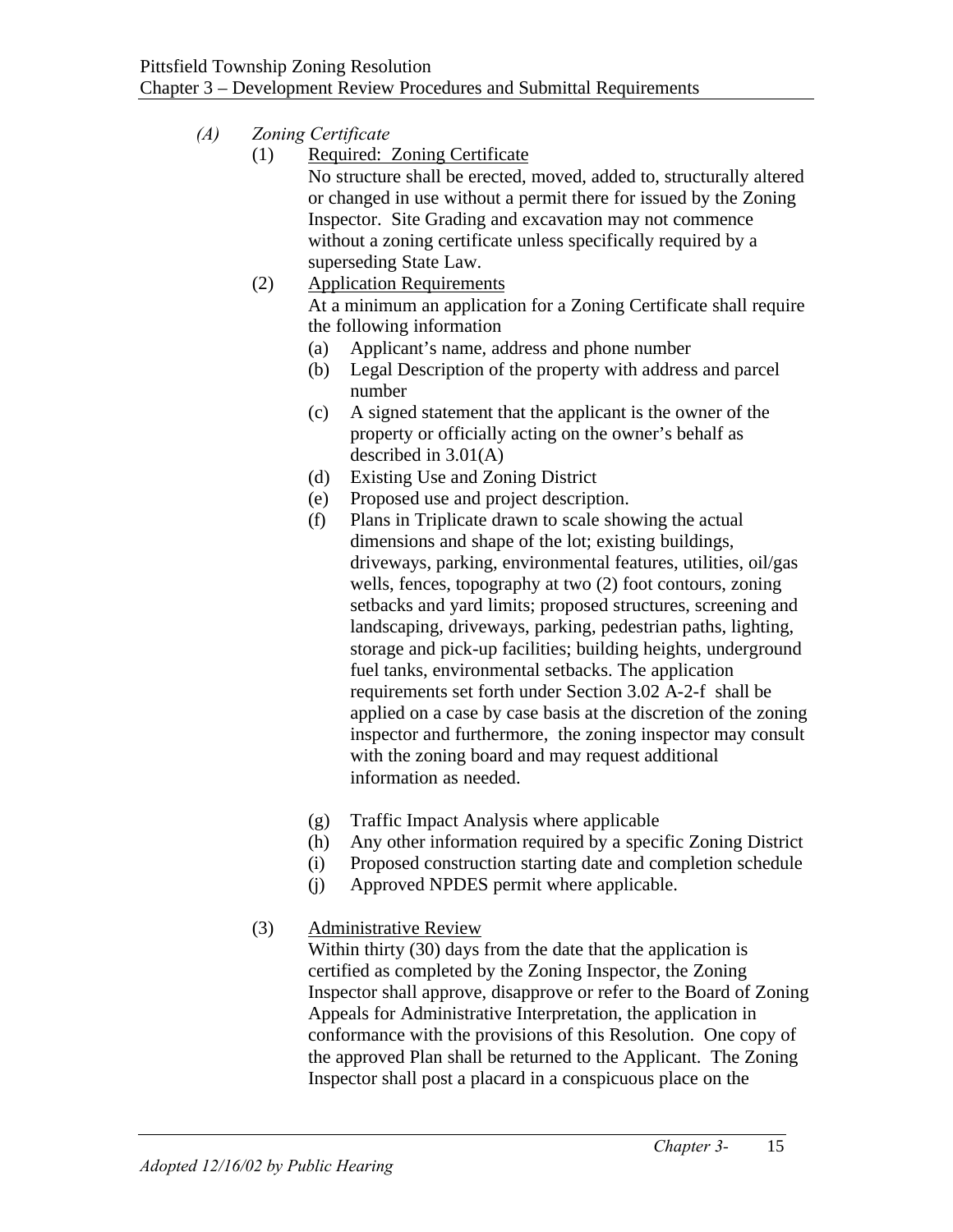## *(A) Zoning Certificate*

(1) Required: Zoning Certificate

No structure shall be erected, moved, added to, structurally altered or changed in use without a permit there for issued by the Zoning Inspector. Site Grading and excavation may not commence without a zoning certificate unless specifically required by a superseding State Law.

- (2) Application Requirements At a minimum an application for a Zoning Certificate shall require the following information
	- (a) Applicant's name, address and phone number
	- (b) Legal Description of the property with address and parcel number
	- (c) A signed statement that the applicant is the owner of the property or officially acting on the owner's behalf as described in 3.01(A)
	- (d) Existing Use and Zoning District
	- (e) Proposed use and project description.
	- (f) Plans in Triplicate drawn to scale showing the actual dimensions and shape of the lot; existing buildings, driveways, parking, environmental features, utilities, oil/gas wells, fences, topography at two (2) foot contours, zoning setbacks and yard limits; proposed structures, screening and landscaping, driveways, parking, pedestrian paths, lighting, storage and pick-up facilities; building heights, underground fuel tanks, environmental setbacks. The application requirements set forth under Section 3.02 A-2-f shall be applied on a case by case basis at the discretion of the zoning inspector and furthermore, the zoning inspector may consult with the zoning board and may request additional information as needed.
	- (g) Traffic Impact Analysis where applicable
	- (h) Any other information required by a specific Zoning District
	- (i) Proposed construction starting date and completion schedule
	- (j) Approved NPDES permit where applicable.
- (3) Administrative Review

Within thirty (30) days from the date that the application is certified as completed by the Zoning Inspector, the Zoning Inspector shall approve, disapprove or refer to the Board of Zoning Appeals for Administrative Interpretation, the application in conformance with the provisions of this Resolution. One copy of the approved Plan shall be returned to the Applicant. The Zoning Inspector shall post a placard in a conspicuous place on the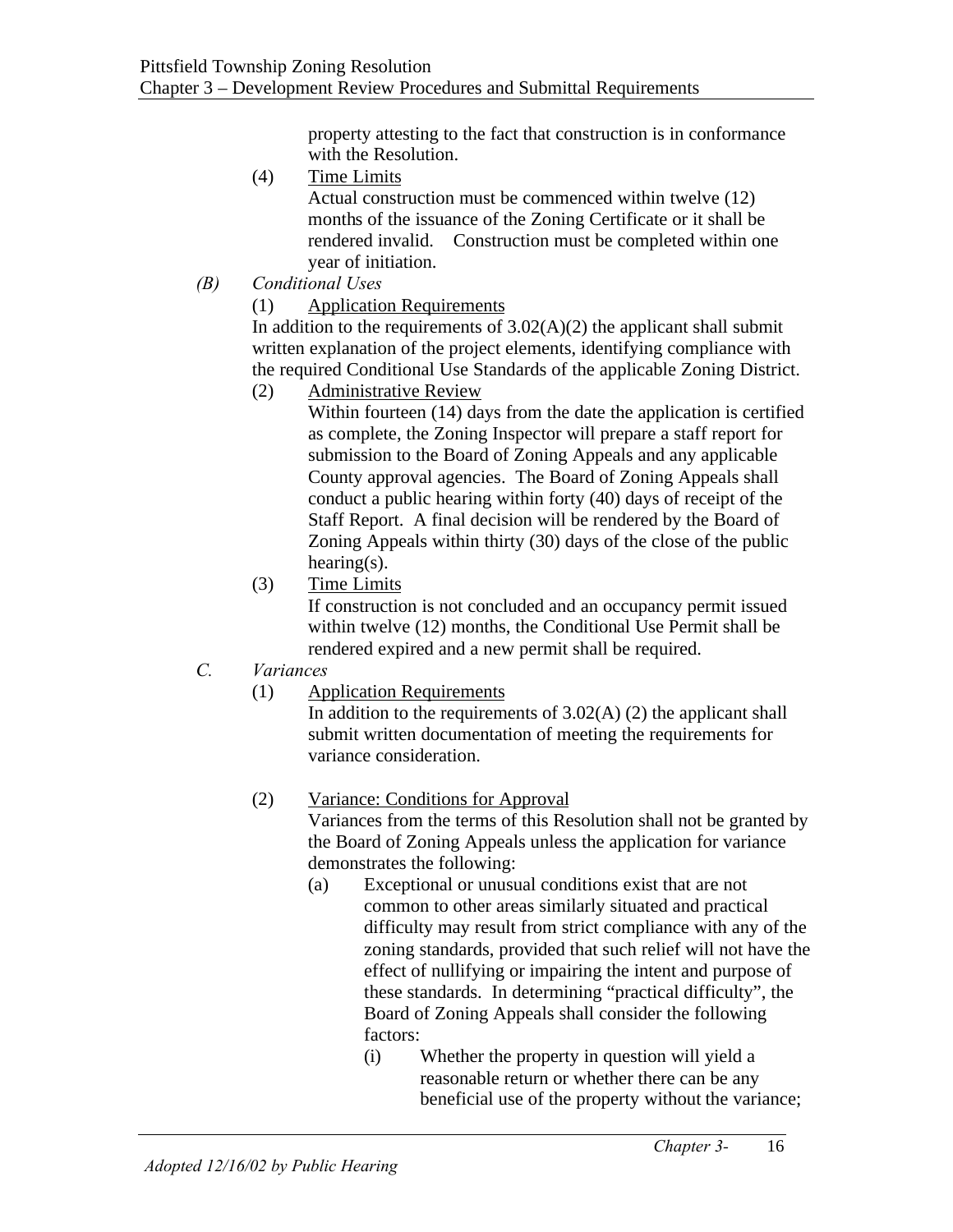property attesting to the fact that construction is in conformance with the Resolution.

- (4) Time Limits Actual construction must be commenced within twelve (12) months of the issuance of the Zoning Certificate or it shall be rendered invalid. Construction must be completed within one year of initiation.
- *(B) Conditional Uses*
	- (1) Application Requirements

In addition to the requirements of  $3.02(A)(2)$  the applicant shall submit written explanation of the project elements, identifying compliance with the required Conditional Use Standards of the applicable Zoning District.

(2) Administrative Review

Within fourteen (14) days from the date the application is certified as complete, the Zoning Inspector will prepare a staff report for submission to the Board of Zoning Appeals and any applicable County approval agencies. The Board of Zoning Appeals shall conduct a public hearing within forty (40) days of receipt of the Staff Report. A final decision will be rendered by the Board of Zoning Appeals within thirty (30) days of the close of the public hearing(s).

- (3) Time Limits If construction is not concluded and an occupancy permit issued within twelve (12) months, the Conditional Use Permit shall be rendered expired and a new permit shall be required.
- *C. Variances*
	- (1) Application Requirements

In addition to the requirements of  $3.02(A)$  (2) the applicant shall submit written documentation of meeting the requirements for variance consideration.

# (2) Variance: Conditions for Approval

Variances from the terms of this Resolution shall not be granted by the Board of Zoning Appeals unless the application for variance demonstrates the following:

- (a) Exceptional or unusual conditions exist that are not common to other areas similarly situated and practical difficulty may result from strict compliance with any of the zoning standards, provided that such relief will not have the effect of nullifying or impairing the intent and purpose of these standards. In determining "practical difficulty", the Board of Zoning Appeals shall consider the following factors:
	- (i) Whether the property in question will yield a reasonable return or whether there can be any beneficial use of the property without the variance;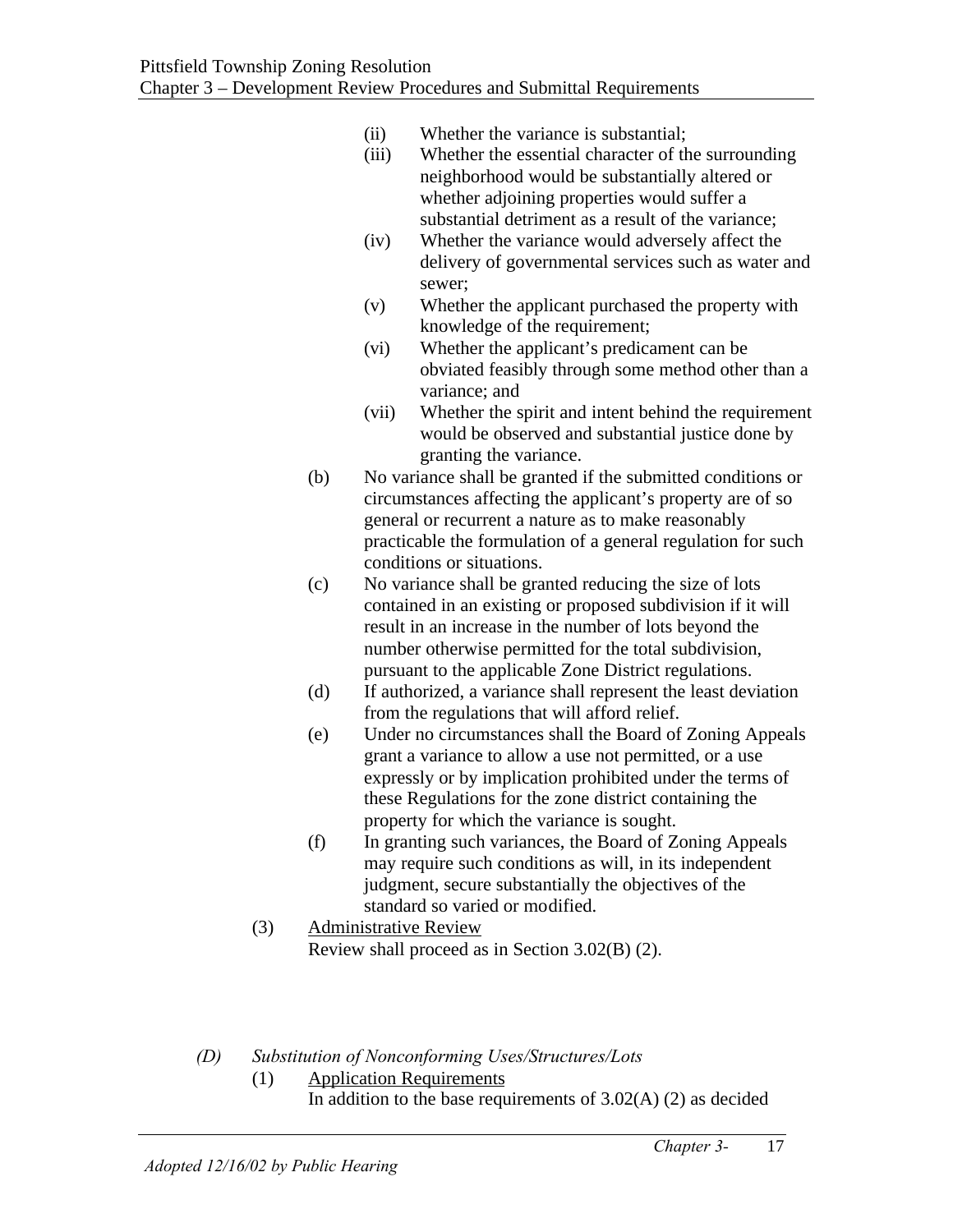- (ii) Whether the variance is substantial;
- (iii) Whether the essential character of the surrounding neighborhood would be substantially altered or whether adjoining properties would suffer a substantial detriment as a result of the variance;
- (iv) Whether the variance would adversely affect the delivery of governmental services such as water and sewer;
- (v) Whether the applicant purchased the property with knowledge of the requirement;
- (vi) Whether the applicant's predicament can be obviated feasibly through some method other than a variance; and
- (vii) Whether the spirit and intent behind the requirement would be observed and substantial justice done by granting the variance.
- (b) No variance shall be granted if the submitted conditions or circumstances affecting the applicant's property are of so general or recurrent a nature as to make reasonably practicable the formulation of a general regulation for such conditions or situations.
- (c) No variance shall be granted reducing the size of lots contained in an existing or proposed subdivision if it will result in an increase in the number of lots beyond the number otherwise permitted for the total subdivision, pursuant to the applicable Zone District regulations.
- (d) If authorized, a variance shall represent the least deviation from the regulations that will afford relief.
- (e) Under no circumstances shall the Board of Zoning Appeals grant a variance to allow a use not permitted, or a use expressly or by implication prohibited under the terms of these Regulations for the zone district containing the property for which the variance is sought.
- (f) In granting such variances, the Board of Zoning Appeals may require such conditions as will, in its independent judgment, secure substantially the objectives of the standard so varied or modified.
- (3) Administrative Review Review shall proceed as in Section 3.02(B) (2).
- *(D) Substitution of Nonconforming Uses/Structures/Lots*
	- (1) Application Requirements In addition to the base requirements of  $3.02(A)$  (2) as decided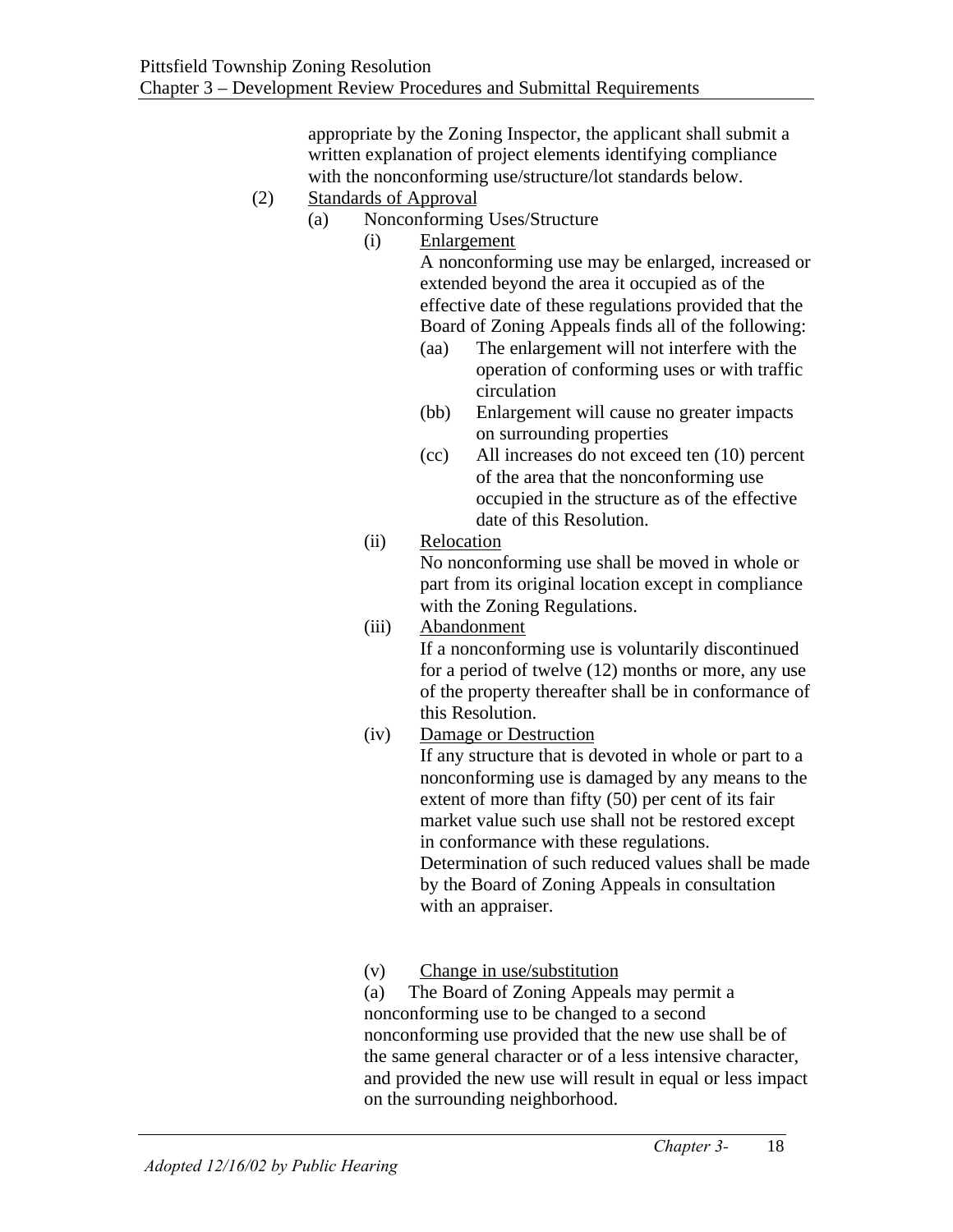appropriate by the Zoning Inspector, the applicant shall submit a written explanation of project elements identifying compliance with the nonconforming use/structure/lot standards below.

- (2) Standards of Approval
	- (a) Nonconforming Uses/Structure
		- (i) Enlargement

A nonconforming use may be enlarged, increased or extended beyond the area it occupied as of the effective date of these regulations provided that the Board of Zoning Appeals finds all of the following:

- (aa) The enlargement will not interfere with the operation of conforming uses or with traffic circulation
- (bb) Enlargement will cause no greater impacts on surrounding properties
- (cc) All increases do not exceed ten (10) percent of the area that the nonconforming use occupied in the structure as of the effective date of this Resolution.

## (ii) Relocation

No nonconforming use shall be moved in whole or part from its original location except in compliance with the Zoning Regulations.

#### (iii) Abandonment

If a nonconforming use is voluntarily discontinued for a period of twelve (12) months or more, any use of the property thereafter shall be in conformance of this Resolution.

## (iv) Damage or Destruction

If any structure that is devoted in whole or part to a nonconforming use is damaged by any means to the extent of more than fifty (50) per cent of its fair market value such use shall not be restored except in conformance with these regulations. Determination of such reduced values shall be made by the Board of Zoning Appeals in consultation with an appraiser.

## (v) Change in use/substitution

(a) The Board of Zoning Appeals may permit a nonconforming use to be changed to a second nonconforming use provided that the new use shall be of the same general character or of a less intensive character, and provided the new use will result in equal or less impact on the surrounding neighborhood.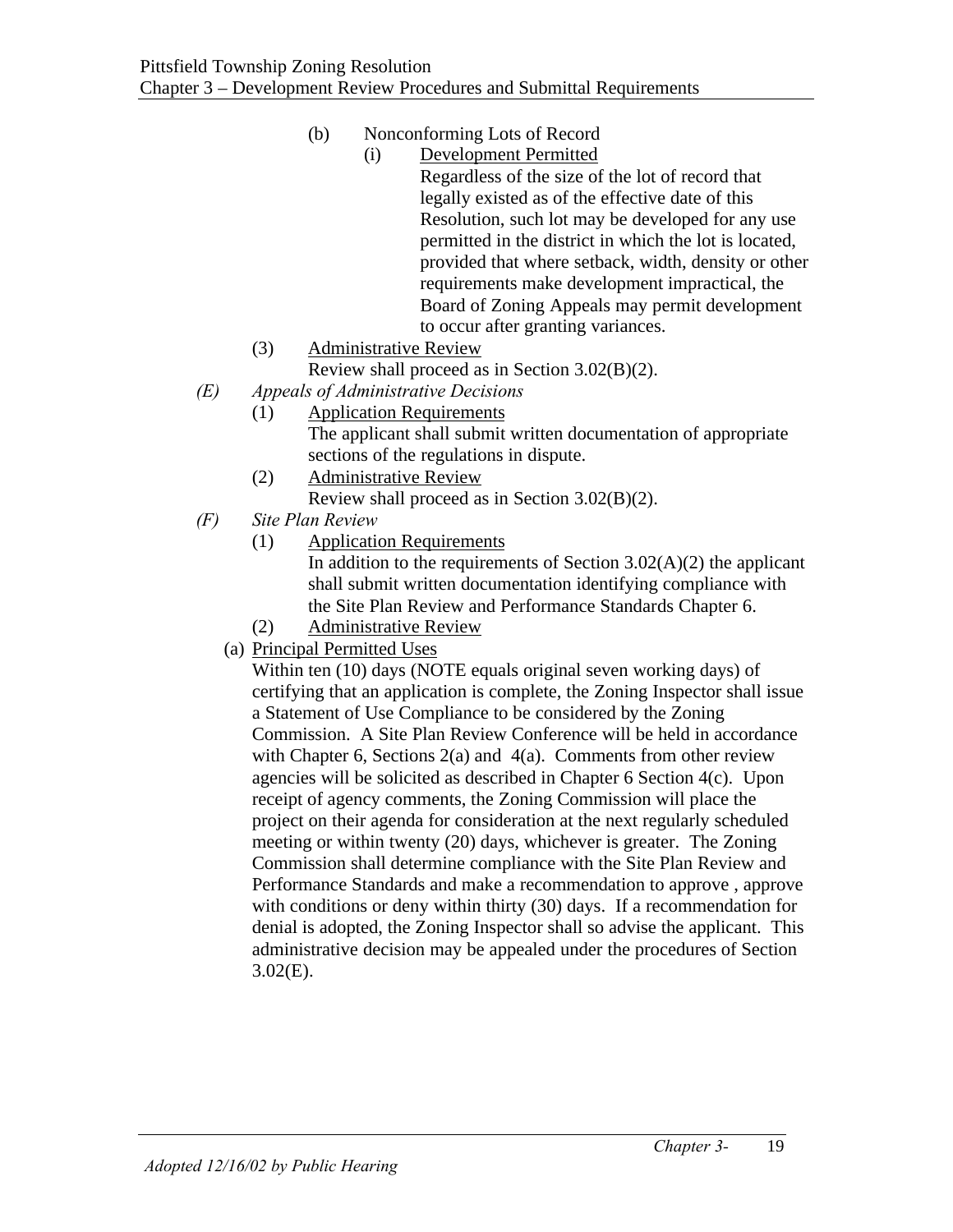# (b) Nonconforming Lots of Record

- (i) Development Permitted Regardless of the size of the lot of record that legally existed as of the effective date of this Resolution, such lot may be developed for any use permitted in the district in which the lot is located, provided that where setback, width, density or other requirements make development impractical, the Board of Zoning Appeals may permit development to occur after granting variances.
- (3) Administrative Review

Review shall proceed as in Section 3.02(B)(2).

- *(E) Appeals of Administrative Decisions* 
	- (1) Application Requirements The applicant shall submit written documentation of appropriate sections of the regulations in dispute.
	- (2) Administrative Review Review shall proceed as in Section 3.02(B)(2).
- *(F) Site Plan Review* 
	- (1) Application Requirements

In addition to the requirements of Section  $3.02(A)(2)$  the applicant shall submit written documentation identifying compliance with the Site Plan Review and Performance Standards Chapter 6.

- (2) Administrative Review
- (a) Principal Permitted Uses

Within ten (10) days (NOTE equals original seven working days) of certifying that an application is complete, the Zoning Inspector shall issue a Statement of Use Compliance to be considered by the Zoning Commission. A Site Plan Review Conference will be held in accordance with Chapter 6, Sections 2(a) and 4(a). Comments from other review agencies will be solicited as described in Chapter 6 Section 4(c). Upon receipt of agency comments, the Zoning Commission will place the project on their agenda for consideration at the next regularly scheduled meeting or within twenty (20) days, whichever is greater. The Zoning Commission shall determine compliance with the Site Plan Review and Performance Standards and make a recommendation to approve , approve with conditions or deny within thirty (30) days. If a recommendation for denial is adopted, the Zoning Inspector shall so advise the applicant. This administrative decision may be appealed under the procedures of Section 3.02(E).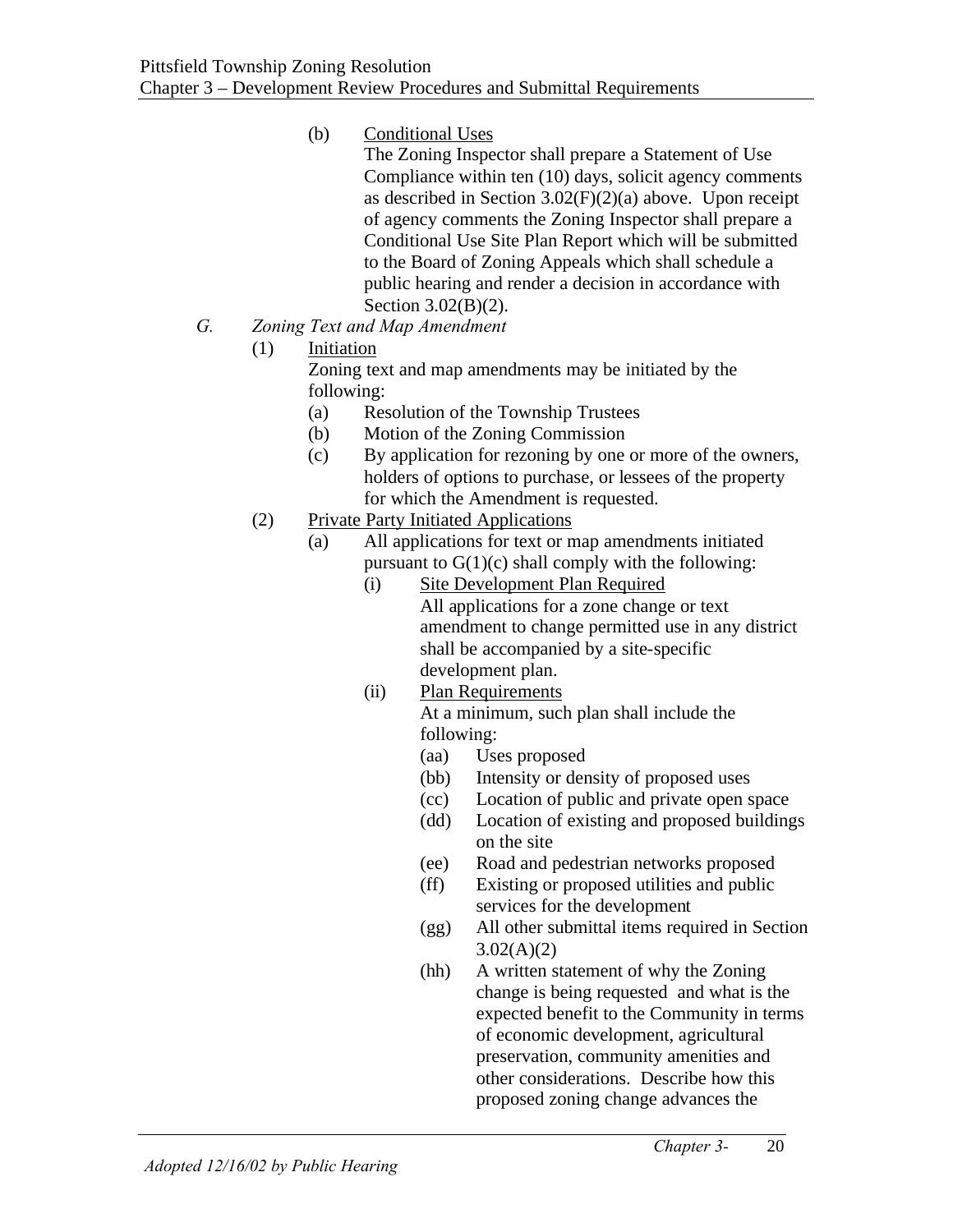- (b) Conditional Uses
	- The Zoning Inspector shall prepare a Statement of Use Compliance within ten (10) days, solicit agency comments as described in Section  $3.02(F)(2)(a)$  above. Upon receipt of agency comments the Zoning Inspector shall prepare a Conditional Use Site Plan Report which will be submitted to the Board of Zoning Appeals which shall schedule a public hearing and render a decision in accordance with Section 3.02(B)(2).
- *G. Zoning Text and Map Amendment*
	- (1) Initiation

Zoning text and map amendments may be initiated by the following:

- (a) Resolution of the Township Trustees
- (b) Motion of the Zoning Commission
- (c) By application for rezoning by one or more of the owners, holders of options to purchase, or lessees of the property for which the Amendment is requested.
- (2) Private Party Initiated Applications
	- (a) All applications for text or map amendments initiated pursuant to  $G(1)(c)$  shall comply with the following:
		- (i) Site Development Plan Required All applications for a zone change or text amendment to change permitted use in any district shall be accompanied by a site-specific development plan.
		- (ii) Plan Requirements

At a minimum, such plan shall include the following:

- (aa) Uses proposed
- (bb) Intensity or density of proposed uses
- (cc) Location of public and private open space
- (dd) Location of existing and proposed buildings on the site
- (ee) Road and pedestrian networks proposed
- (ff) Existing or proposed utilities and public services for the development
- (gg) All other submittal items required in Section  $3.02(A)(2)$
- (hh) A written statement of why the Zoning change is being requested and what is the expected benefit to the Community in terms of economic development, agricultural preservation, community amenities and other considerations. Describe how this proposed zoning change advances the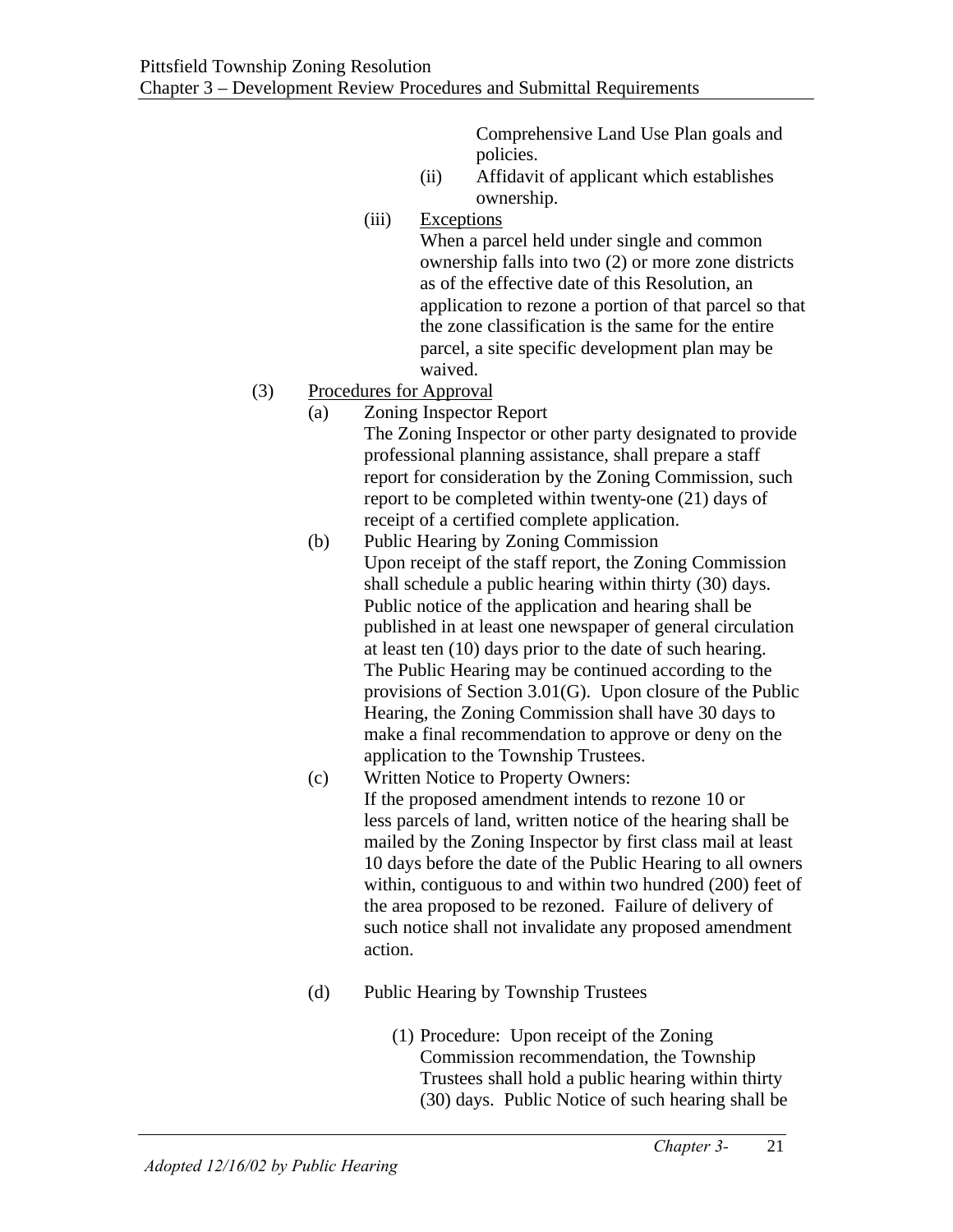Comprehensive Land Use Plan goals and policies.

- (ii) Affidavit of applicant which establishes ownership.
- (iii) Exceptions

When a parcel held under single and common ownership falls into two (2) or more zone districts as of the effective date of this Resolution, an application to rezone a portion of that parcel so that the zone classification is the same for the entire parcel, a site specific development plan may be waived.

- (3) Procedures for Approval
	- (a) Zoning Inspector Report

The Zoning Inspector or other party designated to provide professional planning assistance, shall prepare a staff report for consideration by the Zoning Commission, such report to be completed within twenty-one (21) days of receipt of a certified complete application.

- (b) Public Hearing by Zoning Commission Upon receipt of the staff report, the Zoning Commission shall schedule a public hearing within thirty (30) days. Public notice of the application and hearing shall be published in at least one newspaper of general circulation at least ten (10) days prior to the date of such hearing. The Public Hearing may be continued according to the provisions of Section 3.01(G). Upon closure of the Public Hearing, the Zoning Commission shall have 30 days to make a final recommendation to approve or deny on the application to the Township Trustees.
- (c) Written Notice to Property Owners: If the proposed amendment intends to rezone 10 or less parcels of land, written notice of the hearing shall be mailed by the Zoning Inspector by first class mail at least 10 days before the date of the Public Hearing to all owners within, contiguous to and within two hundred (200) feet of the area proposed to be rezoned. Failure of delivery of such notice shall not invalidate any proposed amendment action.
- (d) Public Hearing by Township Trustees
	- (1) Procedure: Upon receipt of the Zoning Commission recommendation, the Township Trustees shall hold a public hearing within thirty (30) days. Public Notice of such hearing shall be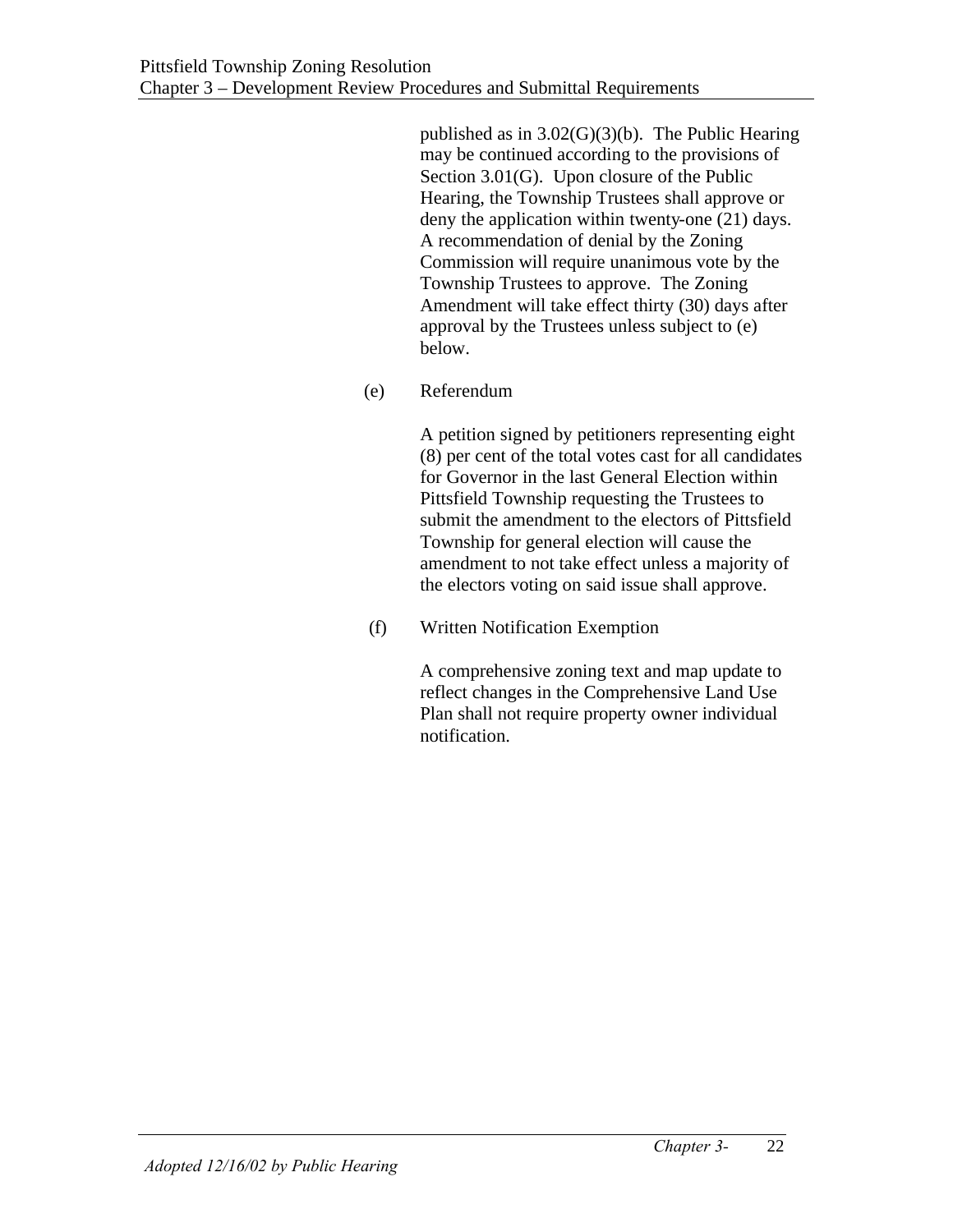published as in  $3.02(G)(3)(b)$ . The Public Hearing may be continued according to the provisions of Section 3.01(G). Upon closure of the Public Hearing, the Township Trustees shall approve or deny the application within twenty-one (21) days. A recommendation of denial by the Zoning Commission will require unanimous vote by the Township Trustees to approve. The Zoning Amendment will take effect thirty (30) days after approval by the Trustees unless subject to (e) below.

(e) Referendum

A petition signed by petitioners representing eight (8) per cent of the total votes cast for all candidates for Governor in the last General Election within Pittsfield Township requesting the Trustees to submit the amendment to the electors of Pittsfield Township for general election will cause the amendment to not take effect unless a majority of the electors voting on said issue shall approve.

(f) Written Notification Exemption

A comprehensive zoning text and map update to reflect changes in the Comprehensive Land Use Plan shall not require property owner individual notification.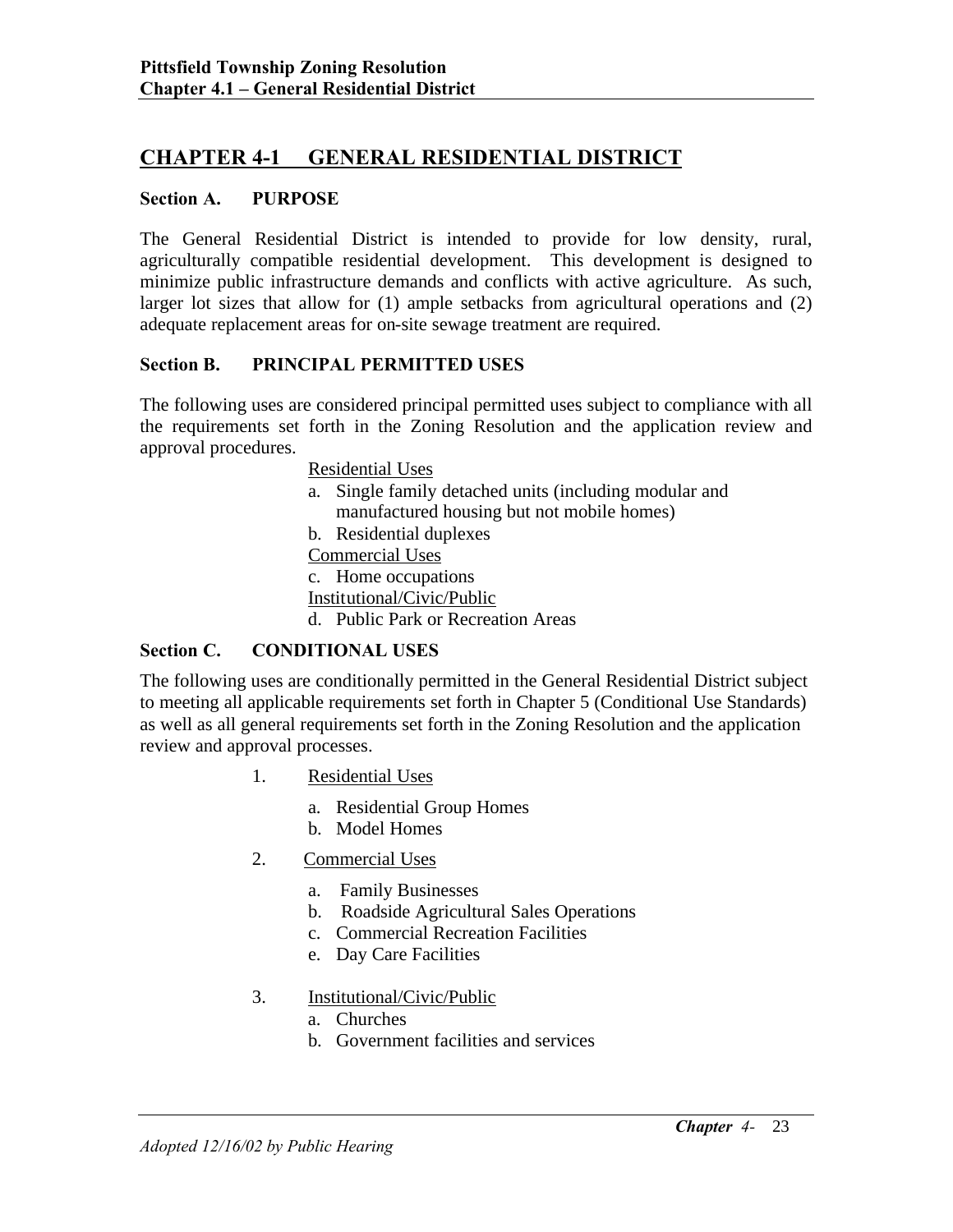# **CHAPTER 4-1 GENERAL RESIDENTIAL DISTRICT**

#### **Section A. PURPOSE**

The General Residential District is intended to provide for low density, rural, agriculturally compatible residential development. This development is designed to minimize public infrastructure demands and conflicts with active agriculture. As such, larger lot sizes that allow for (1) ample setbacks from agricultural operations and (2) adequate replacement areas for on-site sewage treatment are required.

#### **Section B. PRINCIPAL PERMITTED USES**

The following uses are considered principal permitted uses subject to compliance with all the requirements set forth in the Zoning Resolution and the application review and approval procedures.

Residential Uses

a. Single family detached units (including modular and manufactured housing but not mobile homes)

b. Residential duplexes

Commercial Uses

c. Home occupations

Institutional/Civic/Public

d. Public Park or Recreation Areas

#### **Section C. CONDITIONAL USES**

The following uses are conditionally permitted in the General Residential District subject to meeting all applicable requirements set forth in Chapter 5 (Conditional Use Standards) as well as all general requirements set forth in the Zoning Resolution and the application review and approval processes.

- 1. Residential Uses
	- a. Residential Group Homes
	- b. Model Homes
- 2. Commercial Uses
	- a. Family Businesses
	- b. Roadside Agricultural Sales Operations
	- c. Commercial Recreation Facilities
	- e. Day Care Facilities
- 3. Institutional/Civic/Public
	- a. Churches
	- b. Government facilities and services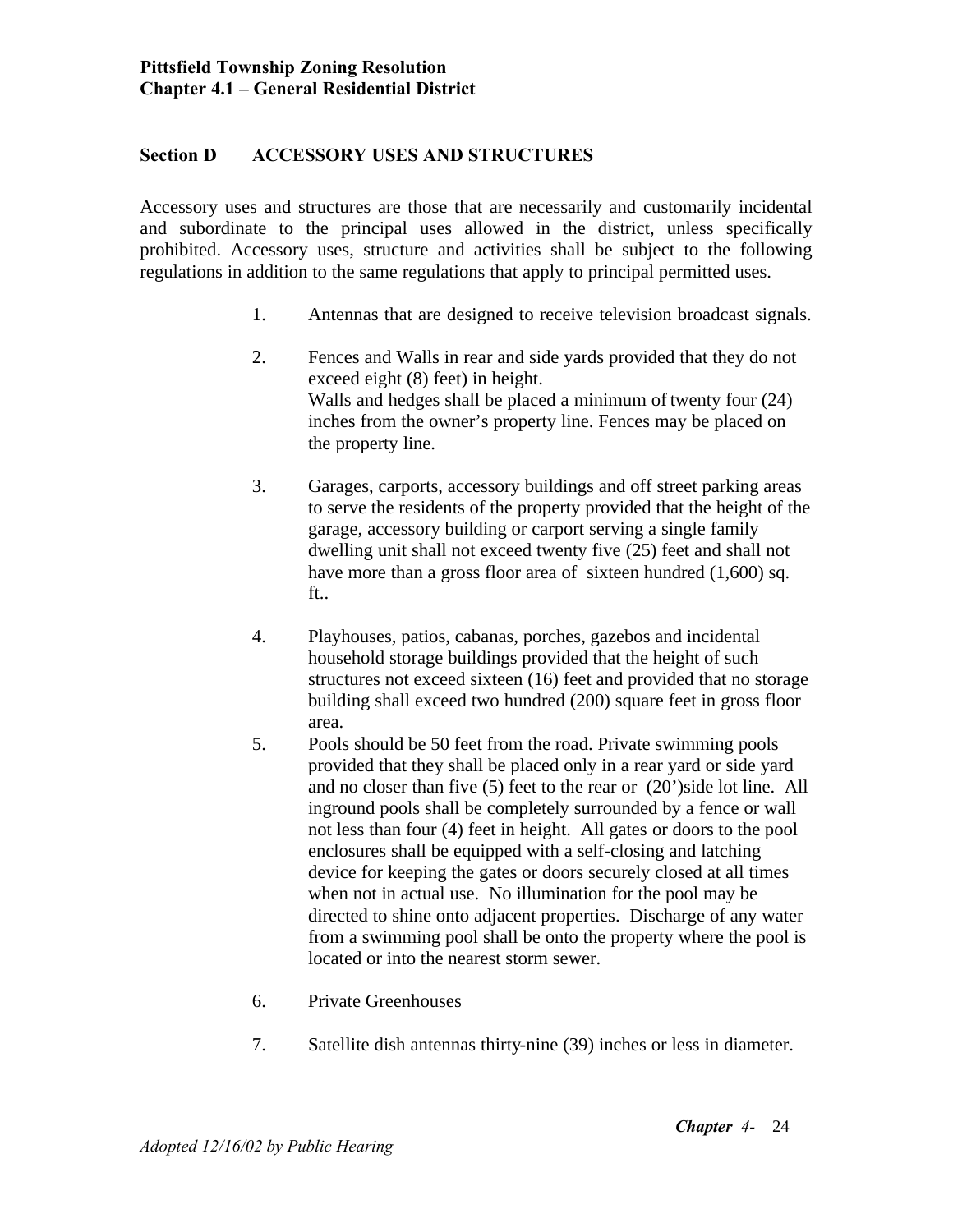## **Section D ACCESSORY USES AND STRUCTURES**

Accessory uses and structures are those that are necessarily and customarily incidental and subordinate to the principal uses allowed in the district, unless specifically prohibited. Accessory uses, structure and activities shall be subject to the following regulations in addition to the same regulations that apply to principal permitted uses.

- 1. Antennas that are designed to receive television broadcast signals.
- 2. Fences and Walls in rear and side yards provided that they do not exceed eight (8) feet) in height. Walls and hedges shall be placed a minimum of twenty four (24) inches from the owner's property line. Fences may be placed on the property line.
- 3. Garages, carports, accessory buildings and off street parking areas to serve the residents of the property provided that the height of the garage, accessory building or carport serving a single family dwelling unit shall not exceed twenty five (25) feet and shall not have more than a gross floor area of sixteen hundred (1,600) sq. ft..
- 4. Playhouses, patios, cabanas, porches, gazebos and incidental household storage buildings provided that the height of such structures not exceed sixteen (16) feet and provided that no storage building shall exceed two hundred (200) square feet in gross floor area.
- 5. Pools should be 50 feet from the road. Private swimming pools provided that they shall be placed only in a rear yard or side yard and no closer than five (5) feet to the rear or (20')side lot line. All inground pools shall be completely surrounded by a fence or wall not less than four (4) feet in height. All gates or doors to the pool enclosures shall be equipped with a self-closing and latching device for keeping the gates or doors securely closed at all times when not in actual use. No illumination for the pool may be directed to shine onto adjacent properties. Discharge of any water from a swimming pool shall be onto the property where the pool is located or into the nearest storm sewer.
- 6. Private Greenhouses
- 7. Satellite dish antennas thirty-nine (39) inches or less in diameter.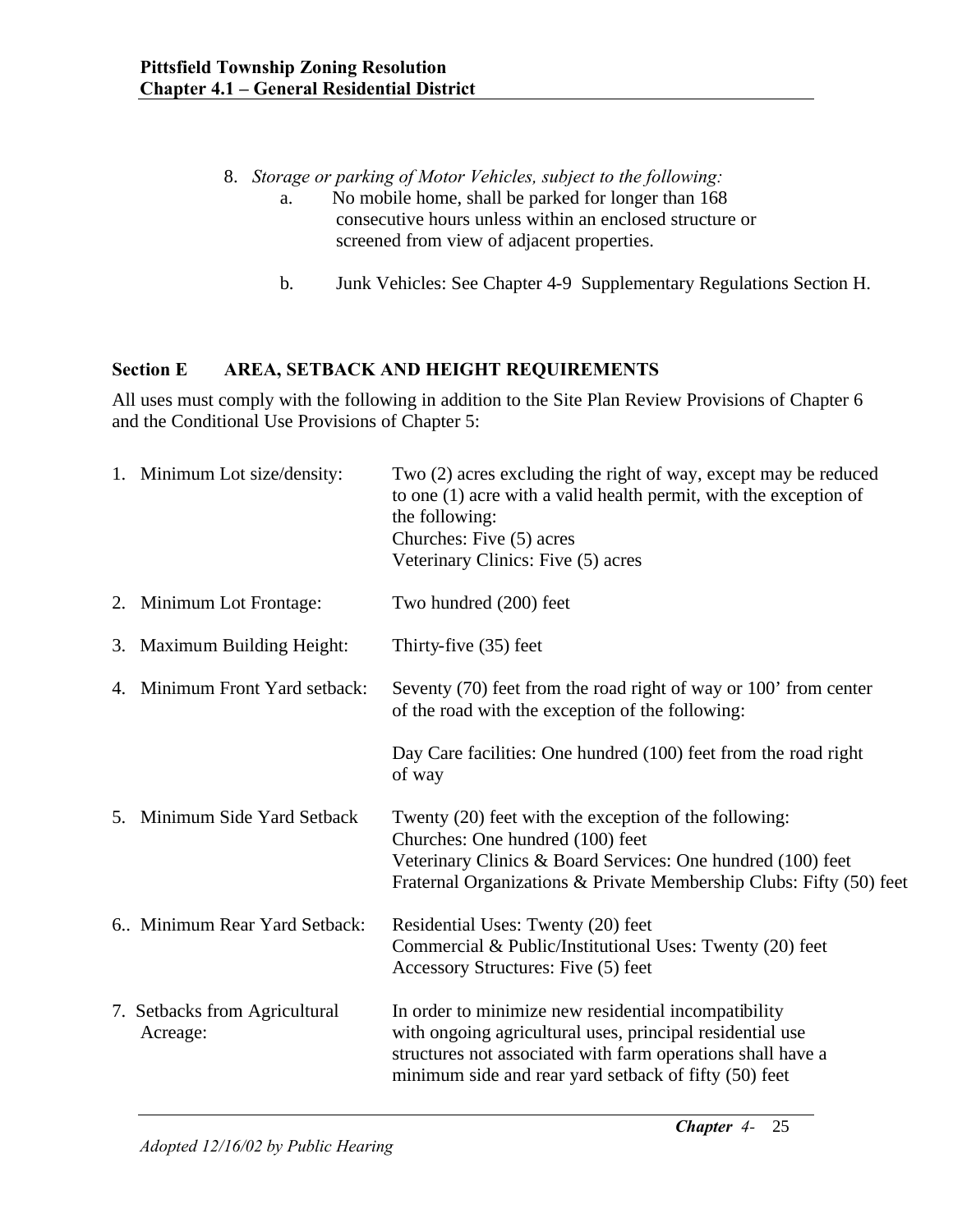# 8. *Storage or parking of Motor Vehicles, subject to the following:*

- a. No mobile home, shall be parked for longer than 168 consecutive hours unless within an enclosed structure or screened from view of adjacent properties.
- b. Junk Vehicles: See Chapter 4-9 Supplementary Regulations Section H.

## **Section E AREA, SETBACK AND HEIGHT REQUIREMENTS**

All uses must comply with the following in addition to the Site Plan Review Provisions of Chapter 6 and the Conditional Use Provisions of Chapter 5:

|    | 1. Minimum Lot size/density:              | Two (2) acres excluding the right of way, except may be reduced<br>to one $(1)$ acre with a valid health permit, with the exception of<br>the following:<br>Churches: Five (5) acres<br>Veterinary Clinics: Five (5) acres                |
|----|-------------------------------------------|-------------------------------------------------------------------------------------------------------------------------------------------------------------------------------------------------------------------------------------------|
|    | 2. Minimum Lot Frontage:                  | Two hundred (200) feet                                                                                                                                                                                                                    |
| 3. | <b>Maximum Building Height:</b>           | Thirty-five (35) feet                                                                                                                                                                                                                     |
|    | 4. Minimum Front Yard setback:            | Seventy (70) feet from the road right of way or 100' from center<br>of the road with the exception of the following:                                                                                                                      |
|    |                                           | Day Care facilities: One hundred (100) feet from the road right<br>of way                                                                                                                                                                 |
|    | 5. Minimum Side Yard Setback              | Twenty (20) feet with the exception of the following:<br>Churches: One hundred (100) feet<br>Veterinary Clinics & Board Services: One hundred (100) feet<br>Fraternal Organizations & Private Membership Clubs: Fifty (50) feet           |
|    | 6. Minimum Rear Yard Setback:             | Residential Uses: Twenty (20) feet<br>Commercial & Public/Institutional Uses: Twenty (20) feet<br>Accessory Structures: Five (5) feet                                                                                                     |
|    | 7. Setbacks from Agricultural<br>Acreage: | In order to minimize new residential incompatibility<br>with ongoing agricultural uses, principal residential use<br>structures not associated with farm operations shall have a<br>minimum side and rear yard setback of fifty (50) feet |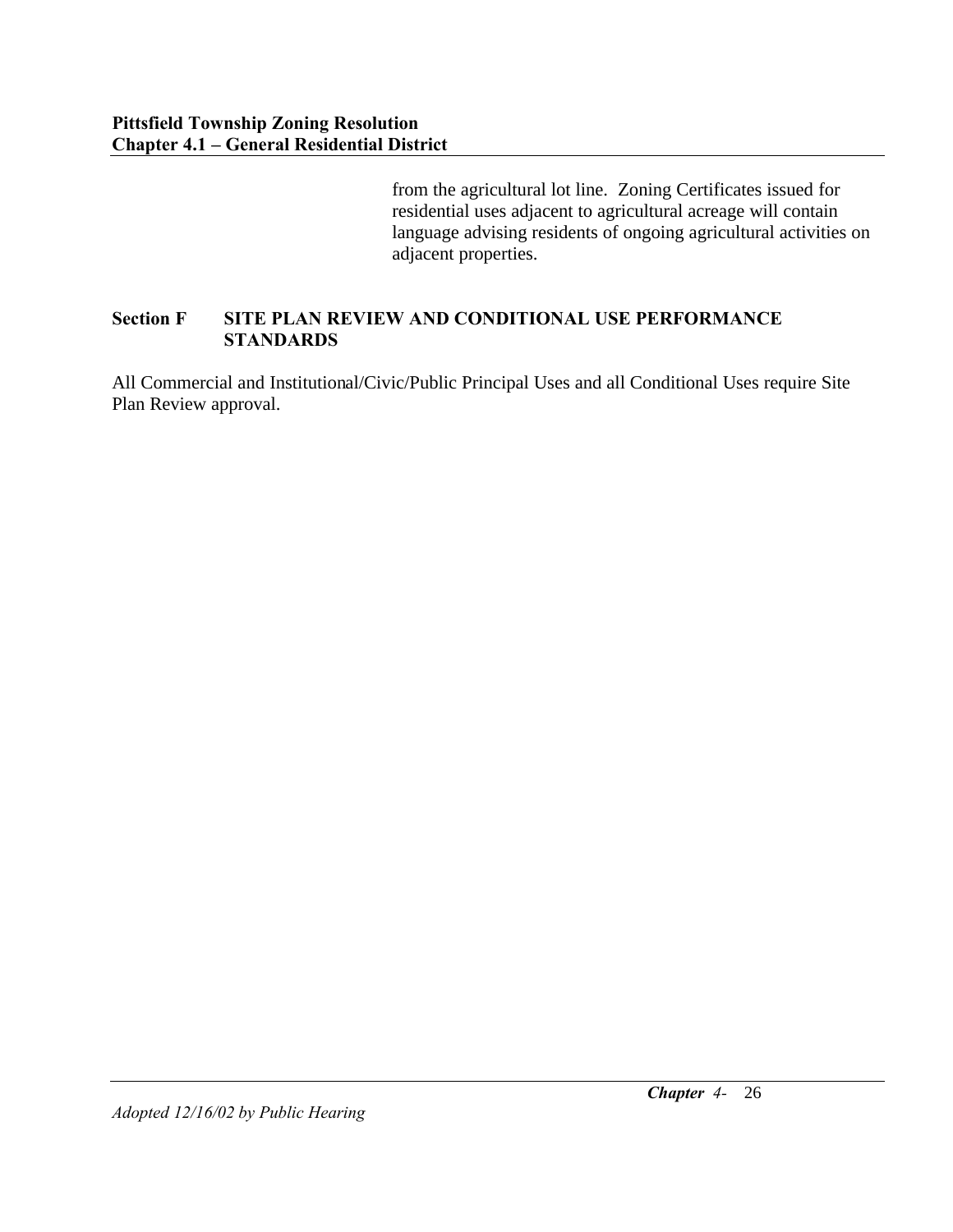from the agricultural lot line. Zoning Certificates issued for residential uses adjacent to agricultural acreage will contain language advising residents of ongoing agricultural activities on adjacent properties.

## **Section F SITE PLAN REVIEW AND CONDITIONAL USE PERFORMANCE STANDARDS**

All Commercial and Institutional/Civic/Public Principal Uses and all Conditional Uses require Site Plan Review approval.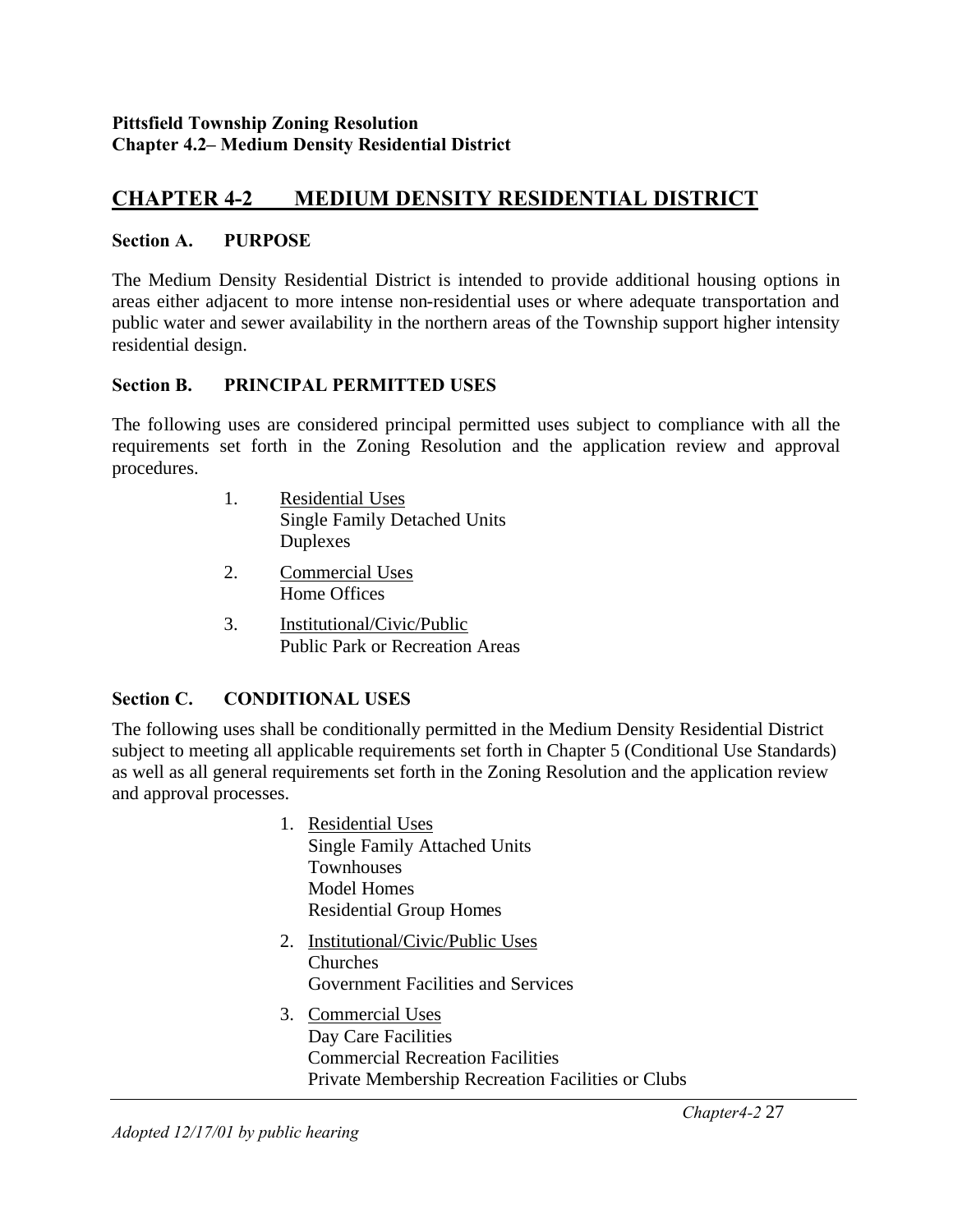#### **Pittsfield Township Zoning Resolution Chapter 4.2– Medium Density Residential District**

# **CHAPTER 4-2 MEDIUM DENSITY RESIDENTIAL DISTRICT**

#### **Section A. PURPOSE**

The Medium Density Residential District is intended to provide additional housing options in areas either adjacent to more intense non-residential uses or where adequate transportation and public water and sewer availability in the northern areas of the Township support higher intensity residential design.

#### **Section B. PRINCIPAL PERMITTED USES**

The following uses are considered principal permitted uses subject to compliance with all the requirements set forth in the Zoning Resolution and the application review and approval procedures.

- 1. Residential Uses Single Family Detached Units Duplexes
- 2. Commercial Uses Home Offices
- 3. Institutional/Civic/Public Public Park or Recreation Areas

#### **Section C. CONDITIONAL USES**

The following uses shall be conditionally permitted in the Medium Density Residential District subject to meeting all applicable requirements set forth in Chapter 5 (Conditional Use Standards) as well as all general requirements set forth in the Zoning Resolution and the application review and approval processes.

- 1. Residential Uses Single Family Attached Units **Townhouses** Model Homes Residential Group Homes
- 2. Institutional/Civic/Public Uses Churches Government Facilities and Services
- 3. Commercial Uses Day Care Facilities Commercial Recreation Facilities Private Membership Recreation Facilities or Clubs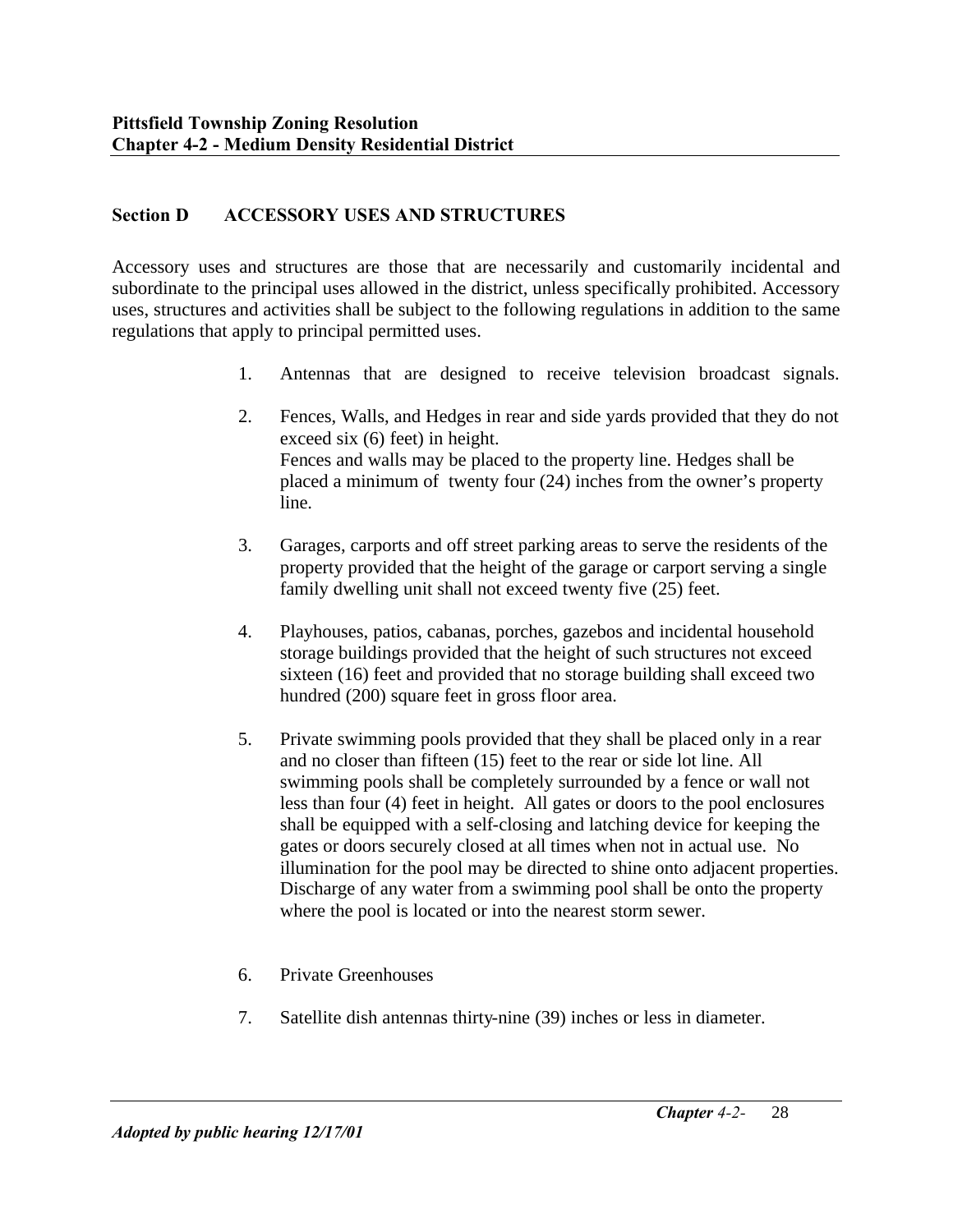## **Section D ACCESSORY USES AND STRUCTURES**

Accessory uses and structures are those that are necessarily and customarily incidental and subordinate to the principal uses allowed in the district, unless specifically prohibited. Accessory uses, structures and activities shall be subject to the following regulations in addition to the same regulations that apply to principal permitted uses.

- 1. Antennas that are designed to receive television broadcast signals.
- 2. Fences, Walls, and Hedges in rear and side yards provided that they do not exceed six (6) feet) in height. Fences and walls may be placed to the property line. Hedges shall be placed a minimum of twenty four (24) inches from the owner's property line.
- 3. Garages, carports and off street parking areas to serve the residents of the property provided that the height of the garage or carport serving a single family dwelling unit shall not exceed twenty five (25) feet.
- 4. Playhouses, patios, cabanas, porches, gazebos and incidental household storage buildings provided that the height of such structures not exceed sixteen (16) feet and provided that no storage building shall exceed two hundred (200) square feet in gross floor area.
- 5. Private swimming pools provided that they shall be placed only in a rear and no closer than fifteen (15) feet to the rear or side lot line. All swimming pools shall be completely surrounded by a fence or wall not less than four (4) feet in height. All gates or doors to the pool enclosures shall be equipped with a self-closing and latching device for keeping the gates or doors securely closed at all times when not in actual use. No illumination for the pool may be directed to shine onto adjacent properties. Discharge of any water from a swimming pool shall be onto the property where the pool is located or into the nearest storm sewer.
- 6. Private Greenhouses
- 7. Satellite dish antennas thirty-nine (39) inches or less in diameter.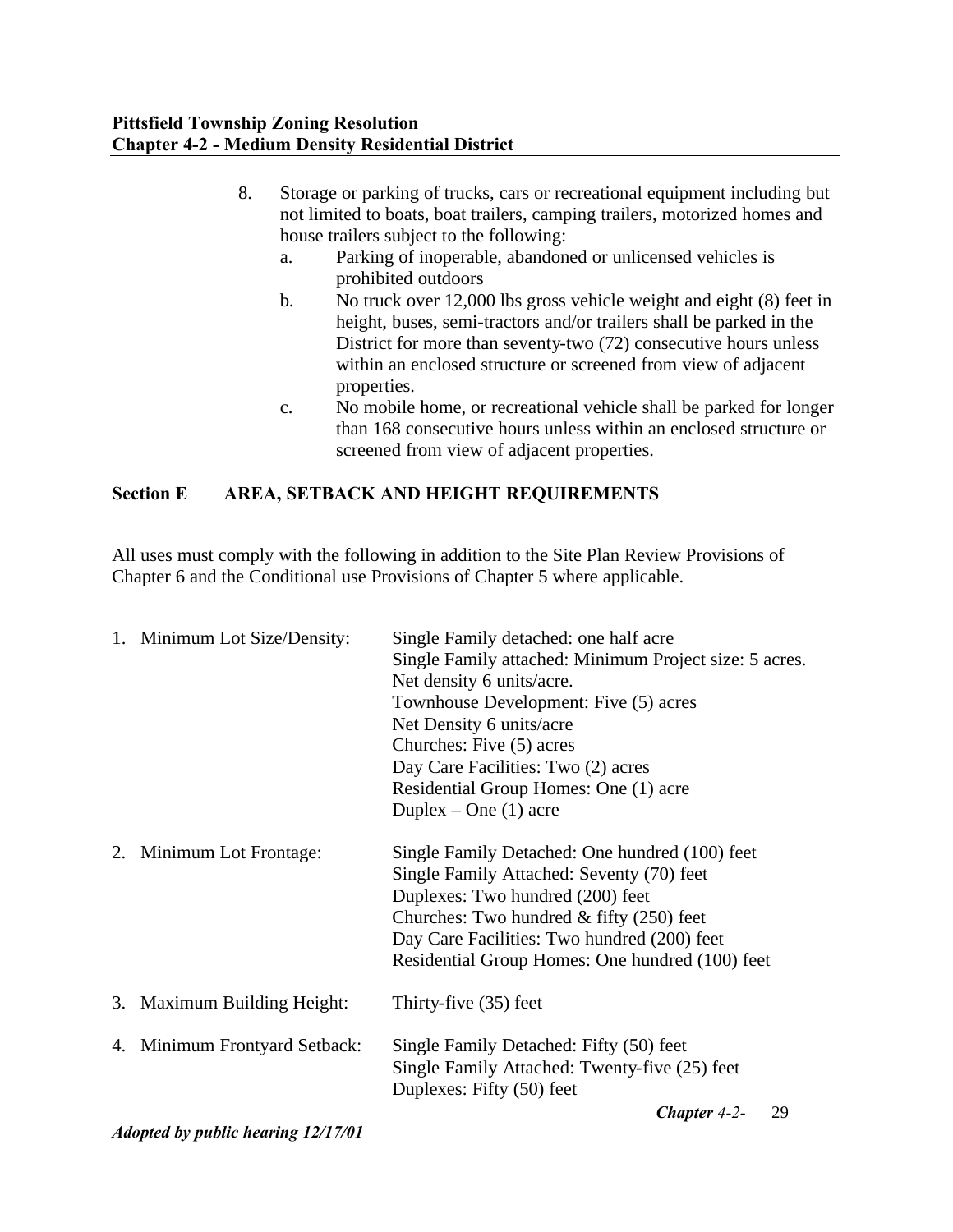- 8. Storage or parking of trucks, cars or recreational equipment including but not limited to boats, boat trailers, camping trailers, motorized homes and house trailers subject to the following:
	- a. Parking of inoperable, abandoned or unlicensed vehicles is prohibited outdoors
	- b. No truck over 12,000 lbs gross vehicle weight and eight (8) feet in height, buses, semi-tractors and/or trailers shall be parked in the District for more than seventy-two (72) consecutive hours unless within an enclosed structure or screened from view of adjacent properties.
	- c. No mobile home, or recreational vehicle shall be parked for longer than 168 consecutive hours unless within an enclosed structure or screened from view of adjacent properties.

# **Section E AREA, SETBACK AND HEIGHT REQUIREMENTS**

All uses must comply with the following in addition to the Site Plan Review Provisions of Chapter 6 and the Conditional use Provisions of Chapter 5 where applicable.

|    | 1. Minimum Lot Size/Density: | Single Family detached: one half acre<br>Single Family attached: Minimum Project size: 5 acres.<br>Net density 6 units/acre.<br>Townhouse Development: Five (5) acres<br>Net Density 6 units/acre<br>Churches: Five (5) acres<br>Day Care Facilities: Two (2) acres<br>Residential Group Homes: One (1) acre<br>Duplex – One $(1)$ acre |
|----|------------------------------|-----------------------------------------------------------------------------------------------------------------------------------------------------------------------------------------------------------------------------------------------------------------------------------------------------------------------------------------|
| 2. | Minimum Lot Frontage:        | Single Family Detached: One hundred (100) feet<br>Single Family Attached: Seventy (70) feet<br>Duplexes: Two hundred (200) feet<br>Churches: Two hundred $&$ fifty (250) feet<br>Day Care Facilities: Two hundred (200) feet<br>Residential Group Homes: One hundred (100) feet                                                         |
|    | 3. Maximum Building Height:  | Thirty-five (35) feet                                                                                                                                                                                                                                                                                                                   |
| 4. | Minimum Frontyard Setback:   | Single Family Detached: Fifty (50) feet<br>Single Family Attached: Twenty-five (25) feet<br>Duplexes: Fifty (50) feet                                                                                                                                                                                                                   |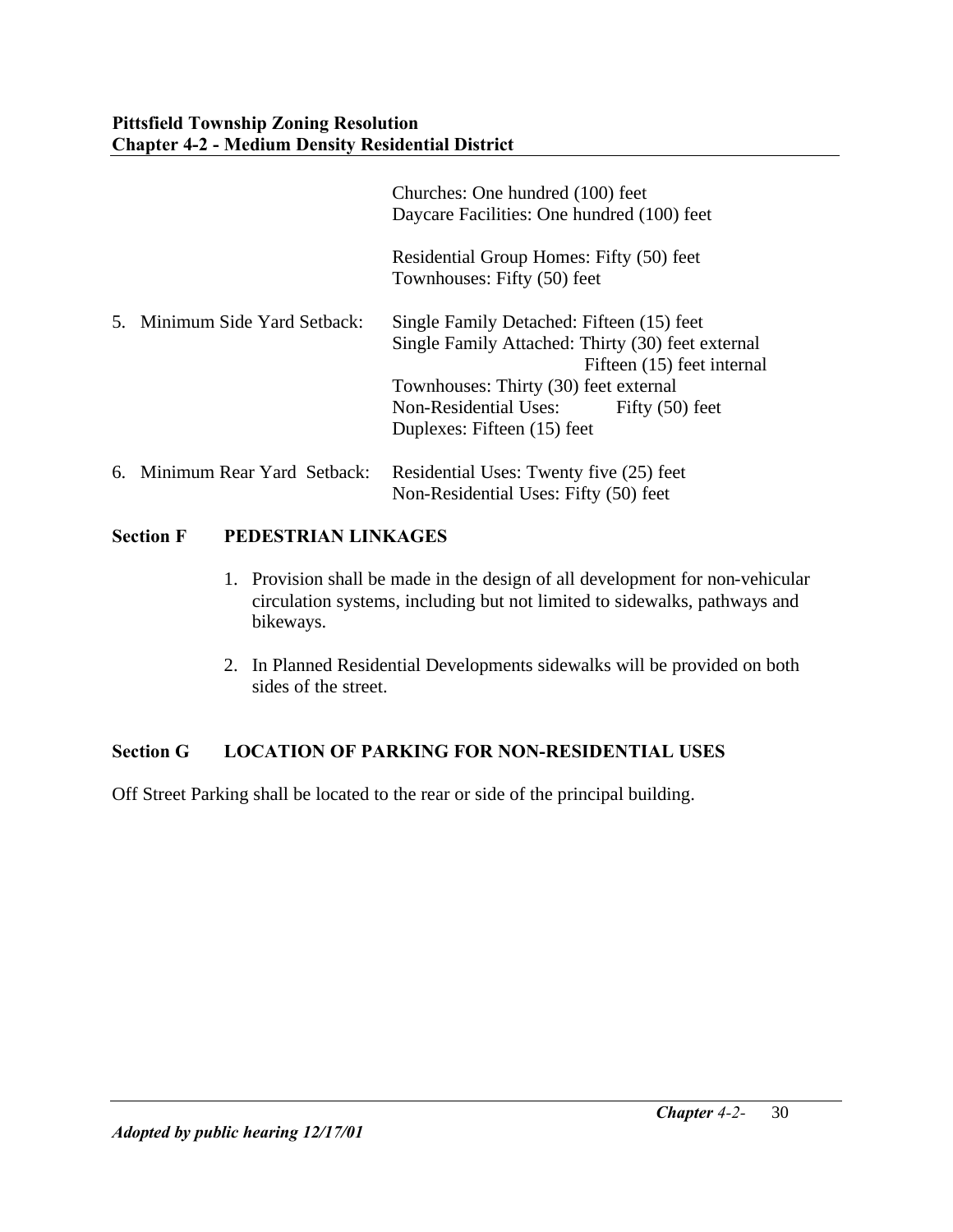|                               | Churches: One hundred (100) feet<br>Daycare Facilities: One hundred (100) feet                                                                                                                                                                     |
|-------------------------------|----------------------------------------------------------------------------------------------------------------------------------------------------------------------------------------------------------------------------------------------------|
|                               | Residential Group Homes: Fifty (50) feet<br>Townhouses: Fifty (50) feet                                                                                                                                                                            |
| 5. Minimum Side Yard Setback: | Single Family Detached: Fifteen (15) feet<br>Single Family Attached: Thirty (30) feet external<br>Fifteen (15) feet internal<br>Townhouses: Thirty (30) feet external<br>Non-Residential Uses:<br>Fifty $(50)$ feet<br>Duplexes: Fifteen (15) feet |
| 6. Minimum Rear Yard Setback: | Residential Uses: Twenty five (25) feet<br>Non-Residential Uses: Fifty (50) feet                                                                                                                                                                   |

## **Section F PEDESTRIAN LINKAGES**

- 1. Provision shall be made in the design of all development for non-vehicular circulation systems, including but not limited to sidewalks, pathways and bikeways.
- 2. In Planned Residential Developments sidewalks will be provided on both sides of the street.

## **Section G LOCATION OF PARKING FOR NON-RESIDENTIAL USES**

Off Street Parking shall be located to the rear or side of the principal building.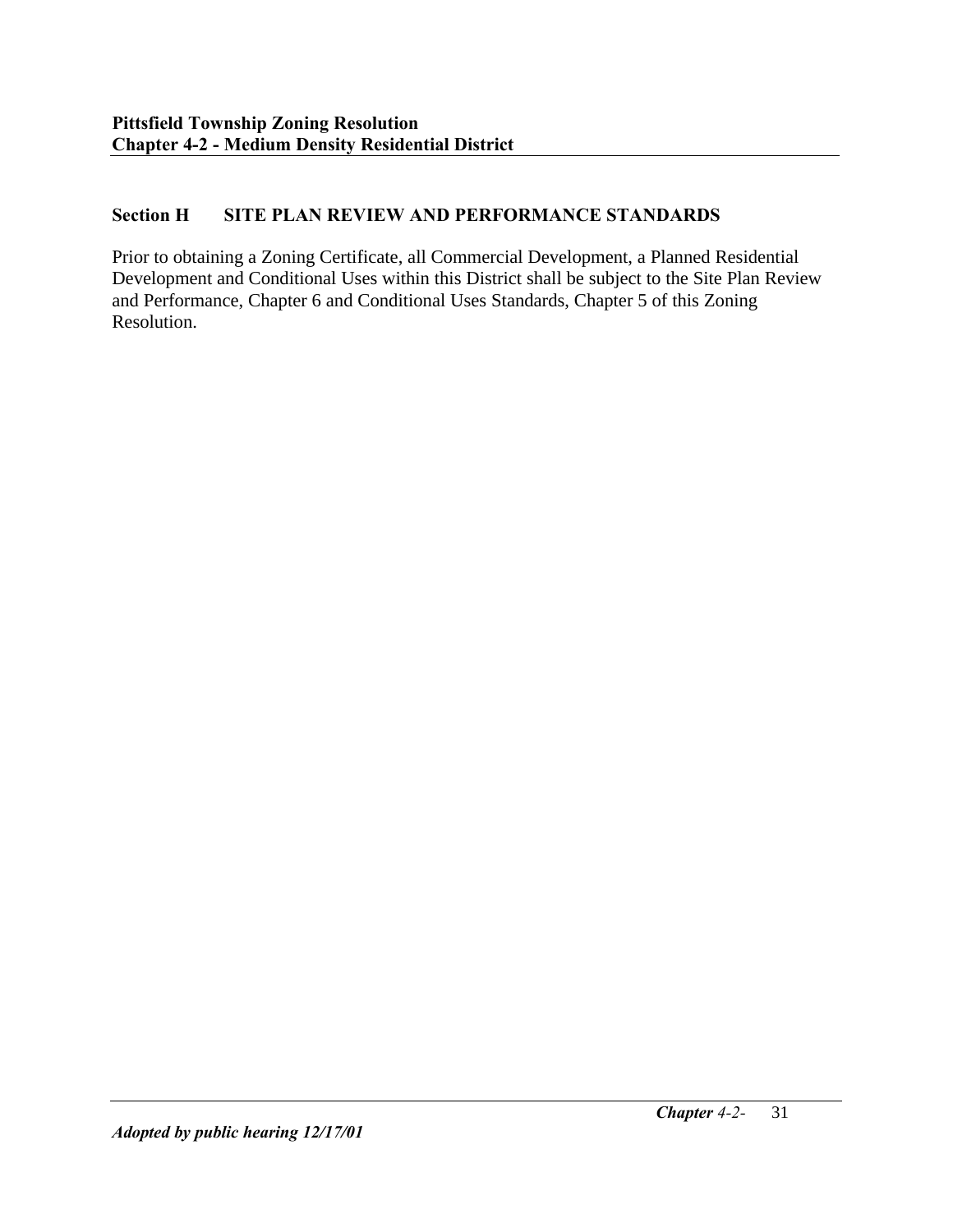## **Section H SITE PLAN REVIEW AND PERFORMANCE STANDARDS**

Prior to obtaining a Zoning Certificate, all Commercial Development, a Planned Residential Development and Conditional Uses within this District shall be subject to the Site Plan Review and Performance, Chapter 6 and Conditional Uses Standards, Chapter 5 of this Zoning Resolution.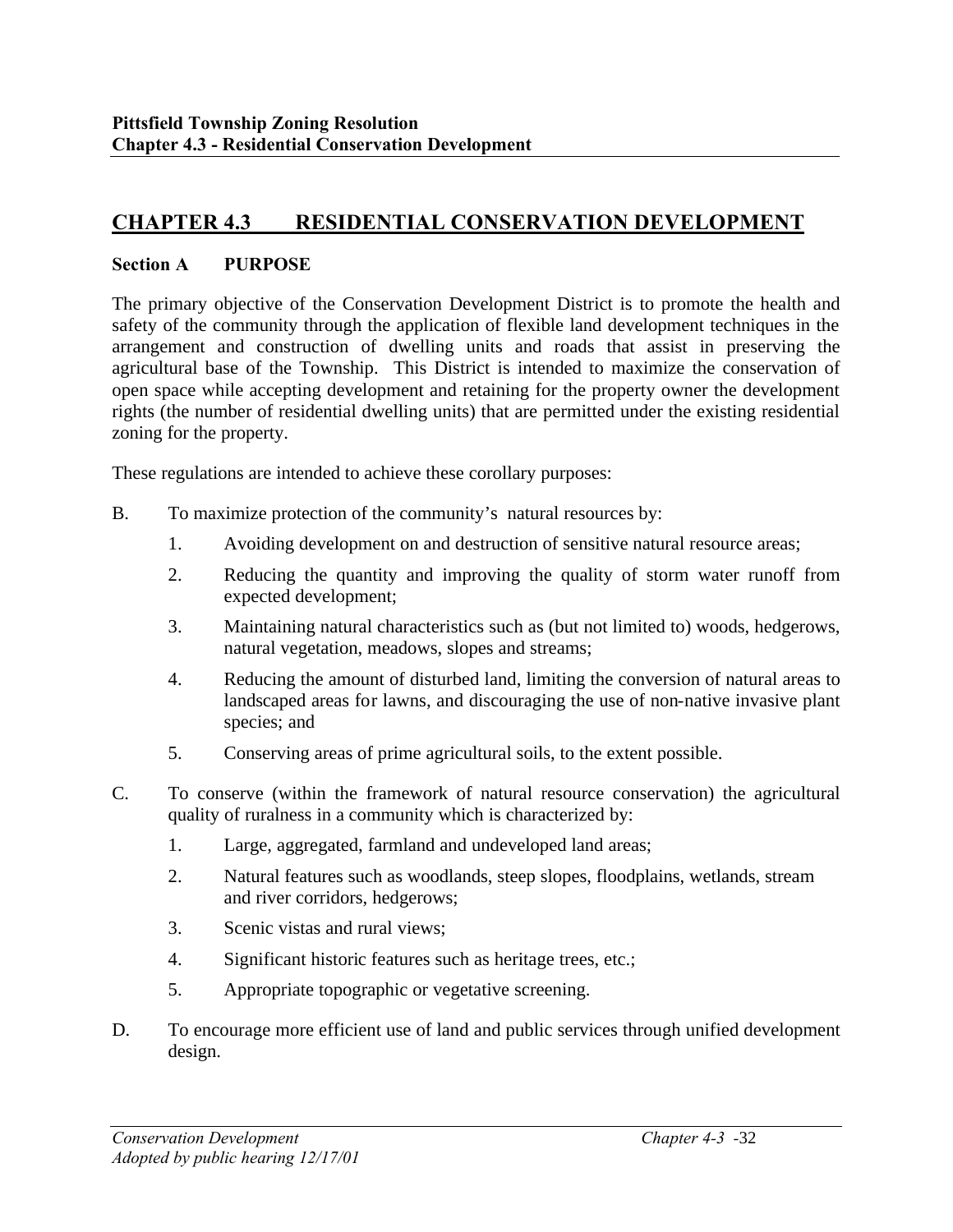# **CHAPTER 4.3 RESIDENTIAL CONSERVATION DEVELOPMENT**

#### **Section A PURPOSE**

The primary objective of the Conservation Development District is to promote the health and safety of the community through the application of flexible land development techniques in the arrangement and construction of dwelling units and roads that assist in preserving the agricultural base of the Township. This District is intended to maximize the conservation of open space while accepting development and retaining for the property owner the development rights (the number of residential dwelling units) that are permitted under the existing residential zoning for the property.

These regulations are intended to achieve these corollary purposes:

- B. To maximize protection of the community's natural resources by:
	- 1. Avoiding development on and destruction of sensitive natural resource areas;
	- 2. Reducing the quantity and improving the quality of storm water runoff from expected development;
	- 3. Maintaining natural characteristics such as (but not limited to) woods, hedgerows, natural vegetation, meadows, slopes and streams;
	- 4. Reducing the amount of disturbed land, limiting the conversion of natural areas to landscaped areas for lawns, and discouraging the use of non-native invasive plant species; and
	- 5. Conserving areas of prime agricultural soils, to the extent possible.
- C. To conserve (within the framework of natural resource conservation) the agricultural quality of ruralness in a community which is characterized by:
	- 1. Large, aggregated, farmland and undeveloped land areas;
	- 2. Natural features such as woodlands, steep slopes, floodplains, wetlands, stream and river corridors, hedgerows;
	- 3. Scenic vistas and rural views;
	- 4. Significant historic features such as heritage trees, etc.;
	- 5. Appropriate topographic or vegetative screening.
- D. To encourage more efficient use of land and public services through unified development design.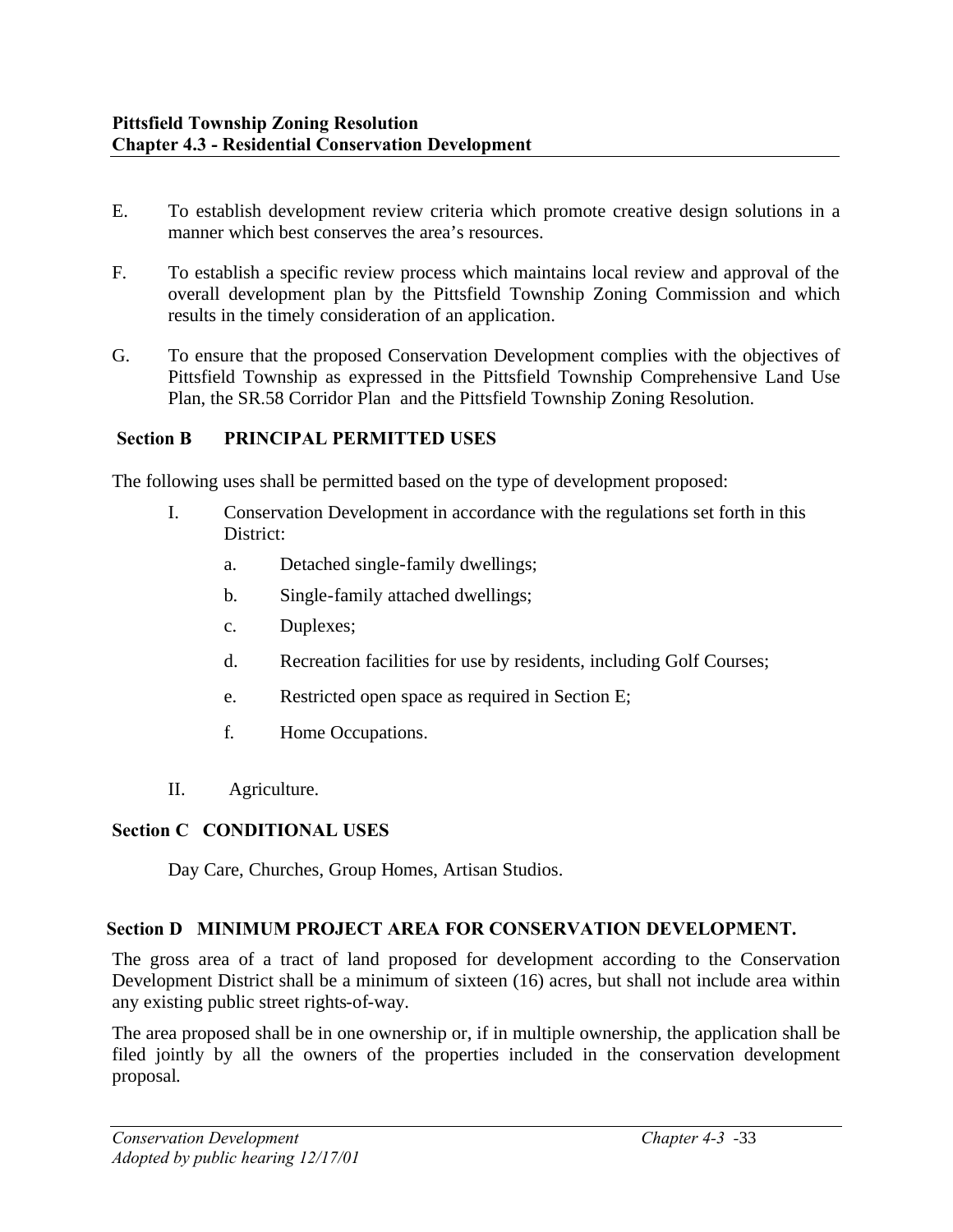- E. To establish development review criteria which promote creative design solutions in a manner which best conserves the area's resources.
- F. To establish a specific review process which maintains local review and approval of the overall development plan by the Pittsfield Township Zoning Commission and which results in the timely consideration of an application.
- G. To ensure that the proposed Conservation Development complies with the objectives of Pittsfield Township as expressed in the Pittsfield Township Comprehensive Land Use Plan, the SR.58 Corridor Plan and the Pittsfield Township Zoning Resolution.

#### **Section B PRINCIPAL PERMITTED USES**

The following uses shall be permitted based on the type of development proposed:

- I. Conservation Development in accordance with the regulations set forth in this District:
	- a. Detached single-family dwellings;
	- b. Single-family attached dwellings;
	- c. Duplexes;
	- d. Recreation facilities for use by residents, including Golf Courses;
	- e. Restricted open space as required in Section E;
	- f. Home Occupations.
- II. Agriculture.

#### **Section C CONDITIONAL USES**

Day Care, Churches, Group Homes, Artisan Studios.

#### **Section D MINIMUM PROJECT AREA FOR CONSERVATION DEVELOPMENT.**

The gross area of a tract of land proposed for development according to the Conservation Development District shall be a minimum of sixteen (16) acres, but shall not include area within any existing public street rights-of-way.

The area proposed shall be in one ownership or, if in multiple ownership, the application shall be filed jointly by all the owners of the properties included in the conservation development proposal.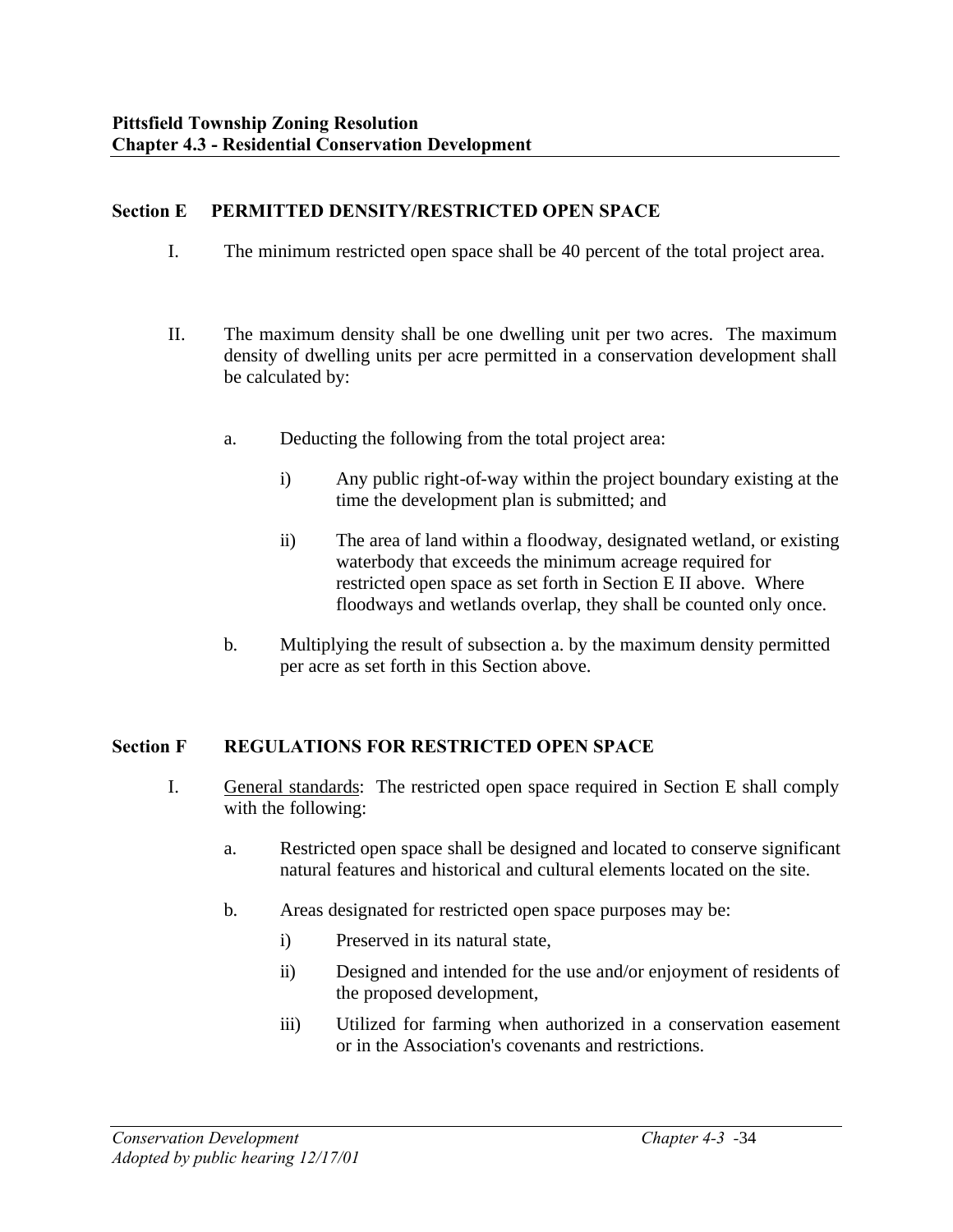#### **Section E PERMITTED DENSITY/RESTRICTED OPEN SPACE**

- I. The minimum restricted open space shall be 40 percent of the total project area.
- II. The maximum density shall be one dwelling unit per two acres. The maximum density of dwelling units per acre permitted in a conservation development shall be calculated by:
	- a. Deducting the following from the total project area:
		- i) Any public right-of-way within the project boundary existing at the time the development plan is submitted; and
		- ii) The area of land within a floodway, designated wetland, or existing waterbody that exceeds the minimum acreage required for restricted open space as set forth in Section E II above. Where floodways and wetlands overlap, they shall be counted only once.
	- b. Multiplying the result of subsection a. by the maximum density permitted per acre as set forth in this Section above.

#### **Section F REGULATIONS FOR RESTRICTED OPEN SPACE**

- I. General standards: The restricted open space required in Section E shall comply with the following:
	- a. Restricted open space shall be designed and located to conserve significant natural features and historical and cultural elements located on the site.
	- b. Areas designated for restricted open space purposes may be:
		- i) Preserved in its natural state,
		- ii) Designed and intended for the use and/or enjoyment of residents of the proposed development,
		- iii) Utilized for farming when authorized in a conservation easement or in the Association's covenants and restrictions.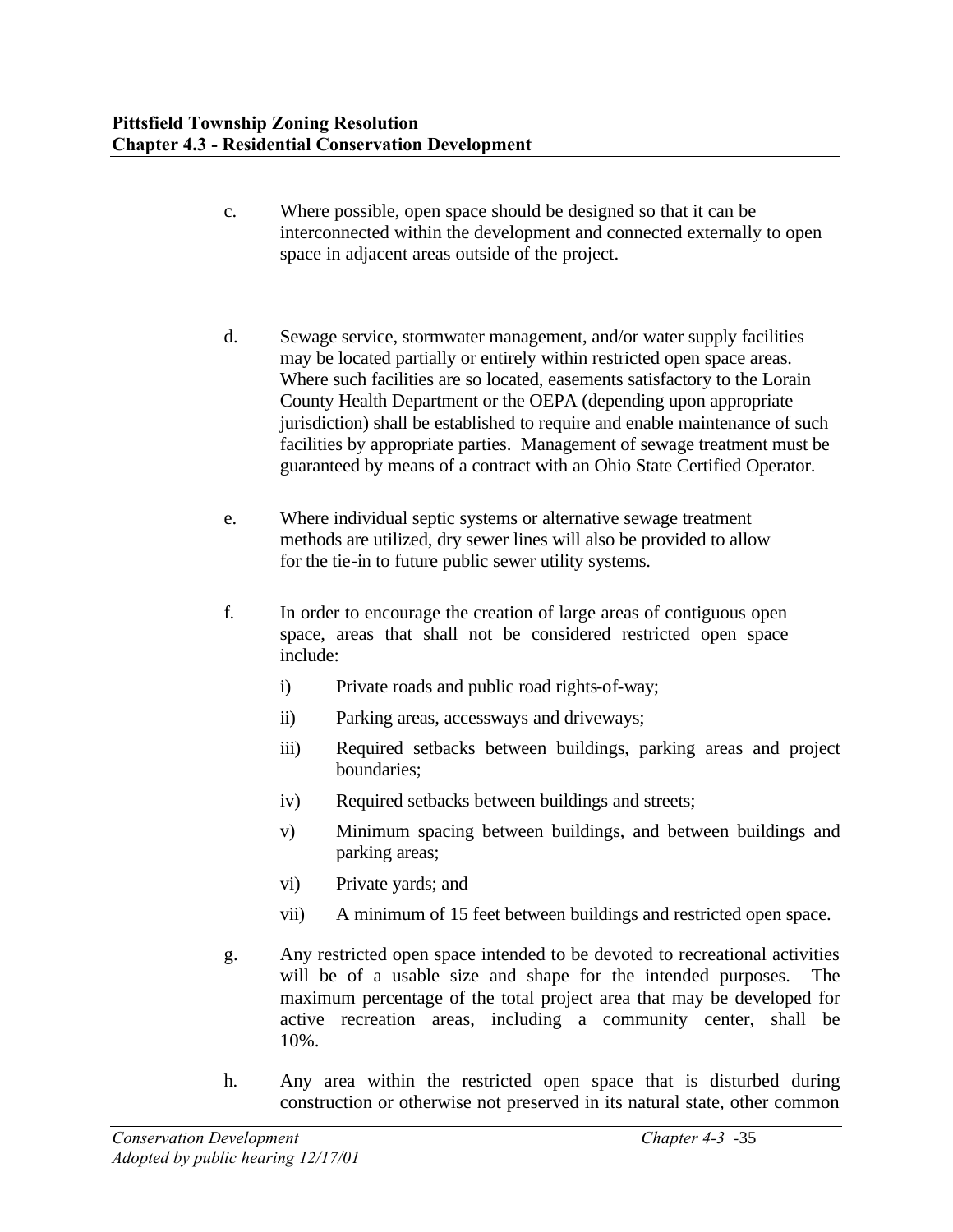- c. Where possible, open space should be designed so that it can be interconnected within the development and connected externally to open space in adjacent areas outside of the project.
- d. Sewage service, stormwater management, and/or water supply facilities may be located partially or entirely within restricted open space areas. Where such facilities are so located, easements satisfactory to the Lorain County Health Department or the OEPA (depending upon appropriate jurisdiction) shall be established to require and enable maintenance of such facilities by appropriate parties. Management of sewage treatment must be guaranteed by means of a contract with an Ohio State Certified Operator.
- e. Where individual septic systems or alternative sewage treatment methods are utilized, dry sewer lines will also be provided to allow for the tie-in to future public sewer utility systems.
- f. In order to encourage the creation of large areas of contiguous open space, areas that shall not be considered restricted open space include:
	- i) Private roads and public road rights-of-way;
	- ii) Parking areas, accessways and driveways;
	- iii) Required setbacks between buildings, parking areas and project boundaries;
	- iv) Required setbacks between buildings and streets;
	- v) Minimum spacing between buildings, and between buildings and parking areas;
	- vi) Private yards; and
	- vii) A minimum of 15 feet between buildings and restricted open space.
- g. Any restricted open space intended to be devoted to recreational activities will be of a usable size and shape for the intended purposes. The maximum percentage of the total project area that may be developed for active recreation areas, including a community center, shall be 10%.
- h. Any area within the restricted open space that is disturbed during construction or otherwise not preserved in its natural state, other common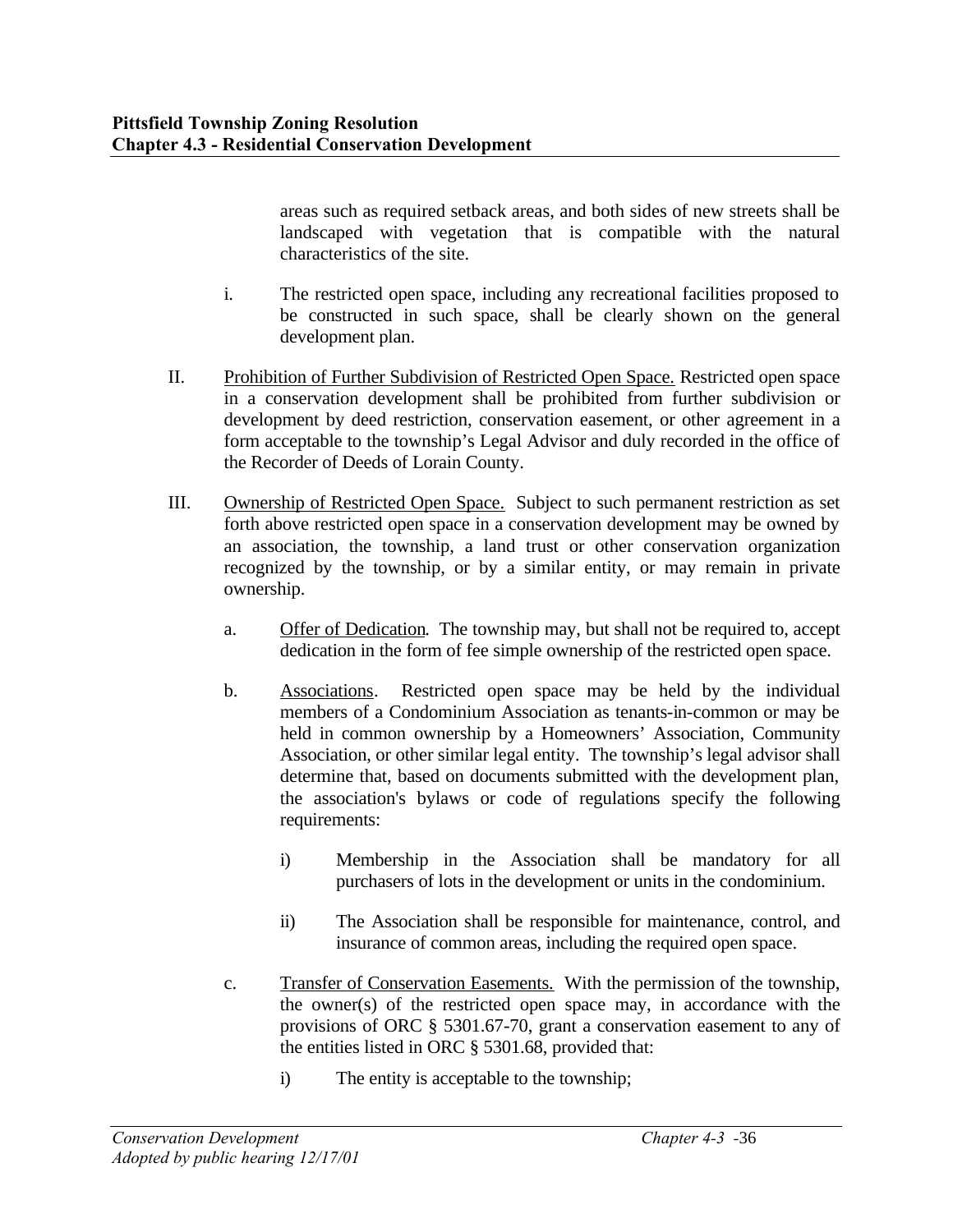areas such as required setback areas, and both sides of new streets shall be landscaped with vegetation that is compatible with the natural characteristics of the site.

- i. The restricted open space, including any recreational facilities proposed to be constructed in such space, shall be clearly shown on the general development plan.
- II. Prohibition of Further Subdivision of Restricted Open Space. Restricted open space in a conservation development shall be prohibited from further subdivision or development by deed restriction, conservation easement, or other agreement in a form acceptable to the township's Legal Advisor and duly recorded in the office of the Recorder of Deeds of Lorain County.
- III. Ownership of Restricted Open Space. Subject to such permanent restriction as set forth above restricted open space in a conservation development may be owned by an association, the township, a land trust or other conservation organization recognized by the township, or by a similar entity, or may remain in private ownership.
	- a. Offer of Dedication. The township may, but shall not be required to, accept dedication in the form of fee simple ownership of the restricted open space.
	- b. Associations. Restricted open space may be held by the individual members of a Condominium Association as tenants-in-common or may be held in common ownership by a Homeowners' Association, Community Association, or other similar legal entity. The township's legal advisor shall determine that, based on documents submitted with the development plan, the association's bylaws or code of regulations specify the following requirements:
		- i) Membership in the Association shall be mandatory for all purchasers of lots in the development or units in the condominium.
		- ii) The Association shall be responsible for maintenance, control, and insurance of common areas, including the required open space.
	- c. Transfer of Conservation Easements. With the permission of the township, the owner(s) of the restricted open space may, in accordance with the provisions of ORC § 5301.67-70, grant a conservation easement to any of the entities listed in ORC § 5301.68, provided that:
		- i) The entity is acceptable to the township;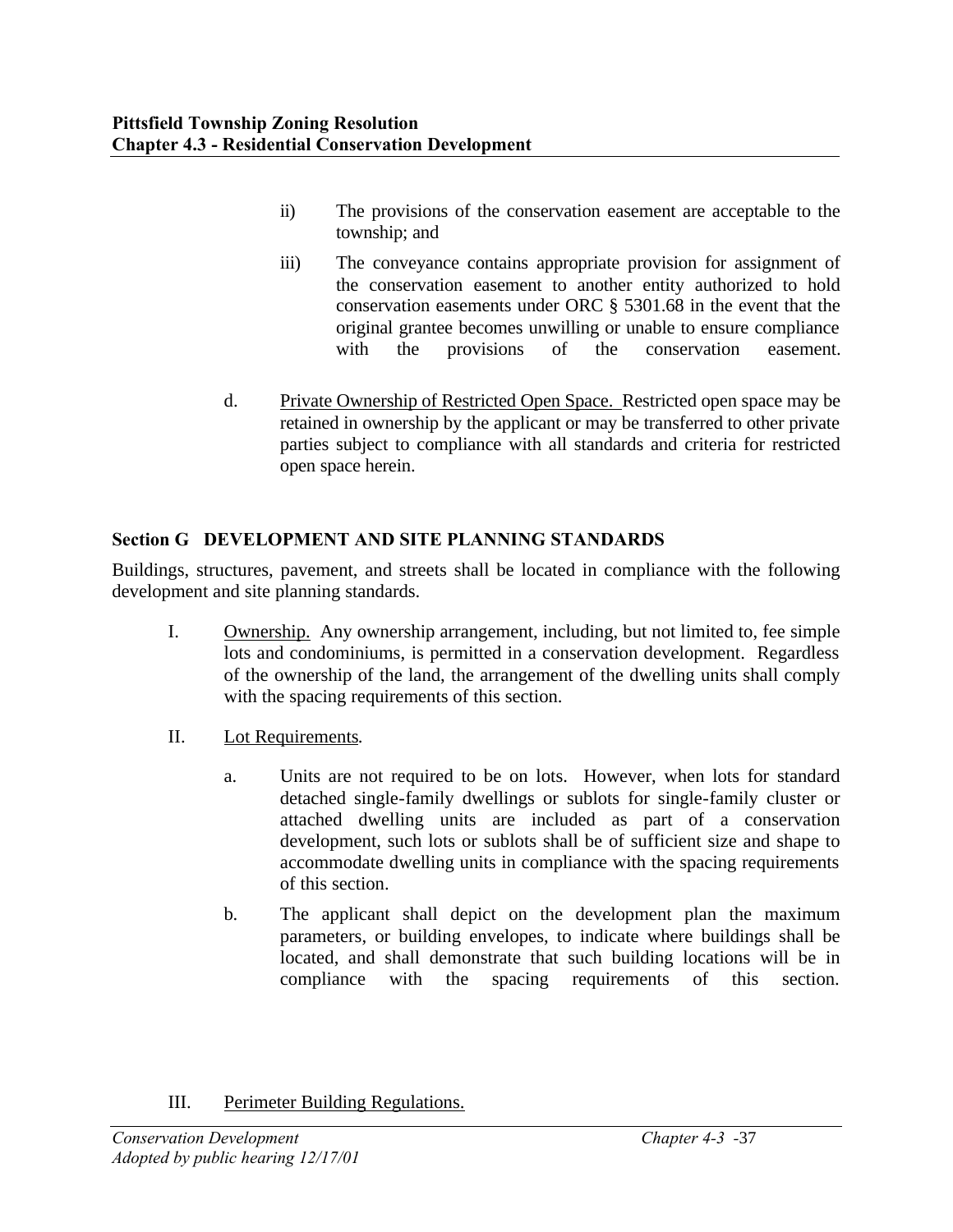- ii) The provisions of the conservation easement are acceptable to the township; and
- iii) The conveyance contains appropriate provision for assignment of the conservation easement to another entity authorized to hold conservation easements under ORC § 5301.68 in the event that the original grantee becomes unwilling or unable to ensure compliance with the provisions of the conservation easement.
- d. Private Ownership of Restricted Open Space. Restricted open space may be retained in ownership by the applicant or may be transferred to other private parties subject to compliance with all standards and criteria for restricted open space herein.

## **Section G DEVELOPMENT AND SITE PLANNING STANDARDS**

Buildings, structures, pavement, and streets shall be located in compliance with the following development and site planning standards.

- I. Ownership. Any ownership arrangement, including, but not limited to, fee simple lots and condominiums, is permitted in a conservation development. Regardless of the ownership of the land, the arrangement of the dwelling units shall comply with the spacing requirements of this section.
- II. Lot Requirements.
	- a. Units are not required to be on lots. However, when lots for standard detached single-family dwellings or sublots for single-family cluster or attached dwelling units are included as part of a conservation development, such lots or sublots shall be of sufficient size and shape to accommodate dwelling units in compliance with the spacing requirements of this section.
	- b. The applicant shall depict on the development plan the maximum parameters, or building envelopes, to indicate where buildings shall be located, and shall demonstrate that such building locations will be in compliance with the spacing requirements of this section.

III. Perimeter Building Regulations.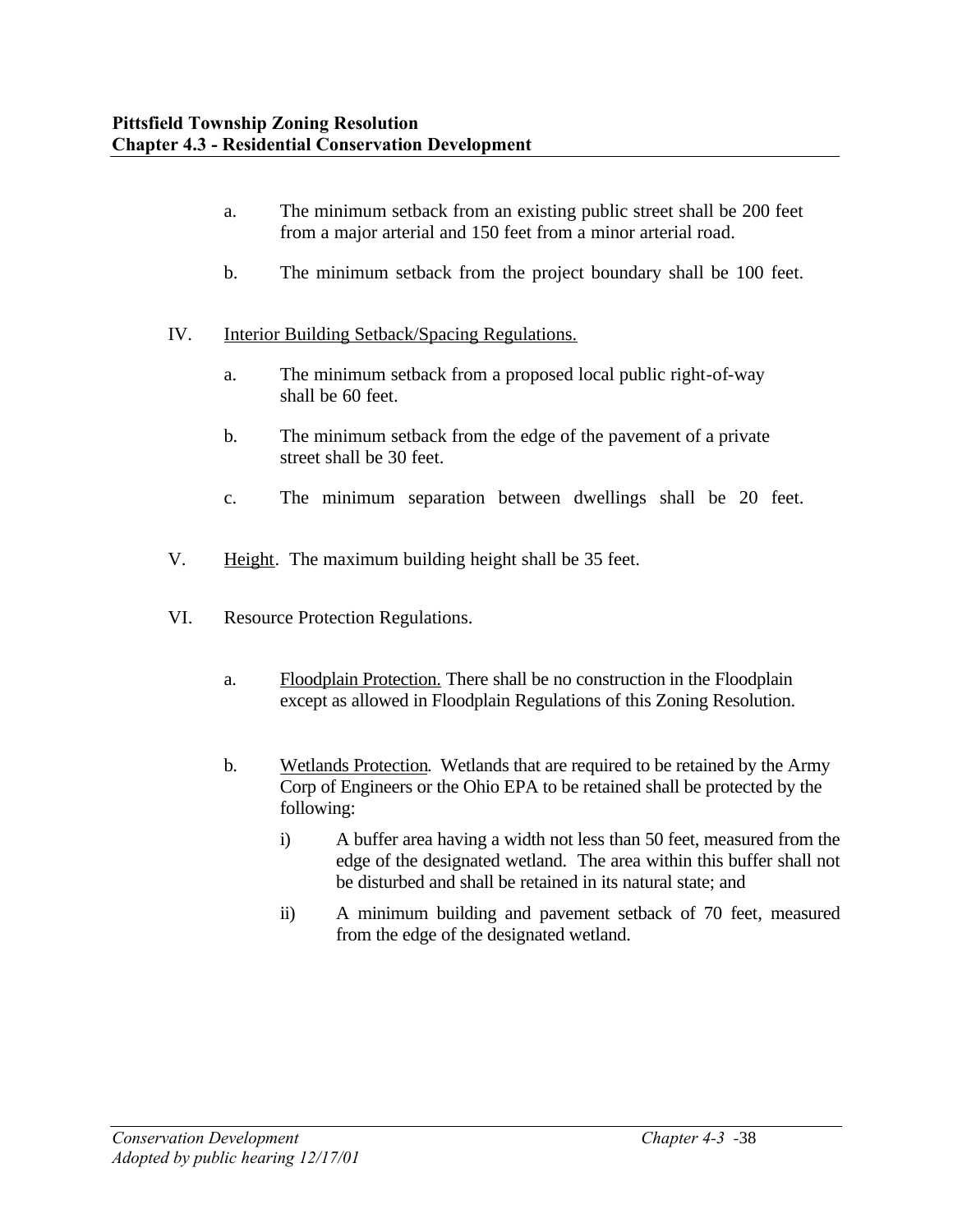- a. The minimum setback from an existing public street shall be 200 feet from a major arterial and 150 feet from a minor arterial road.
- b. The minimum setback from the project boundary shall be 100 feet.
- IV. Interior Building Setback/Spacing Regulations.
	- a. The minimum setback from a proposed local public right-of-way shall be 60 feet.
	- b. The minimum setback from the edge of the pavement of a private street shall be 30 feet.
	- c. The minimum separation between dwellings shall be 20 feet.
- V. Height. The maximum building height shall be 35 feet.
- VI. Resource Protection Regulations.
	- a. Floodplain Protection. There shall be no construction in the Floodplain except as allowed in Floodplain Regulations of this Zoning Resolution.
	- b. Wetlands Protection. Wetlands that are required to be retained by the Army Corp of Engineers or the Ohio EPA to be retained shall be protected by the following:
		- i) A buffer area having a width not less than 50 feet, measured from the edge of the designated wetland. The area within this buffer shall not be disturbed and shall be retained in its natural state; and
		- ii) A minimum building and pavement setback of 70 feet, measured from the edge of the designated wetland.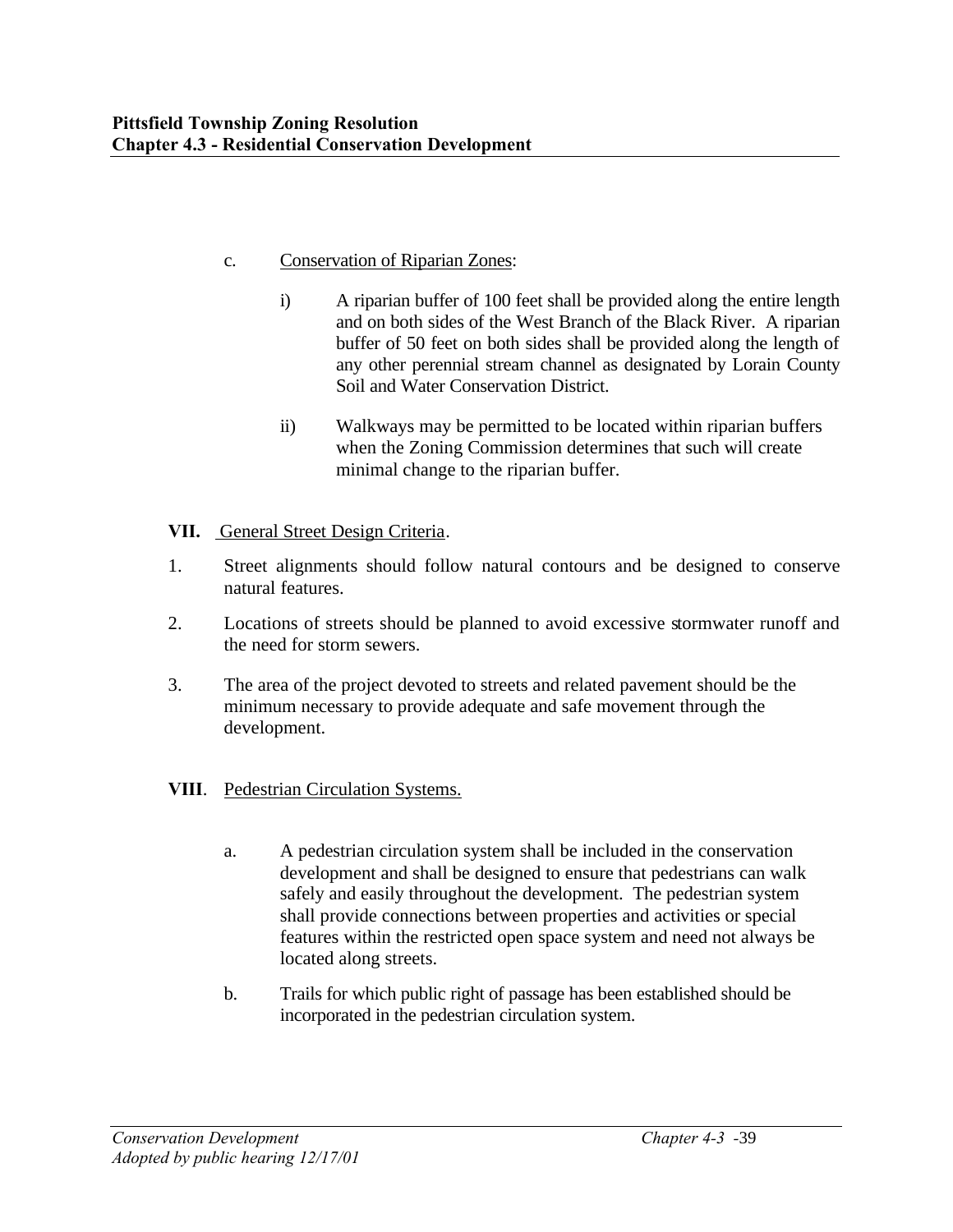## c. Conservation of Riparian Zones:

- i) A riparian buffer of 100 feet shall be provided along the entire length and on both sides of the West Branch of the Black River. A riparian buffer of 50 feet on both sides shall be provided along the length of any other perennial stream channel as designated by Lorain County Soil and Water Conservation District.
- ii) Walkways may be permitted to be located within riparian buffers when the Zoning Commission determines that such will create minimal change to the riparian buffer.

## **VII.** General Street Design Criteria.

- 1. Street alignments should follow natural contours and be designed to conserve natural features.
- 2. Locations of streets should be planned to avoid excessive stormwater runoff and the need for storm sewers.
- 3. The area of the project devoted to streets and related pavement should be the minimum necessary to provide adequate and safe movement through the development.

## **VIII**. Pedestrian Circulation Systems.

- a. A pedestrian circulation system shall be included in the conservation development and shall be designed to ensure that pedestrians can walk safely and easily throughout the development. The pedestrian system shall provide connections between properties and activities or special features within the restricted open space system and need not always be located along streets.
- b. Trails for which public right of passage has been established should be incorporated in the pedestrian circulation system.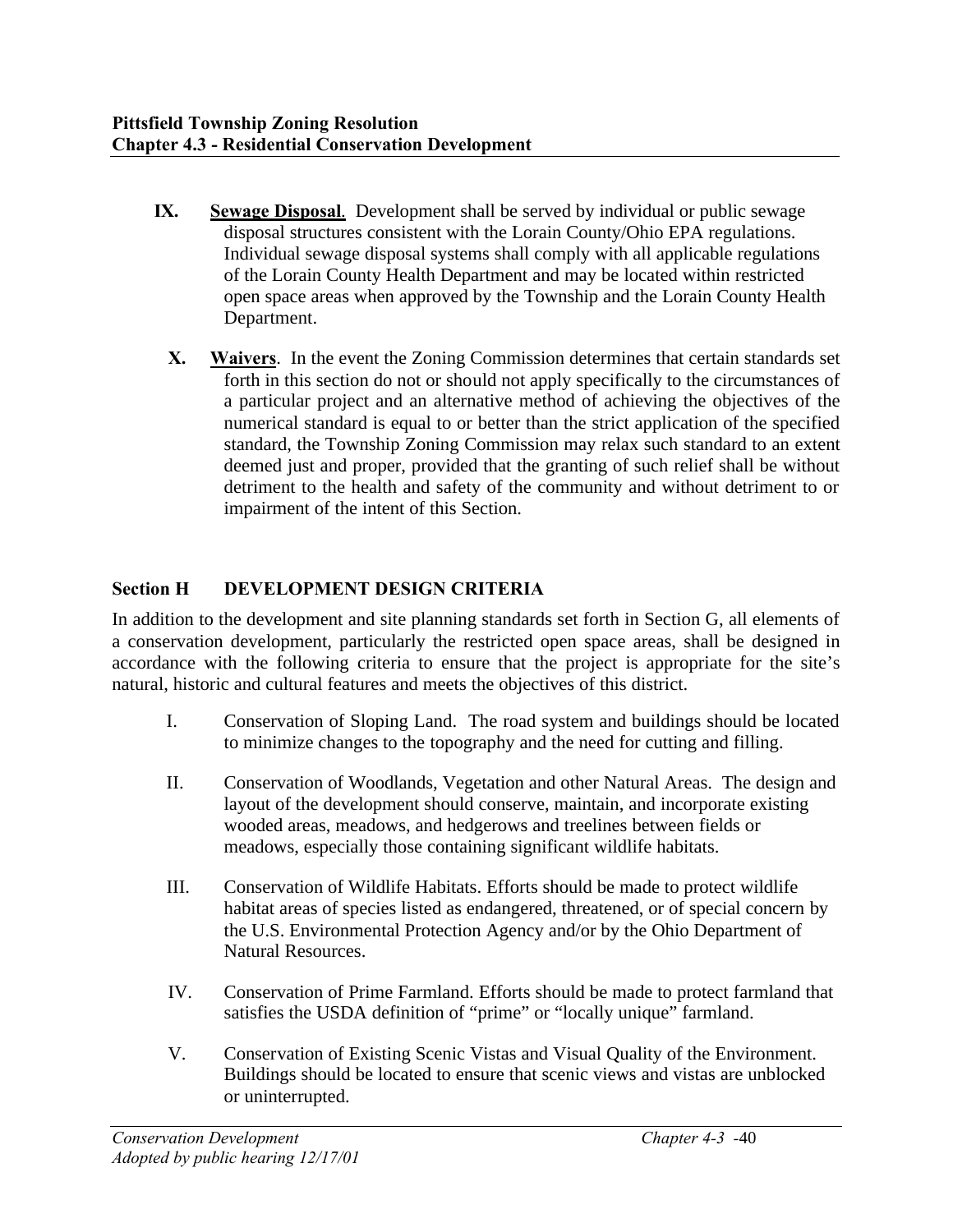- **IX. Sewage Disposal**. Development shall be served by individual or public sewage disposal structures consistent with the Lorain County/Ohio EPA regulations. Individual sewage disposal systems shall comply with all applicable regulations of the Lorain County Health Department and may be located within restricted open space areas when approved by the Township and the Lorain County Health Department.
	- **X. Waivers**. In the event the Zoning Commission determines that certain standards set forth in this section do not or should not apply specifically to the circumstances of a particular project and an alternative method of achieving the objectives of the numerical standard is equal to or better than the strict application of the specified standard, the Township Zoning Commission may relax such standard to an extent deemed just and proper, provided that the granting of such relief shall be without detriment to the health and safety of the community and without detriment to or impairment of the intent of this Section.

## **Section H DEVELOPMENT DESIGN CRITERIA**

In addition to the development and site planning standards set forth in Section G, all elements of a conservation development, particularly the restricted open space areas, shall be designed in accordance with the following criteria to ensure that the project is appropriate for the site's natural, historic and cultural features and meets the objectives of this district.

- I. Conservation of Sloping Land. The road system and buildings should be located to minimize changes to the topography and the need for cutting and filling.
- II. Conservation of Woodlands, Vegetation and other Natural Areas. The design and layout of the development should conserve, maintain, and incorporate existing wooded areas, meadows, and hedgerows and treelines between fields or meadows, especially those containing significant wildlife habitats.
- III. Conservation of Wildlife Habitats. Efforts should be made to protect wildlife habitat areas of species listed as endangered, threatened, or of special concern by the U.S. Environmental Protection Agency and/or by the Ohio Department of Natural Resources.
- IV. Conservation of Prime Farmland. Efforts should be made to protect farmland that satisfies the USDA definition of "prime" or "locally unique" farmland.
- V. Conservation of Existing Scenic Vistas and Visual Quality of the Environment. Buildings should be located to ensure that scenic views and vistas are unblocked or uninterrupted.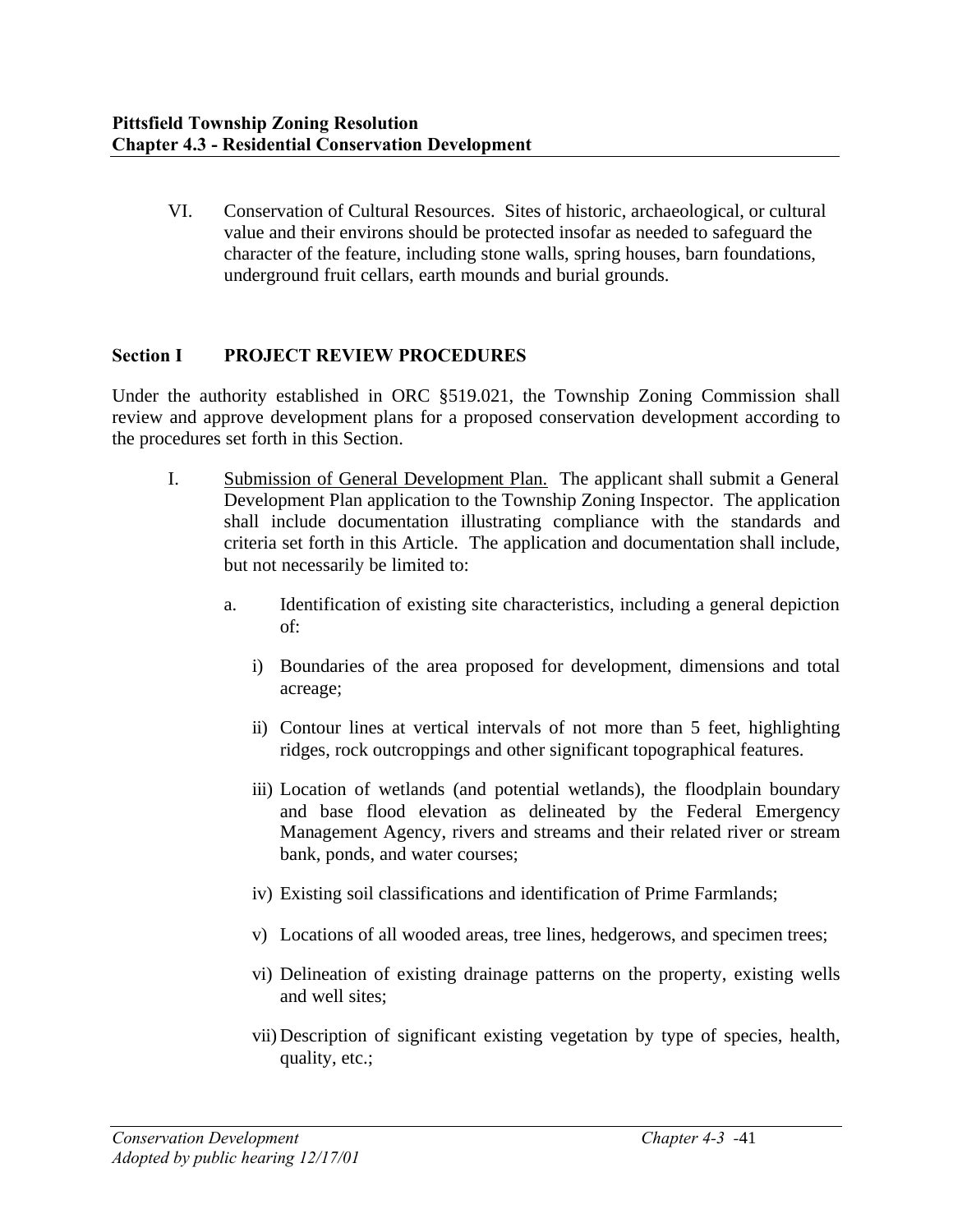VI. Conservation of Cultural Resources. Sites of historic, archaeological, or cultural value and their environs should be protected insofar as needed to safeguard the character of the feature, including stone walls, spring houses, barn foundations, underground fruit cellars, earth mounds and burial grounds.

## **Section I PROJECT REVIEW PROCEDURES**

Under the authority established in ORC §519.021, the Township Zoning Commission shall review and approve development plans for a proposed conservation development according to the procedures set forth in this Section.

- I. Submission of General Development Plan. The applicant shall submit a General Development Plan application to the Township Zoning Inspector. The application shall include documentation illustrating compliance with the standards and criteria set forth in this Article. The application and documentation shall include, but not necessarily be limited to:
	- a. Identification of existing site characteristics, including a general depiction of:
		- i) Boundaries of the area proposed for development, dimensions and total acreage;
		- ii) Contour lines at vertical intervals of not more than 5 feet, highlighting ridges, rock outcroppings and other significant topographical features.
		- iii) Location of wetlands (and potential wetlands), the floodplain boundary and base flood elevation as delineated by the Federal Emergency Management Agency, rivers and streams and their related river or stream bank, ponds, and water courses;
		- iv) Existing soil classifications and identification of Prime Farmlands;
		- v) Locations of all wooded areas, tree lines, hedgerows, and specimen trees;
		- vi) Delineation of existing drainage patterns on the property, existing wells and well sites;
		- vii) Description of significant existing vegetation by type of species, health, quality, etc.;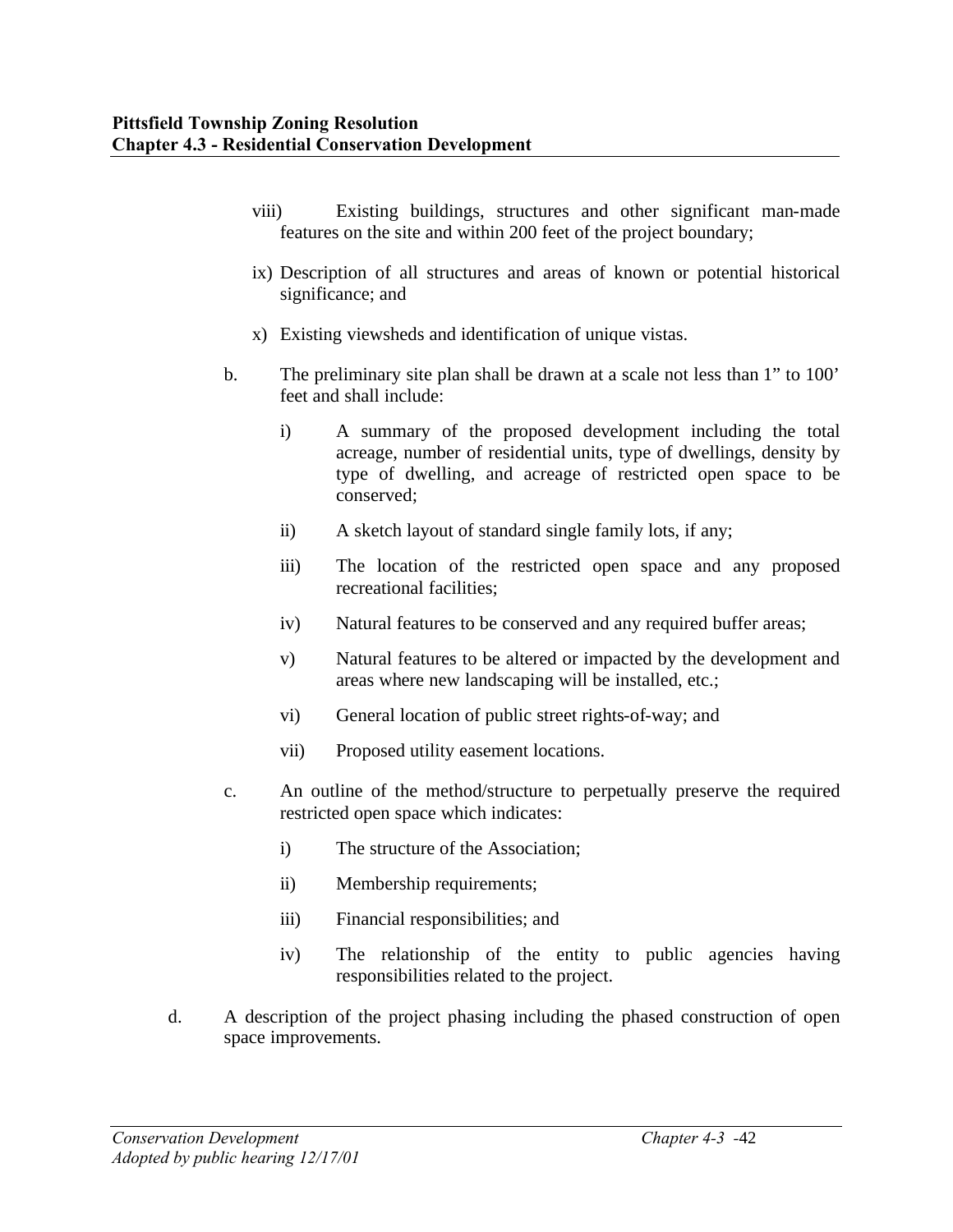- viii) Existing buildings, structures and other significant man-made features on the site and within 200 feet of the project boundary;
- ix) Description of all structures and areas of known or potential historical significance; and
- x) Existing viewsheds and identification of unique vistas.
- b. The preliminary site plan shall be drawn at a scale not less than 1" to 100' feet and shall include:
	- i) A summary of the proposed development including the total acreage, number of residential units, type of dwellings, density by type of dwelling, and acreage of restricted open space to be conserved;
	- ii) A sketch layout of standard single family lots, if any;
	- iii) The location of the restricted open space and any proposed recreational facilities;
	- iv) Natural features to be conserved and any required buffer areas;
	- v) Natural features to be altered or impacted by the development and areas where new landscaping will be installed, etc.;
	- vi) General location of public street rights-of-way; and
	- vii) Proposed utility easement locations.
- c. An outline of the method/structure to perpetually preserve the required restricted open space which indicates:
	- i) The structure of the Association;
	- ii) Membership requirements;
	- iii) Financial responsibilities; and
	- iv) The relationship of the entity to public agencies having responsibilities related to the project.
- d. A description of the project phasing including the phased construction of open space improvements.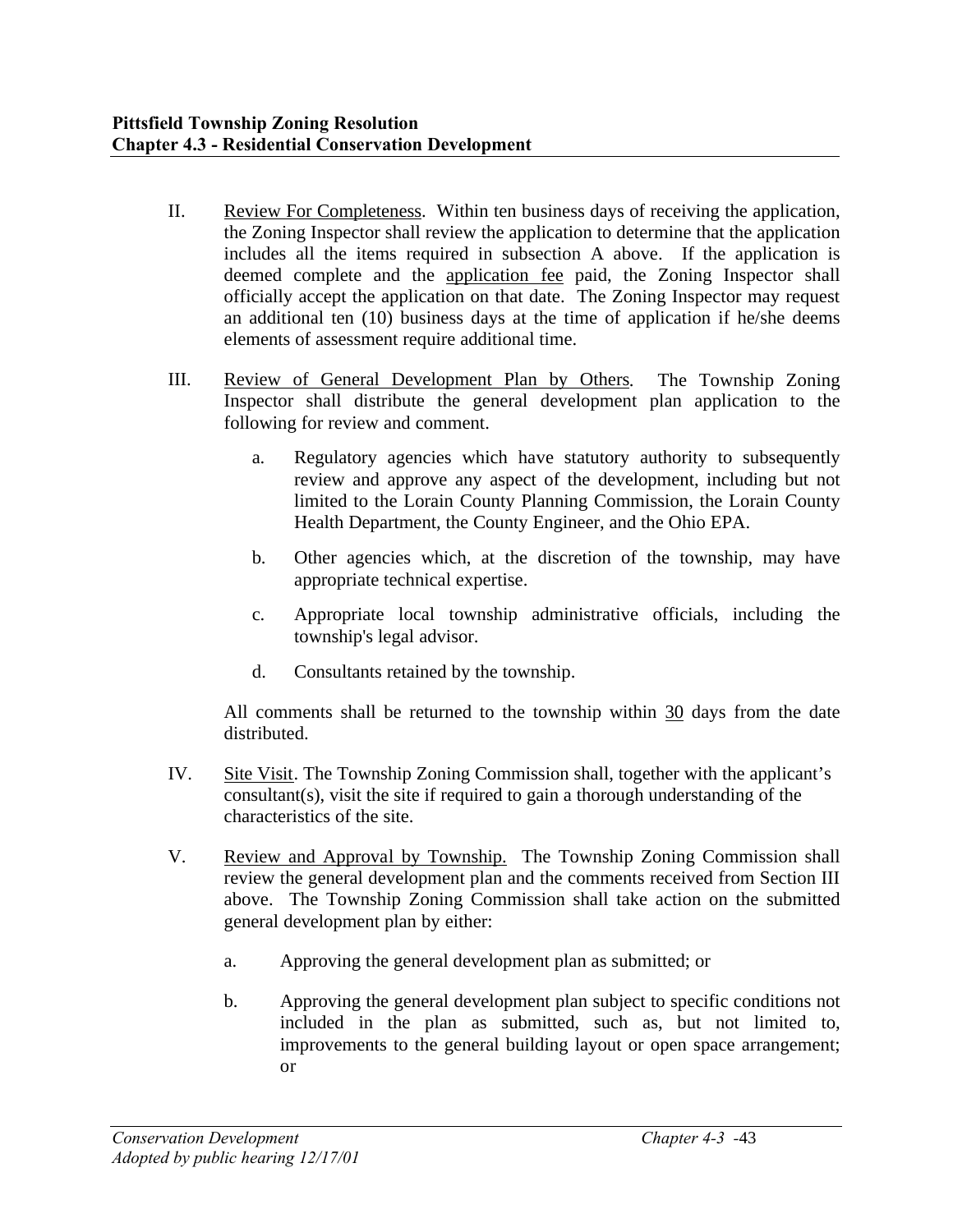- II. Review For Completeness. Within ten business days of receiving the application, the Zoning Inspector shall review the application to determine that the application includes all the items required in subsection A above. If the application is deemed complete and the application fee paid, the Zoning Inspector shall officially accept the application on that date. The Zoning Inspector may request an additional ten (10) business days at the time of application if he/she deems elements of assessment require additional time.
- III. Review of General Development Plan by Others. The Township Zoning Inspector shall distribute the general development plan application to the following for review and comment.
	- a. Regulatory agencies which have statutory authority to subsequently review and approve any aspect of the development, including but not limited to the Lorain County Planning Commission, the Lorain County Health Department, the County Engineer, and the Ohio EPA.
	- b. Other agencies which, at the discretion of the township, may have appropriate technical expertise.
	- c. Appropriate local township administrative officials, including the township's legal advisor.
	- d. Consultants retained by the township.

All comments shall be returned to the township within 30 days from the date distributed.

- IV. Site Visit. The Township Zoning Commission shall, together with the applicant's consultant(s), visit the site if required to gain a thorough understanding of the characteristics of the site.
- V. Review and Approval by Township. The Township Zoning Commission shall review the general development plan and the comments received from Section III above. The Township Zoning Commission shall take action on the submitted general development plan by either:
	- a. Approving the general development plan as submitted; or
	- b. Approving the general development plan subject to specific conditions not included in the plan as submitted, such as, but not limited to, improvements to the general building layout or open space arrangement; or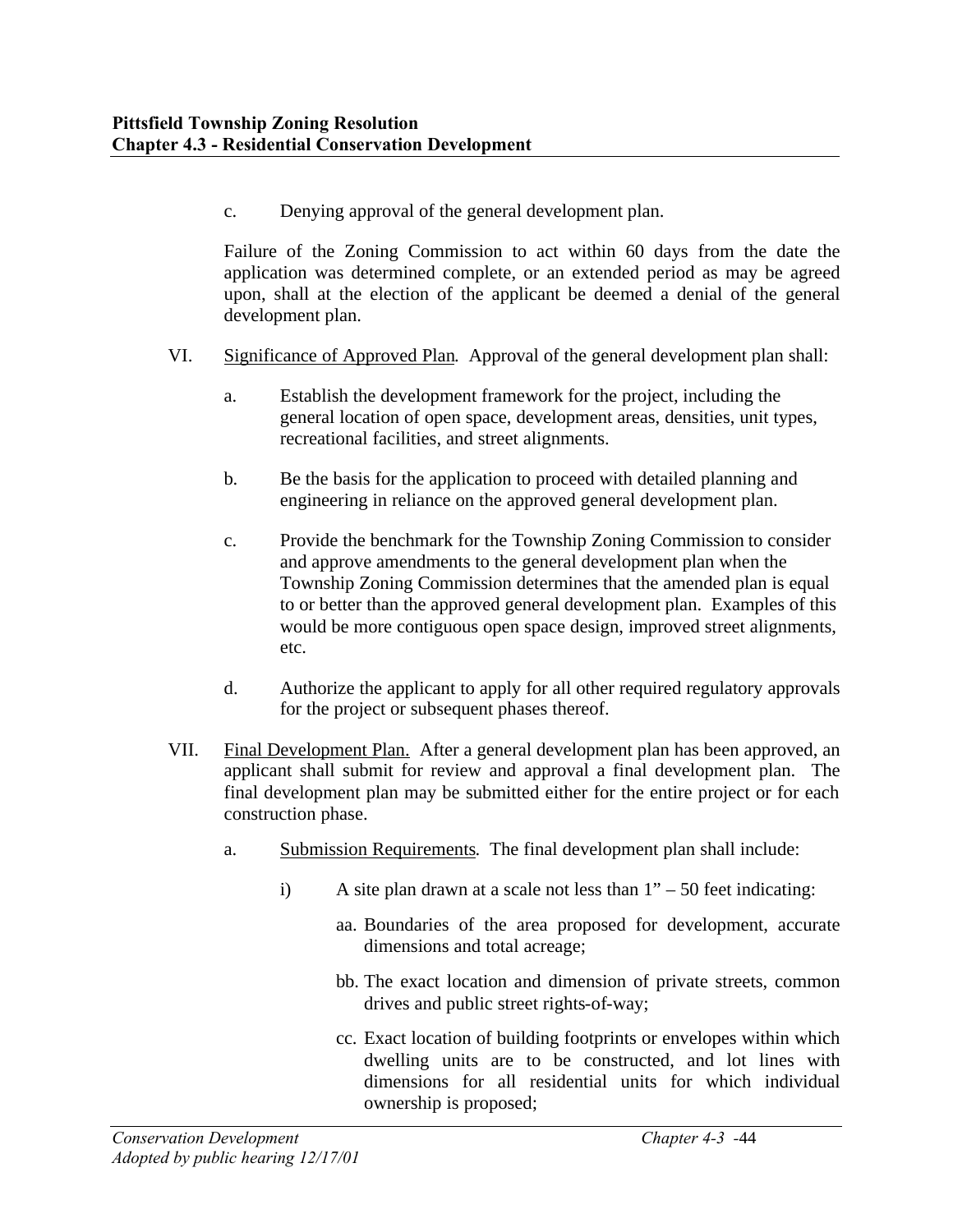c. Denying approval of the general development plan.

Failure of the Zoning Commission to act within 60 days from the date the application was determined complete, or an extended period as may be agreed upon, shall at the election of the applicant be deemed a denial of the general development plan.

- VI. Significance of Approved Plan. Approval of the general development plan shall:
	- a. Establish the development framework for the project, including the general location of open space, development areas, densities, unit types, recreational facilities, and street alignments.
	- b. Be the basis for the application to proceed with detailed planning and engineering in reliance on the approved general development plan.
	- c. Provide the benchmark for the Township Zoning Commission to consider and approve amendments to the general development plan when the Township Zoning Commission determines that the amended plan is equal to or better than the approved general development plan. Examples of this would be more contiguous open space design, improved street alignments, etc.
	- d. Authorize the applicant to apply for all other required regulatory approvals for the project or subsequent phases thereof.
- VII. Final Development Plan. After a general development plan has been approved, an applicant shall submit for review and approval a final development plan. The final development plan may be submitted either for the entire project or for each construction phase.
	- a. Submission Requirements. The final development plan shall include:
		- i) A site plan drawn at a scale not less than  $1" 50$  feet indicating:
			- aa. Boundaries of the area proposed for development, accurate dimensions and total acreage;
			- bb. The exact location and dimension of private streets, common drives and public street rights-of-way;
			- cc. Exact location of building footprints or envelopes within which dwelling units are to be constructed, and lot lines with dimensions for all residential units for which individual ownership is proposed;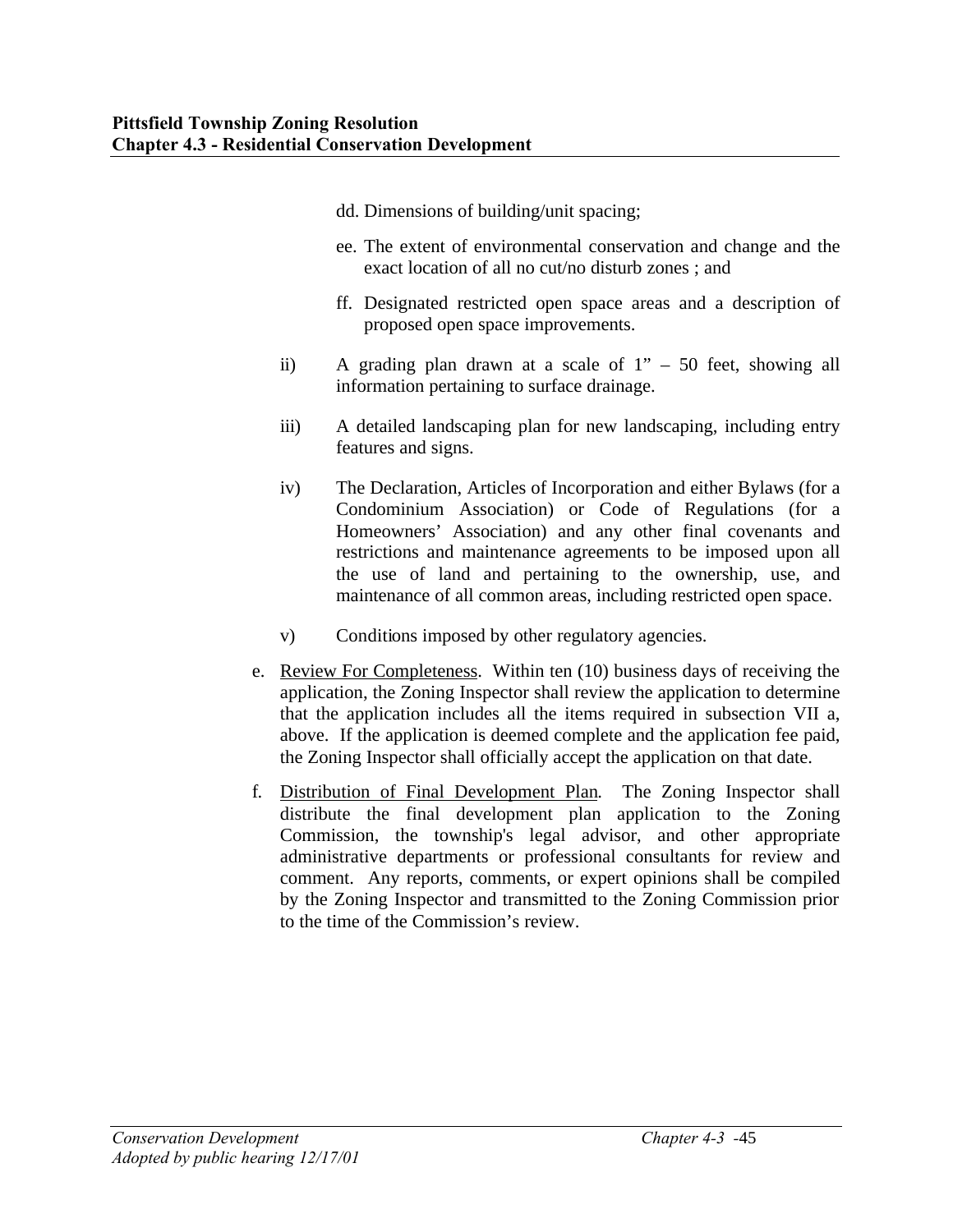- dd. Dimensions of building/unit spacing;
- ee. The extent of environmental conservation and change and the exact location of all no cut/no disturb zones ; and
- ff. Designated restricted open space areas and a description of proposed open space improvements.
- ii) A grading plan drawn at a scale of 1" 50 feet, showing all information pertaining to surface drainage.
- iii) A detailed landscaping plan for new landscaping, including entry features and signs.
- iv) The Declaration, Articles of Incorporation and either Bylaws (for a Condominium Association) or Code of Regulations (for a Homeowners' Association) and any other final covenants and restrictions and maintenance agreements to be imposed upon all the use of land and pertaining to the ownership, use, and maintenance of all common areas, including restricted open space.
- v) Conditions imposed by other regulatory agencies.
- e. Review For Completeness. Within ten (10) business days of receiving the application, the Zoning Inspector shall review the application to determine that the application includes all the items required in subsection VII a, above. If the application is deemed complete and the application fee paid, the Zoning Inspector shall officially accept the application on that date.
- f. Distribution of Final Development Plan. The Zoning Inspector shall distribute the final development plan application to the Zoning Commission, the township's legal advisor, and other appropriate administrative departments or professional consultants for review and comment. Any reports, comments, or expert opinions shall be compiled by the Zoning Inspector and transmitted to the Zoning Commission prior to the time of the Commission's review.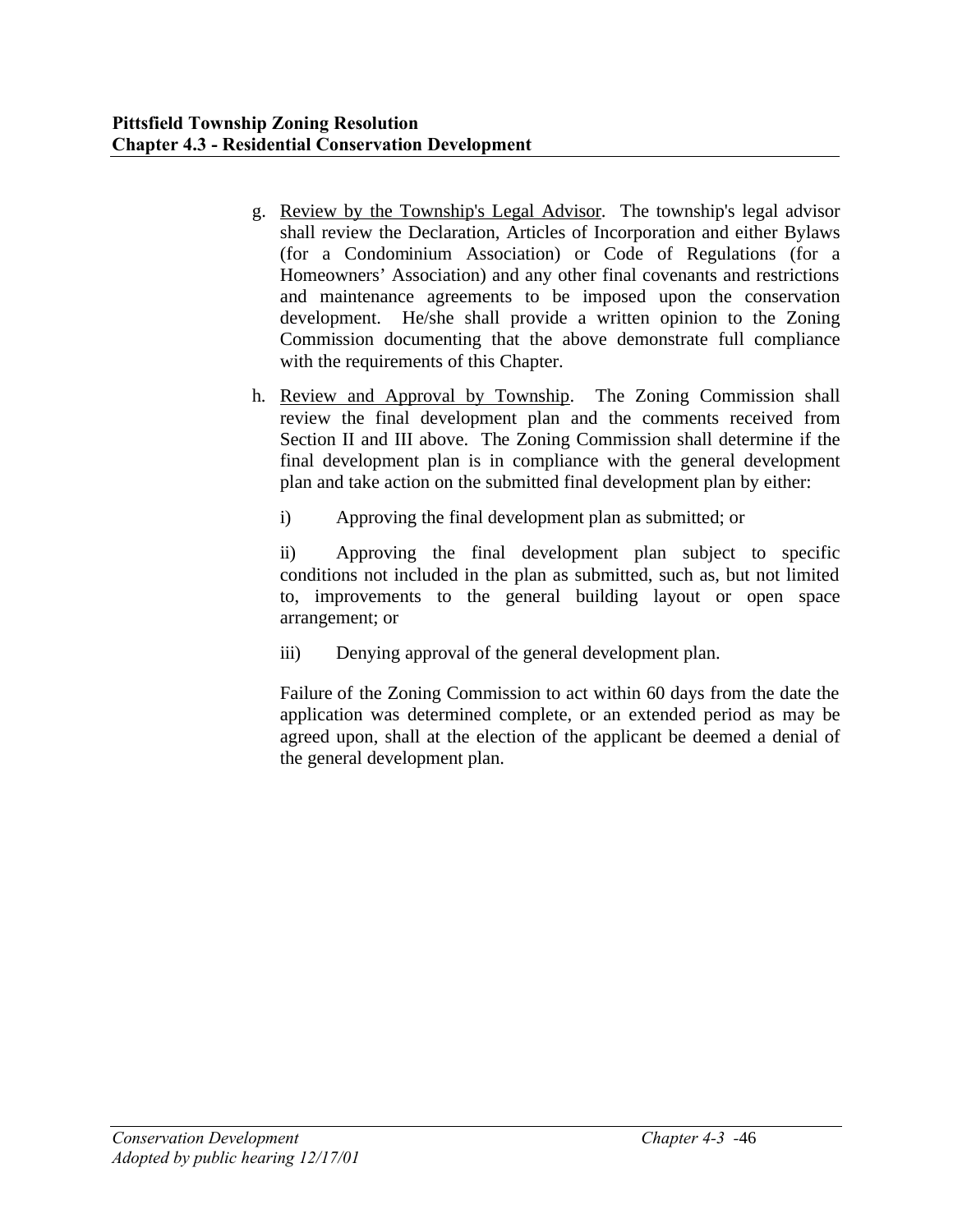- g. Review by the Township's Legal Advisor. The township's legal advisor shall review the Declaration, Articles of Incorporation and either Bylaws (for a Condominium Association) or Code of Regulations (for a Homeowners' Association) and any other final covenants and restrictions and maintenance agreements to be imposed upon the conservation development. He/she shall provide a written opinion to the Zoning Commission documenting that the above demonstrate full compliance with the requirements of this Chapter.
- h. Review and Approval by Township. The Zoning Commission shall review the final development plan and the comments received from Section II and III above. The Zoning Commission shall determine if the final development plan is in compliance with the general development plan and take action on the submitted final development plan by either:
	- i) Approving the final development plan as submitted; or

ii) Approving the final development plan subject to specific conditions not included in the plan as submitted, such as, but not limited to, improvements to the general building layout or open space arrangement; or

iii) Denying approval of the general development plan.

Failure of the Zoning Commission to act within 60 days from the date the application was determined complete, or an extended period as may be agreed upon, shall at the election of the applicant be deemed a denial of the general development plan.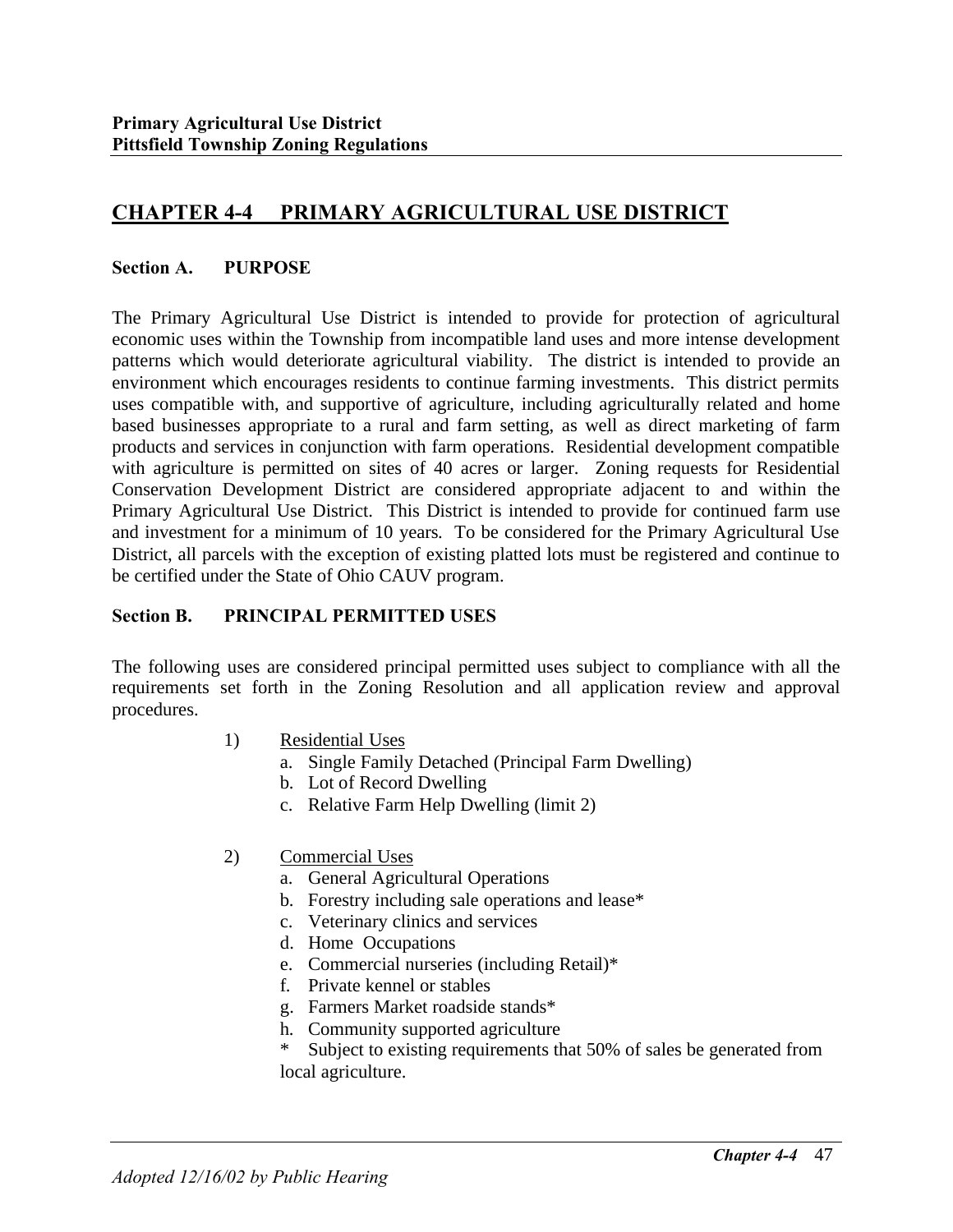# **CHAPTER 4-4 PRIMARY AGRICULTURAL USE DISTRICT**

#### **Section A. PURPOSE**

The Primary Agricultural Use District is intended to provide for protection of agricultural economic uses within the Township from incompatible land uses and more intense development patterns which would deteriorate agricultural viability. The district is intended to provide an environment which encourages residents to continue farming investments. This district permits uses compatible with, and supportive of agriculture, including agriculturally related and home based businesses appropriate to a rural and farm setting, as well as direct marketing of farm products and services in conjunction with farm operations. Residential development compatible with agriculture is permitted on sites of 40 acres or larger. Zoning requests for Residential Conservation Development District are considered appropriate adjacent to and within the Primary Agricultural Use District. This District is intended to provide for continued farm use and investment for a minimum of 10 years. To be considered for the Primary Agricultural Use District, all parcels with the exception of existing platted lots must be registered and continue to be certified under the State of Ohio CAUV program.

### **Section B. PRINCIPAL PERMITTED USES**

The following uses are considered principal permitted uses subject to compliance with all the requirements set forth in the Zoning Resolution and all application review and approval procedures.

- 1) Residential Uses
	- a. Single Family Detached (Principal Farm Dwelling)
	- b. Lot of Record Dwelling
	- c. Relative Farm Help Dwelling (limit 2)
- 2) Commercial Uses
	- a. General Agricultural Operations
	- b. Forestry including sale operations and lease\*
	- c. Veterinary clinics and services
	- d. Home Occupations
	- e. Commercial nurseries (including Retail)\*
	- f. Private kennel or stables
	- g. Farmers Market roadside stands\*
	- h. Community supported agriculture
	- Subject to existing requirements that 50% of sales be generated from local agriculture.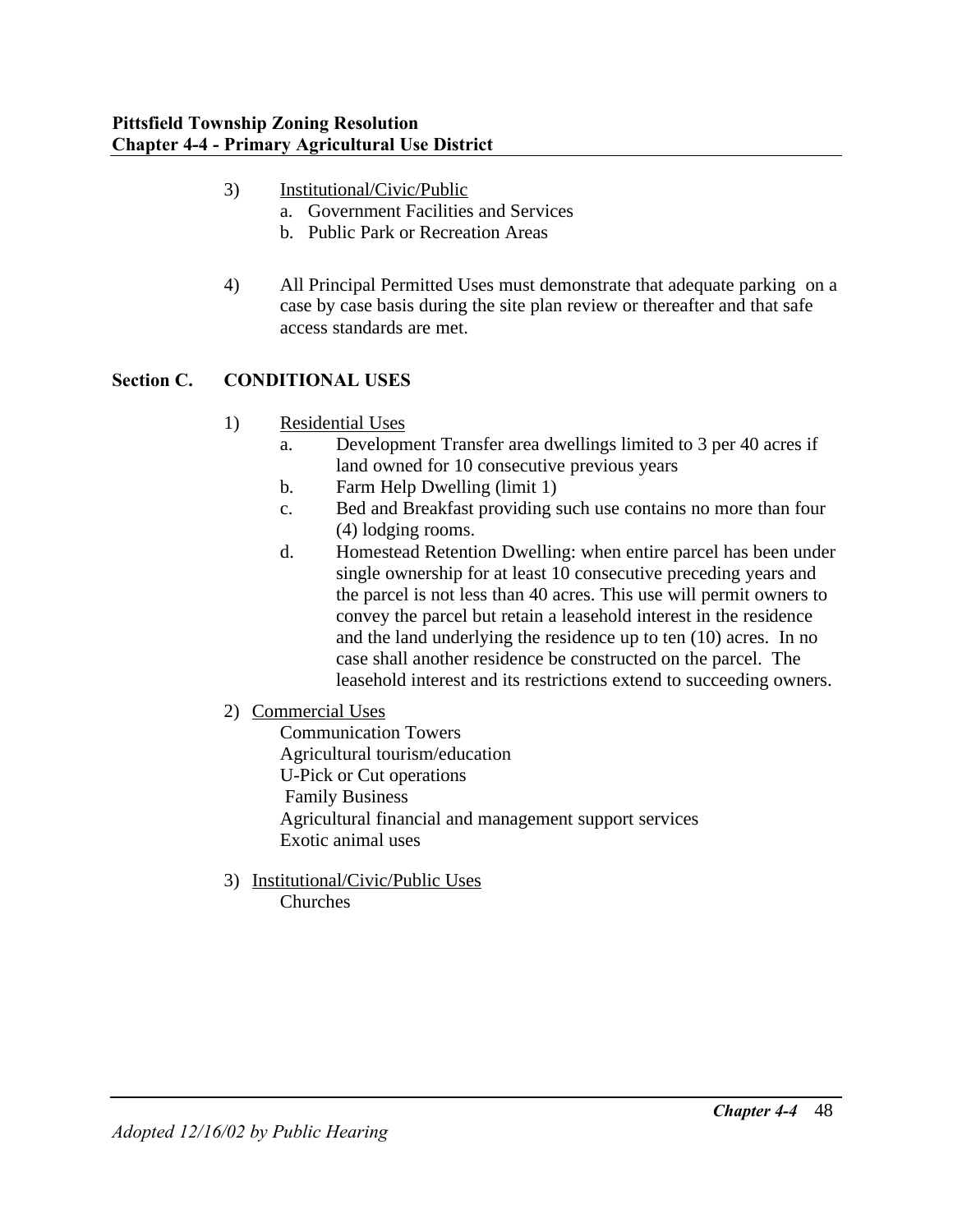- 3) Institutional/Civic/Public
	- a. Government Facilities and Services
	- b. Public Park or Recreation Areas
- 4) All Principal Permitted Uses must demonstrate that adequate parking on a case by case basis during the site plan review or thereafter and that safe access standards are met.

## **Section C. CONDITIONAL USES**

- 1) Residential Uses
	- a. Development Transfer area dwellings limited to 3 per 40 acres if land owned for 10 consecutive previous years
	- b. Farm Help Dwelling (limit 1)
	- c. Bed and Breakfast providing such use contains no more than four (4) lodging rooms.
	- d. Homestead Retention Dwelling: when entire parcel has been under single ownership for at least 10 consecutive preceding years and the parcel is not less than 40 acres. This use will permit owners to convey the parcel but retain a leasehold interest in the residence and the land underlying the residence up to ten (10) acres. In no case shall another residence be constructed on the parcel. The leasehold interest and its restrictions extend to succeeding owners.
- 2) Commercial Uses
	- Communication Towers Agricultural tourism/education U-Pick or Cut operations Family Business Agricultural financial and management support services Exotic animal uses
- 3) Institutional/Civic/Public Uses Churches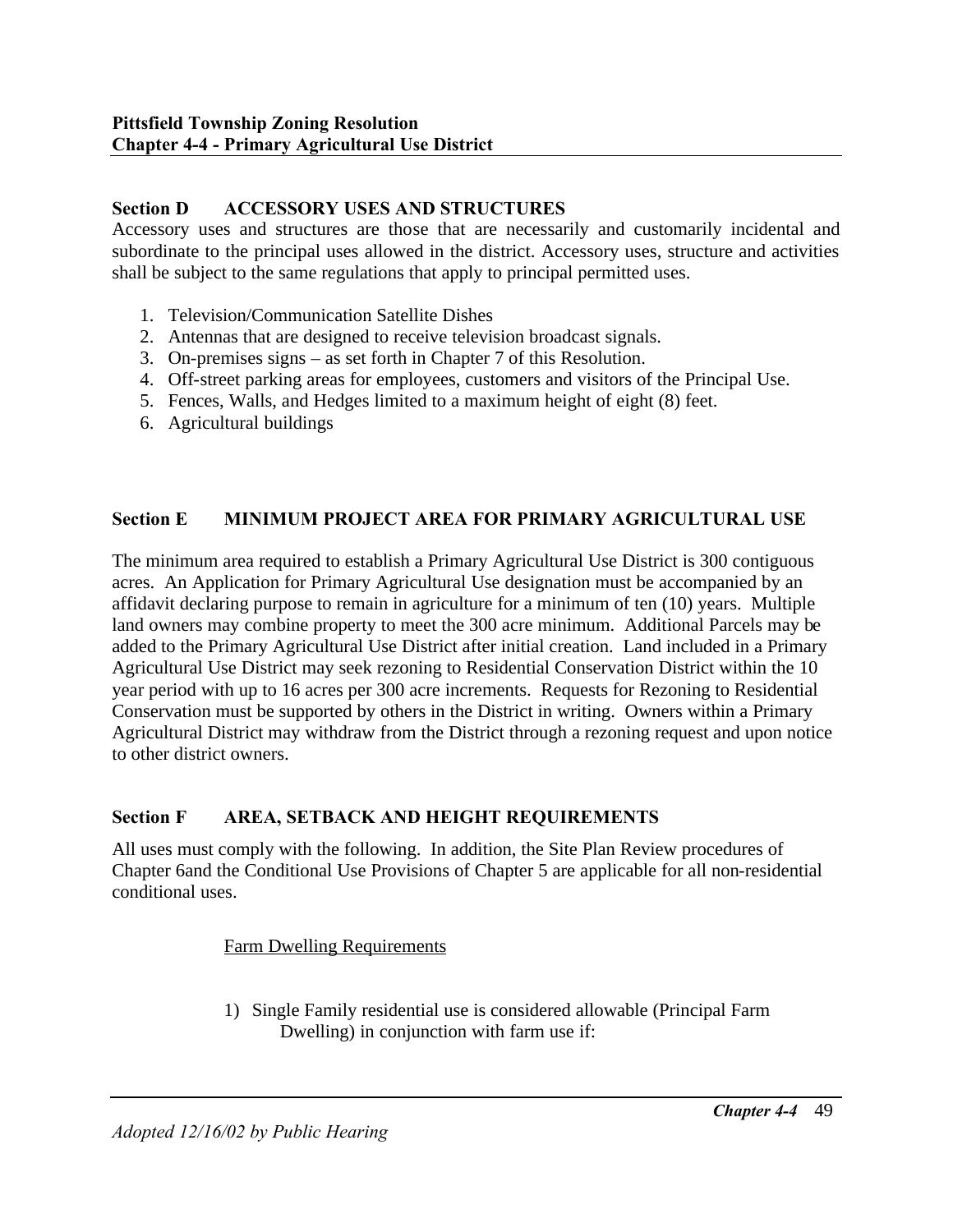### **Section D ACCESSORY USES AND STRUCTURES**

Accessory uses and structures are those that are necessarily and customarily incidental and subordinate to the principal uses allowed in the district. Accessory uses, structure and activities shall be subject to the same regulations that apply to principal permitted uses.

- 1. Television/Communication Satellite Dishes
- 2. Antennas that are designed to receive television broadcast signals.
- 3. On-premises signs as set forth in Chapter 7 of this Resolution.
- 4. Off-street parking areas for employees, customers and visitors of the Principal Use.
- 5. Fences, Walls, and Hedges limited to a maximum height of eight (8) feet.
- 6. Agricultural buildings

## **Section E MINIMUM PROJECT AREA FOR PRIMARY AGRICULTURAL USE**

The minimum area required to establish a Primary Agricultural Use District is 300 contiguous acres. An Application for Primary Agricultural Use designation must be accompanied by an affidavit declaring purpose to remain in agriculture for a minimum of ten (10) years. Multiple land owners may combine property to meet the 300 acre minimum. Additional Parcels may be added to the Primary Agricultural Use District after initial creation. Land included in a Primary Agricultural Use District may seek rezoning to Residential Conservation District within the 10 year period with up to 16 acres per 300 acre increments. Requests for Rezoning to Residential Conservation must be supported by others in the District in writing. Owners within a Primary Agricultural District may withdraw from the District through a rezoning request and upon notice to other district owners.

## **Section F AREA, SETBACK AND HEIGHT REQUIREMENTS**

All uses must comply with the following. In addition, the Site Plan Review procedures of Chapter 6and the Conditional Use Provisions of Chapter 5 are applicable for all non-residential conditional uses.

#### Farm Dwelling Requirements

1) Single Family residential use is considered allowable (Principal Farm Dwelling) in conjunction with farm use if: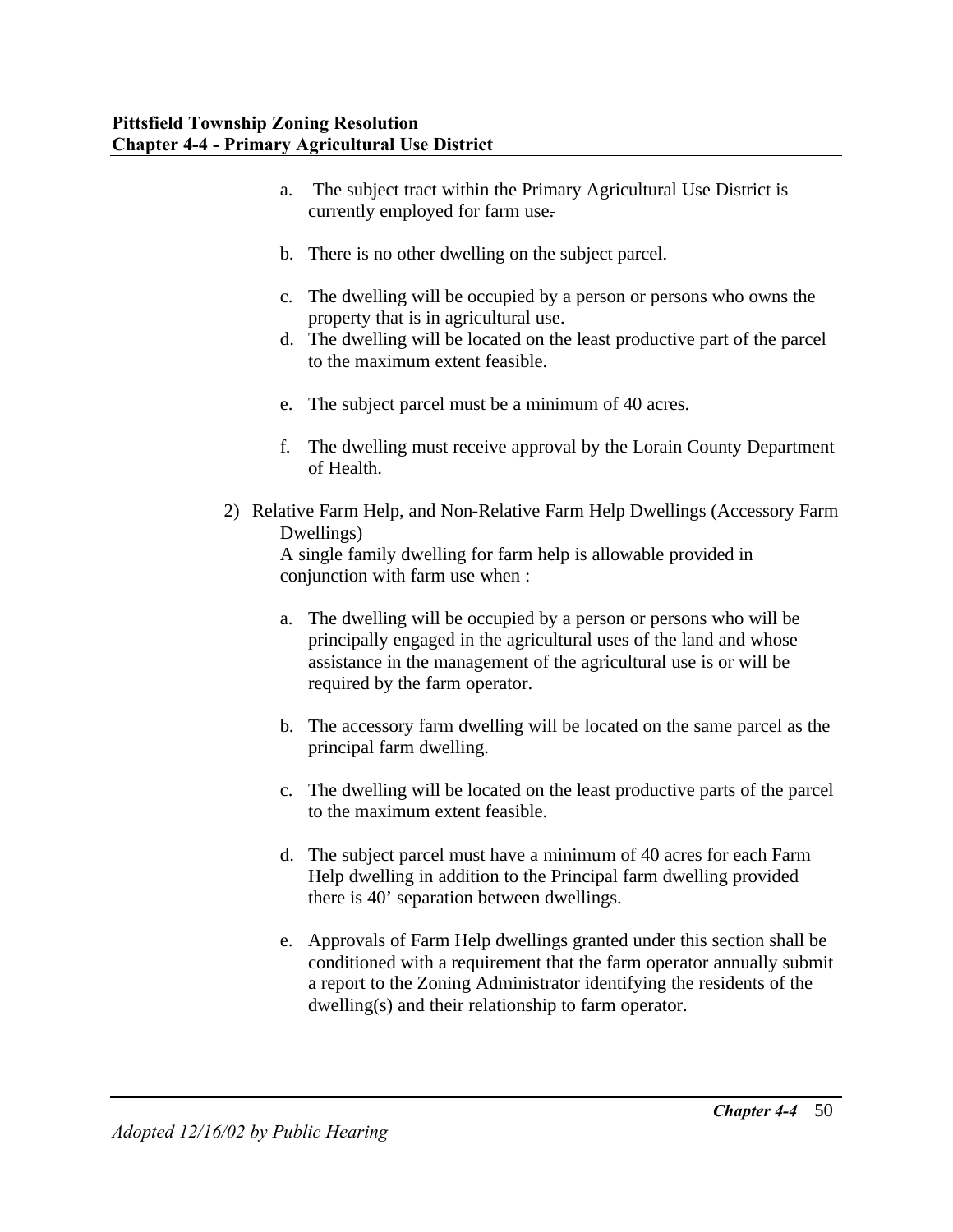- a. The subject tract within the Primary Agricultural Use District is currently employed for farm use.
- b. There is no other dwelling on the subject parcel.
- c. The dwelling will be occupied by a person or persons who owns the property that is in agricultural use.
- d. The dwelling will be located on the least productive part of the parcel to the maximum extent feasible.
- e. The subject parcel must be a minimum of 40 acres.
- f. The dwelling must receive approval by the Lorain County Department of Health.
- 2) Relative Farm Help, and Non-Relative Farm Help Dwellings (Accessory Farm Dwellings)

A single family dwelling for farm help is allowable provided in conjunction with farm use when :

- a. The dwelling will be occupied by a person or persons who will be principally engaged in the agricultural uses of the land and whose assistance in the management of the agricultural use is or will be required by the farm operator.
- b. The accessory farm dwelling will be located on the same parcel as the principal farm dwelling.
- c. The dwelling will be located on the least productive parts of the parcel to the maximum extent feasible.
- d. The subject parcel must have a minimum of 40 acres for each Farm Help dwelling in addition to the Principal farm dwelling provided there is 40' separation between dwellings.
- e. Approvals of Farm Help dwellings granted under this section shall be conditioned with a requirement that the farm operator annually submit a report to the Zoning Administrator identifying the residents of the dwelling(s) and their relationship to farm operator.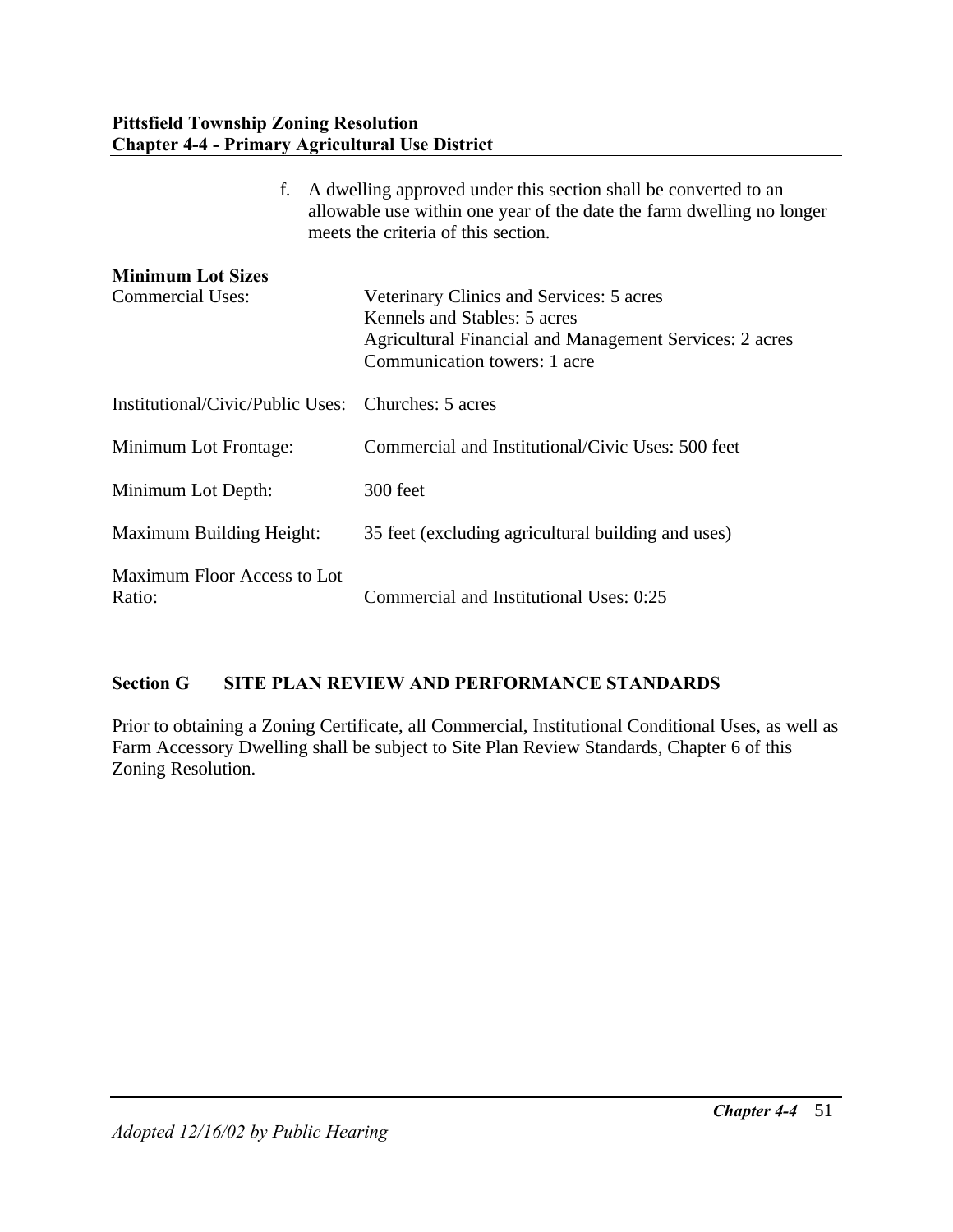| f.                                                  | A dwelling approved under this section shall be converted to an<br>allowable use within one year of the date the farm dwelling no longer<br>meets the criteria of this section. |  |  |
|-----------------------------------------------------|---------------------------------------------------------------------------------------------------------------------------------------------------------------------------------|--|--|
| <b>Minimum Lot Sizes</b><br><b>Commercial Uses:</b> | Veterinary Clinics and Services: 5 acres<br>Kennels and Stables: 5 acres<br>Agricultural Financial and Management Services: 2 acres<br>Communication towers: 1 acre             |  |  |
| Institutional/Civic/Public Uses:                    | Churches: 5 acres                                                                                                                                                               |  |  |
| Minimum Lot Frontage:                               | Commercial and Institutional/Civic Uses: 500 feet                                                                                                                               |  |  |
| Minimum Lot Depth:                                  | 300 feet                                                                                                                                                                        |  |  |
| Maximum Building Height:                            | 35 feet (excluding agricultural building and uses)                                                                                                                              |  |  |
| Maximum Floor Access to Lot<br>Ratio:               | Commercial and Institutional Uses: 0:25                                                                                                                                         |  |  |

## **Section G SITE PLAN REVIEW AND PERFORMANCE STANDARDS**

Prior to obtaining a Zoning Certificate, all Commercial, Institutional Conditional Uses, as well as Farm Accessory Dwelling shall be subject to Site Plan Review Standards, Chapter 6 of this Zoning Resolution.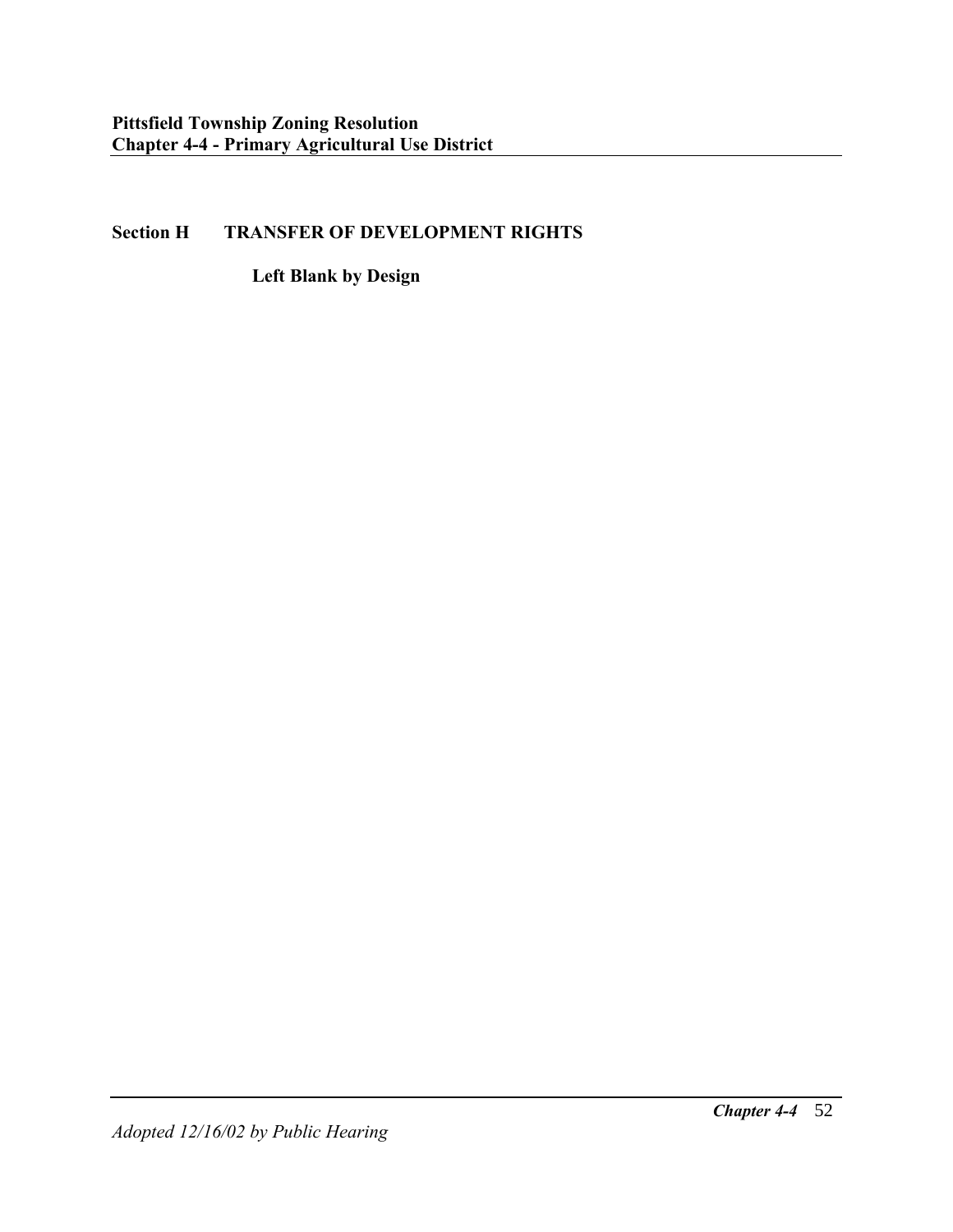## **Section H TRANSFER OF DEVELOPMENT RIGHTS**

**Left Blank by Design**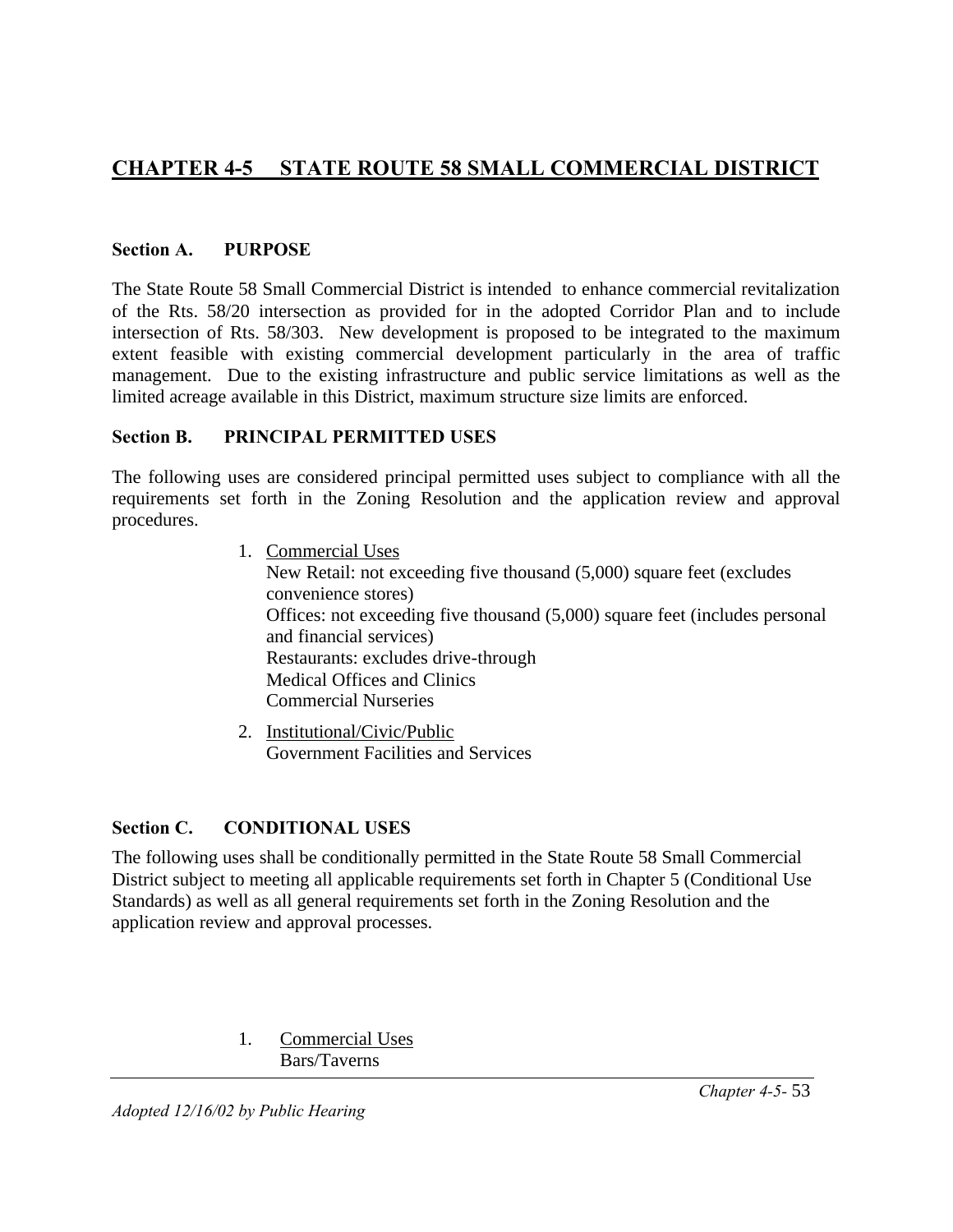# **CHAPTER 4-5 STATE ROUTE 58 SMALL COMMERCIAL DISTRICT**

#### **Section A. PURPOSE**

The State Route 58 Small Commercial District is intended to enhance commercial revitalization of the Rts. 58/20 intersection as provided for in the adopted Corridor Plan and to include intersection of Rts. 58/303. New development is proposed to be integrated to the maximum extent feasible with existing commercial development particularly in the area of traffic management. Due to the existing infrastructure and public service limitations as well as the limited acreage available in this District, maximum structure size limits are enforced.

#### **Section B. PRINCIPAL PERMITTED USES**

The following uses are considered principal permitted uses subject to compliance with all the requirements set forth in the Zoning Resolution and the application review and approval procedures.

1. Commercial Uses

New Retail: not exceeding five thousand (5,000) square feet (excludes convenience stores) Offices: not exceeding five thousand (5,000) square feet (includes personal and financial services) Restaurants: excludes drive-through Medical Offices and Clinics Commercial Nurseries

2. Institutional/Civic/Public Government Facilities and Services

#### **Section C. CONDITIONAL USES**

The following uses shall be conditionally permitted in the State Route 58 Small Commercial District subject to meeting all applicable requirements set forth in Chapter 5 (Conditional Use Standards) as well as all general requirements set forth in the Zoning Resolution and the application review and approval processes.

> 1. Commercial Uses Bars/Taverns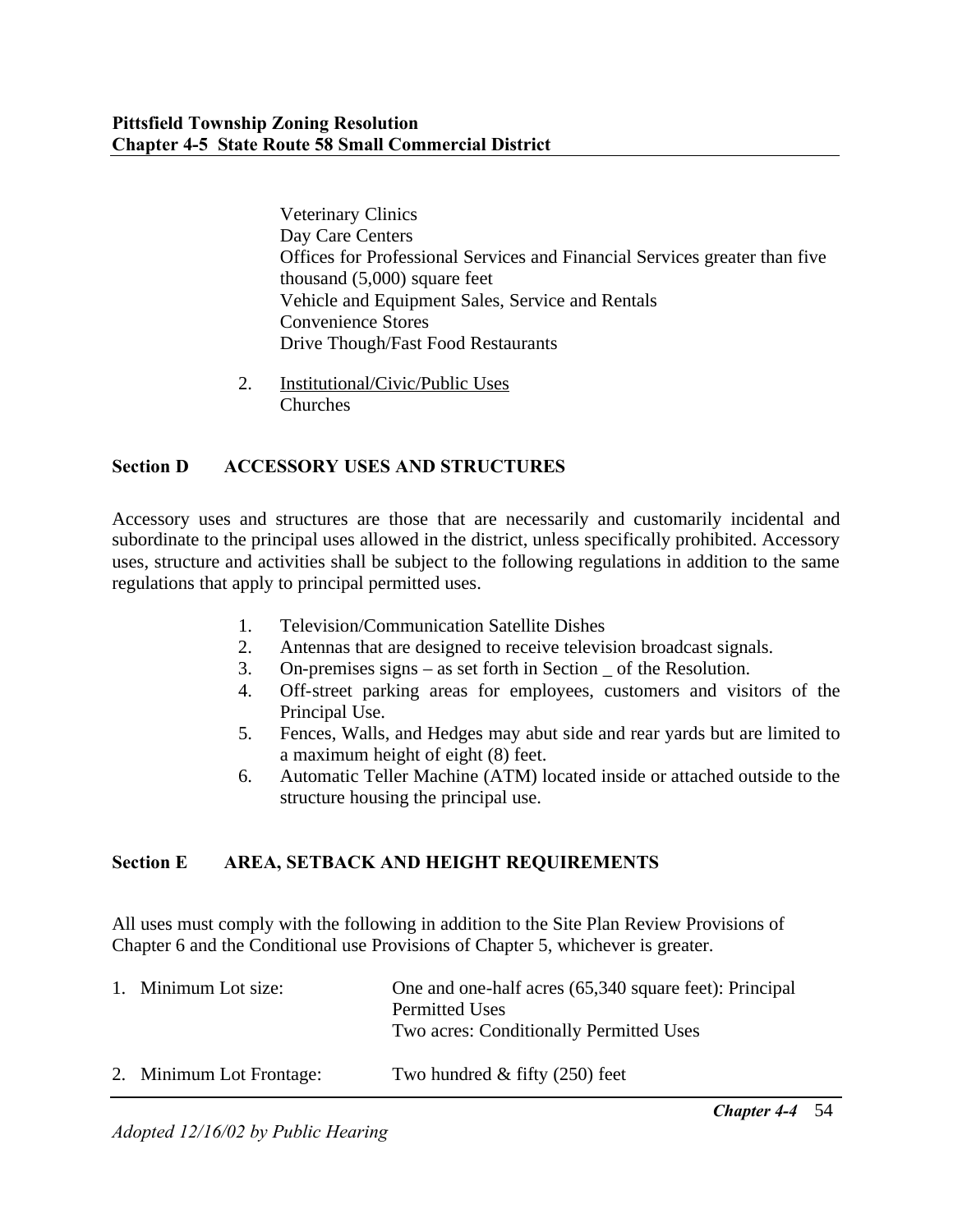Veterinary Clinics Day Care Centers Offices for Professional Services and Financial Services greater than five thousand (5,000) square feet Vehicle and Equipment Sales, Service and Rentals Convenience Stores Drive Though/Fast Food Restaurants

2. Institutional/Civic/Public Uses Churches

## **Section D ACCESSORY USES AND STRUCTURES**

Accessory uses and structures are those that are necessarily and customarily incidental and subordinate to the principal uses allowed in the district, unless specifically prohibited. Accessory uses, structure and activities shall be subject to the following regulations in addition to the same regulations that apply to principal permitted uses.

- 1. Television/Communication Satellite Dishes
- 2. Antennas that are designed to receive television broadcast signals.
- 3. On-premises signs as set forth in Section \_ of the Resolution.
- 4. Off-street parking areas for employees, customers and visitors of the Principal Use.
- 5. Fences, Walls, and Hedges may abut side and rear yards but are limited to a maximum height of eight (8) feet.
- 6. Automatic Teller Machine (ATM) located inside or attached outside to the structure housing the principal use.

## **Section E AREA, SETBACK AND HEIGHT REQUIREMENTS**

All uses must comply with the following in addition to the Site Plan Review Provisions of Chapter 6 and the Conditional use Provisions of Chapter 5, whichever is greater.

| 1. Minimum Lot size:     | One and one-half acres (65,340 square feet): Principal<br><b>Permitted Uses</b><br>Two acres: Conditionally Permitted Uses |
|--------------------------|----------------------------------------------------------------------------------------------------------------------------|
| 2. Minimum Lot Frontage: | Two hundred $&$ fifty (250) feet                                                                                           |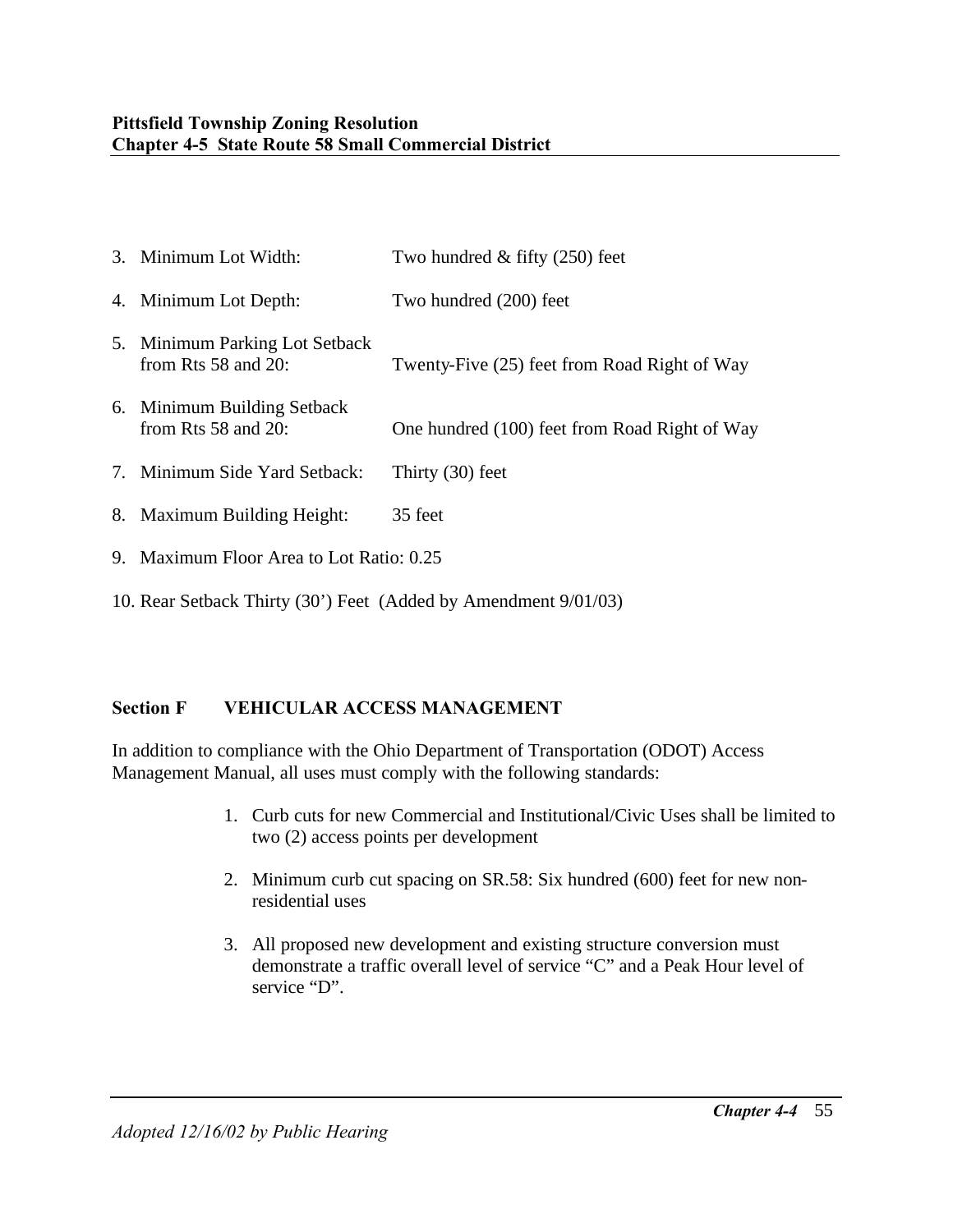| 3. Minimum Lot Width:                                      | Two hundred $&$ fifty (250) feet              |
|------------------------------------------------------------|-----------------------------------------------|
| 4. Minimum Lot Depth:                                      | Two hundred (200) feet                        |
| 5. Minimum Parking Lot Setback<br>from Rts $58$ and $20$ : | Twenty-Five (25) feet from Road Right of Way  |
| 6. Minimum Building Setback<br>from Rts $58$ and $20$ :    | One hundred (100) feet from Road Right of Way |
| 7. Minimum Side Yard Setback:                              | Thirty $(30)$ feet                            |
| 8. Maximum Building Height:                                | 35 feet                                       |
| 9. Maximum Floor Area to Lot Ratio: 0.25                   |                                               |

10. Rear Setback Thirty (30') Feet (Added by Amendment 9/01/03)

## **Section F VEHICULAR ACCESS MANAGEMENT**

In addition to compliance with the Ohio Department of Transportation (ODOT) Access Management Manual, all uses must comply with the following standards:

- 1. Curb cuts for new Commercial and Institutional/Civic Uses shall be limited to two (2) access points per development
- 2. Minimum curb cut spacing on SR.58: Six hundred (600) feet for new nonresidential uses
- 3. All proposed new development and existing structure conversion must demonstrate a traffic overall level of service "C" and a Peak Hour level of service "D".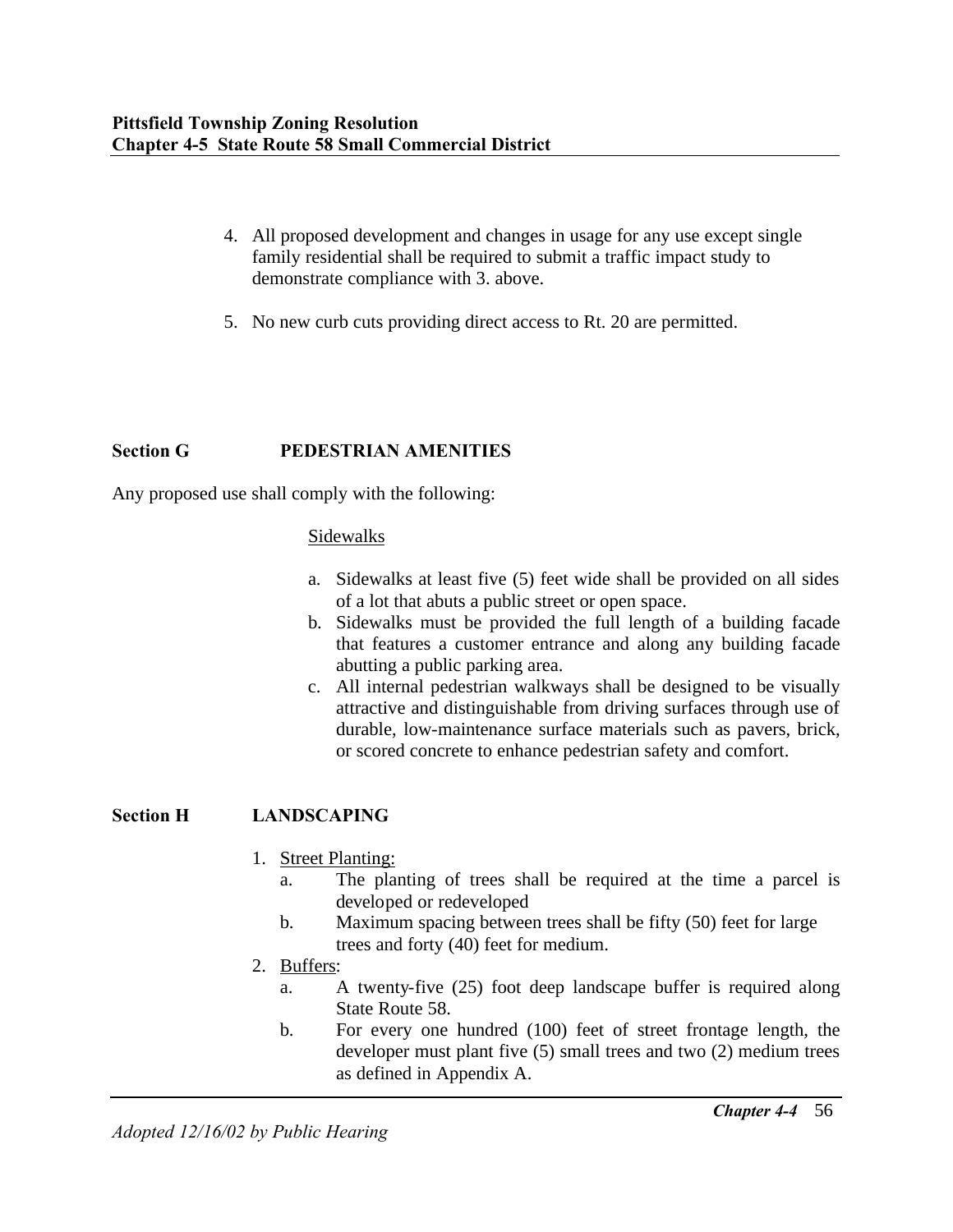- 4. All proposed development and changes in usage for any use except single family residential shall be required to submit a traffic impact study to demonstrate compliance with 3. above.
- 5. No new curb cuts providing direct access to Rt. 20 are permitted.

### **Section G PEDESTRIAN AMENITIES**

Any proposed use shall comply with the following:

#### Sidewalks

- a. Sidewalks at least five (5) feet wide shall be provided on all sides of a lot that abuts a public street or open space.
- b. Sidewalks must be provided the full length of a building facade that features a customer entrance and along any building facade abutting a public parking area.
- c. All internal pedestrian walkways shall be designed to be visually attractive and distinguishable from driving surfaces through use of durable, low-maintenance surface materials such as pavers, brick, or scored concrete to enhance pedestrian safety and comfort.

#### **Section H LANDSCAPING**

- 1. Street Planting:
	- a. The planting of trees shall be required at the time a parcel is developed or redeveloped
	- b. Maximum spacing between trees shall be fifty (50) feet for large trees and forty (40) feet for medium.
- 2. Buffers:
	- a. A twenty-five (25) foot deep landscape buffer is required along State Route 58.
	- b. For every one hundred (100) feet of street frontage length, the developer must plant five (5) small trees and two (2) medium trees as defined in Appendix A.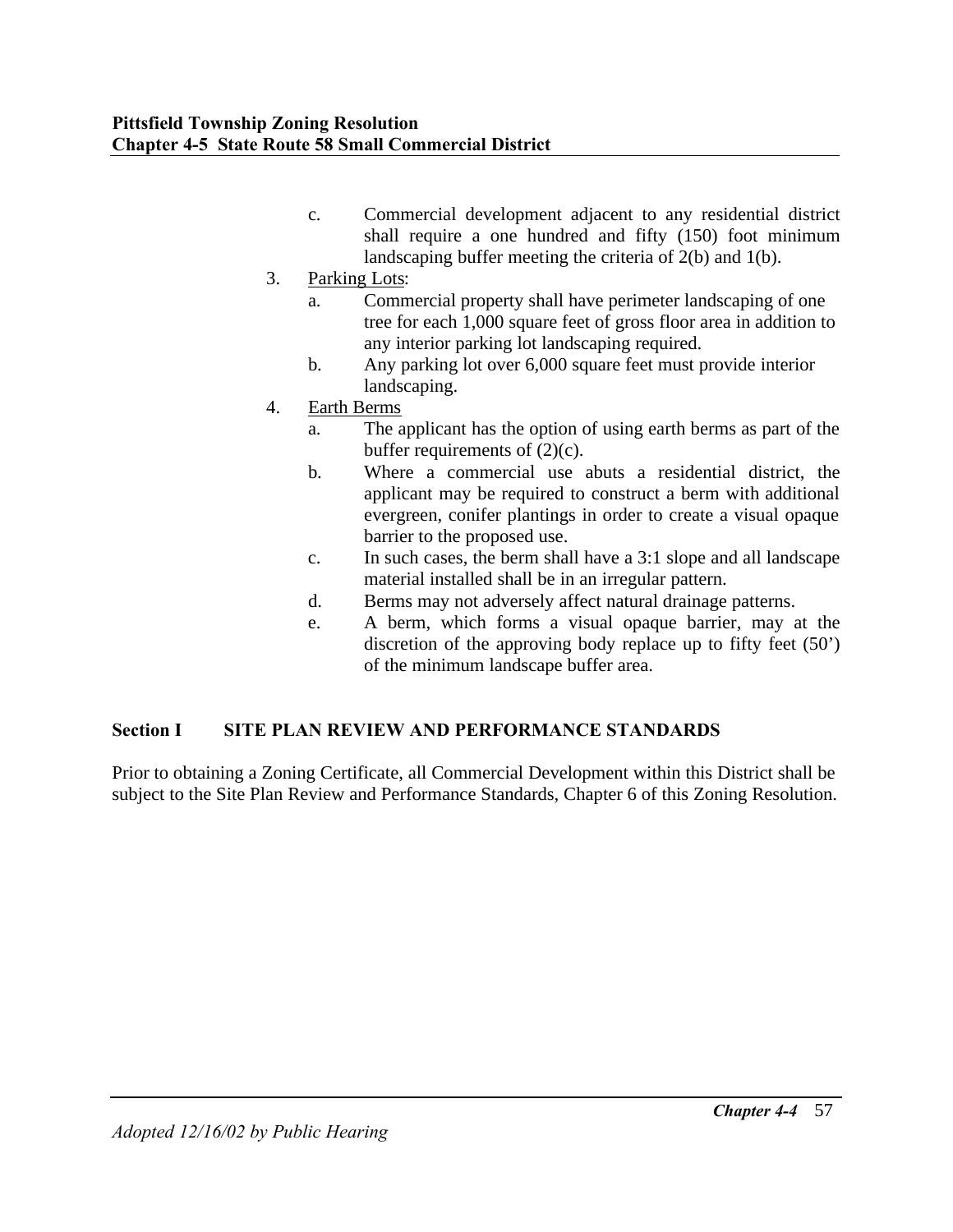- c. Commercial development adjacent to any residential district shall require a one hundred and fifty (150) foot minimum landscaping buffer meeting the criteria of 2(b) and 1(b).
- 3. Parking Lots:
	- a. Commercial property shall have perimeter landscaping of one tree for each 1,000 square feet of gross floor area in addition to any interior parking lot landscaping required.
	- b. Any parking lot over 6,000 square feet must provide interior landscaping.
- 4. Earth Berms
	- a. The applicant has the option of using earth berms as part of the buffer requirements of  $(2)(c)$ .
	- b. Where a commercial use abuts a residential district, the applicant may be required to construct a berm with additional evergreen, conifer plantings in order to create a visual opaque barrier to the proposed use.
	- c. In such cases, the berm shall have a 3:1 slope and all landscape material installed shall be in an irregular pattern.
	- d. Berms may not adversely affect natural drainage patterns.
	- e. A berm, which forms a visual opaque barrier, may at the discretion of the approving body replace up to fifty feet (50') of the minimum landscape buffer area.

## **Section I SITE PLAN REVIEW AND PERFORMANCE STANDARDS**

Prior to obtaining a Zoning Certificate, all Commercial Development within this District shall be subject to the Site Plan Review and Performance Standards, Chapter 6 of this Zoning Resolution.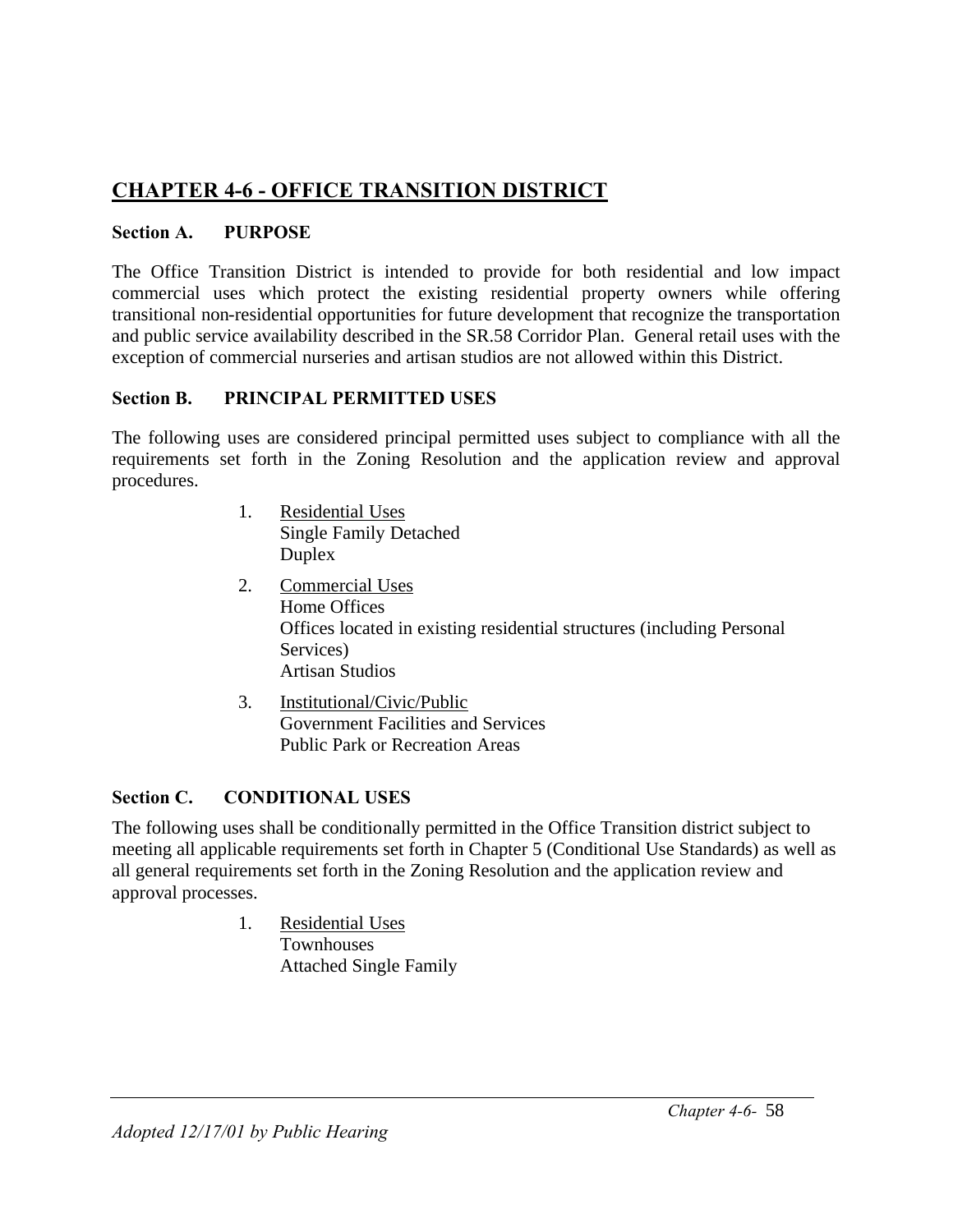# **CHAPTER 4-6 - OFFICE TRANSITION DISTRICT**

## **Section A. PURPOSE**

The Office Transition District is intended to provide for both residential and low impact commercial uses which protect the existing residential property owners while offering transitional non-residential opportunities for future development that recognize the transportation and public service availability described in the SR.58 Corridor Plan. General retail uses with the exception of commercial nurseries and artisan studios are not allowed within this District.

## **Section B. PRINCIPAL PERMITTED USES**

The following uses are considered principal permitted uses subject to compliance with all the requirements set forth in the Zoning Resolution and the application review and approval procedures.

- 1. Residential Uses Single Family Detached Duplex
- 2. Commercial Uses Home Offices Offices located in existing residential structures (including Personal Services) Artisan Studios
- 3. Institutional/Civic/Public Government Facilities and Services Public Park or Recreation Areas

## **Section C. CONDITIONAL USES**

The following uses shall be conditionally permitted in the Office Transition district subject to meeting all applicable requirements set forth in Chapter 5 (Conditional Use Standards) as well as all general requirements set forth in the Zoning Resolution and the application review and approval processes.

> 1. Residential Uses **Townhouses** Attached Single Family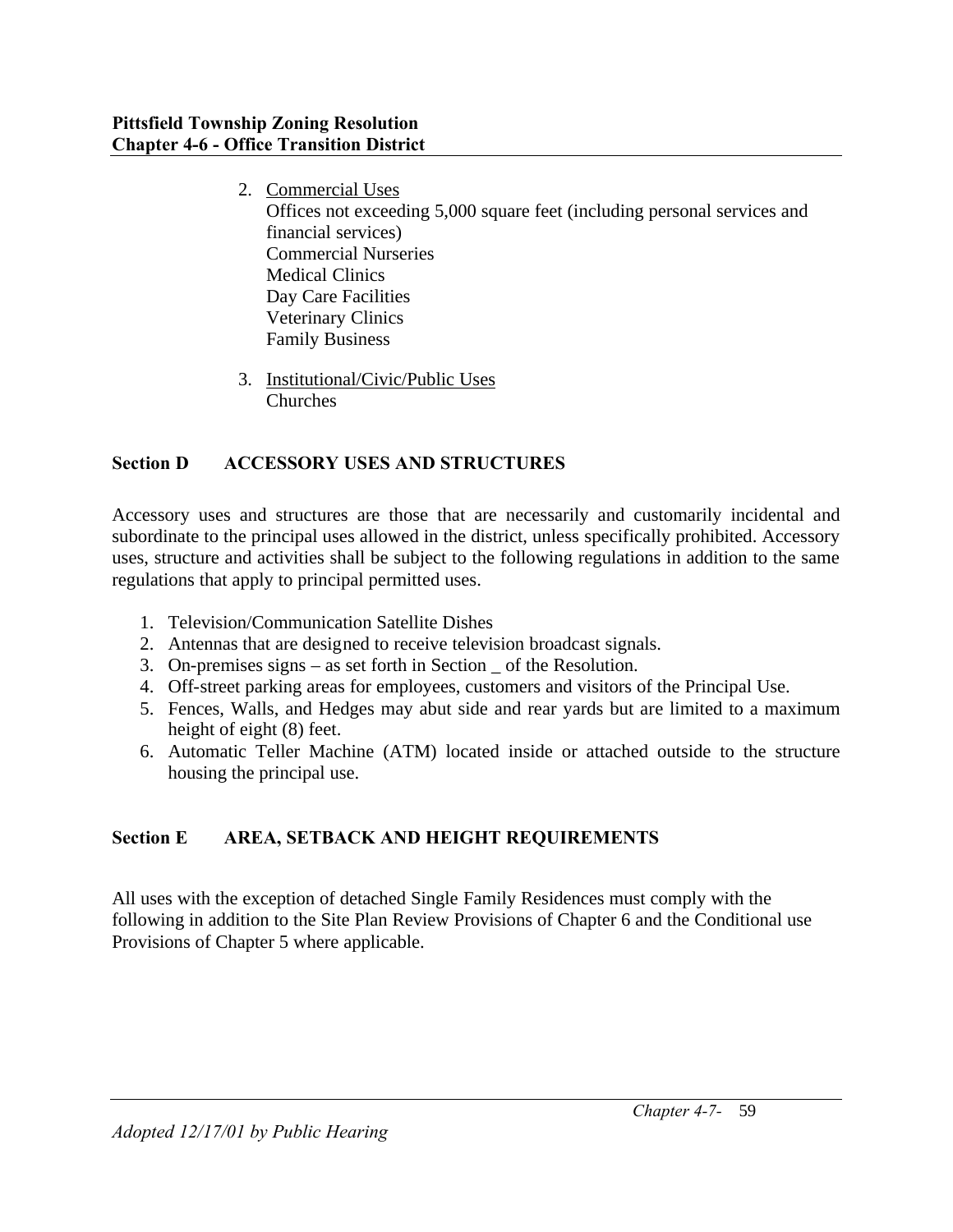- 2. Commercial Uses Offices not exceeding 5,000 square feet (including personal services and financial services) Commercial Nurseries Medical Clinics Day Care Facilities Veterinary Clinics Family Business
- 3. Institutional/Civic/Public Uses Churches

## **Section D ACCESSORY USES AND STRUCTURES**

Accessory uses and structures are those that are necessarily and customarily incidental and subordinate to the principal uses allowed in the district, unless specifically prohibited. Accessory uses, structure and activities shall be subject to the following regulations in addition to the same regulations that apply to principal permitted uses.

- 1. Television/Communication Satellite Dishes
- 2. Antennas that are designed to receive television broadcast signals.
- 3. On-premises signs as set forth in Section \_ of the Resolution.
- 4. Off-street parking areas for employees, customers and visitors of the Principal Use.
- 5. Fences, Walls, and Hedges may abut side and rear yards but are limited to a maximum height of eight (8) feet.
- 6. Automatic Teller Machine (ATM) located inside or attached outside to the structure housing the principal use.

## **Section E AREA, SETBACK AND HEIGHT REQUIREMENTS**

All uses with the exception of detached Single Family Residences must comply with the following in addition to the Site Plan Review Provisions of Chapter 6 and the Conditional use Provisions of Chapter 5 where applicable.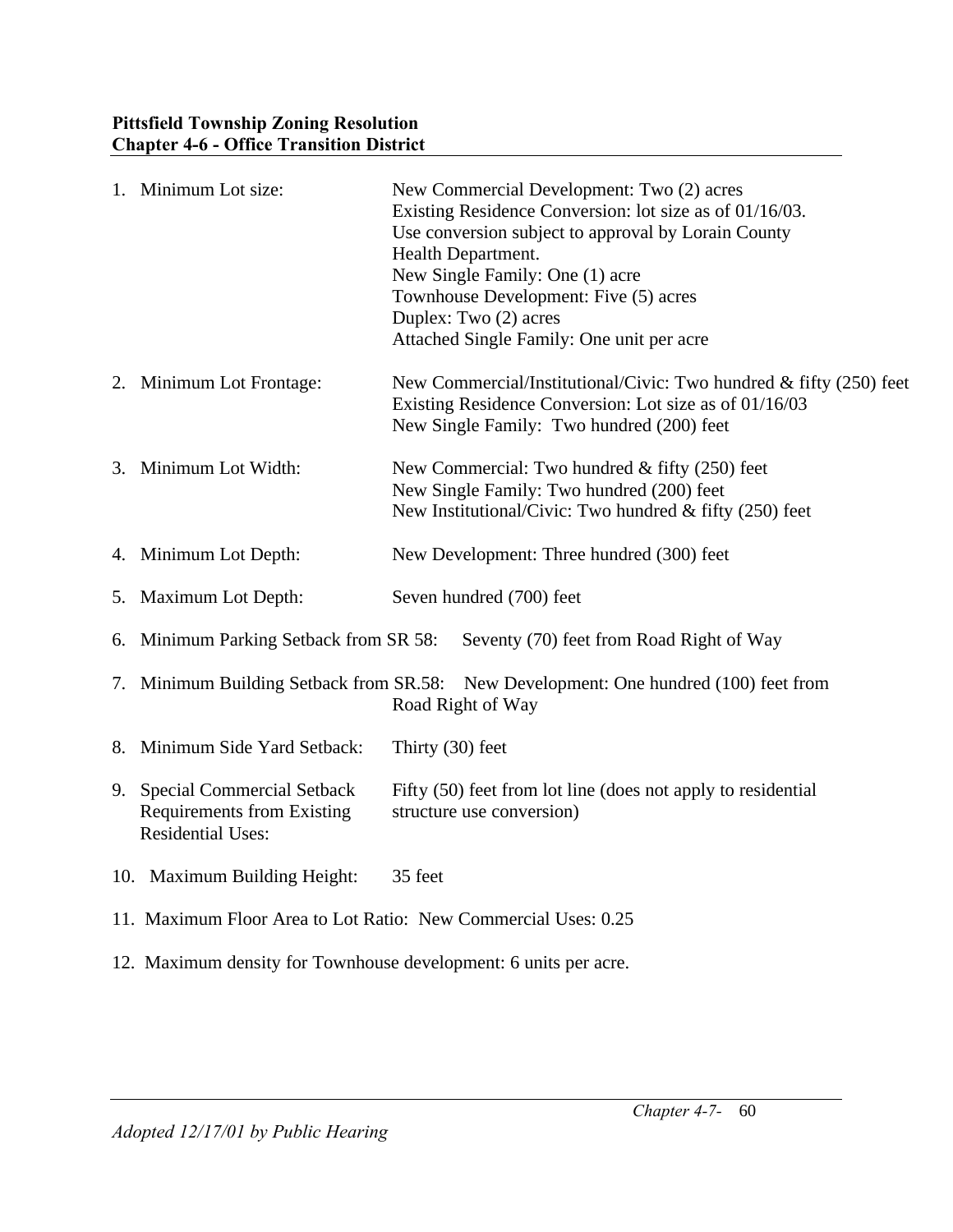|    | 1. Minimum Lot size:                                           | New Commercial Development: Two (2) acres                                            |
|----|----------------------------------------------------------------|--------------------------------------------------------------------------------------|
|    |                                                                | Existing Residence Conversion: lot size as of 01/16/03.                              |
|    |                                                                | Use conversion subject to approval by Lorain County                                  |
|    |                                                                | Health Department.                                                                   |
|    |                                                                | New Single Family: One (1) acre                                                      |
|    |                                                                | Townhouse Development: Five (5) acres                                                |
|    |                                                                | Duplex: Two (2) acres                                                                |
|    |                                                                | Attached Single Family: One unit per acre                                            |
|    | 2. Minimum Lot Frontage:                                       | New Commercial/Institutional/Civic: Two hundred & fifty (250) feet                   |
|    |                                                                | Existing Residence Conversion: Lot size as of 01/16/03                               |
|    |                                                                | New Single Family: Two hundred (200) feet                                            |
|    |                                                                |                                                                                      |
|    | 3. Minimum Lot Width:                                          | New Commercial: Two hundred & fifty (250) feet                                       |
|    |                                                                | New Single Family: Two hundred (200) feet                                            |
|    |                                                                | New Institutional/Civic: Two hundred & fifty (250) feet                              |
|    |                                                                |                                                                                      |
|    | 4. Minimum Lot Depth:                                          | New Development: Three hundred (300) feet                                            |
|    | 5. Maximum Lot Depth:                                          | Seven hundred (700) feet                                                             |
|    |                                                                |                                                                                      |
|    | 6. Minimum Parking Setback from SR 58:                         | Seventy (70) feet from Road Right of Way                                             |
|    |                                                                |                                                                                      |
|    |                                                                | 7. Minimum Building Setback from SR.58: New Development: One hundred (100) feet from |
|    |                                                                | Road Right of Way                                                                    |
| 8. | Minimum Side Yard Setback:                                     | Thirty $(30)$ feet                                                                   |
|    |                                                                |                                                                                      |
|    | 9. Special Commercial Setback                                  | Fifty (50) feet from lot line (does not apply to residential                         |
|    | <b>Requirements from Existing</b>                              | structure use conversion)                                                            |
|    | <b>Residential Uses:</b>                                       |                                                                                      |
|    |                                                                |                                                                                      |
|    | 10. Maximum Building Height:                                   | 35 feet                                                                              |
|    |                                                                |                                                                                      |
|    | 11. Maximum Floor Area to Lot Ratio: New Commercial Uses: 0.25 |                                                                                      |
|    |                                                                |                                                                                      |

12. Maximum density for Townhouse development: 6 units per acre.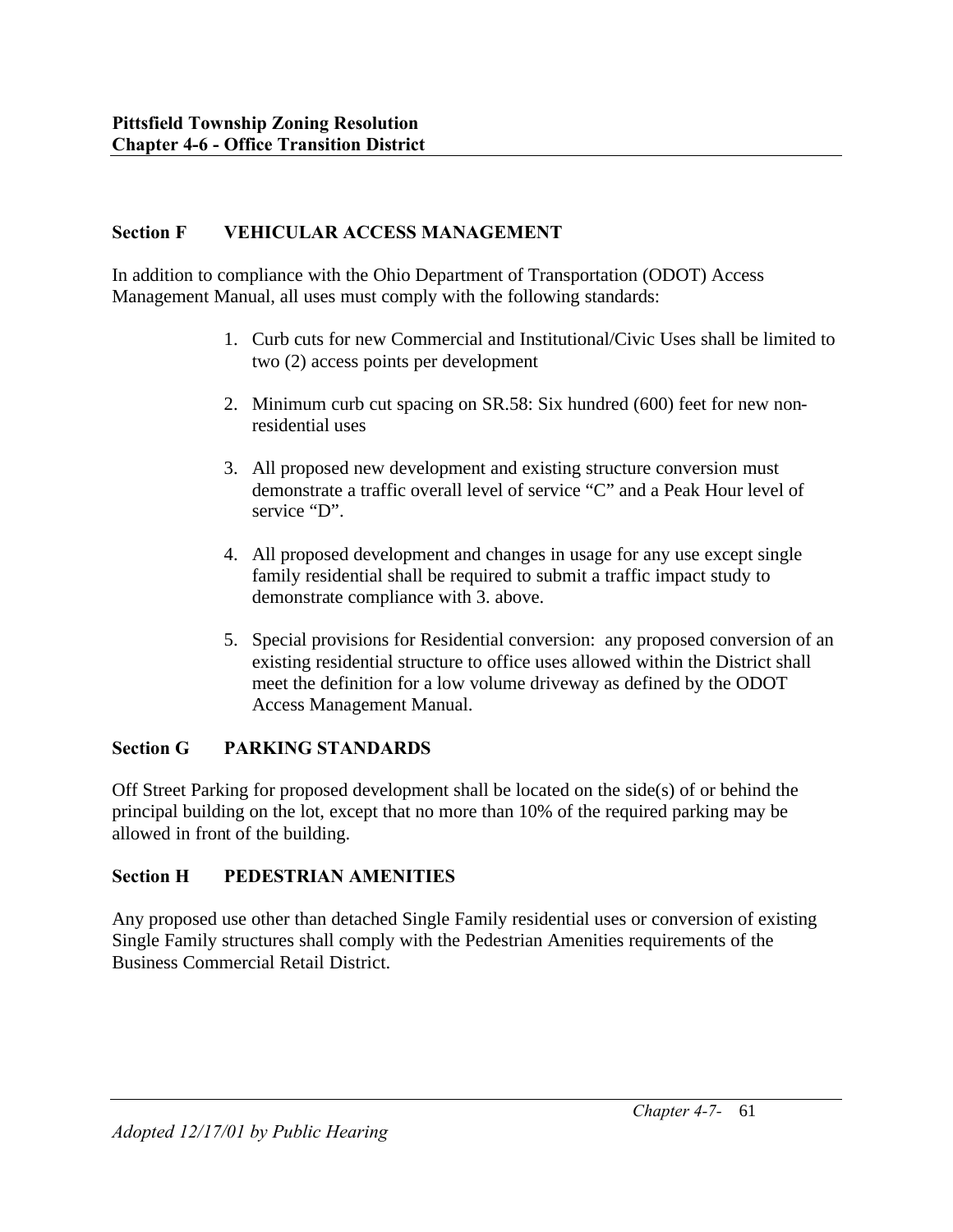## **Section F VEHICULAR ACCESS MANAGEMENT**

In addition to compliance with the Ohio Department of Transportation (ODOT) Access Management Manual, all uses must comply with the following standards:

- 1. Curb cuts for new Commercial and Institutional/Civic Uses shall be limited to two (2) access points per development
- 2. Minimum curb cut spacing on SR.58: Six hundred (600) feet for new nonresidential uses
- 3. All proposed new development and existing structure conversion must demonstrate a traffic overall level of service "C" and a Peak Hour level of service "D".
- 4. All proposed development and changes in usage for any use except single family residential shall be required to submit a traffic impact study to demonstrate compliance with 3. above.
- 5. Special provisions for Residential conversion: any proposed conversion of an existing residential structure to office uses allowed within the District shall meet the definition for a low volume driveway as defined by the ODOT Access Management Manual.

## **Section G PARKING STANDARDS**

Off Street Parking for proposed development shall be located on the side(s) of or behind the principal building on the lot, except that no more than 10% of the required parking may be allowed in front of the building.

## **Section H PEDESTRIAN AMENITIES**

Any proposed use other than detached Single Family residential uses or conversion of existing Single Family structures shall comply with the Pedestrian Amenities requirements of the Business Commercial Retail District.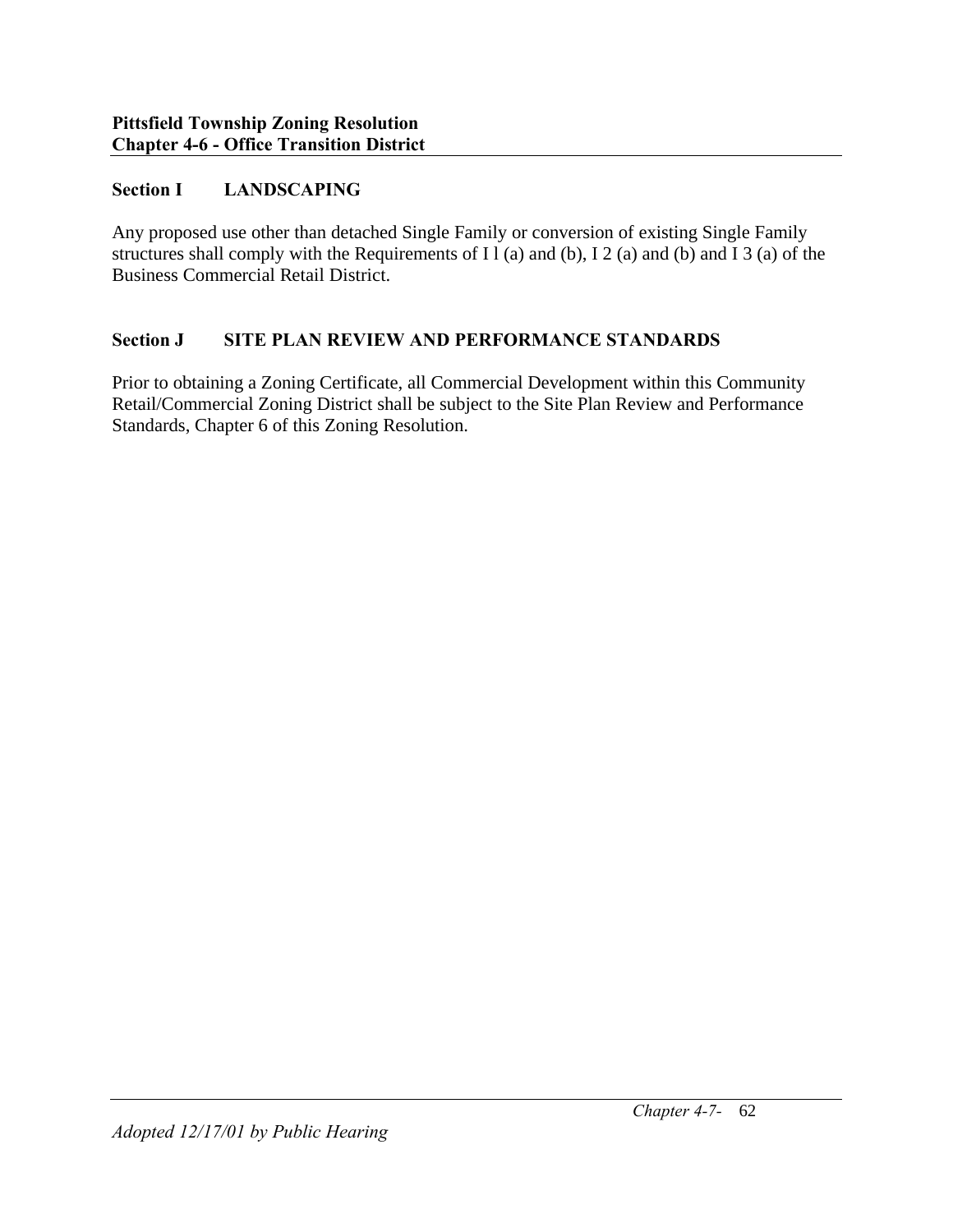### **Section I LANDSCAPING**

Any proposed use other than detached Single Family or conversion of existing Single Family structures shall comply with the Requirements of I l (a) and (b), I 2 (a) and (b) and I 3 (a) of the Business Commercial Retail District.

#### **Section J SITE PLAN REVIEW AND PERFORMANCE STANDARDS**

Prior to obtaining a Zoning Certificate, all Commercial Development within this Community Retail/Commercial Zoning District shall be subject to the Site Plan Review and Performance Standards, Chapter 6 of this Zoning Resolution.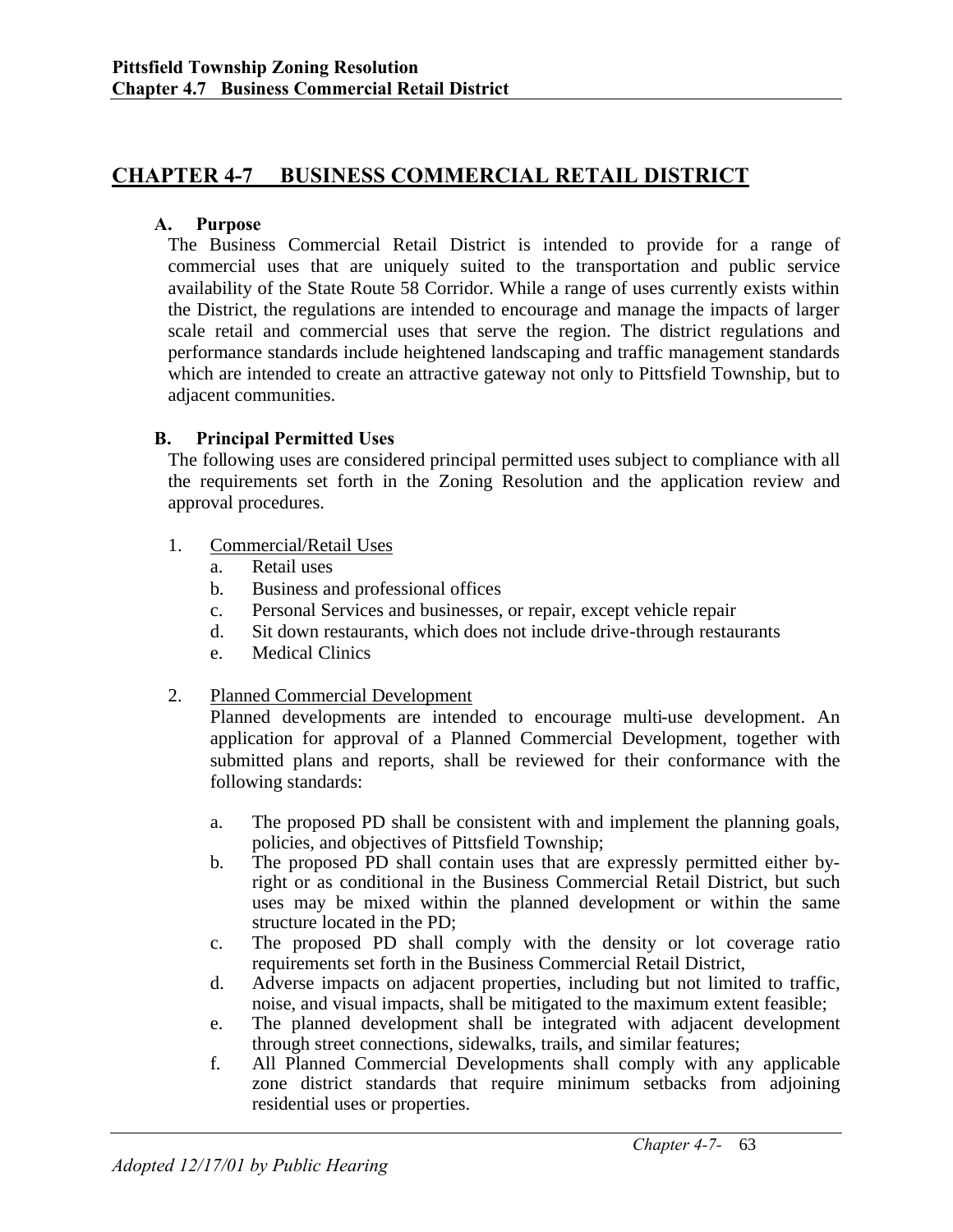## **CHAPTER 4-7 BUSINESS COMMERCIAL RETAIL DISTRICT**

#### **A. Purpose**

The Business Commercial Retail District is intended to provide for a range of commercial uses that are uniquely suited to the transportation and public service availability of the State Route 58 Corridor. While a range of uses currently exists within the District, the regulations are intended to encourage and manage the impacts of larger scale retail and commercial uses that serve the region. The district regulations and performance standards include heightened landscaping and traffic management standards which are intended to create an attractive gateway not only to Pittsfield Township, but to adjacent communities.

#### **B. Principal Permitted Uses**

The following uses are considered principal permitted uses subject to compliance with all the requirements set forth in the Zoning Resolution and the application review and approval procedures.

- 1. Commercial/Retail Uses
	- a. Retail uses
	- b. Business and professional offices
	- c. Personal Services and businesses, or repair, except vehicle repair
	- d. Sit down restaurants, which does not include drive-through restaurants
	- e. Medical Clinics

#### 2. Planned Commercial Development

Planned developments are intended to encourage multi-use development. An application for approval of a Planned Commercial Development, together with submitted plans and reports, shall be reviewed for their conformance with the following standards:

- a. The proposed PD shall be consistent with and implement the planning goals, policies, and objectives of Pittsfield Township;
- b. The proposed PD shall contain uses that are expressly permitted either byright or as conditional in the Business Commercial Retail District, but such uses may be mixed within the planned development or within the same structure located in the PD;
- c. The proposed PD shall comply with the density or lot coverage ratio requirements set forth in the Business Commercial Retail District,
- d. Adverse impacts on adjacent properties, including but not limited to traffic, noise, and visual impacts, shall be mitigated to the maximum extent feasible;
- e. The planned development shall be integrated with adjacent development through street connections, sidewalks, trails, and similar features;
- f. All Planned Commercial Developments shall comply with any applicable zone district standards that require minimum setbacks from adjoining residential uses or properties.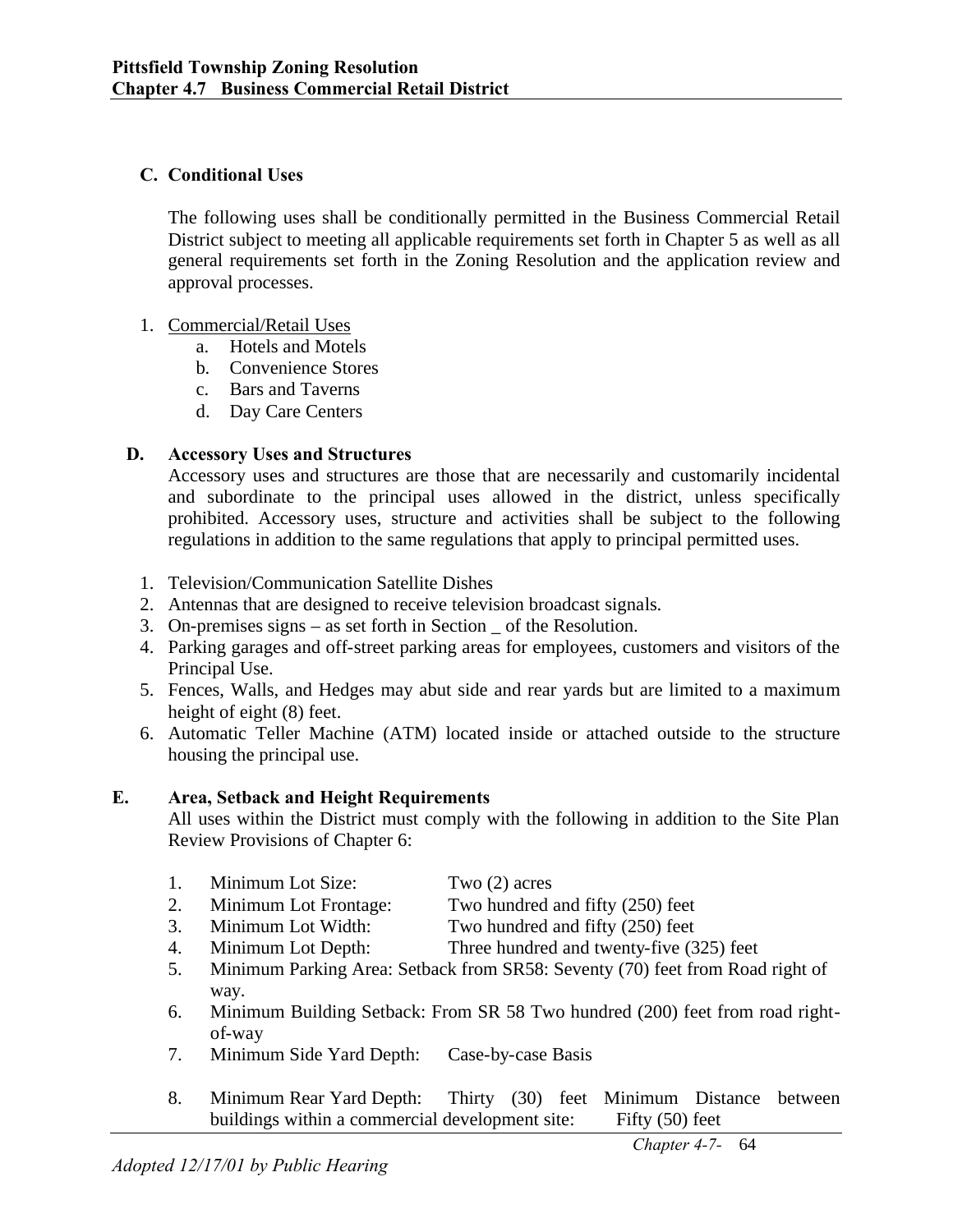### **C. Conditional Uses**

The following uses shall be conditionally permitted in the Business Commercial Retail District subject to meeting all applicable requirements set forth in Chapter 5 as well as all general requirements set forth in the Zoning Resolution and the application review and approval processes.

#### 1. Commercial/Retail Uses

- a. Hotels and Motels
- b. Convenience Stores
- c. Bars and Taverns
- d. Day Care Centers

### **D. Accessory Uses and Structures**

Accessory uses and structures are those that are necessarily and customarily incidental and subordinate to the principal uses allowed in the district, unless specifically prohibited. Accessory uses, structure and activities shall be subject to the following regulations in addition to the same regulations that apply to principal permitted uses.

- 1. Television/Communication Satellite Dishes
- 2. Antennas that are designed to receive television broadcast signals.
- 3. On-premises signs as set forth in Section \_ of the Resolution.
- 4. Parking garages and off-street parking areas for employees, customers and visitors of the Principal Use.
- 5. Fences, Walls, and Hedges may abut side and rear yards but are limited to a maximum height of eight (8) feet.
- 6. Automatic Teller Machine (ATM) located inside or attached outside to the structure housing the principal use.

#### **E. Area, Setback and Height Requirements**

All uses within the District must comply with the following in addition to the Site Plan Review Provisions of Chapter 6:

- 1. Minimum Lot Size: Two (2) acres
- 2. Minimum Lot Frontage: Two hundred and fifty (250) feet
- 3. Minimum Lot Width: Two hundred and fifty (250) feet
- 4. Minimum Lot Depth: Three hundred and twenty-five (325) feet
- 5. Minimum Parking Area: Setback from SR58: Seventy (70) feet from Road right of way.
- 6. Minimum Building Setback: From SR 58 Two hundred (200) feet from road rightof-way
- 7. Minimum Side Yard Depth: Case-by-case Basis
- 8. Minimum Rear Yard Depth: Thirty (30) feet Minimum Distance between buildings within a commercial development site: Fifty (50) feet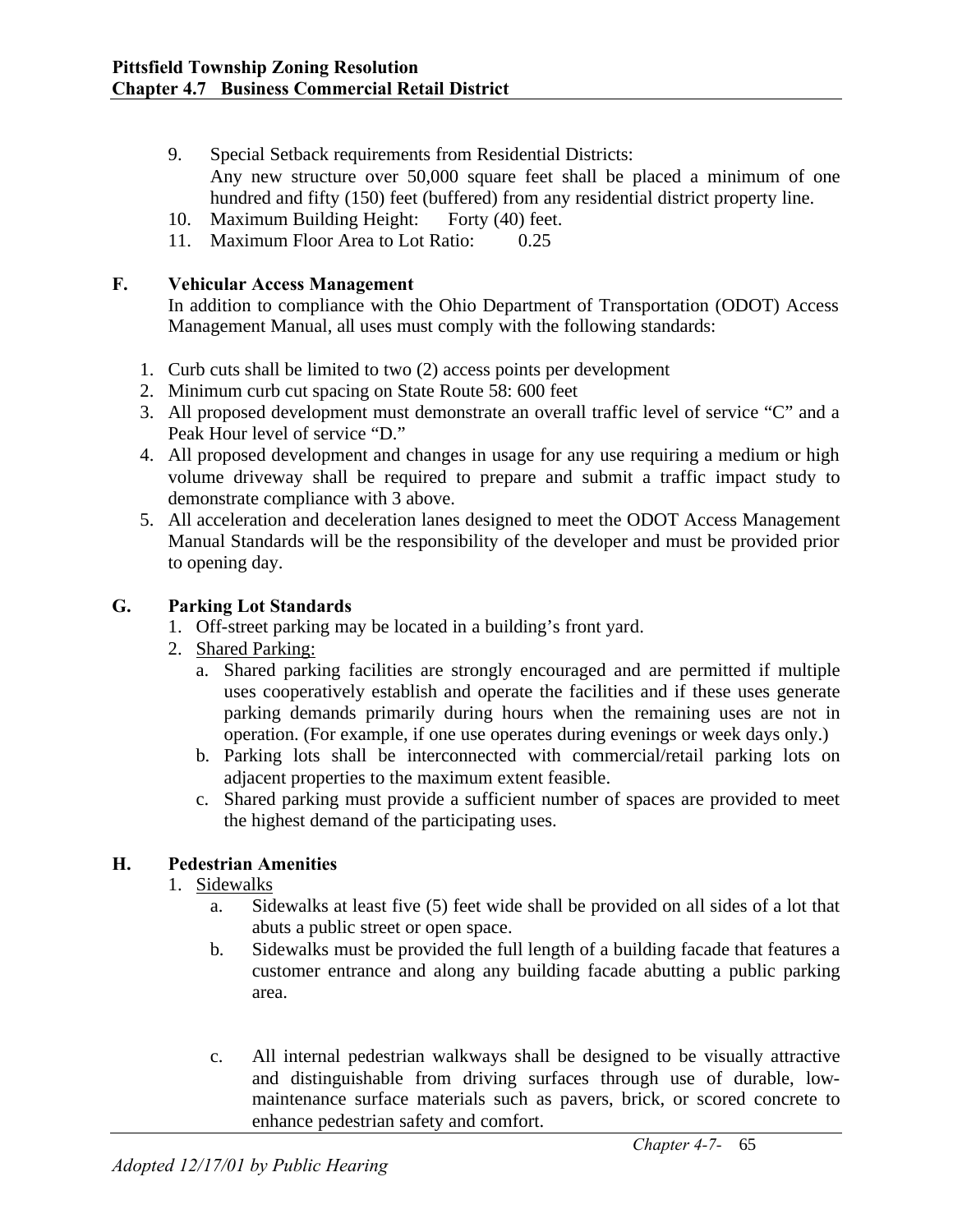- 9. Special Setback requirements from Residential Districts: Any new structure over 50,000 square feet shall be placed a minimum of one hundred and fifty (150) feet (buffered) from any residential district property line.
- 10. Maximum Building Height: Forty (40) feet.
- 11. Maximum Floor Area to Lot Ratio: 0.25

#### **F. Vehicular Access Management**

In addition to compliance with the Ohio Department of Transportation (ODOT) Access Management Manual, all uses must comply with the following standards:

- 1. Curb cuts shall be limited to two (2) access points per development
- 2. Minimum curb cut spacing on State Route 58: 600 feet
- 3. All proposed development must demonstrate an overall traffic level of service "C" and a Peak Hour level of service "D."
- 4. All proposed development and changes in usage for any use requiring a medium or high volume driveway shall be required to prepare and submit a traffic impact study to demonstrate compliance with 3 above.
- 5. All acceleration and deceleration lanes designed to meet the ODOT Access Management Manual Standards will be the responsibility of the developer and must be provided prior to opening day.

#### **G. Parking Lot Standards**

- 1. Off-street parking may be located in a building's front yard.
- 2. Shared Parking:
	- a. Shared parking facilities are strongly encouraged and are permitted if multiple uses cooperatively establish and operate the facilities and if these uses generate parking demands primarily during hours when the remaining uses are not in operation. (For example, if one use operates during evenings or week days only.)
	- b. Parking lots shall be interconnected with commercial/retail parking lots on adjacent properties to the maximum extent feasible.
	- c. Shared parking must provide a sufficient number of spaces are provided to meet the highest demand of the participating uses.

#### **H. Pedestrian Amenities**

#### 1. Sidewalks

- a. Sidewalks at least five (5) feet wide shall be provided on all sides of a lot that abuts a public street or open space.
- b. Sidewalks must be provided the full length of a building facade that features a customer entrance and along any building facade abutting a public parking area.
- c. All internal pedestrian walkways shall be designed to be visually attractive and distinguishable from driving surfaces through use of durable, lowmaintenance surface materials such as pavers, brick, or scored concrete to enhance pedestrian safety and comfort.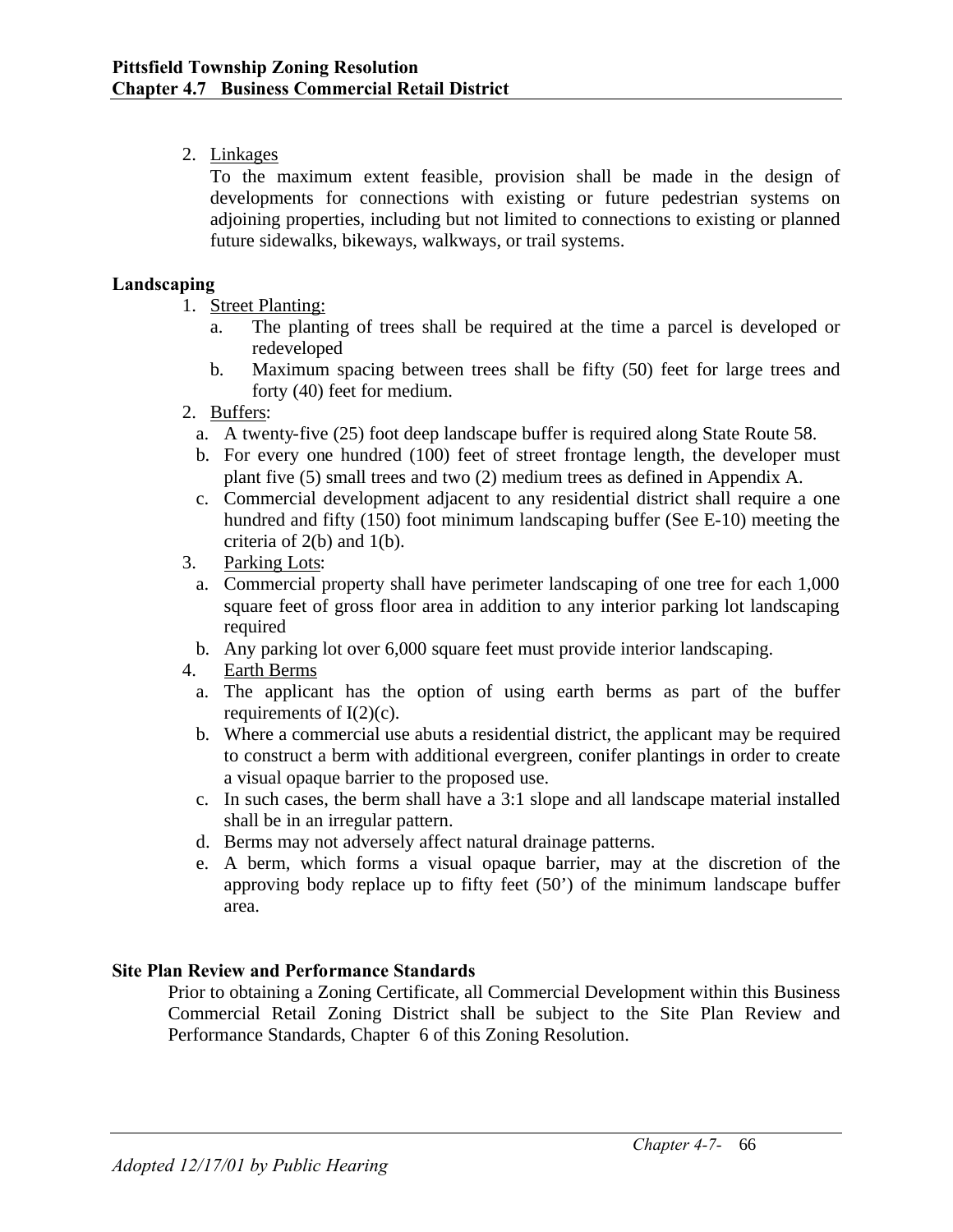## 2. Linkages

To the maximum extent feasible, provision shall be made in the design of developments for connections with existing or future pedestrian systems on adjoining properties, including but not limited to connections to existing or planned future sidewalks, bikeways, walkways, or trail systems.

#### **Landscaping**

- 1. Street Planting:
	- a. The planting of trees shall be required at the time a parcel is developed or redeveloped
	- b. Maximum spacing between trees shall be fifty (50) feet for large trees and forty (40) feet for medium.
- 2. Buffers:
	- a. A twenty-five (25) foot deep landscape buffer is required along State Route 58.
	- b. For every one hundred (100) feet of street frontage length, the developer must plant five (5) small trees and two (2) medium trees as defined in Appendix A.
	- c. Commercial development adjacent to any residential district shall require a one hundred and fifty (150) foot minimum landscaping buffer (See E-10) meeting the criteria of 2(b) and 1(b).
- 3. Parking Lots:
	- a. Commercial property shall have perimeter landscaping of one tree for each 1,000 square feet of gross floor area in addition to any interior parking lot landscaping required
	- b. Any parking lot over 6,000 square feet must provide interior landscaping.
- 4. Earth Berms
	- a. The applicant has the option of using earth berms as part of the buffer requirements of  $I(2)(c)$ .
	- b. Where a commercial use abuts a residential district, the applicant may be required to construct a berm with additional evergreen, conifer plantings in order to create a visual opaque barrier to the proposed use.
	- c. In such cases, the berm shall have a 3:1 slope and all landscape material installed shall be in an irregular pattern.
	- d. Berms may not adversely affect natural drainage patterns.
	- e. A berm, which forms a visual opaque barrier, may at the discretion of the approving body replace up to fifty feet (50') of the minimum landscape buffer area.

## **Site Plan Review and Performance Standards**

Prior to obtaining a Zoning Certificate, all Commercial Development within this Business Commercial Retail Zoning District shall be subject to the Site Plan Review and Performance Standards, Chapter 6 of this Zoning Resolution.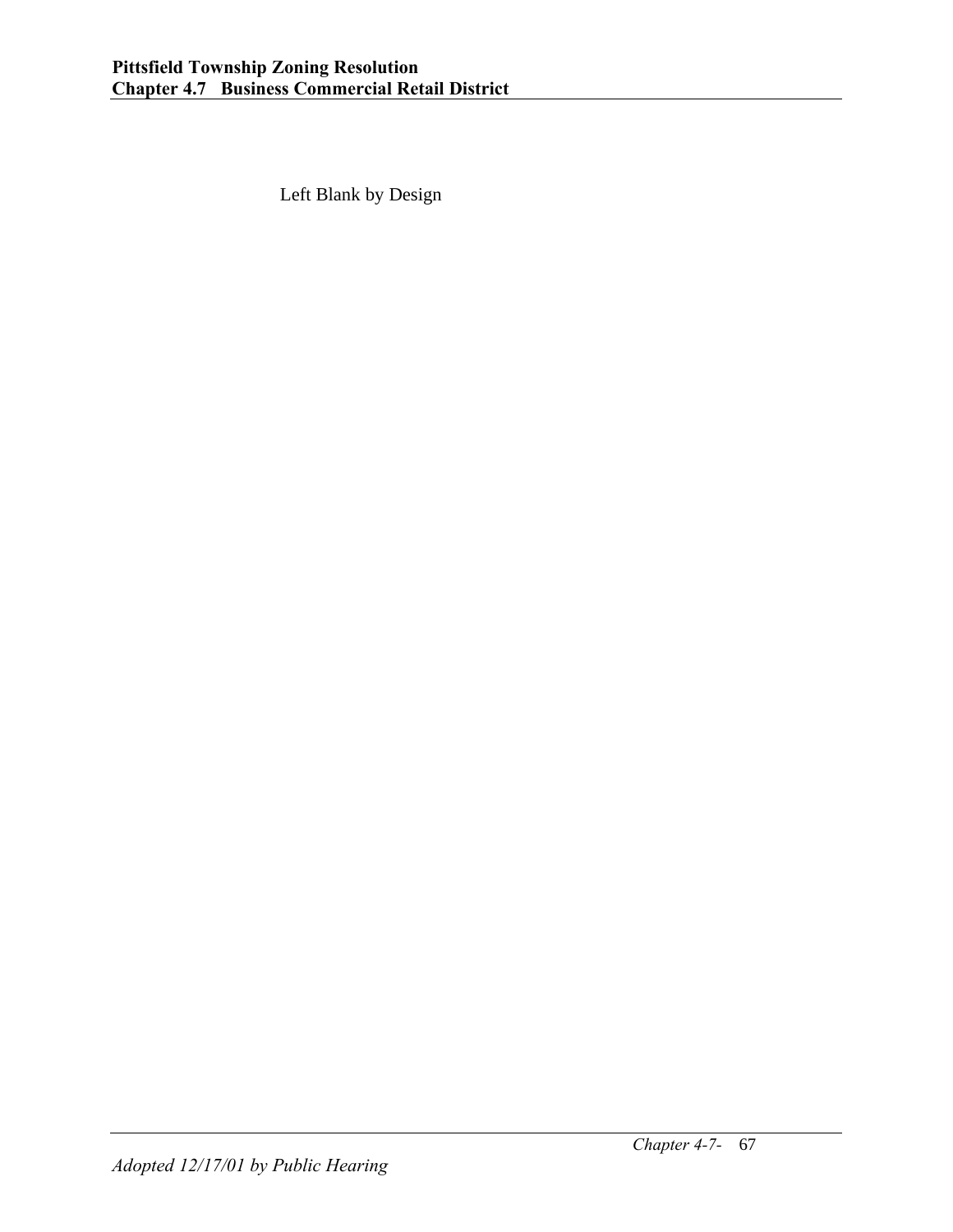Left Blank by Design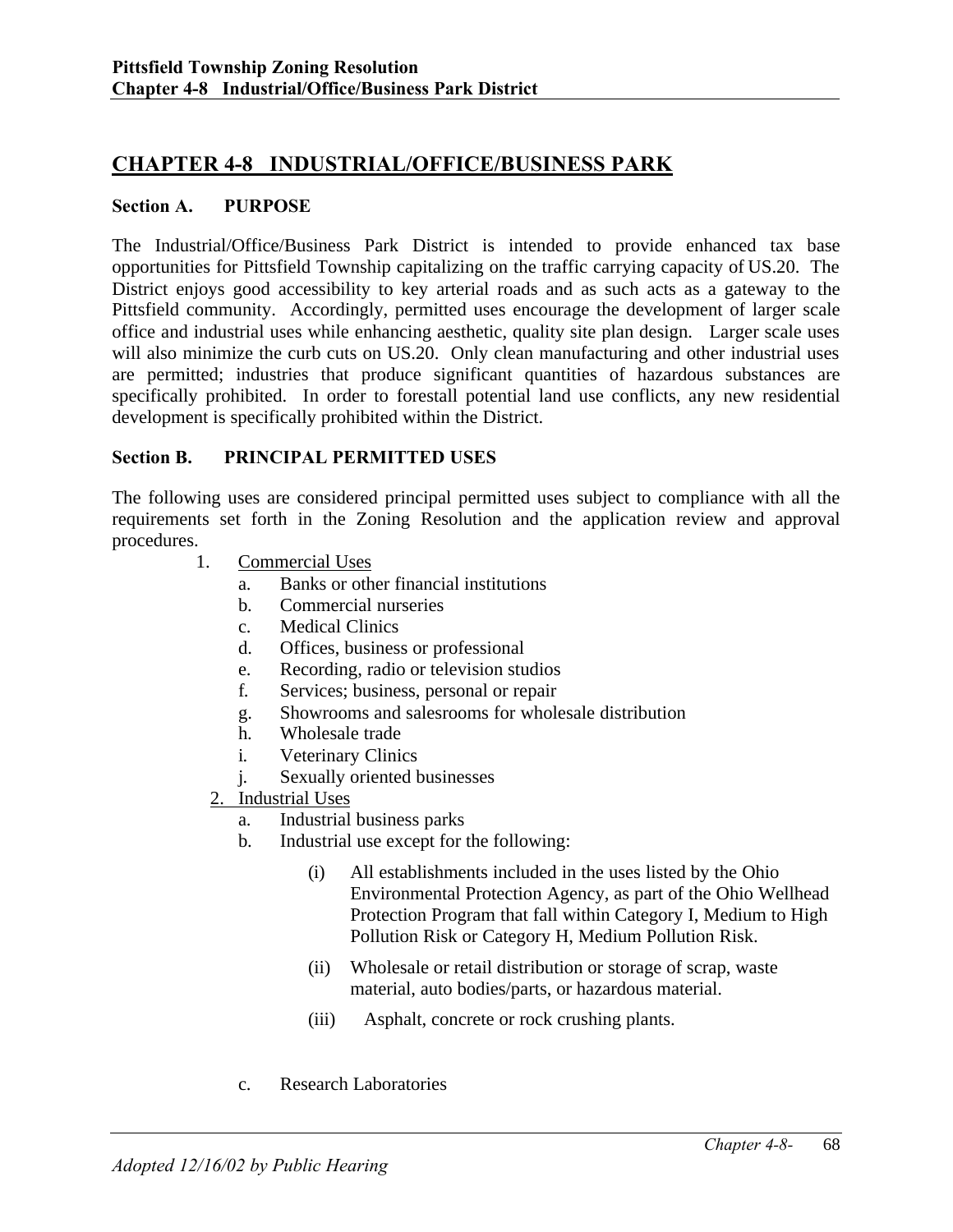## **CHAPTER 4-8 INDUSTRIAL/OFFICE/BUSINESS PARK**

#### **Section A. PURPOSE**

The Industrial/Office/Business Park District is intended to provide enhanced tax base opportunities for Pittsfield Township capitalizing on the traffic carrying capacity of US.20. The District enjoys good accessibility to key arterial roads and as such acts as a gateway to the Pittsfield community. Accordingly, permitted uses encourage the development of larger scale office and industrial uses while enhancing aesthetic, quality site plan design. Larger scale uses will also minimize the curb cuts on US.20. Only clean manufacturing and other industrial uses are permitted; industries that produce significant quantities of hazardous substances are specifically prohibited. In order to forestall potential land use conflicts, any new residential development is specifically prohibited within the District.

#### **Section B. PRINCIPAL PERMITTED USES**

The following uses are considered principal permitted uses subject to compliance with all the requirements set forth in the Zoning Resolution and the application review and approval procedures.

- 1. Commercial Uses
	- a. Banks or other financial institutions
	- b. Commercial nurseries
	- c. Medical Clinics
	- d. Offices, business or professional
	- e. Recording, radio or television studios
	- f. Services; business, personal or repair
	- g. Showrooms and salesrooms for wholesale distribution
	- h. Wholesale trade
	- i. Veterinary Clinics
	- j. Sexually oriented businesses
	- 2. Industrial Uses
		- a. Industrial business parks
		- b. Industrial use except for the following:
			- (i) All establishments included in the uses listed by the Ohio Environmental Protection Agency, as part of the Ohio Wellhead Protection Program that fall within Category I, Medium to High Pollution Risk or Category H, Medium Pollution Risk.
			- (ii) Wholesale or retail distribution or storage of scrap, waste material, auto bodies/parts, or hazardous material.
			- (iii) Asphalt, concrete or rock crushing plants.
		- c. Research Laboratories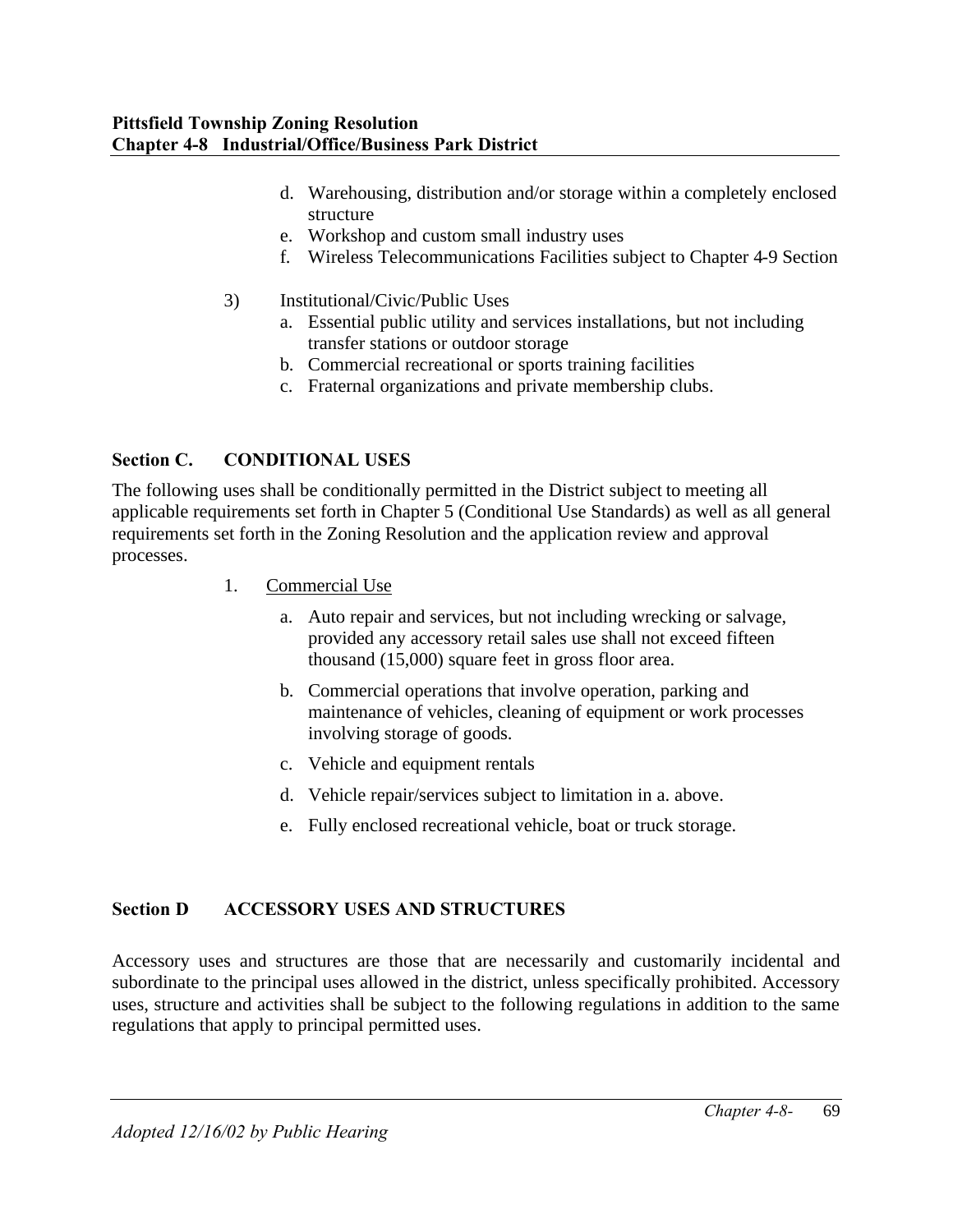- d. Warehousing, distribution and/or storage within a completely enclosed structure
- e. Workshop and custom small industry uses
- f. Wireless Telecommunications Facilities subject to Chapter 4-9 Section
- 3) Institutional/Civic/Public Uses
	- a. Essential public utility and services installations, but not including transfer stations or outdoor storage
		- b. Commercial recreational or sports training facilities
		- c. Fraternal organizations and private membership clubs.

# **Section C. CONDITIONAL USES**

The following uses shall be conditionally permitted in the District subject to meeting all applicable requirements set forth in Chapter 5 (Conditional Use Standards) as well as all general requirements set forth in the Zoning Resolution and the application review and approval processes.

- 1. Commercial Use
	- a. Auto repair and services, but not including wrecking or salvage, provided any accessory retail sales use shall not exceed fifteen thousand (15,000) square feet in gross floor area.
	- b. Commercial operations that involve operation, parking and maintenance of vehicles, cleaning of equipment or work processes involving storage of goods.
	- c. Vehicle and equipment rentals
	- d. Vehicle repair/services subject to limitation in a. above.
	- e. Fully enclosed recreational vehicle, boat or truck storage.

# **Section D ACCESSORY USES AND STRUCTURES**

Accessory uses and structures are those that are necessarily and customarily incidental and subordinate to the principal uses allowed in the district, unless specifically prohibited. Accessory uses, structure and activities shall be subject to the following regulations in addition to the same regulations that apply to principal permitted uses.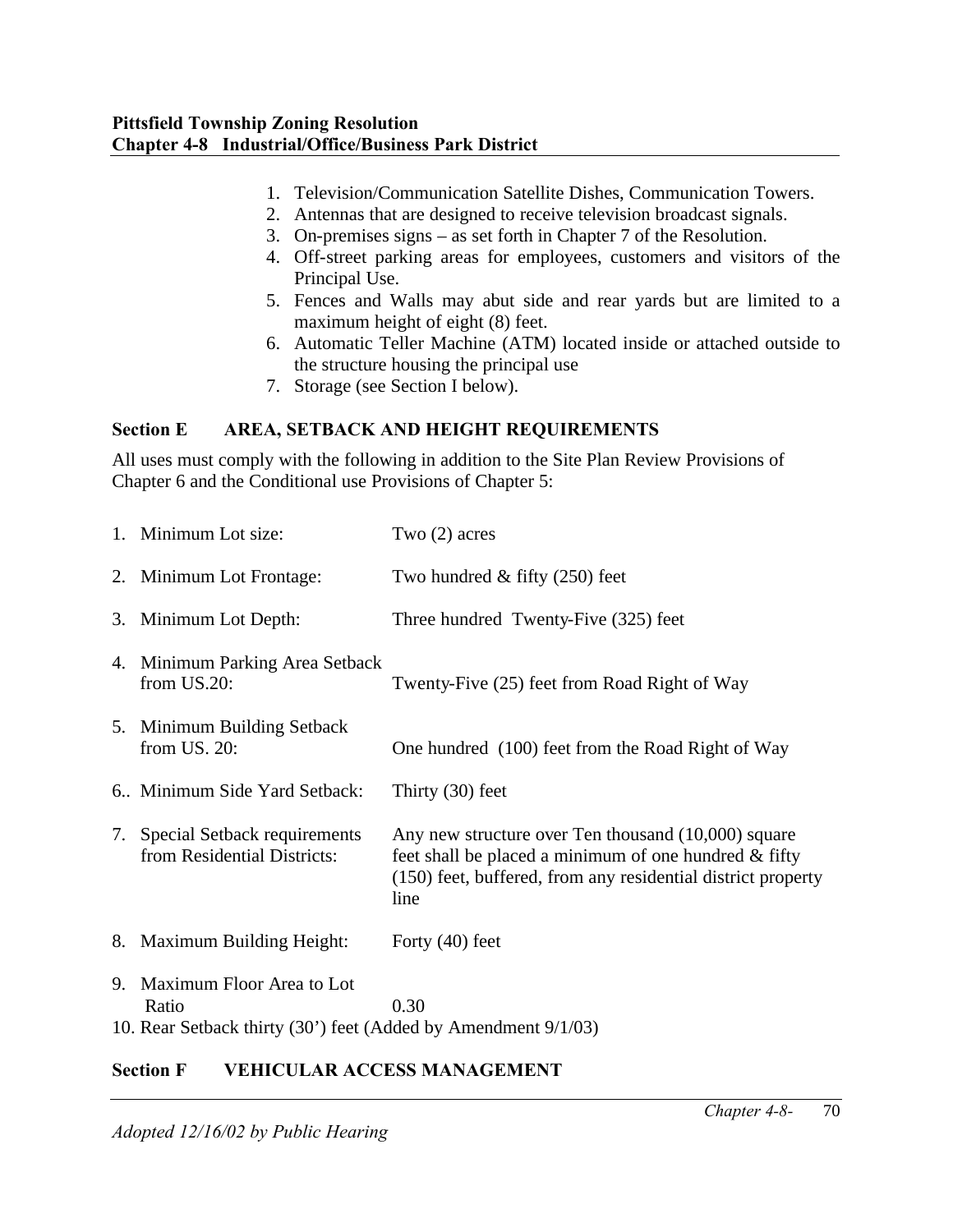- 1. Television/Communication Satellite Dishes, Communication Towers.
- 2. Antennas that are designed to receive television broadcast signals.
- 3. On-premises signs as set forth in Chapter 7 of the Resolution.
- 4. Off-street parking areas for employees, customers and visitors of the Principal Use.
- 5. Fences and Walls may abut side and rear yards but are limited to a maximum height of eight (8) feet.
- 6. Automatic Teller Machine (ATM) located inside or attached outside to the structure housing the principal use
- 7. Storage (see Section I below).

# **Section E AREA, SETBACK AND HEIGHT REQUIREMENTS**

All uses must comply with the following in addition to the Site Plan Review Provisions of Chapter 6 and the Conditional use Provisions of Chapter 5:

|    | 1. Minimum Lot size:                                                                                 | Two $(2)$ acres                                                                                                                                                                         |  |  |  |
|----|------------------------------------------------------------------------------------------------------|-----------------------------------------------------------------------------------------------------------------------------------------------------------------------------------------|--|--|--|
|    | 2. Minimum Lot Frontage:                                                                             | Two hundred $&$ fifty (250) feet                                                                                                                                                        |  |  |  |
|    | 3. Minimum Lot Depth:                                                                                | Three hundred Twenty-Five (325) feet                                                                                                                                                    |  |  |  |
|    | 4. Minimum Parking Area Setback<br>from US.20:                                                       | Twenty-Five (25) feet from Road Right of Way                                                                                                                                            |  |  |  |
|    | 5. Minimum Building Setback<br>from US. 20:                                                          | One hundred (100) feet from the Road Right of Way                                                                                                                                       |  |  |  |
|    | 6. Minimum Side Yard Setback:                                                                        | Thirty (30) feet                                                                                                                                                                        |  |  |  |
|    | 7. Special Setback requirements<br>from Residential Districts:                                       | Any new structure over Ten thousand (10,000) square<br>feet shall be placed a minimum of one hundred $\&$ fifty<br>(150) feet, buffered, from any residential district property<br>line |  |  |  |
|    | 8. Maximum Building Height:                                                                          | Forty $(40)$ feet                                                                                                                                                                       |  |  |  |
| 9. | Maximum Floor Area to Lot<br>Ratio<br>10. Rear Setback thirty (30') feet (Added by Amendment 9/1/03) | 0.30                                                                                                                                                                                    |  |  |  |
|    |                                                                                                      |                                                                                                                                                                                         |  |  |  |

# **Section F VEHICULAR ACCESS MANAGEMENT**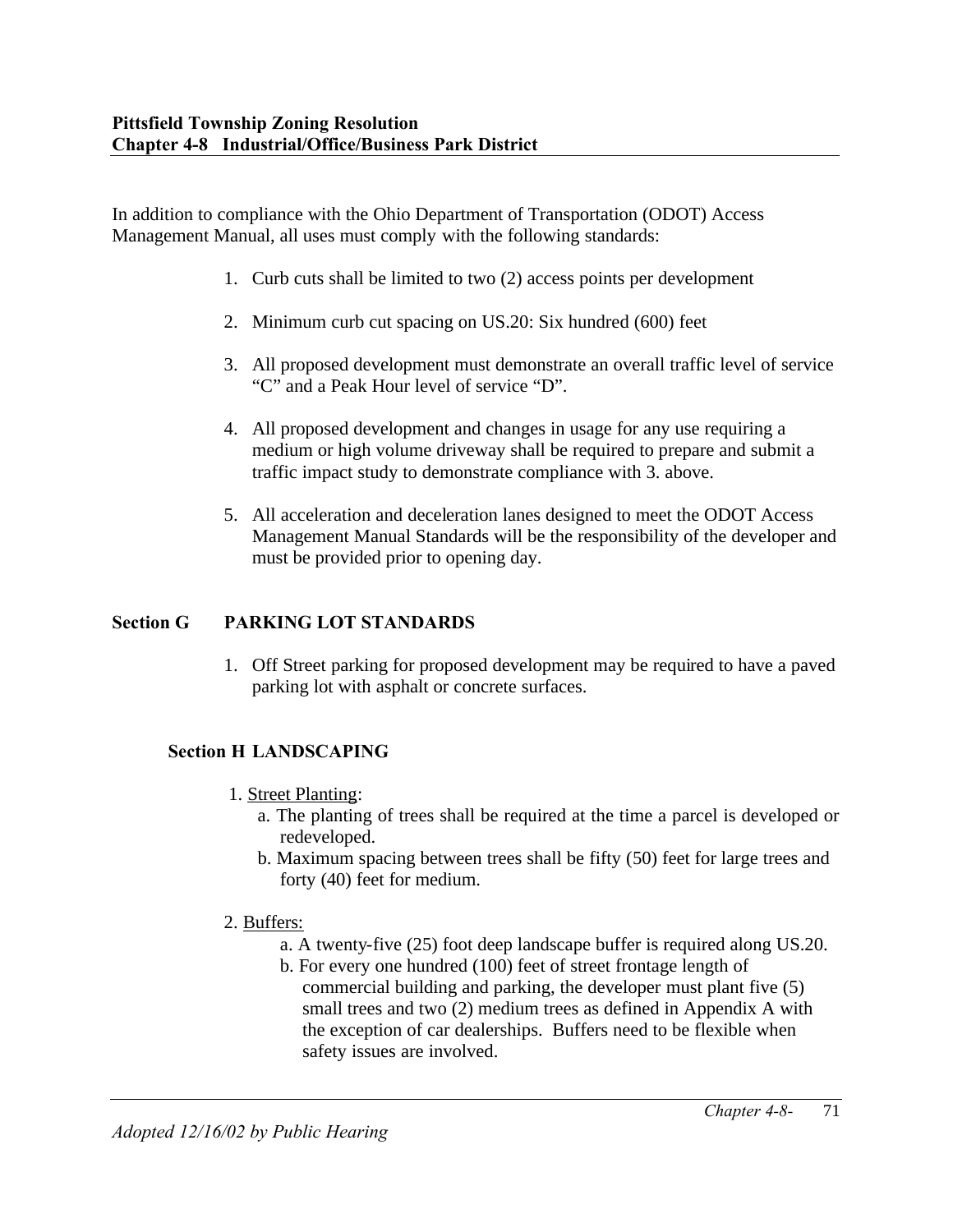In addition to compliance with the Ohio Department of Transportation (ODOT) Access Management Manual, all uses must comply with the following standards:

- 1. Curb cuts shall be limited to two (2) access points per development
- 2. Minimum curb cut spacing on US.20: Six hundred (600) feet
- 3. All proposed development must demonstrate an overall traffic level of service "C" and a Peak Hour level of service "D".
- 4. All proposed development and changes in usage for any use requiring a medium or high volume driveway shall be required to prepare and submit a traffic impact study to demonstrate compliance with 3. above.
- 5. All acceleration and deceleration lanes designed to meet the ODOT Access Management Manual Standards will be the responsibility of the developer and must be provided prior to opening day.

## **Section G PARKING LOT STANDARDS**

1. Off Street parking for proposed development may be required to have a paved parking lot with asphalt or concrete surfaces.

# **Section H LANDSCAPING**

- 1. Street Planting:
	- a. The planting of trees shall be required at the time a parcel is developed or redeveloped.
	- b. Maximum spacing between trees shall be fifty (50) feet for large trees and forty (40) feet for medium.

## 2. Buffers:

- a. A twenty-five (25) foot deep landscape buffer is required along US.20.
- b. For every one hundred (100) feet of street frontage length of commercial building and parking, the developer must plant five (5) small trees and two (2) medium trees as defined in Appendix A with the exception of car dealerships. Buffers need to be flexible when safety issues are involved.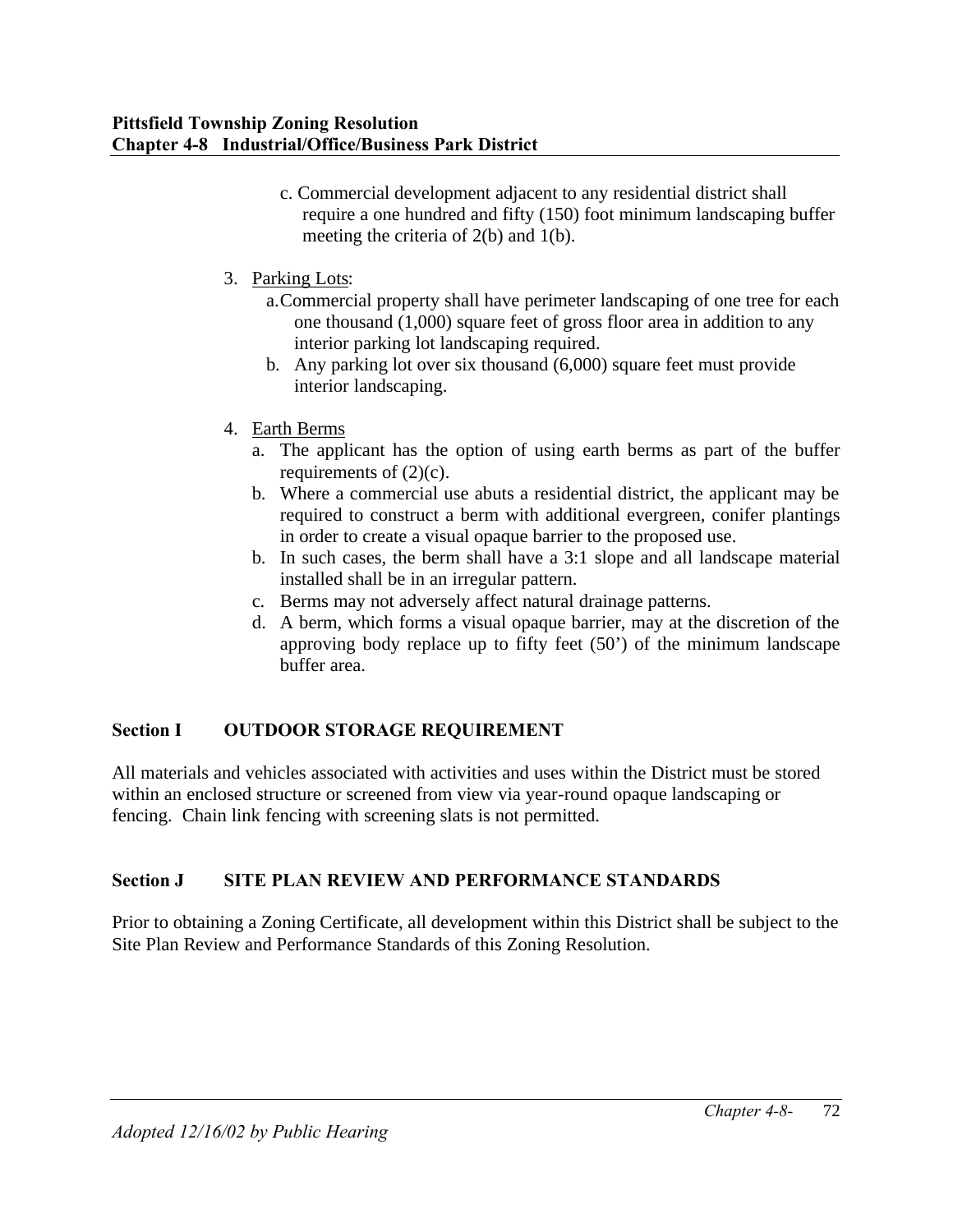- c. Commercial development adjacent to any residential district shall require a one hundred and fifty (150) foot minimum landscaping buffer meeting the criteria of 2(b) and 1(b).
- 3. Parking Lots:
	- a.Commercial property shall have perimeter landscaping of one tree for each one thousand (1,000) square feet of gross floor area in addition to any interior parking lot landscaping required.
	- b. Any parking lot over six thousand (6,000) square feet must provide interior landscaping.
- 4. Earth Berms
	- a. The applicant has the option of using earth berms as part of the buffer requirements of  $(2)(c)$ .
	- b. Where a commercial use abuts a residential district, the applicant may be required to construct a berm with additional evergreen, conifer plantings in order to create a visual opaque barrier to the proposed use.
	- b. In such cases, the berm shall have a 3:1 slope and all landscape material installed shall be in an irregular pattern.
	- c. Berms may not adversely affect natural drainage patterns.
	- d. A berm, which forms a visual opaque barrier, may at the discretion of the approving body replace up to fifty feet (50') of the minimum landscape buffer area.

# **Section I OUTDOOR STORAGE REQUIREMENT**

All materials and vehicles associated with activities and uses within the District must be stored within an enclosed structure or screened from view via year-round opaque landscaping or fencing. Chain link fencing with screening slats is not permitted.

# **Section J SITE PLAN REVIEW AND PERFORMANCE STANDARDS**

Prior to obtaining a Zoning Certificate, all development within this District shall be subject to the Site Plan Review and Performance Standards of this Zoning Resolution.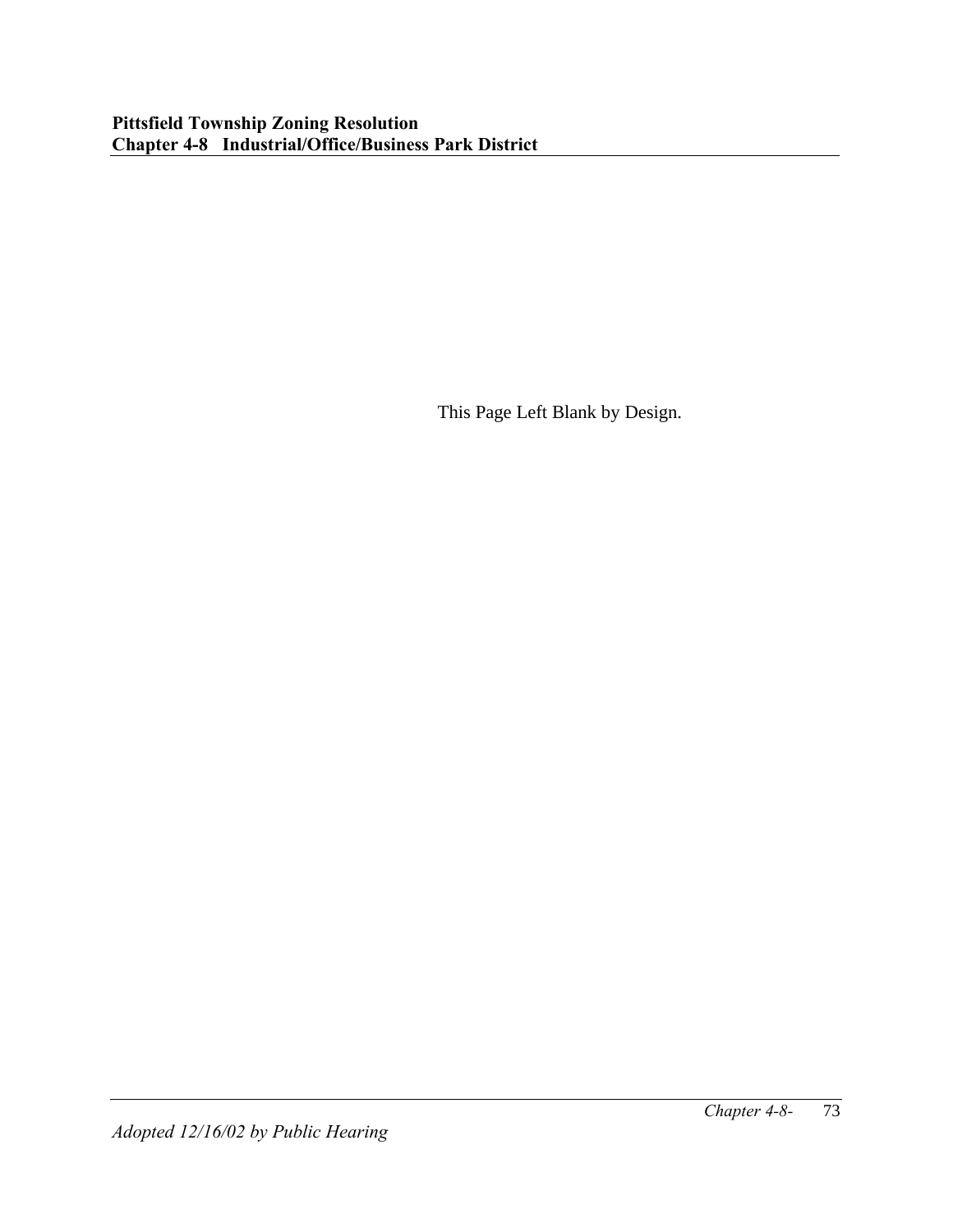This Page Left Blank by Design.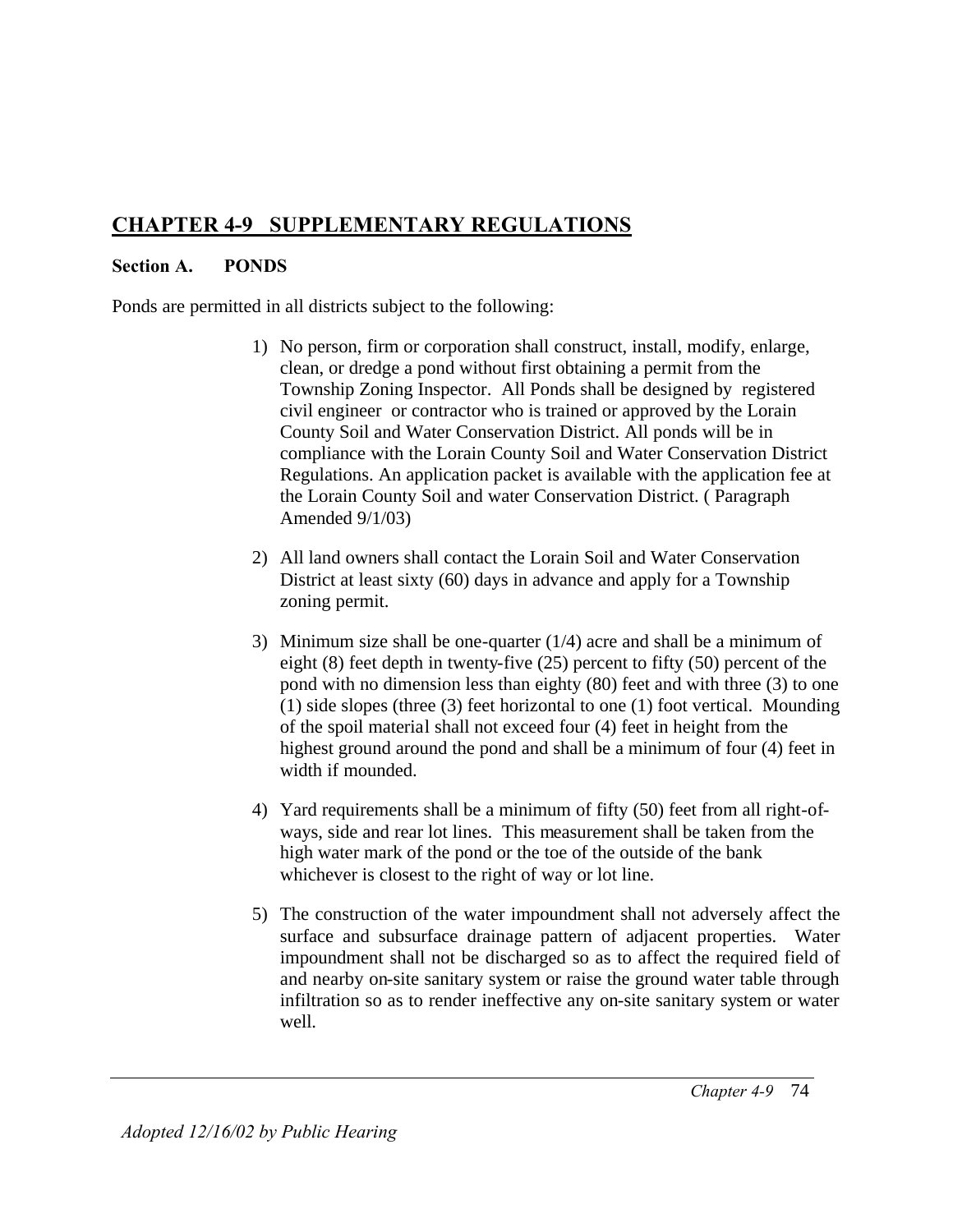# **CHAPTER 4-9 SUPPLEMENTARY REGULATIONS**

## **Section A. PONDS**

Ponds are permitted in all districts subject to the following:

- 1) No person, firm or corporation shall construct, install, modify, enlarge, clean, or dredge a pond without first obtaining a permit from the Township Zoning Inspector. All Ponds shall be designed by registered civil engineer or contractor who is trained or approved by the Lorain County Soil and Water Conservation District. All ponds will be in compliance with the Lorain County Soil and Water Conservation District Regulations. An application packet is available with the application fee at the Lorain County Soil and water Conservation District. ( Paragraph Amended 9/1/03)
- 2) All land owners shall contact the Lorain Soil and Water Conservation District at least sixty (60) days in advance and apply for a Township zoning permit.
- 3) Minimum size shall be one-quarter (1/4) acre and shall be a minimum of eight (8) feet depth in twenty-five (25) percent to fifty (50) percent of the pond with no dimension less than eighty (80) feet and with three (3) to one (1) side slopes (three (3) feet horizontal to one (1) foot vertical. Mounding of the spoil material shall not exceed four (4) feet in height from the highest ground around the pond and shall be a minimum of four (4) feet in width if mounded.
- 4) Yard requirements shall be a minimum of fifty (50) feet from all right-ofways, side and rear lot lines. This measurement shall be taken from the high water mark of the pond or the toe of the outside of the bank whichever is closest to the right of way or lot line.
- 5) The construction of the water impoundment shall not adversely affect the surface and subsurface drainage pattern of adjacent properties. Water impoundment shall not be discharged so as to affect the required field of and nearby on-site sanitary system or raise the ground water table through infiltration so as to render ineffective any on-site sanitary system or water well.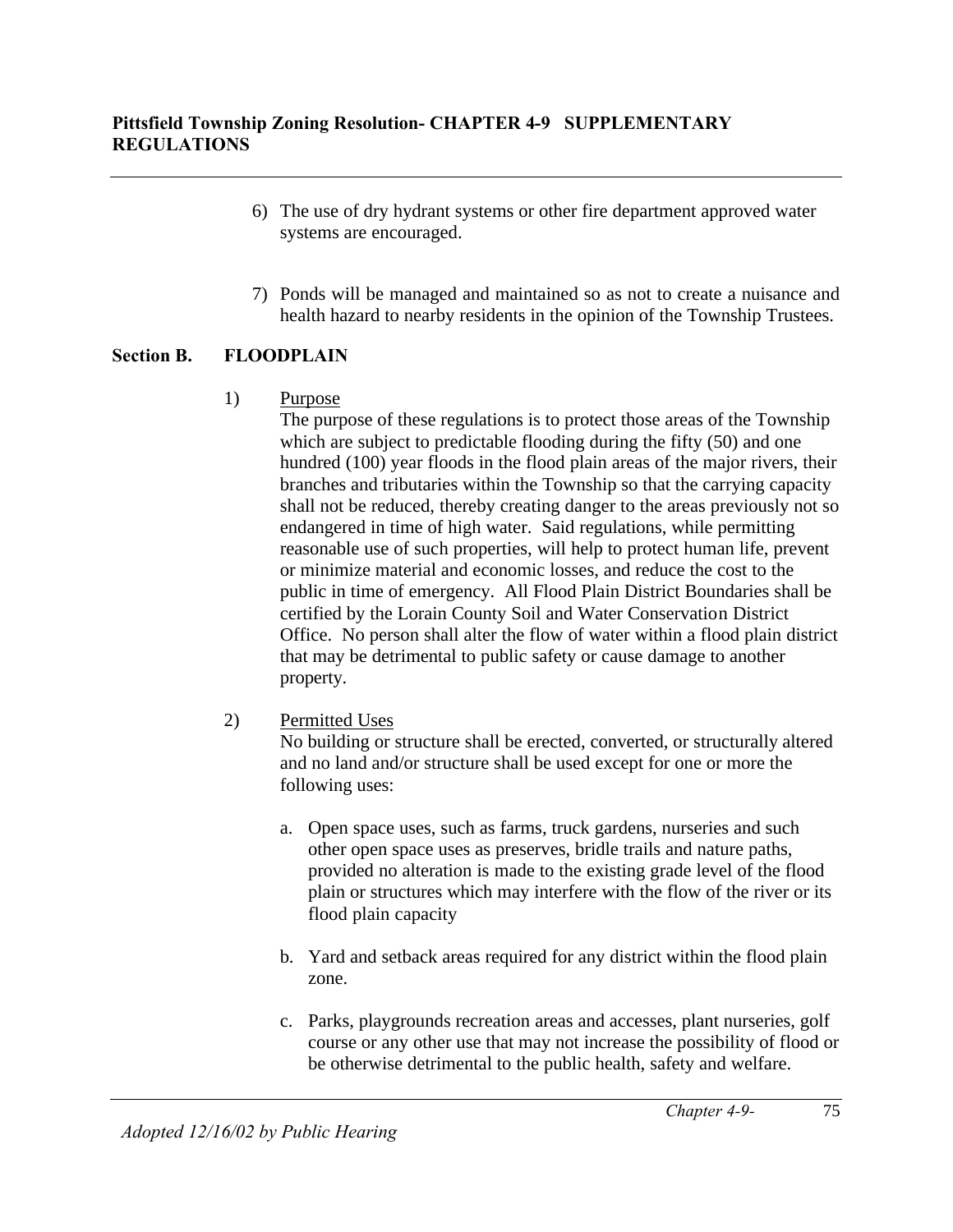- 6) The use of dry hydrant systems or other fire department approved water systems are encouraged.
- 7) Ponds will be managed and maintained so as not to create a nuisance and health hazard to nearby residents in the opinion of the Township Trustees.

# **Section B. FLOODPLAIN**

1) Purpose

The purpose of these regulations is to protect those areas of the Township which are subject to predictable flooding during the fifty (50) and one hundred (100) year floods in the flood plain areas of the major rivers, their branches and tributaries within the Township so that the carrying capacity shall not be reduced, thereby creating danger to the areas previously not so endangered in time of high water. Said regulations, while permitting reasonable use of such properties, will help to protect human life, prevent or minimize material and economic losses, and reduce the cost to the public in time of emergency. All Flood Plain District Boundaries shall be certified by the Lorain County Soil and Water Conservation District Office. No person shall alter the flow of water within a flood plain district that may be detrimental to public safety or cause damage to another property.

2) Permitted Uses

No building or structure shall be erected, converted, or structurally altered and no land and/or structure shall be used except for one or more the following uses:

- a. Open space uses, such as farms, truck gardens, nurseries and such other open space uses as preserves, bridle trails and nature paths, provided no alteration is made to the existing grade level of the flood plain or structures which may interfere with the flow of the river or its flood plain capacity
- b. Yard and setback areas required for any district within the flood plain zone.
- c. Parks, playgrounds recreation areas and accesses, plant nurseries, golf course or any other use that may not increase the possibility of flood or be otherwise detrimental to the public health, safety and welfare.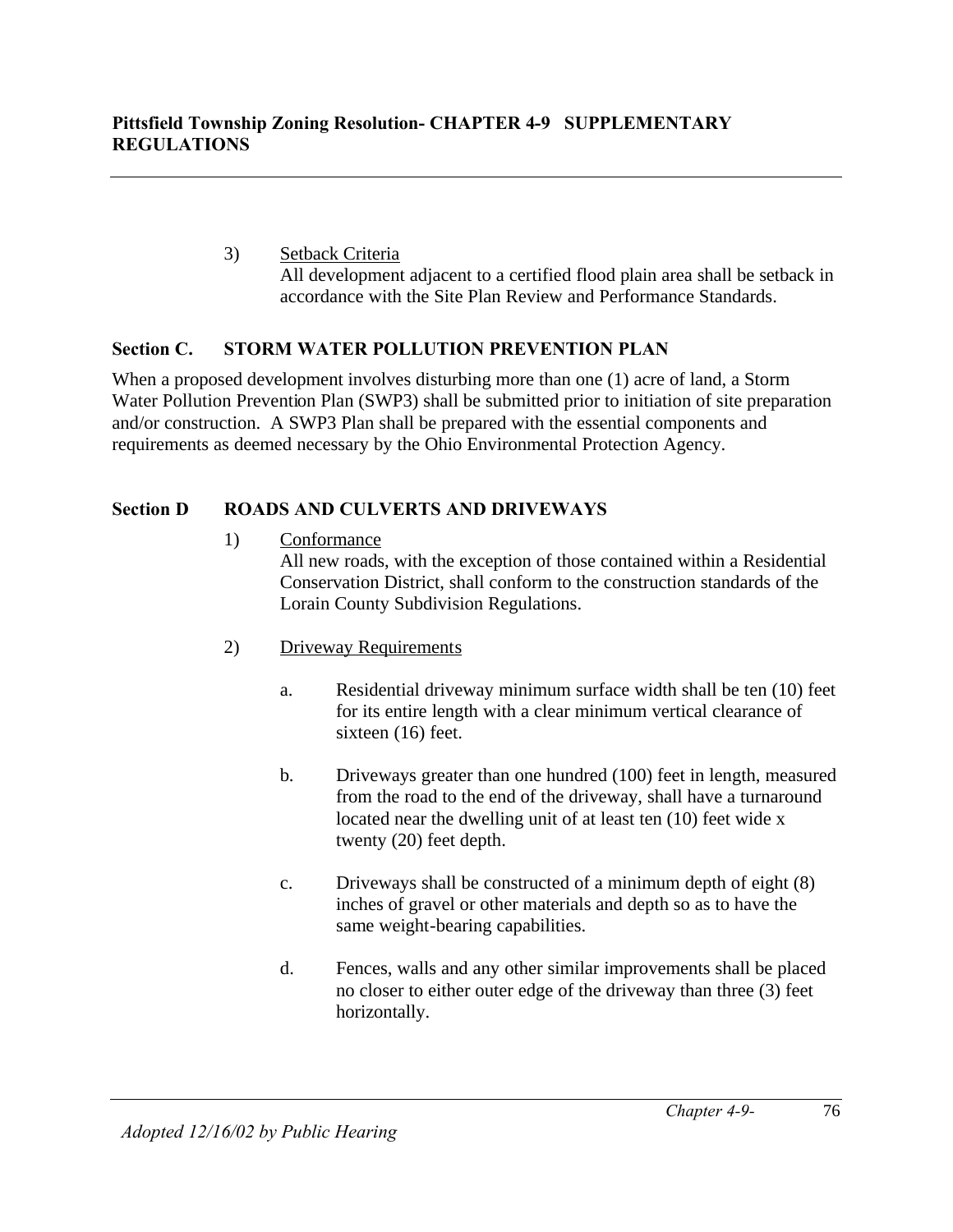3) Setback Criteria All development adjacent to a certified flood plain area shall be setback in accordance with the Site Plan Review and Performance Standards.

# **Section C. STORM WATER POLLUTION PREVENTION PLAN**

When a proposed development involves disturbing more than one (1) acre of land, a Storm Water Pollution Prevention Plan (SWP3) shall be submitted prior to initiation of site preparation and/or construction. A SWP3 Plan shall be prepared with the essential components and requirements as deemed necessary by the Ohio Environmental Protection Agency.

# **Section D ROADS AND CULVERTS AND DRIVEWAYS**

- 1) Conformance All new roads, with the exception of those contained within a Residential Conservation District, shall conform to the construction standards of the Lorain County Subdivision Regulations.
- 2) Driveway Requirements
	- a. Residential driveway minimum surface width shall be ten (10) feet for its entire length with a clear minimum vertical clearance of sixteen (16) feet.
	- b. Driveways greater than one hundred (100) feet in length, measured from the road to the end of the driveway, shall have a turnaround located near the dwelling unit of at least ten (10) feet wide x twenty (20) feet depth.
	- c. Driveways shall be constructed of a minimum depth of eight (8) inches of gravel or other materials and depth so as to have the same weight-bearing capabilities.
	- d. Fences, walls and any other similar improvements shall be placed no closer to either outer edge of the driveway than three (3) feet horizontally.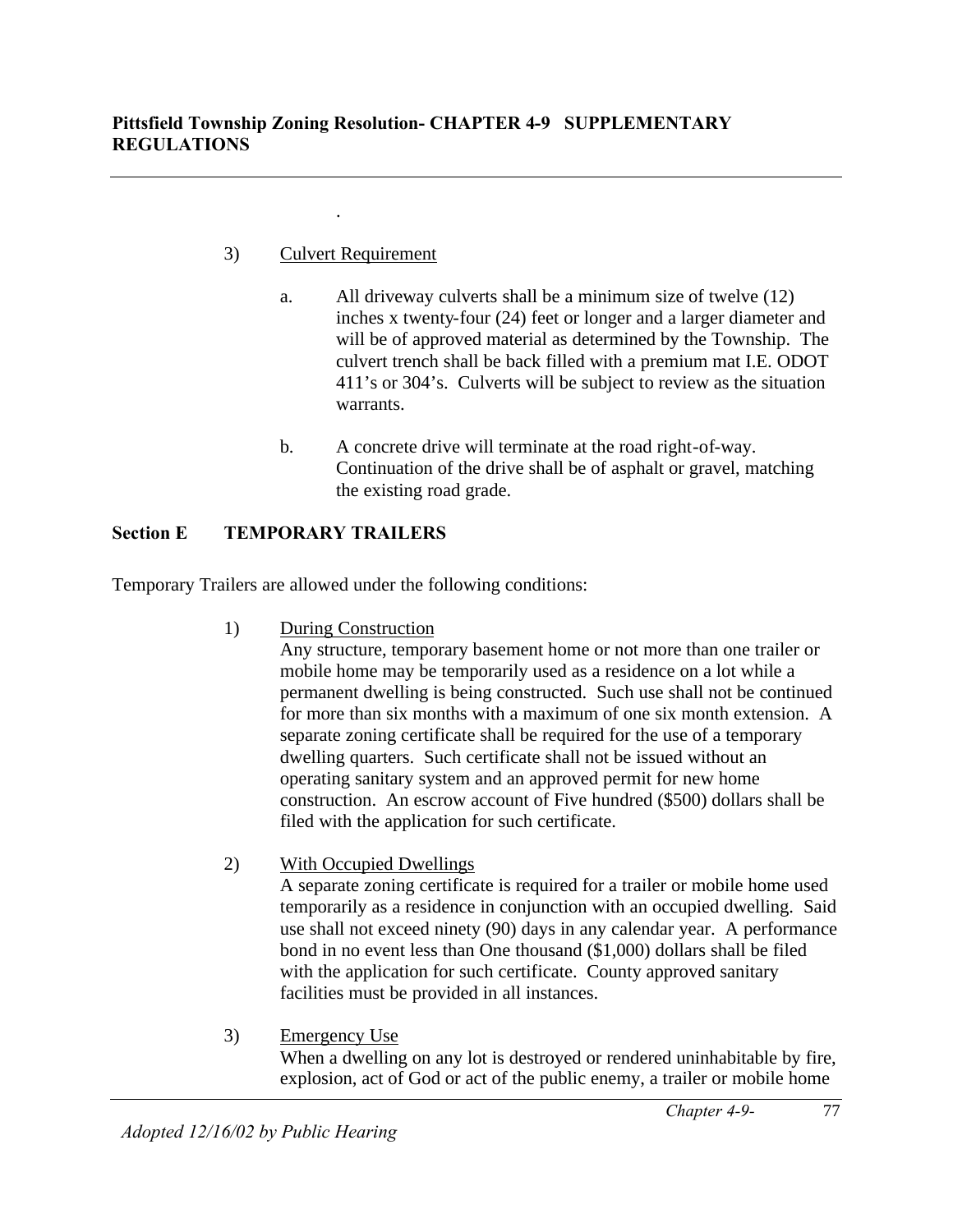# 3) Culvert Requirement

.

- a. All driveway culverts shall be a minimum size of twelve (12) inches x twenty-four (24) feet or longer and a larger diameter and will be of approved material as determined by the Township. The culvert trench shall be back filled with a premium mat I.E. ODOT 411's or 304's. Culverts will be subject to review as the situation warrants.
- b. A concrete drive will terminate at the road right-of-way. Continuation of the drive shall be of asphalt or gravel, matching the existing road grade.

# **Section E TEMPORARY TRAILERS**

Temporary Trailers are allowed under the following conditions:

1) During Construction

Any structure, temporary basement home or not more than one trailer or mobile home may be temporarily used as a residence on a lot while a permanent dwelling is being constructed. Such use shall not be continued for more than six months with a maximum of one six month extension. A separate zoning certificate shall be required for the use of a temporary dwelling quarters. Such certificate shall not be issued without an operating sanitary system and an approved permit for new home construction. An escrow account of Five hundred (\$500) dollars shall be filed with the application for such certificate.

2) With Occupied Dwellings

A separate zoning certificate is required for a trailer or mobile home used temporarily as a residence in conjunction with an occupied dwelling. Said use shall not exceed ninety (90) days in any calendar year. A performance bond in no event less than One thousand (\$1,000) dollars shall be filed with the application for such certificate. County approved sanitary facilities must be provided in all instances.

3) Emergency Use When a dwelling on any lot is destroyed or rendered uninhabitable by fire, explosion, act of God or act of the public enemy, a trailer or mobile home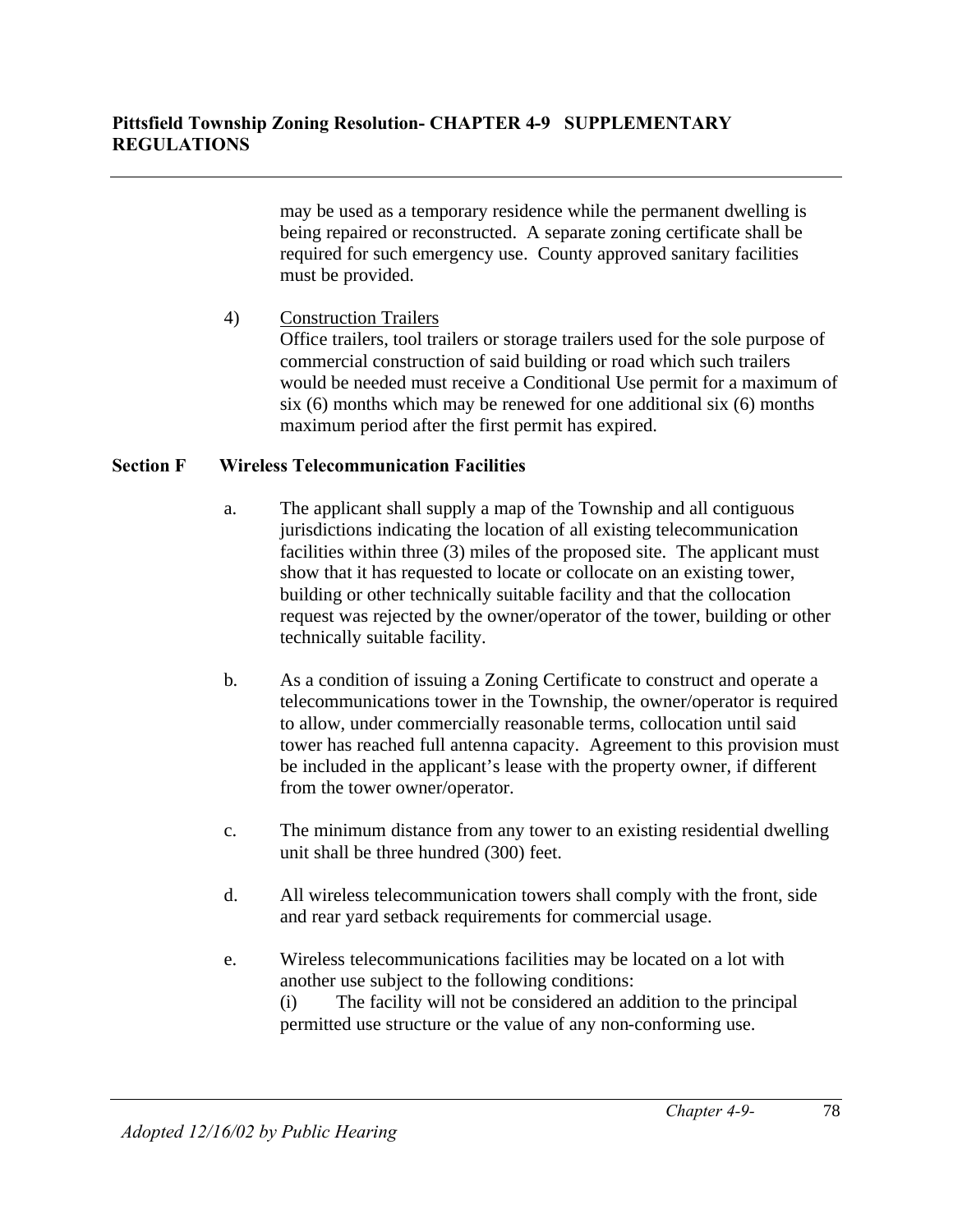may be used as a temporary residence while the permanent dwelling is being repaired or reconstructed. A separate zoning certificate shall be required for such emergency use. County approved sanitary facilities must be provided.

# 4) Construction Trailers

Office trailers, tool trailers or storage trailers used for the sole purpose of commercial construction of said building or road which such trailers would be needed must receive a Conditional Use permit for a maximum of six (6) months which may be renewed for one additional six (6) months maximum period after the first permit has expired.

## **Section F Wireless Telecommunication Facilities**

- a. The applicant shall supply a map of the Township and all contiguous jurisdictions indicating the location of all existing telecommunication facilities within three (3) miles of the proposed site. The applicant must show that it has requested to locate or collocate on an existing tower, building or other technically suitable facility and that the collocation request was rejected by the owner/operator of the tower, building or other technically suitable facility.
- b. As a condition of issuing a Zoning Certificate to construct and operate a telecommunications tower in the Township, the owner/operator is required to allow, under commercially reasonable terms, collocation until said tower has reached full antenna capacity. Agreement to this provision must be included in the applicant's lease with the property owner, if different from the tower owner/operator.
- c. The minimum distance from any tower to an existing residential dwelling unit shall be three hundred (300) feet.
- d. All wireless telecommunication towers shall comply with the front, side and rear yard setback requirements for commercial usage.
- e. Wireless telecommunications facilities may be located on a lot with another use subject to the following conditions:

(i) The facility will not be considered an addition to the principal permitted use structure or the value of any non-conforming use.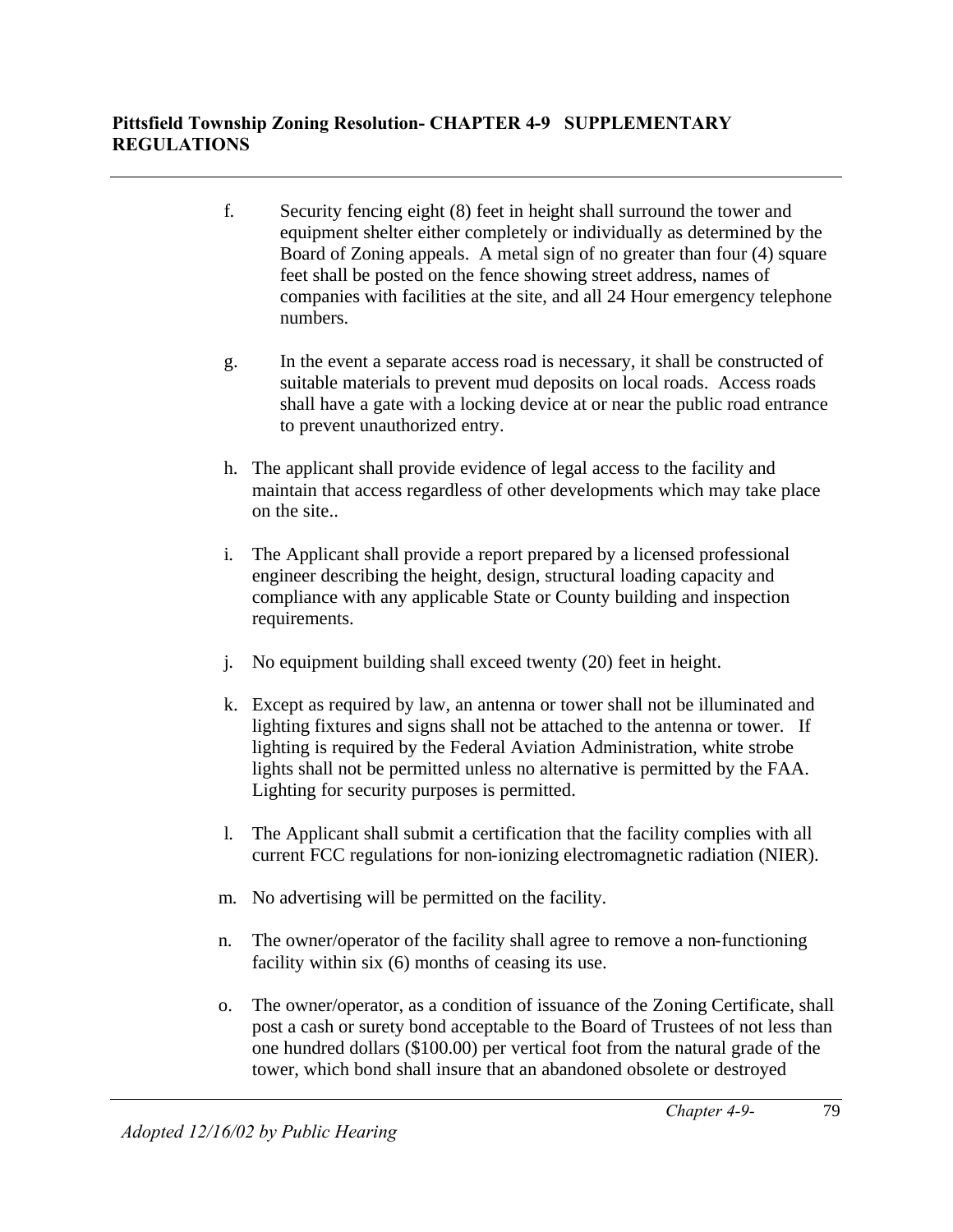- f. Security fencing eight (8) feet in height shall surround the tower and equipment shelter either completely or individually as determined by the Board of Zoning appeals. A metal sign of no greater than four (4) square feet shall be posted on the fence showing street address, names of companies with facilities at the site, and all 24 Hour emergency telephone numbers.
- g. In the event a separate access road is necessary, it shall be constructed of suitable materials to prevent mud deposits on local roads. Access roads shall have a gate with a locking device at or near the public road entrance to prevent unauthorized entry.
- h. The applicant shall provide evidence of legal access to the facility and maintain that access regardless of other developments which may take place on the site..
- i. The Applicant shall provide a report prepared by a licensed professional engineer describing the height, design, structural loading capacity and compliance with any applicable State or County building and inspection requirements.
- j. No equipment building shall exceed twenty (20) feet in height.
- k. Except as required by law, an antenna or tower shall not be illuminated and lighting fixtures and signs shall not be attached to the antenna or tower. If lighting is required by the Federal Aviation Administration, white strobe lights shall not be permitted unless no alternative is permitted by the FAA. Lighting for security purposes is permitted.
- l. The Applicant shall submit a certification that the facility complies with all current FCC regulations for non-ionizing electromagnetic radiation (NIER).
- m. No advertising will be permitted on the facility.
- n. The owner/operator of the facility shall agree to remove a non-functioning facility within six (6) months of ceasing its use.
- o. The owner/operator, as a condition of issuance of the Zoning Certificate, shall post a cash or surety bond acceptable to the Board of Trustees of not less than one hundred dollars (\$100.00) per vertical foot from the natural grade of the tower, which bond shall insure that an abandoned obsolete or destroyed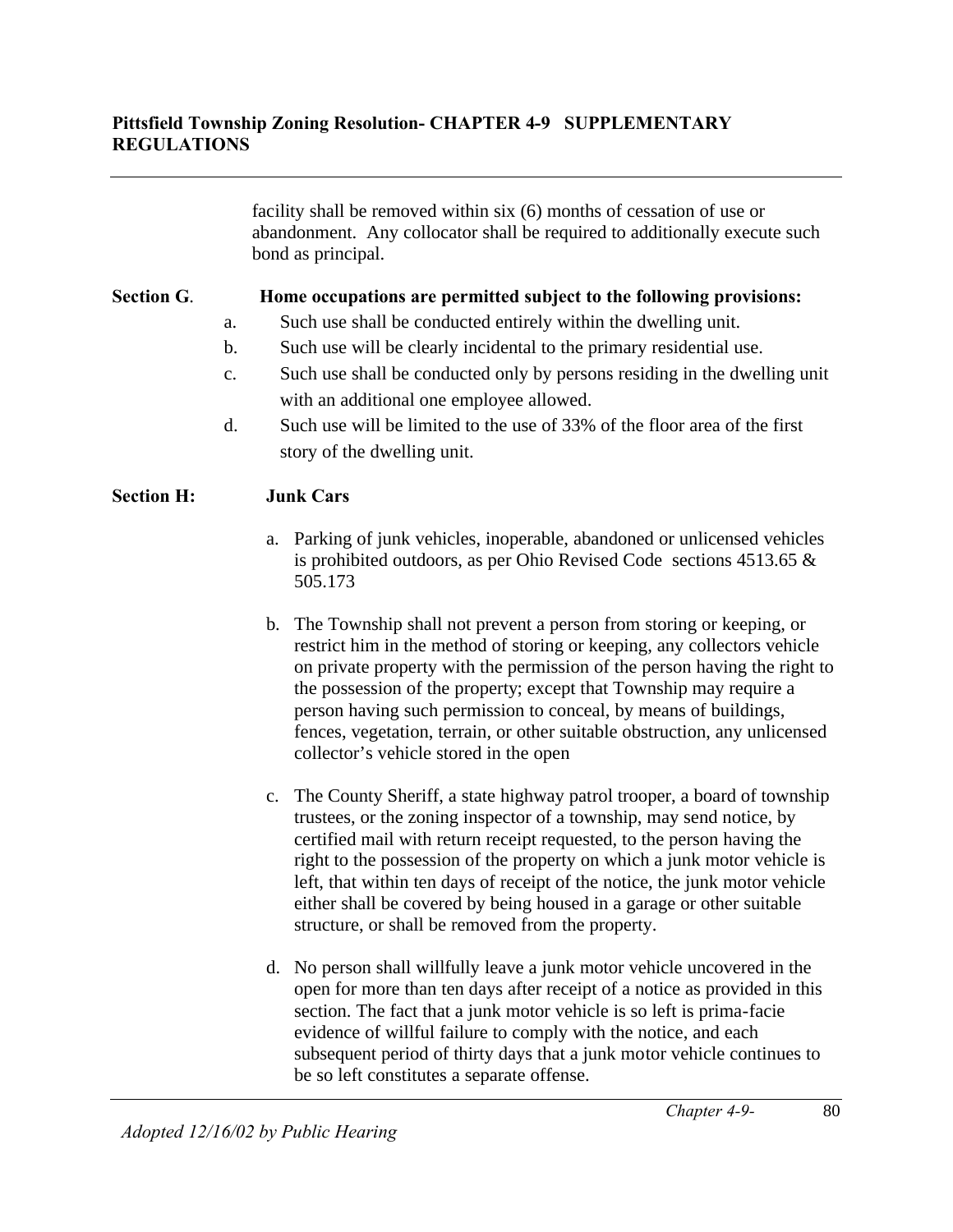facility shall be removed within six (6) months of cessation of use or abandonment. Any collocator shall be required to additionally execute such bond as principal.

## **Section G**. **Home occupations are permitted subject to the following provisions:**

- a. Such use shall be conducted entirely within the dwelling unit.
- b. Such use will be clearly incidental to the primary residential use.
- c. Such use shall be conducted only by persons residing in the dwelling unit with an additional one employee allowed.
- d. Such use will be limited to the use of 33% of the floor area of the first story of the dwelling unit.

## **Section H: Junk Cars**

- a. Parking of junk vehicles, inoperable, abandoned or unlicensed vehicles is prohibited outdoors, as per Ohio Revised Code sections 4513.65 & 505.173
- b. The Township shall not prevent a person from storing or keeping, or restrict him in the method of storing or keeping, any collectors vehicle on private property with the permission of the person having the right to the possession of the property; except that Township may require a person having such permission to conceal, by means of buildings, fences, vegetation, terrain, or other suitable obstruction, any unlicensed collector's vehicle stored in the open
- c. The County Sheriff, a state highway patrol trooper, a board of township trustees, or the zoning inspector of a township, may send notice, by certified mail with return receipt requested, to the person having the right to the possession of the property on which a junk motor vehicle is left, that within ten days of receipt of the notice, the junk motor vehicle either shall be covered by being housed in a garage or other suitable structure, or shall be removed from the property.
- d. No person shall willfully leave a junk motor vehicle uncovered in the open for more than ten days after receipt of a notice as provided in this section. The fact that a junk motor vehicle is so left is prima-facie evidence of willful failure to comply with the notice, and each subsequent period of thirty days that a junk motor vehicle continues to be so left constitutes a separate offense.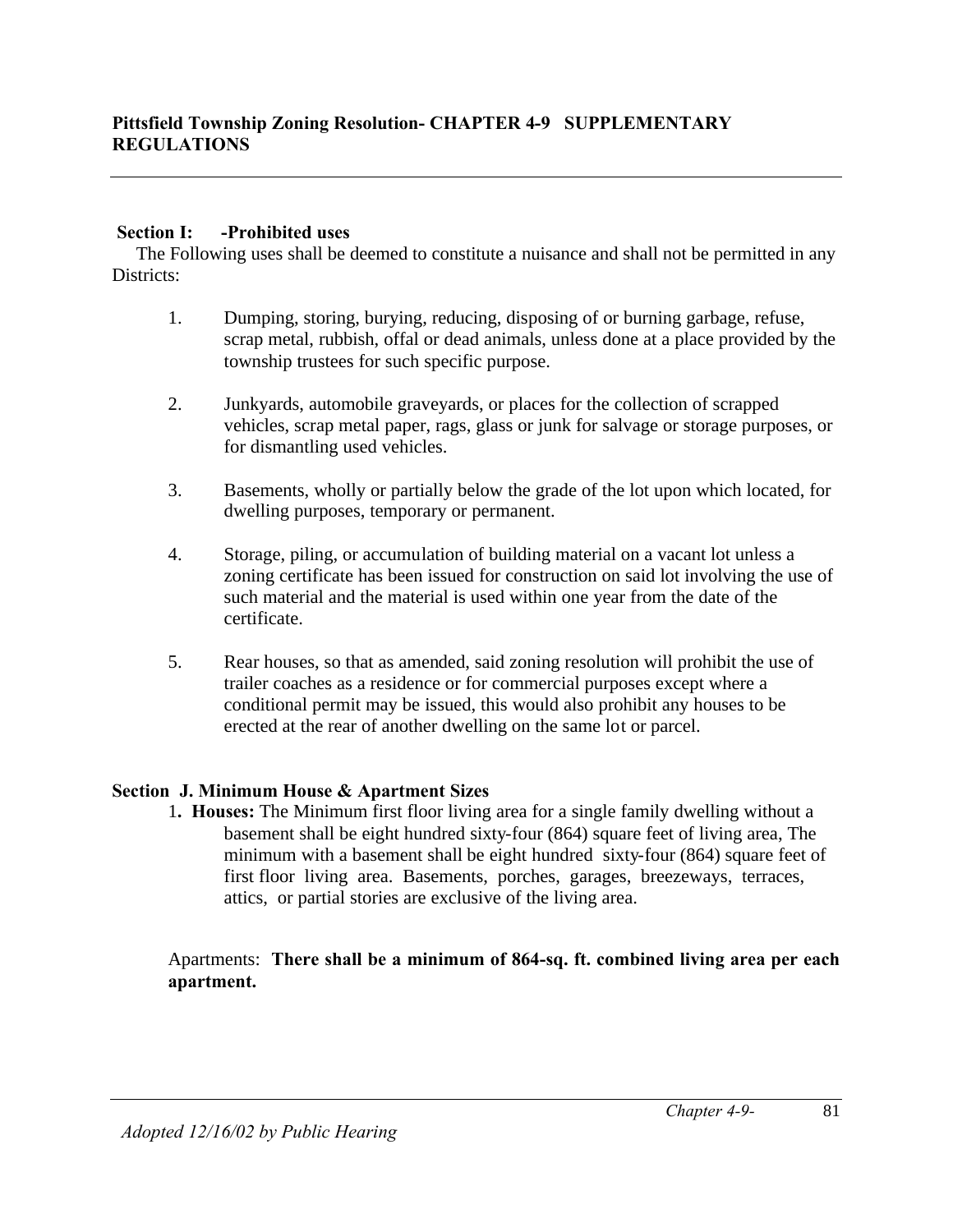## **Section I: -Prohibited uses**

 The Following uses shall be deemed to constitute a nuisance and shall not be permitted in any Districts:

- 1. Dumping, storing, burying, reducing, disposing of or burning garbage, refuse, scrap metal, rubbish, offal or dead animals, unless done at a place provided by the township trustees for such specific purpose.
- 2. Junkyards, automobile graveyards, or places for the collection of scrapped vehicles, scrap metal paper, rags, glass or junk for salvage or storage purposes, or for dismantling used vehicles.
- 3. Basements, wholly or partially below the grade of the lot upon which located, for dwelling purposes, temporary or permanent.
- 4. Storage, piling, or accumulation of building material on a vacant lot unless a zoning certificate has been issued for construction on said lot involving the use of such material and the material is used within one year from the date of the certificate.
- 5. Rear houses, so that as amended, said zoning resolution will prohibit the use of trailer coaches as a residence or for commercial purposes except where a conditional permit may be issued, this would also prohibit any houses to be erected at the rear of another dwelling on the same lot or parcel.

## **Section J. Minimum House & Apartment Sizes**

1**. Houses:** The Minimum first floor living area for a single family dwelling without a basement shall be eight hundred sixty-four (864) square feet of living area, The minimum with a basement shall be eight hundred sixty-four (864) square feet of first floor living area. Basements, porches, garages, breezeways, terraces, attics, or partial stories are exclusive of the living area.

Apartments: **There shall be a minimum of 864-sq. ft. combined living area per each apartment.**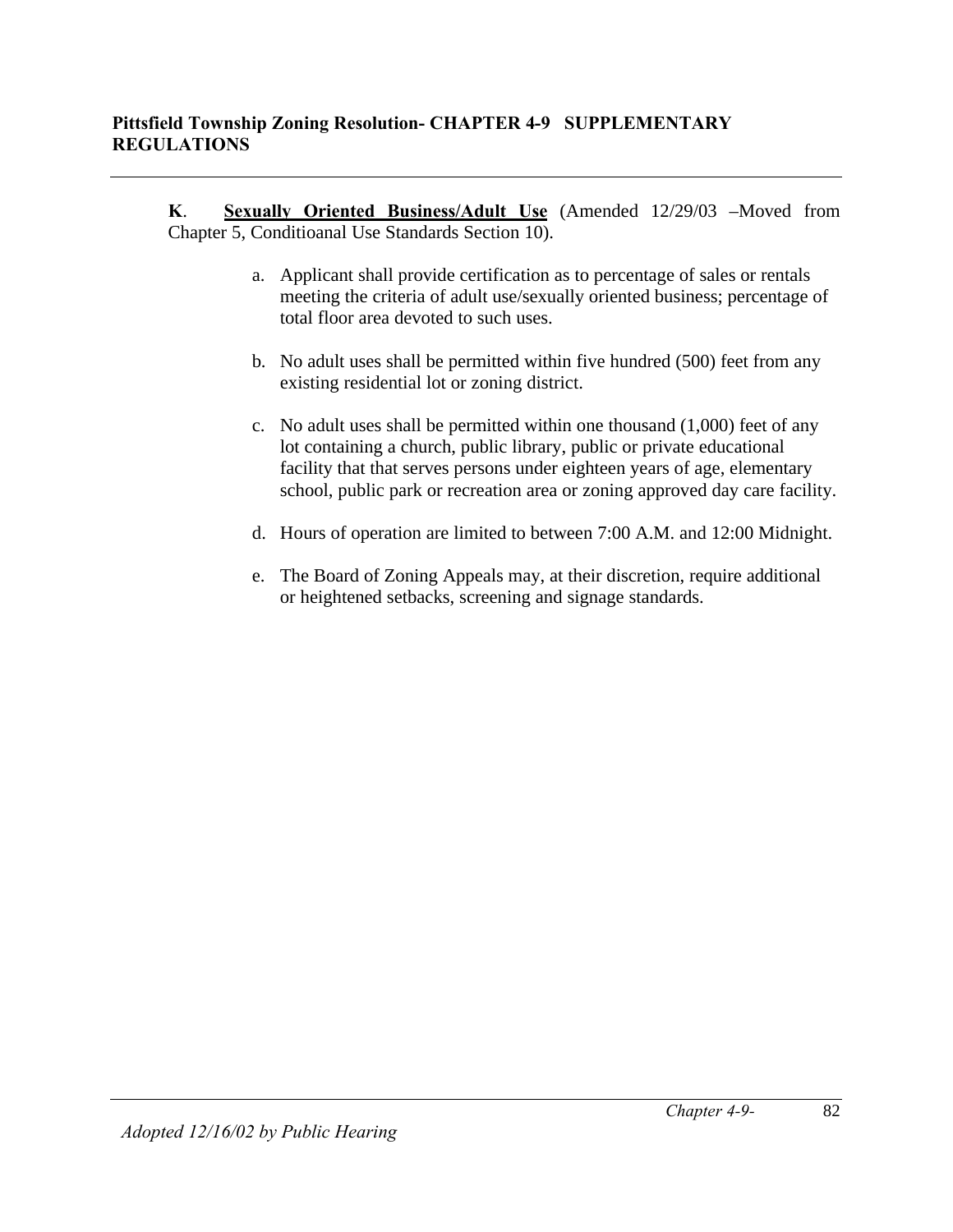**K**. **Sexually Oriented Business/Adult Use** (Amended 12/29/03 –Moved from Chapter 5, Conditioanal Use Standards Section 10).

- a. Applicant shall provide certification as to percentage of sales or rentals meeting the criteria of adult use/sexually oriented business; percentage of total floor area devoted to such uses.
- b. No adult uses shall be permitted within five hundred (500) feet from any existing residential lot or zoning district.
- c. No adult uses shall be permitted within one thousand (1,000) feet of any lot containing a church, public library, public or private educational facility that that serves persons under eighteen years of age, elementary school, public park or recreation area or zoning approved day care facility.
- d. Hours of operation are limited to between 7:00 A.M. and 12:00 Midnight.
- e. The Board of Zoning Appeals may, at their discretion, require additional or heightened setbacks, screening and signage standards.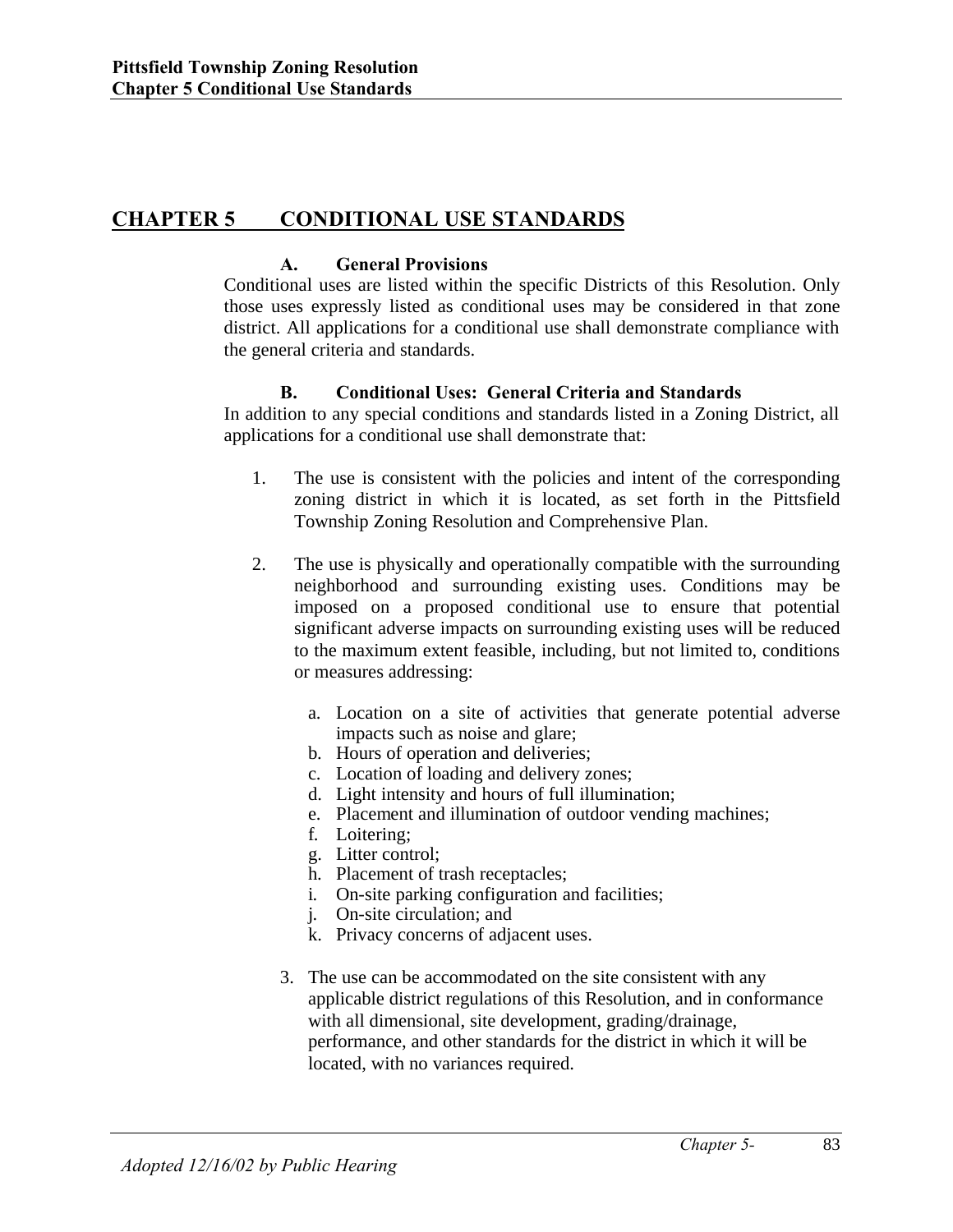# **CHAPTER 5 CONDITIONAL USE STANDARDS**

## **A. General Provisions**

Conditional uses are listed within the specific Districts of this Resolution. Only those uses expressly listed as conditional uses may be considered in that zone district. All applications for a conditional use shall demonstrate compliance with the general criteria and standards.

## **B. Conditional Uses: General Criteria and Standards**

In addition to any special conditions and standards listed in a Zoning District, all applications for a conditional use shall demonstrate that:

- 1. The use is consistent with the policies and intent of the corresponding zoning district in which it is located, as set forth in the Pittsfield Township Zoning Resolution and Comprehensive Plan.
- 2. The use is physically and operationally compatible with the surrounding neighborhood and surrounding existing uses. Conditions may be imposed on a proposed conditional use to ensure that potential significant adverse impacts on surrounding existing uses will be reduced to the maximum extent feasible, including, but not limited to, conditions or measures addressing:
	- a. Location on a site of activities that generate potential adverse impacts such as noise and glare;
	- b. Hours of operation and deliveries;
	- c. Location of loading and delivery zones;
	- d. Light intensity and hours of full illumination;
	- e. Placement and illumination of outdoor vending machines;
	- f. Loitering;
	- g. Litter control;
	- h. Placement of trash receptacles;
	- i. On-site parking configuration and facilities;
	- j. On-site circulation; and
	- k. Privacy concerns of adjacent uses.
	- 3. The use can be accommodated on the site consistent with any applicable district regulations of this Resolution, and in conformance with all dimensional, site development, grading/drainage, performance, and other standards for the district in which it will be located, with no variances required.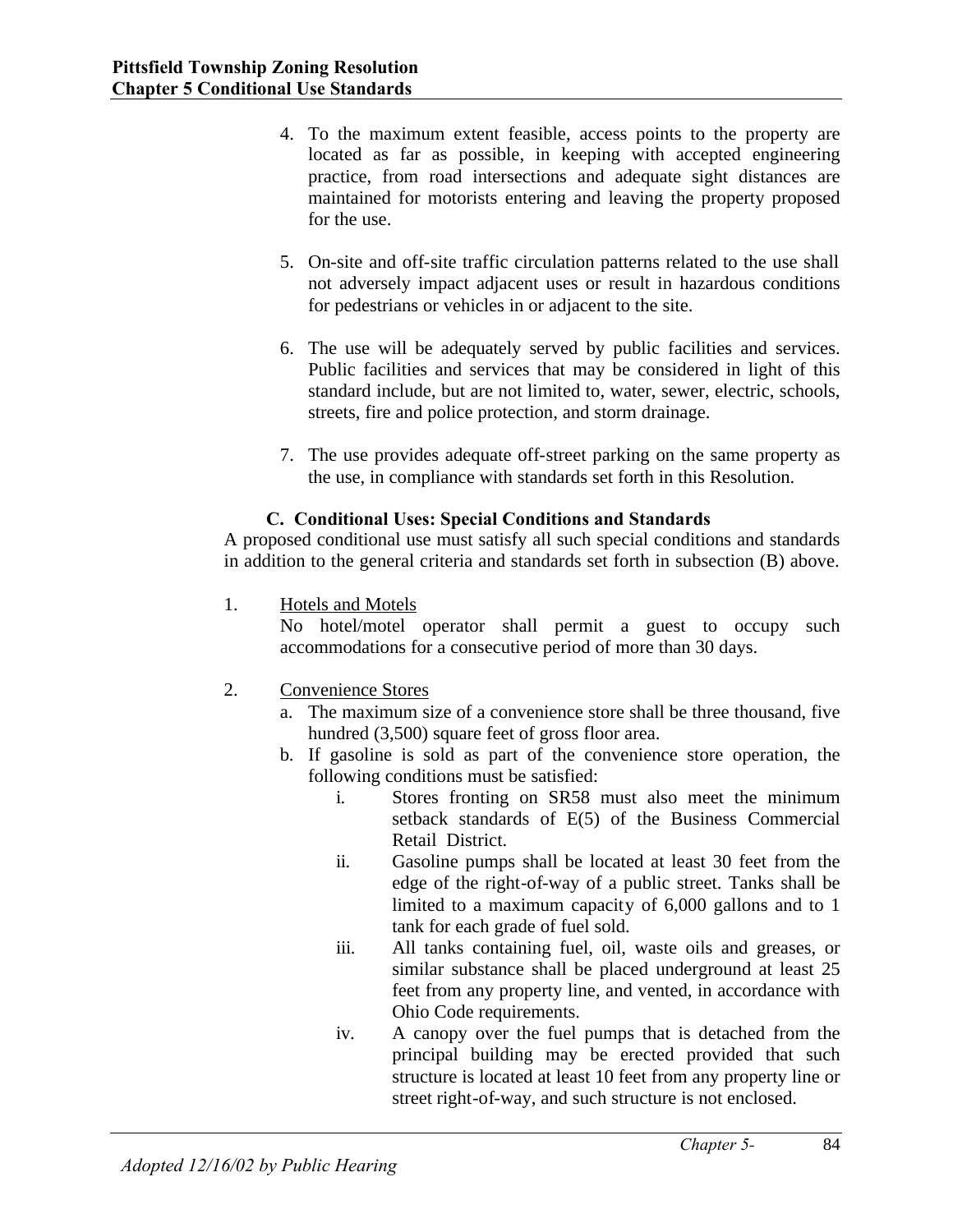- 4. To the maximum extent feasible, access points to the property are located as far as possible, in keeping with accepted engineering practice, from road intersections and adequate sight distances are maintained for motorists entering and leaving the property proposed for the use.
- 5. On-site and off-site traffic circulation patterns related to the use shall not adversely impact adjacent uses or result in hazardous conditions for pedestrians or vehicles in or adjacent to the site.
- 6. The use will be adequately served by public facilities and services. Public facilities and services that may be considered in light of this standard include, but are not limited to, water, sewer, electric, schools, streets, fire and police protection, and storm drainage.
- 7. The use provides adequate off-street parking on the same property as the use, in compliance with standards set forth in this Resolution.

## **C. Conditional Uses: Special Conditions and Standards**

A proposed conditional use must satisfy all such special conditions and standards in addition to the general criteria and standards set forth in subsection (B) above.

1. Hotels and Motels

No hotel/motel operator shall permit a guest to occupy such accommodations for a consecutive period of more than 30 days.

- 2. Convenience Stores
	- a. The maximum size of a convenience store shall be three thousand, five hundred (3,500) square feet of gross floor area.
	- b. If gasoline is sold as part of the convenience store operation, the following conditions must be satisfied:
		- i. Stores fronting on SR58 must also meet the minimum setback standards of E(5) of the Business Commercial Retail District.
		- ii. Gasoline pumps shall be located at least 30 feet from the edge of the right-of-way of a public street. Tanks shall be limited to a maximum capacity of 6,000 gallons and to 1 tank for each grade of fuel sold.
		- iii. All tanks containing fuel, oil, waste oils and greases, or similar substance shall be placed underground at least 25 feet from any property line, and vented, in accordance with Ohio Code requirements.
		- iv. A canopy over the fuel pumps that is detached from the principal building may be erected provided that such structure is located at least 10 feet from any property line or street right-of-way, and such structure is not enclosed.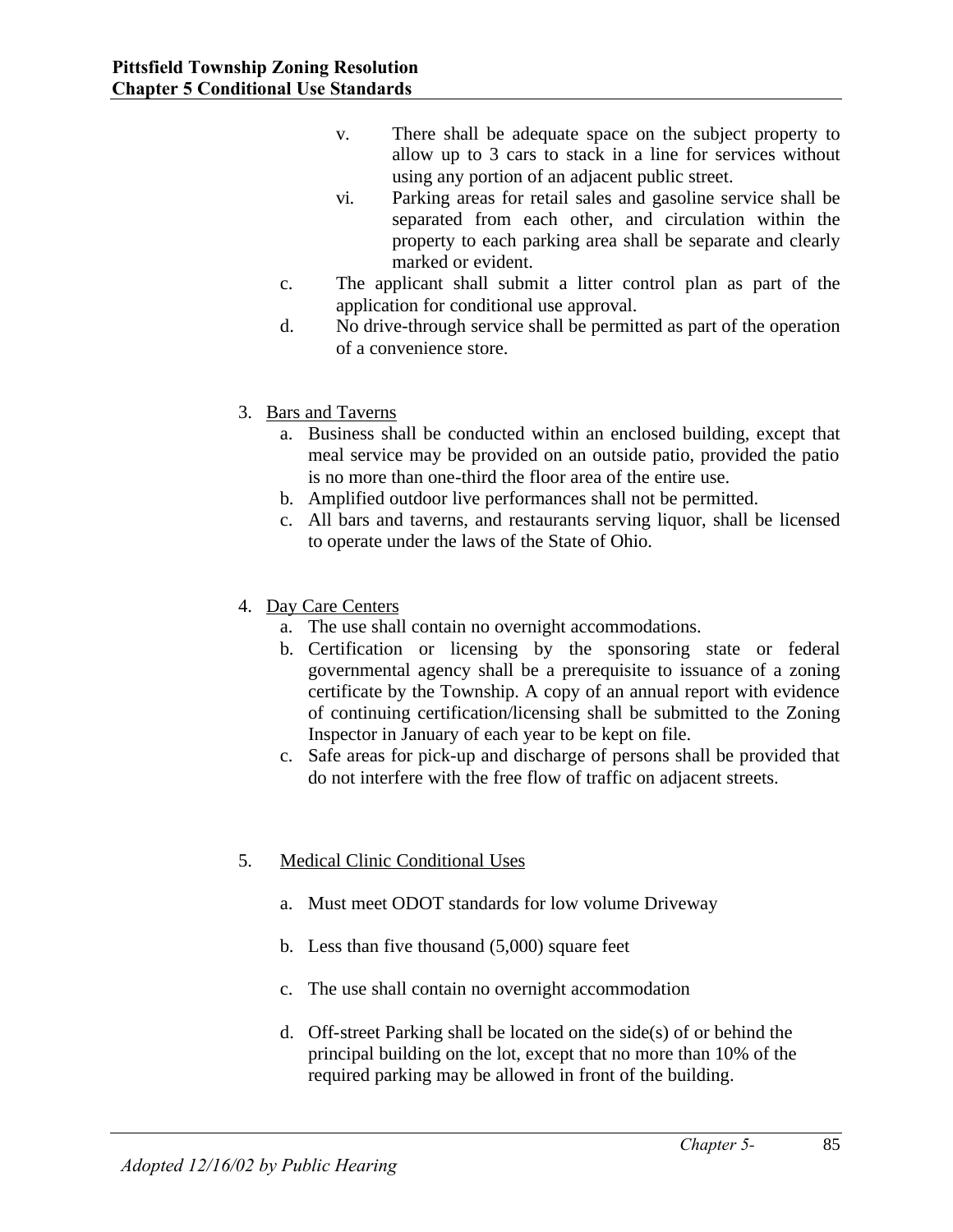- v. There shall be adequate space on the subject property to allow up to 3 cars to stack in a line for services without using any portion of an adjacent public street.
- vi. Parking areas for retail sales and gasoline service shall be separated from each other, and circulation within the property to each parking area shall be separate and clearly marked or evident.
- c. The applicant shall submit a litter control plan as part of the application for conditional use approval.
- d. No drive-through service shall be permitted as part of the operation of a convenience store.
- 3. Bars and Taverns
	- a. Business shall be conducted within an enclosed building, except that meal service may be provided on an outside patio, provided the patio is no more than one-third the floor area of the entire use.
	- b. Amplified outdoor live performances shall not be permitted.
	- c. All bars and taverns, and restaurants serving liquor, shall be licensed to operate under the laws of the State of Ohio.
- 4. Day Care Centers
	- a. The use shall contain no overnight accommodations.
	- b. Certification or licensing by the sponsoring state or federal governmental agency shall be a prerequisite to issuance of a zoning certificate by the Township. A copy of an annual report with evidence of continuing certification/licensing shall be submitted to the Zoning Inspector in January of each year to be kept on file.
	- c. Safe areas for pick-up and discharge of persons shall be provided that do not interfere with the free flow of traffic on adjacent streets.
- 5. Medical Clinic Conditional Uses
	- a. Must meet ODOT standards for low volume Driveway
	- b. Less than five thousand (5,000) square feet
	- c. The use shall contain no overnight accommodation
	- d. Off-street Parking shall be located on the side(s) of or behind the principal building on the lot, except that no more than 10% of the required parking may be allowed in front of the building.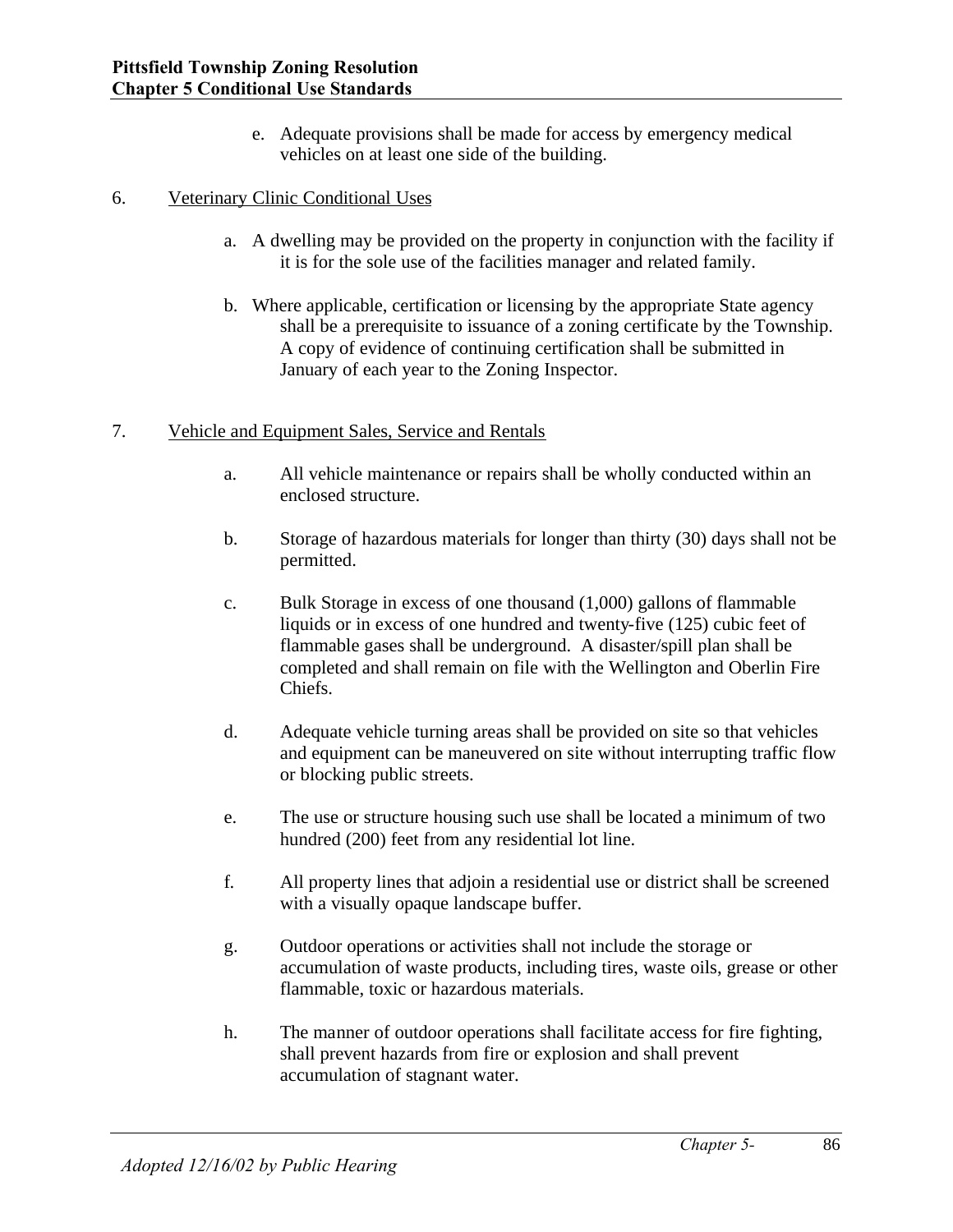e. Adequate provisions shall be made for access by emergency medical vehicles on at least one side of the building.

## 6. Veterinary Clinic Conditional Uses

- a. A dwelling may be provided on the property in conjunction with the facility if it is for the sole use of the facilities manager and related family.
- b. Where applicable, certification or licensing by the appropriate State agency shall be a prerequisite to issuance of a zoning certificate by the Township. A copy of evidence of continuing certification shall be submitted in January of each year to the Zoning Inspector.

## 7. Vehicle and Equipment Sales, Service and Rentals

- a. All vehicle maintenance or repairs shall be wholly conducted within an enclosed structure.
- b. Storage of hazardous materials for longer than thirty (30) days shall not be permitted.
- c. Bulk Storage in excess of one thousand (1,000) gallons of flammable liquids or in excess of one hundred and twenty-five (125) cubic feet of flammable gases shall be underground. A disaster/spill plan shall be completed and shall remain on file with the Wellington and Oberlin Fire Chiefs.
- d. Adequate vehicle turning areas shall be provided on site so that vehicles and equipment can be maneuvered on site without interrupting traffic flow or blocking public streets.
- e. The use or structure housing such use shall be located a minimum of two hundred (200) feet from any residential lot line.
- f. All property lines that adjoin a residential use or district shall be screened with a visually opaque landscape buffer.
- g. Outdoor operations or activities shall not include the storage or accumulation of waste products, including tires, waste oils, grease or other flammable, toxic or hazardous materials.
- h. The manner of outdoor operations shall facilitate access for fire fighting, shall prevent hazards from fire or explosion and shall prevent accumulation of stagnant water.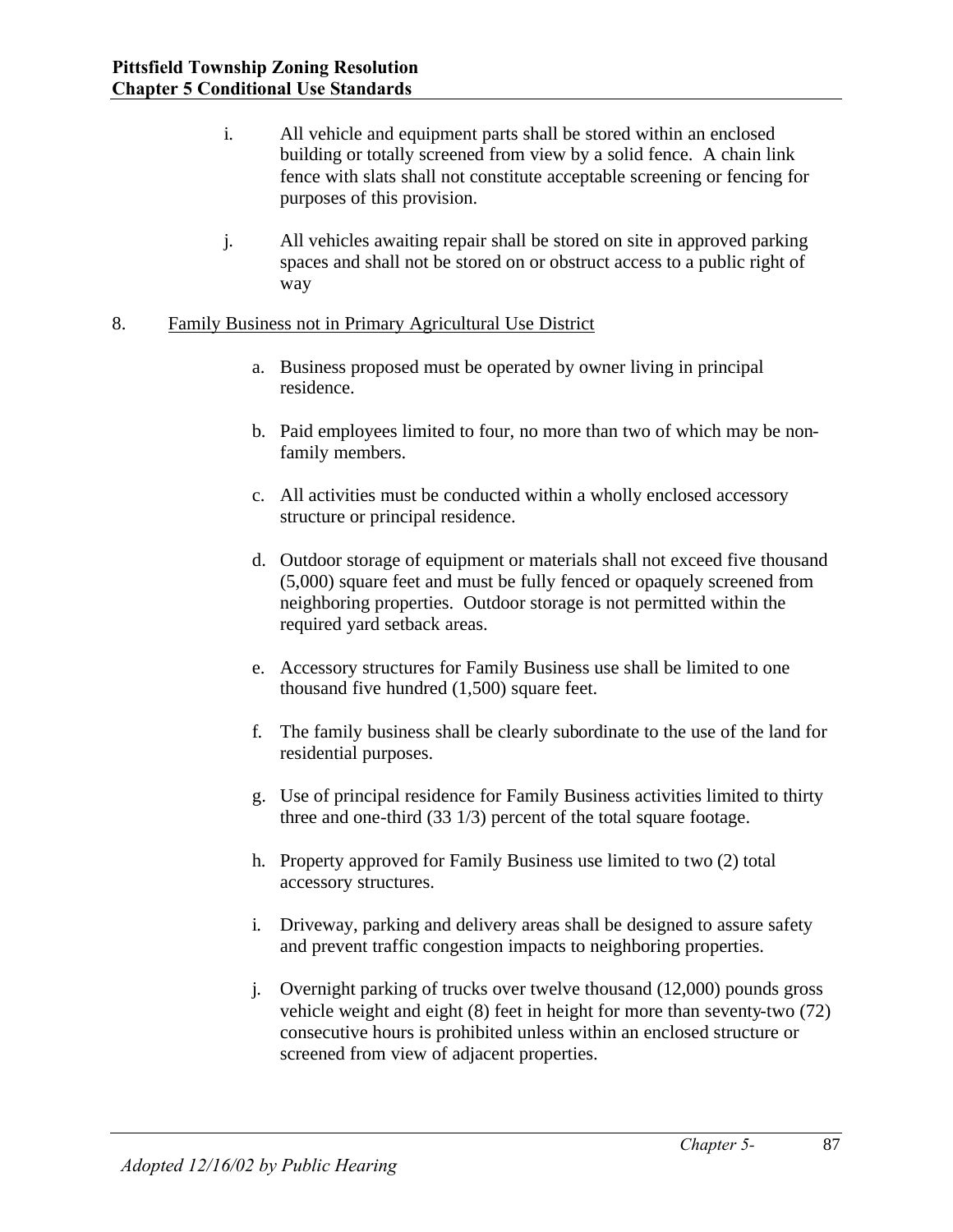- i. All vehicle and equipment parts shall be stored within an enclosed building or totally screened from view by a solid fence. A chain link fence with slats shall not constitute acceptable screening or fencing for purposes of this provision.
- j. All vehicles awaiting repair shall be stored on site in approved parking spaces and shall not be stored on or obstruct access to a public right of way
- 8. Family Business not in Primary Agricultural Use District
	- a. Business proposed must be operated by owner living in principal residence.
	- b. Paid employees limited to four, no more than two of which may be nonfamily members.
	- c. All activities must be conducted within a wholly enclosed accessory structure or principal residence.
	- d. Outdoor storage of equipment or materials shall not exceed five thousand (5,000) square feet and must be fully fenced or opaquely screened from neighboring properties. Outdoor storage is not permitted within the required yard setback areas.
	- e. Accessory structures for Family Business use shall be limited to one thousand five hundred (1,500) square feet.
	- f. The family business shall be clearly subordinate to the use of the land for residential purposes.
	- g. Use of principal residence for Family Business activities limited to thirty three and one-third (33 1/3) percent of the total square footage.
	- h. Property approved for Family Business use limited to two (2) total accessory structures.
	- i. Driveway, parking and delivery areas shall be designed to assure safety and prevent traffic congestion impacts to neighboring properties.
	- j. Overnight parking of trucks over twelve thousand (12,000) pounds gross vehicle weight and eight (8) feet in height for more than seventy-two (72) consecutive hours is prohibited unless within an enclosed structure or screened from view of adjacent properties.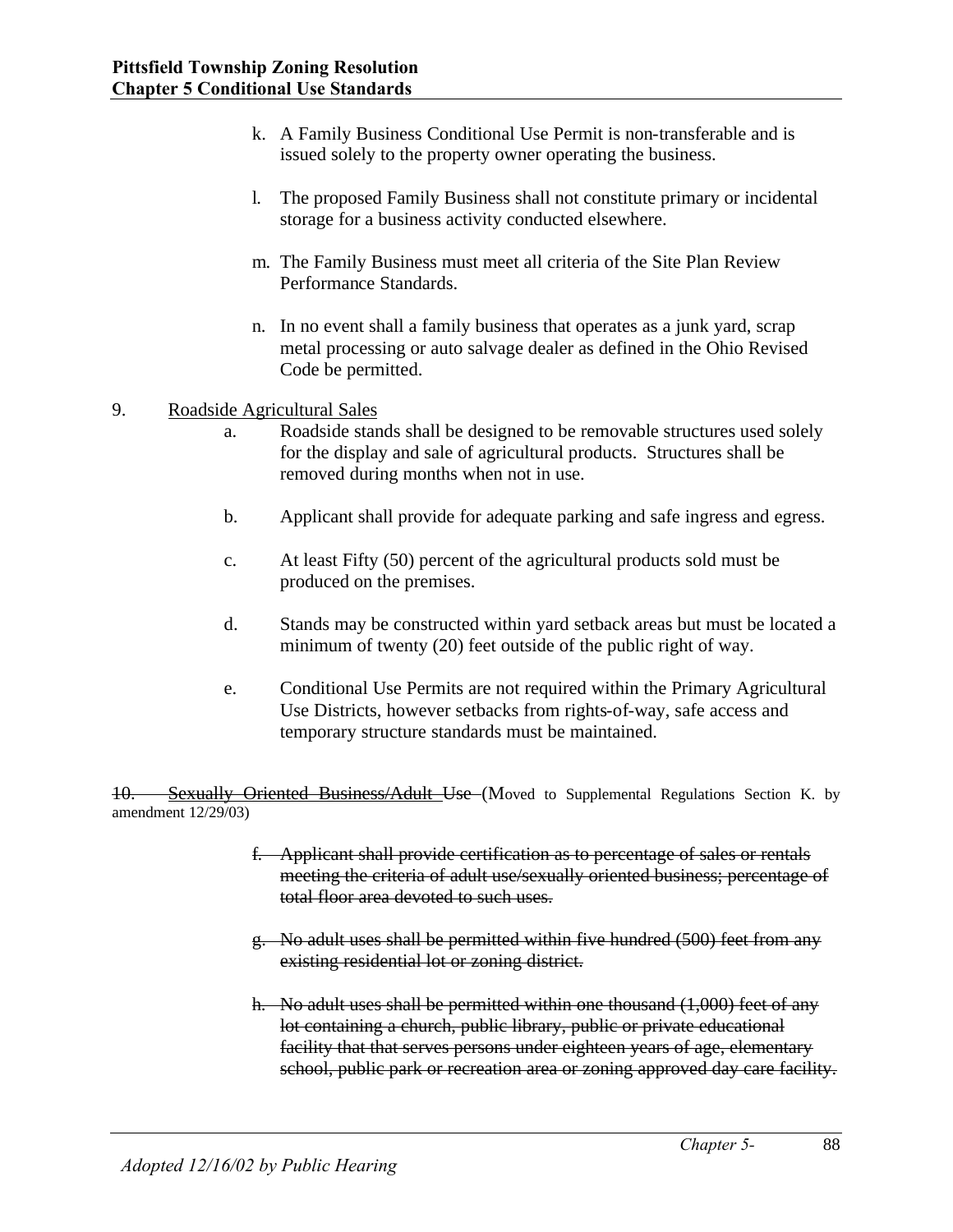- k. A Family Business Conditional Use Permit is non-transferable and is issued solely to the property owner operating the business.
- l. The proposed Family Business shall not constitute primary or incidental storage for a business activity conducted elsewhere.
- m. The Family Business must meet all criteria of the Site Plan Review Performance Standards.
- n. In no event shall a family business that operates as a junk yard, scrap metal processing or auto salvage dealer as defined in the Ohio Revised Code be permitted.
- 9. Roadside Agricultural Sales
	- a. Roadside stands shall be designed to be removable structures used solely for the display and sale of agricultural products. Structures shall be removed during months when not in use.
	- b. Applicant shall provide for adequate parking and safe ingress and egress.
	- c. At least Fifty (50) percent of the agricultural products sold must be produced on the premises.
	- d. Stands may be constructed within yard setback areas but must be located a minimum of twenty (20) feet outside of the public right of way.
	- e. Conditional Use Permits are not required within the Primary Agricultural Use Districts, however setbacks from rights-of-way, safe access and temporary structure standards must be maintained.

10. Sexually Oriented Business/Adult Use (Moved to Supplemental Regulations Section K. by amendment 12/29/03)

- f. Applicant shall provide certification as to percentage of sales or rentals meeting the criteria of adult use/sexually oriented business; percentage of total floor area devoted to such uses.
- g. No adult uses shall be permitted within five hundred (500) feet from any existing residential lot or zoning district.
- h. No adult uses shall be permitted within one thousand (1,000) feet of any lot containing a church, public library, public or private educational facility that that serves persons under eighteen years of age, elementary school, public park or recreation area or zoning approved day care facility.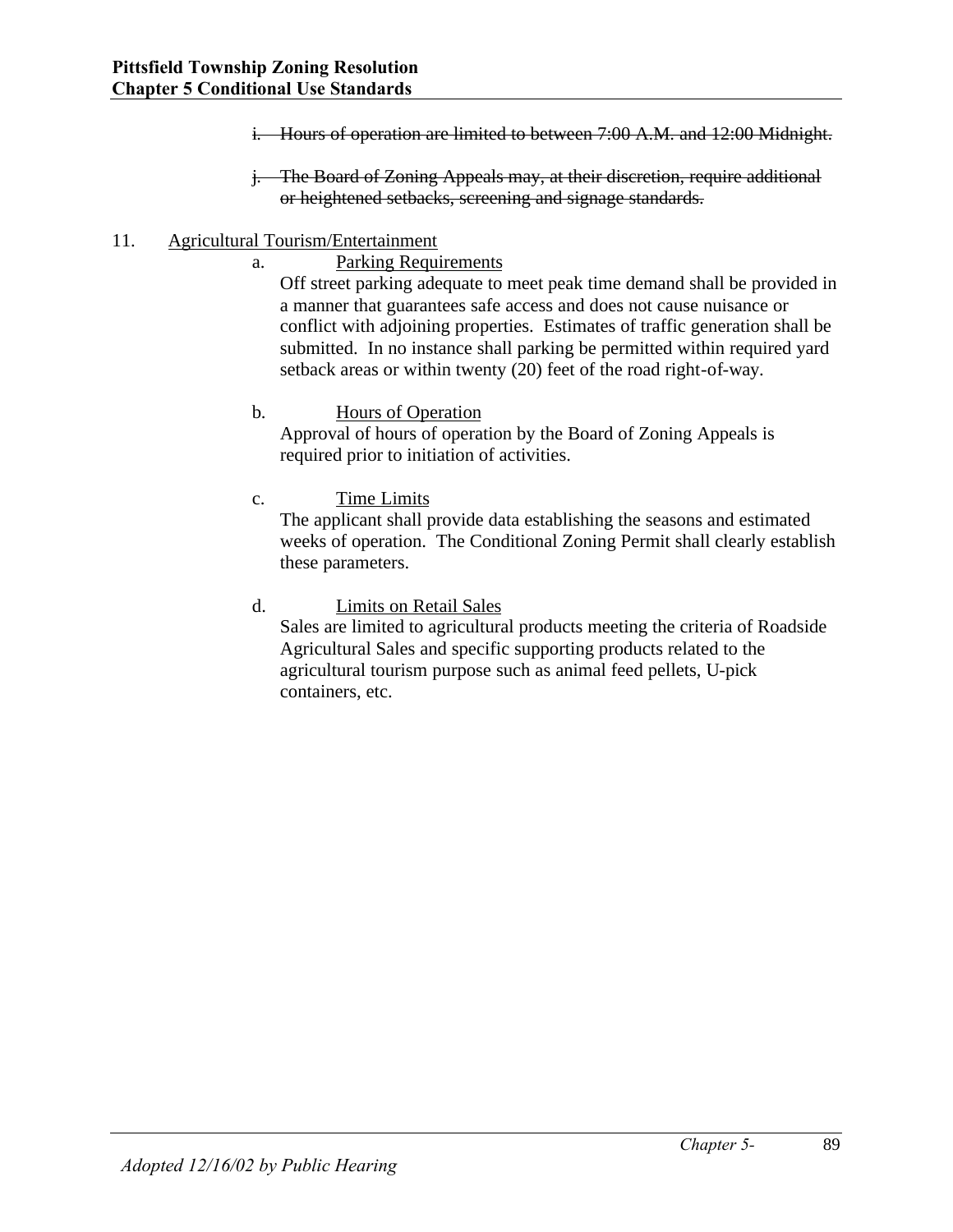- i. Hours of operation are limited to between 7:00 A.M. and 12:00 Midnight.
- j. The Board of Zoning Appeals may, at their discretion, require additional or heightened setbacks, screening and signage standards.

#### 11. Agricultural Tourism/Entertainment

a. Parking Requirements

Off street parking adequate to meet peak time demand shall be provided in a manner that guarantees safe access and does not cause nuisance or conflict with adjoining properties. Estimates of traffic generation shall be submitted. In no instance shall parking be permitted within required yard setback areas or within twenty (20) feet of the road right-of-way.

#### b. Hours of Operation

Approval of hours of operation by the Board of Zoning Appeals is required prior to initiation of activities.

#### c. Time Limits

The applicant shall provide data establishing the seasons and estimated weeks of operation. The Conditional Zoning Permit shall clearly establish these parameters.

#### d. Limits on Retail Sales

Sales are limited to agricultural products meeting the criteria of Roadside Agricultural Sales and specific supporting products related to the agricultural tourism purpose such as animal feed pellets, U-pick containers, etc.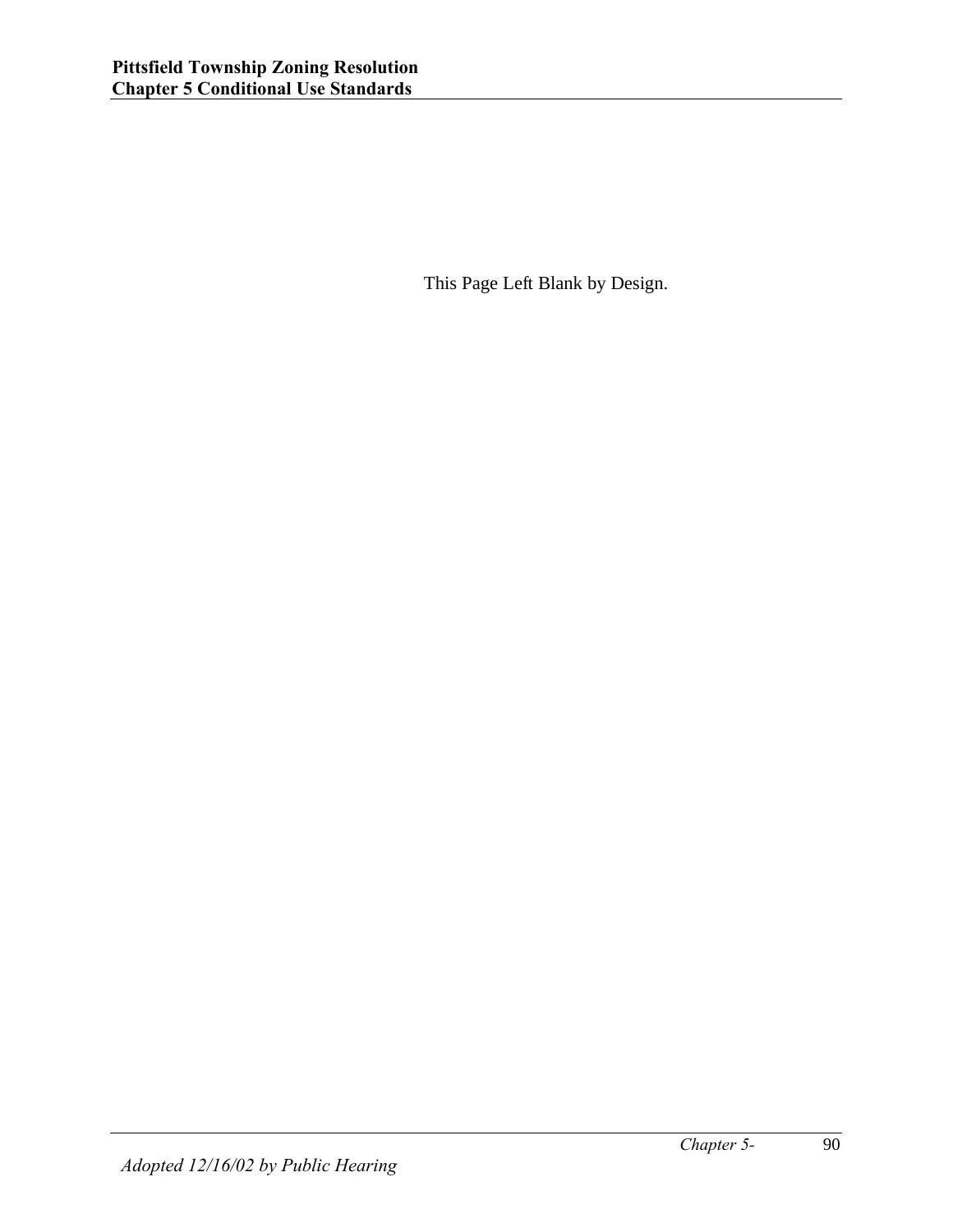This Page Left Blank by Design.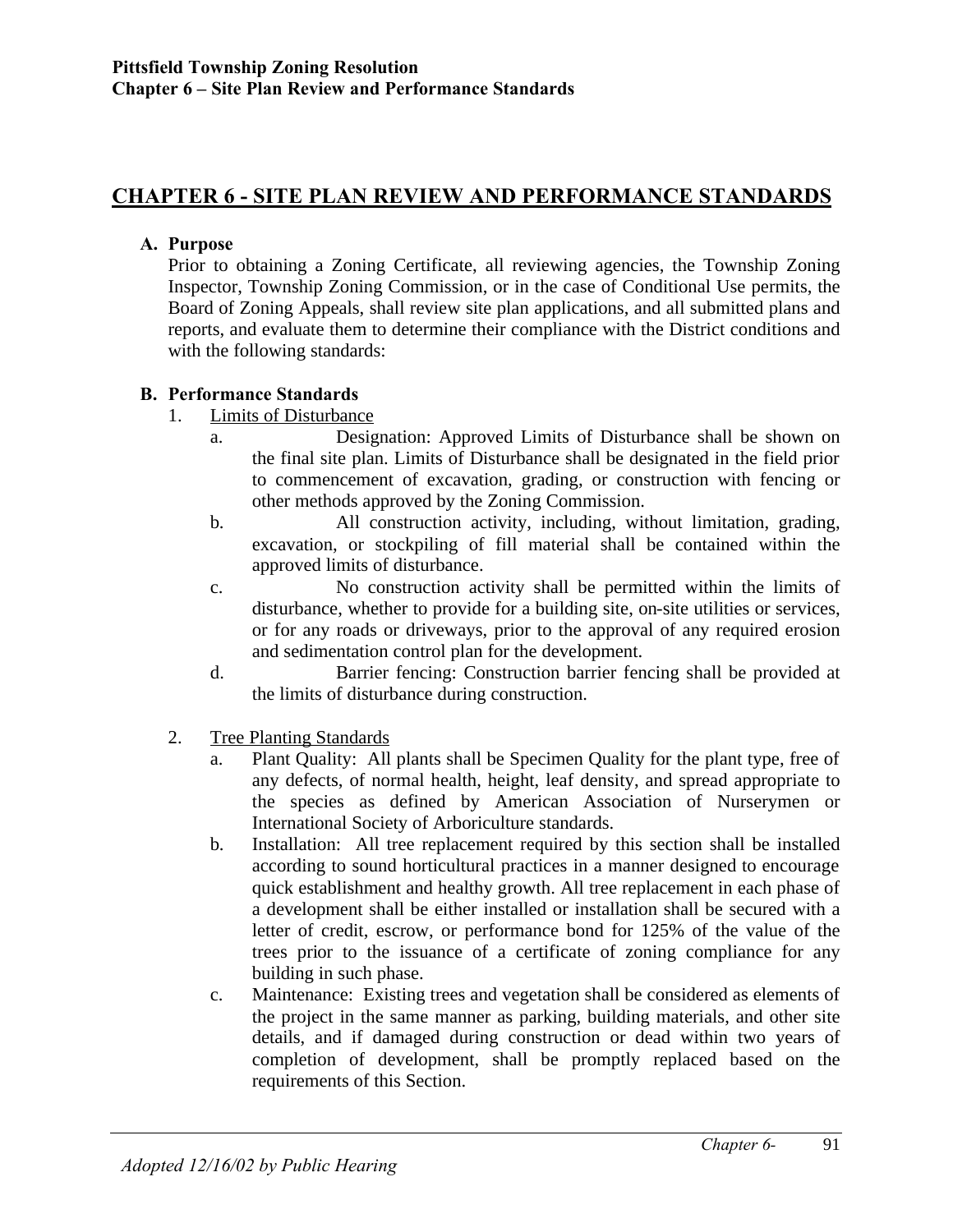# **CHAPTER 6 - SITE PLAN REVIEW AND PERFORMANCE STANDARDS**

#### **A. Purpose**

Prior to obtaining a Zoning Certificate, all reviewing agencies, the Township Zoning Inspector, Township Zoning Commission, or in the case of Conditional Use permits, the Board of Zoning Appeals, shall review site plan applications, and all submitted plans and reports, and evaluate them to determine their compliance with the District conditions and with the following standards:

## **B. Performance Standards**

- 1. Limits of Disturbance
	- a. Designation: Approved Limits of Disturbance shall be shown on the final site plan. Limits of Disturbance shall be designated in the field prior to commencement of excavation, grading, or construction with fencing or other methods approved by the Zoning Commission.
	- b. All construction activity, including, without limitation, grading, excavation, or stockpiling of fill material shall be contained within the approved limits of disturbance.
	- c. No construction activity shall be permitted within the limits of disturbance, whether to provide for a building site, on-site utilities or services, or for any roads or driveways, prior to the approval of any required erosion and sedimentation control plan for the development.
	- d. Barrier fencing: Construction barrier fencing shall be provided at the limits of disturbance during construction.
- 2. Tree Planting Standards
	- a. Plant Quality: All plants shall be Specimen Quality for the plant type, free of any defects, of normal health, height, leaf density, and spread appropriate to the species as defined by American Association of Nurserymen or International Society of Arboriculture standards.
	- b. Installation: All tree replacement required by this section shall be installed according to sound horticultural practices in a manner designed to encourage quick establishment and healthy growth. All tree replacement in each phase of a development shall be either installed or installation shall be secured with a letter of credit, escrow, or performance bond for 125% of the value of the trees prior to the issuance of a certificate of zoning compliance for any building in such phase.
	- c. Maintenance: Existing trees and vegetation shall be considered as elements of the project in the same manner as parking, building materials, and other site details, and if damaged during construction or dead within two years of completion of development, shall be promptly replaced based on the requirements of this Section.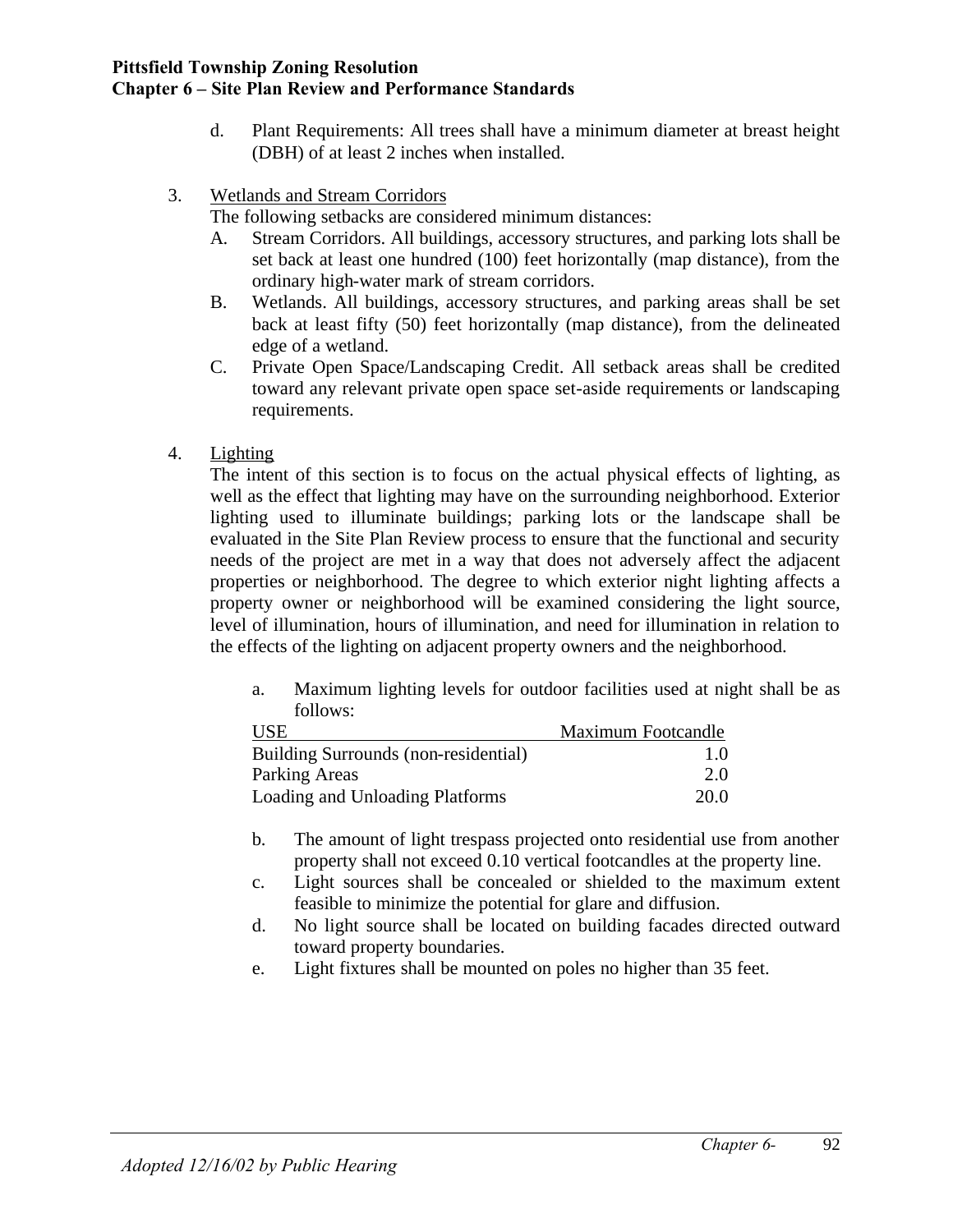- d. Plant Requirements: All trees shall have a minimum diameter at breast height (DBH) of at least 2 inches when installed.
- 3. Wetlands and Stream Corridors

The following setbacks are considered minimum distances:

- A. Stream Corridors. All buildings, accessory structures, and parking lots shall be set back at least one hundred (100) feet horizontally (map distance), from the ordinary high-water mark of stream corridors.
- B. Wetlands. All buildings, accessory structures, and parking areas shall be set back at least fifty (50) feet horizontally (map distance), from the delineated edge of a wetland.
- C. Private Open Space/Landscaping Credit. All setback areas shall be credited toward any relevant private open space set-aside requirements or landscaping requirements.
- 4. Lighting

The intent of this section is to focus on the actual physical effects of lighting, as well as the effect that lighting may have on the surrounding neighborhood. Exterior lighting used to illuminate buildings; parking lots or the landscape shall be evaluated in the Site Plan Review process to ensure that the functional and security needs of the project are met in a way that does not adversely affect the adjacent properties or neighborhood. The degree to which exterior night lighting affects a property owner or neighborhood will be examined considering the light source, level of illumination, hours of illumination, and need for illumination in relation to the effects of the lighting on adjacent property owners and the neighborhood.

a. Maximum lighting levels for outdoor facilities used at night shall be as follows:

| <b>USE</b>                           | Maximum Footcandle |
|--------------------------------------|--------------------|
| Building Surrounds (non-residential) | 1.0                |
| Parking Areas                        | 2.0                |
| Loading and Unloading Platforms      | 20.0               |

- b. The amount of light trespass projected onto residential use from another property shall not exceed 0.10 vertical footcandles at the property line.
- c. Light sources shall be concealed or shielded to the maximum extent feasible to minimize the potential for glare and diffusion.
- d. No light source shall be located on building facades directed outward toward property boundaries.
- e. Light fixtures shall be mounted on poles no higher than 35 feet.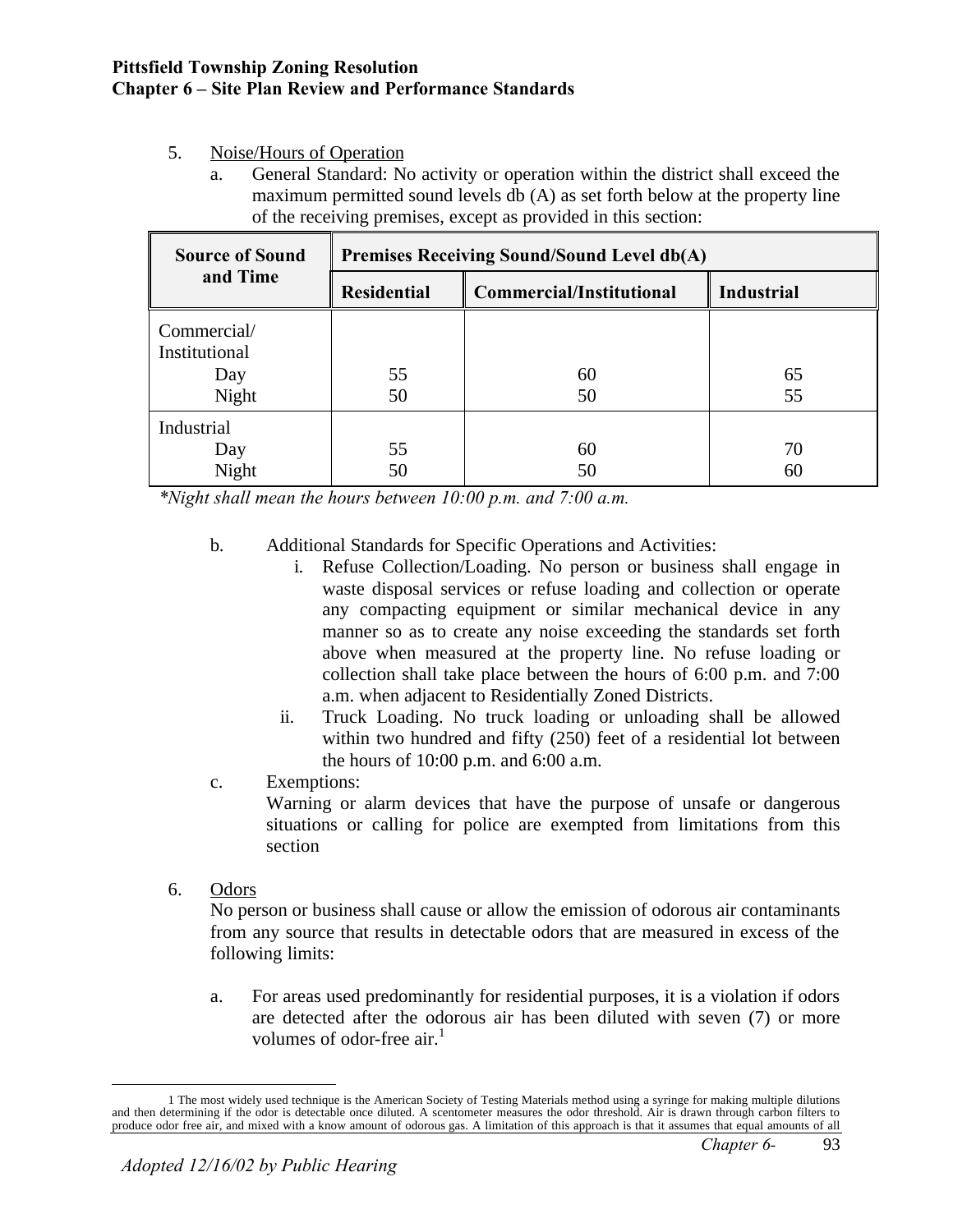## 5. Noise/Hours of Operation

a. General Standard: No activity or operation within the district shall exceed the maximum permitted sound levels db (A) as set forth below at the property line of the receiving premises, except as provided in this section:

| <b>Source of Sound</b>                       | <b>Premises Receiving Sound/Sound Level db(A)</b> |                                 |                   |  |
|----------------------------------------------|---------------------------------------------------|---------------------------------|-------------------|--|
| and Time                                     | <b>Residential</b>                                | <b>Commercial/Institutional</b> | <b>Industrial</b> |  |
| Commercial/<br>Institutional<br>Day<br>Night | 55<br>50                                          | 60<br>50                        | 65<br>55          |  |
| Industrial<br>Day<br>Night                   | 55<br>50                                          | 60<br>50                        | 70<br>60          |  |

*\*Night shall mean the hours between 10:00 p.m. and 7:00 a.m.*

- b. Additional Standards for Specific Operations and Activities:
	- i. Refuse Collection/Loading. No person or business shall engage in waste disposal services or refuse loading and collection or operate any compacting equipment or similar mechanical device in any manner so as to create any noise exceeding the standards set forth above when measured at the property line. No refuse loading or collection shall take place between the hours of 6:00 p.m. and 7:00 a.m. when adjacent to Residentially Zoned Districts.
	- ii. Truck Loading. No truck loading or unloading shall be allowed within two hundred and fifty (250) feet of a residential lot between the hours of 10:00 p.m. and 6:00 a.m.
- c. Exemptions:

Warning or alarm devices that have the purpose of unsafe or dangerous situations or calling for police are exempted from limitations from this section

6. Odors

No person or business shall cause or allow the emission of odorous air contaminants from any source that results in detectable odors that are measured in excess of the following limits:

a. For areas used predominantly for residential purposes, it is a violation if odors are detected after the odorous air has been diluted with seven (7) or more volumes of odor-free  $\ar{a}$ <sup>1</sup>

<sup>&</sup>lt;u>.</u> 1 The most widely used technique is the American Society of Testing Materials method using a syringe for making multiple dilutions and then determining if the odor is detectable once diluted. A scentometer measures the odor threshold. Air is drawn through carbon filters to produce odor free air, and mixed with a know amount of odorous gas. A limitation of this approach is that it assumes that equal amounts of all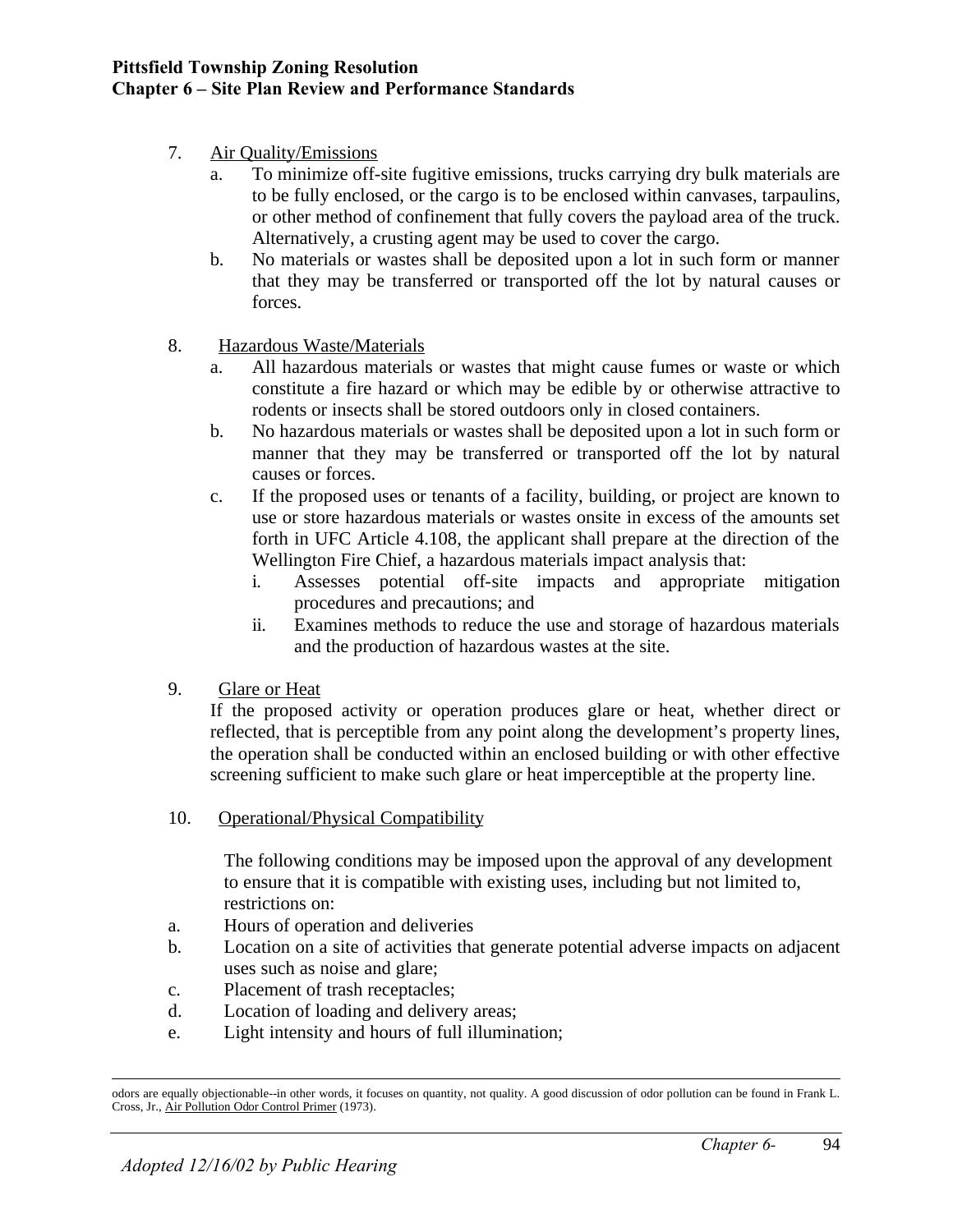- 7. Air Quality/Emissions
	- a. To minimize off-site fugitive emissions, trucks carrying dry bulk materials are to be fully enclosed, or the cargo is to be enclosed within canvases, tarpaulins, or other method of confinement that fully covers the payload area of the truck. Alternatively, a crusting agent may be used to cover the cargo.
	- b. No materials or wastes shall be deposited upon a lot in such form or manner that they may be transferred or transported off the lot by natural causes or forces.

## 8. Hazardous Waste/Materials

- a. All hazardous materials or wastes that might cause fumes or waste or which constitute a fire hazard or which may be edible by or otherwise attractive to rodents or insects shall be stored outdoors only in closed containers.
- b. No hazardous materials or wastes shall be deposited upon a lot in such form or manner that they may be transferred or transported off the lot by natural causes or forces.
- c. If the proposed uses or tenants of a facility, building, or project are known to use or store hazardous materials or wastes onsite in excess of the amounts set forth in UFC Article 4.108, the applicant shall prepare at the direction of the Wellington Fire Chief, a hazardous materials impact analysis that:
	- i. Assesses potential off-site impacts and appropriate mitigation procedures and precautions; and
	- ii. Examines methods to reduce the use and storage of hazardous materials and the production of hazardous wastes at the site.
- 9. Glare or Heat

If the proposed activity or operation produces glare or heat, whether direct or reflected, that is perceptible from any point along the development's property lines, the operation shall be conducted within an enclosed building or with other effective screening sufficient to make such glare or heat imperceptible at the property line.

10. Operational/Physical Compatibility

The following conditions may be imposed upon the approval of any development to ensure that it is compatible with existing uses, including but not limited to, restrictions on:

- a. Hours of operation and deliveries
- b. Location on a site of activities that generate potential adverse impacts on adjacent uses such as noise and glare;
- c. Placement of trash receptacles;
- d. Location of loading and delivery areas;
- e. Light intensity and hours of full illumination;

 $\overline{a}$ odors are equally objectionable--in other words, it focuses on quantity, not quality. A good discussion of odor pollution can be found in Frank L. Cross, Jr., Air Pollution Odor Control Primer (1973).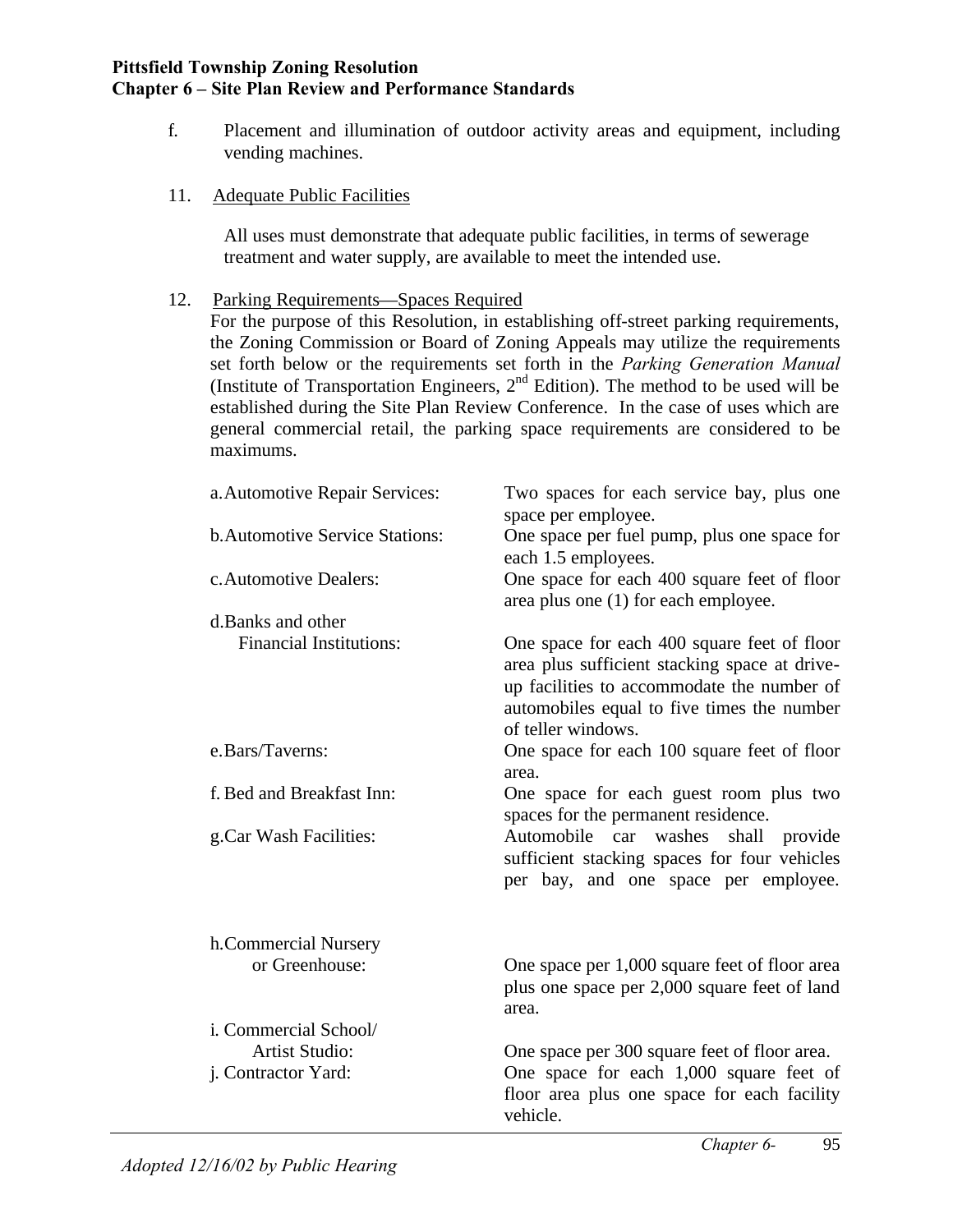- f. Placement and illumination of outdoor activity areas and equipment, including vending machines.
- 11. Adequate Public Facilities

All uses must demonstrate that adequate public facilities, in terms of sewerage treatment and water supply, are available to meet the intended use.

12. Parking Requirements—Spaces Required

For the purpose of this Resolution, in establishing off-street parking requirements, the Zoning Commission or Board of Zoning Appeals may utilize the requirements set forth below or the requirements set forth in the *Parking Generation Manual* (Institute of Transportation Engineers,  $2<sup>nd</sup>$  Edition). The method to be used will be established during the Site Plan Review Conference. In the case of uses which are general commercial retail, the parking space requirements are considered to be maximums.

| a. Automotive Repair Services:        | Two spaces for each service bay, plus one<br>space per employee.                                                                                                                                               |
|---------------------------------------|----------------------------------------------------------------------------------------------------------------------------------------------------------------------------------------------------------------|
| <b>b.Automotive Service Stations:</b> | One space per fuel pump, plus one space for<br>each 1.5 employees.                                                                                                                                             |
| c. Automotive Dealers:                | One space for each 400 square feet of floor<br>area plus one (1) for each employee.                                                                                                                            |
| d. Banks and other                    |                                                                                                                                                                                                                |
| <b>Financial Institutions:</b>        | One space for each 400 square feet of floor<br>area plus sufficient stacking space at drive-<br>up facilities to accommodate the number of<br>automobiles equal to five times the number<br>of teller windows. |
| e.Bars/Taverns:                       | One space for each 100 square feet of floor<br>area.                                                                                                                                                           |
| f. Bed and Breakfast Inn:             | One space for each guest room plus two<br>spaces for the permanent residence.                                                                                                                                  |
| g.Car Wash Facilities:                | Automobile car washes<br>shall<br>provide<br>sufficient stacking spaces for four vehicles<br>per bay, and one space per employee.                                                                              |
| h.Commercial Nursery                  |                                                                                                                                                                                                                |
| or Greenhouse:                        | One space per 1,000 square feet of floor area<br>plus one space per 2,000 square feet of land<br>area.                                                                                                         |
| i. Commercial School/                 |                                                                                                                                                                                                                |
| <b>Artist Studio:</b>                 | One space per 300 square feet of floor area.                                                                                                                                                                   |
| j. Contractor Yard:                   | One space for each 1,000 square feet of<br>floor area plus one space for each facility<br>vehicle.                                                                                                             |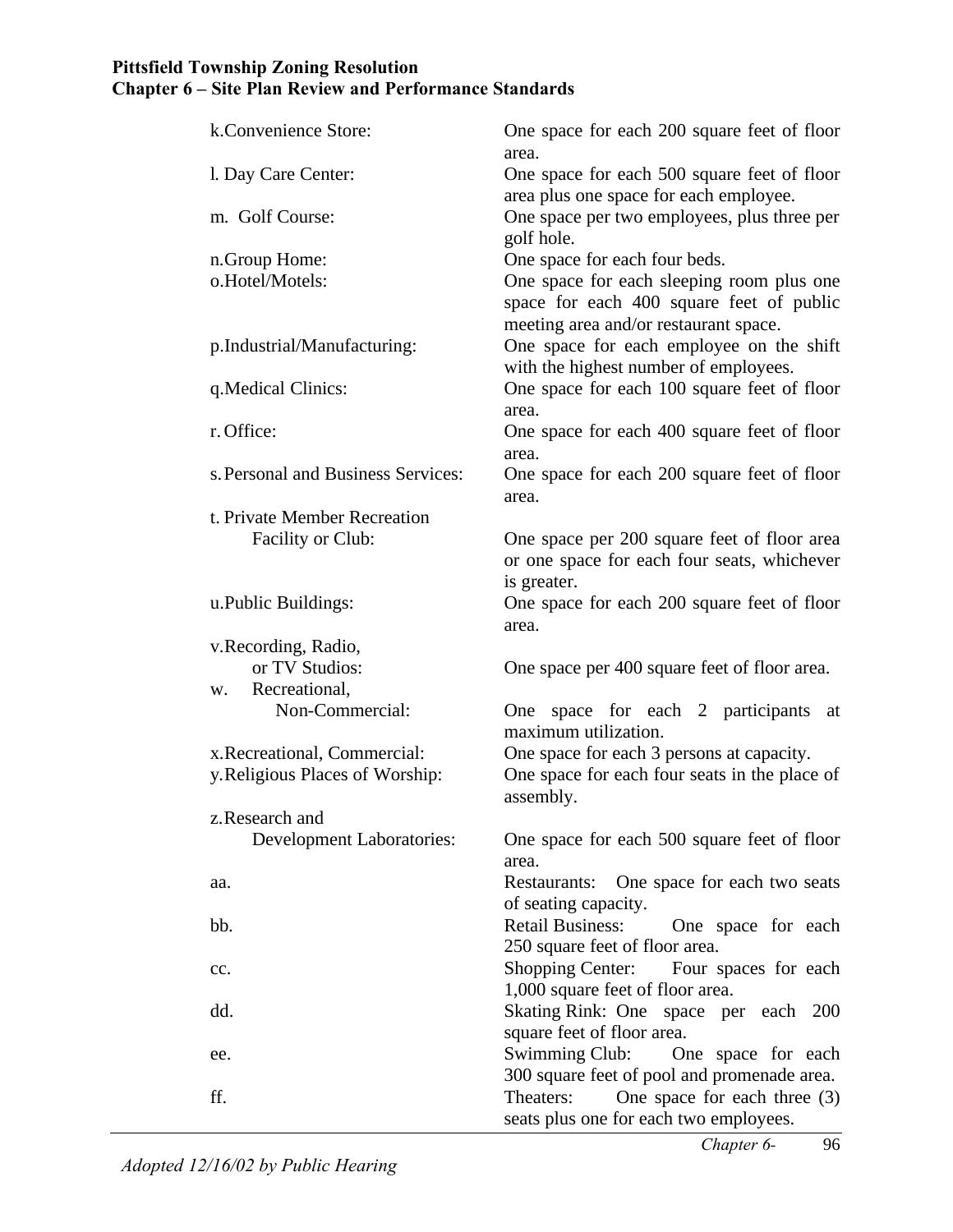| k.Convenience Store:               | One space for each 200 square feet of floor<br>area.                                  |
|------------------------------------|---------------------------------------------------------------------------------------|
| l. Day Care Center:                | One space for each 500 square feet of floor<br>area plus one space for each employee. |
| m. Golf Course:                    | One space per two employees, plus three per<br>golf hole.                             |
| n.Group Home:                      | One space for each four beds.                                                         |
| o.Hotel/Motels:                    | One space for each sleeping room plus one                                             |
|                                    | space for each 400 square feet of public<br>meeting area and/or restaurant space.     |
| p.Industrial/Manufacturing:        | One space for each employee on the shift<br>with the highest number of employees.     |
| q. Medical Clinics:                | One space for each 100 square feet of floor                                           |
| r. Office:                         | area.<br>One space for each 400 square feet of floor                                  |
|                                    | area.                                                                                 |
| s. Personal and Business Services: | One space for each 200 square feet of floor                                           |
|                                    | area.                                                                                 |
| t. Private Member Recreation       |                                                                                       |
| Facility or Club:                  | One space per 200 square feet of floor area                                           |
|                                    | or one space for each four seats, whichever                                           |
|                                    | is greater.                                                                           |
| u.Public Buildings:                | One space for each 200 square feet of floor<br>area.                                  |
| v.Recording, Radio,                |                                                                                       |
| or TV Studios:                     | One space per 400 square feet of floor area.                                          |
| Recreational,<br>W.                |                                                                                       |
| Non-Commercial:                    | One space for each 2 participants<br>at<br>maximum utilization.                       |
| x. Recreational, Commercial:       | One space for each 3 persons at capacity.                                             |
| y. Religious Places of Worship:    | One space for each four seats in the place of<br>assembly.                            |
| z. Research and                    |                                                                                       |
| <b>Development Laboratories:</b>   | One space for each 500 square feet of floor<br>area.                                  |
| aa.                                | Restaurants: One space for each two seats                                             |
|                                    | of seating capacity.                                                                  |
| bb.                                | <b>Retail Business:</b><br>One space for each                                         |
|                                    | 250 square feet of floor area.                                                        |
| cc.                                | <b>Shopping Center:</b><br>Four spaces for each<br>1,000 square feet of floor area.   |
| dd.                                | Skating Rink: One space per each 200<br>square feet of floor area.                    |
| ee.                                | Swimming Club:<br>One space for each                                                  |
|                                    | 300 square feet of pool and promenade area.                                           |
| ff.                                | One space for each three $(3)$<br>Theaters:                                           |
|                                    | seats plus one for each two employees.                                                |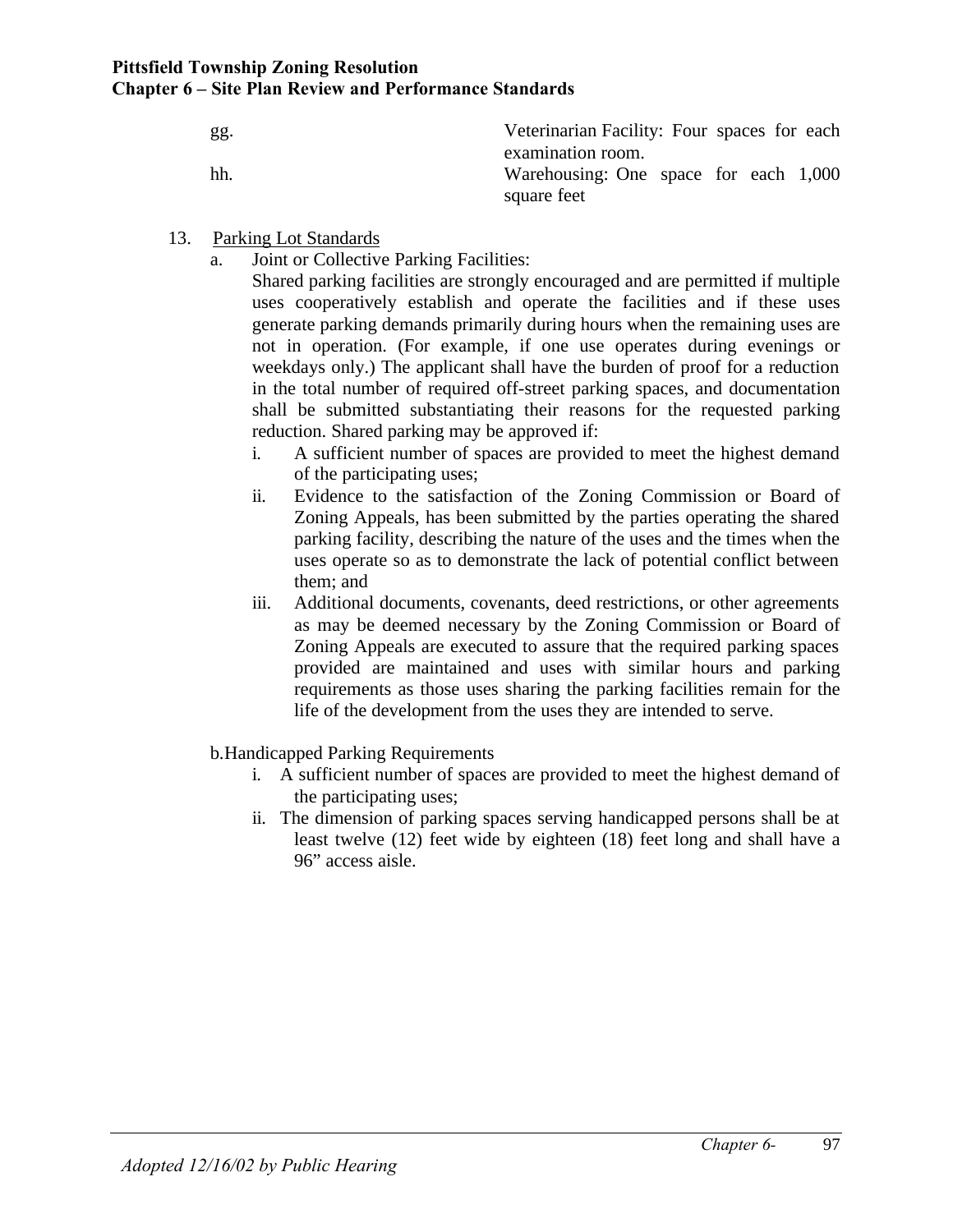| gg. | Veterinarian Facility: Four spaces for each                               |
|-----|---------------------------------------------------------------------------|
| hh. | examination room.<br>Warehousing: One space for each 1,000<br>square feet |

- 13. Parking Lot Standards
	- a. Joint or Collective Parking Facilities:

Shared parking facilities are strongly encouraged and are permitted if multiple uses cooperatively establish and operate the facilities and if these uses generate parking demands primarily during hours when the remaining uses are not in operation. (For example, if one use operates during evenings or weekdays only.) The applicant shall have the burden of proof for a reduction in the total number of required off-street parking spaces, and documentation shall be submitted substantiating their reasons for the requested parking reduction. Shared parking may be approved if:

- i. A sufficient number of spaces are provided to meet the highest demand of the participating uses;
- ii. Evidence to the satisfaction of the Zoning Commission or Board of Zoning Appeals, has been submitted by the parties operating the shared parking facility, describing the nature of the uses and the times when the uses operate so as to demonstrate the lack of potential conflict between them; and
- iii. Additional documents, covenants, deed restrictions, or other agreements as may be deemed necessary by the Zoning Commission or Board of Zoning Appeals are executed to assure that the required parking spaces provided are maintained and uses with similar hours and parking requirements as those uses sharing the parking facilities remain for the life of the development from the uses they are intended to serve.
- b.Handicapped Parking Requirements
	- i. A sufficient number of spaces are provided to meet the highest demand of the participating uses;
	- ii. The dimension of parking spaces serving handicapped persons shall be at least twelve (12) feet wide by eighteen (18) feet long and shall have a 96" access aisle.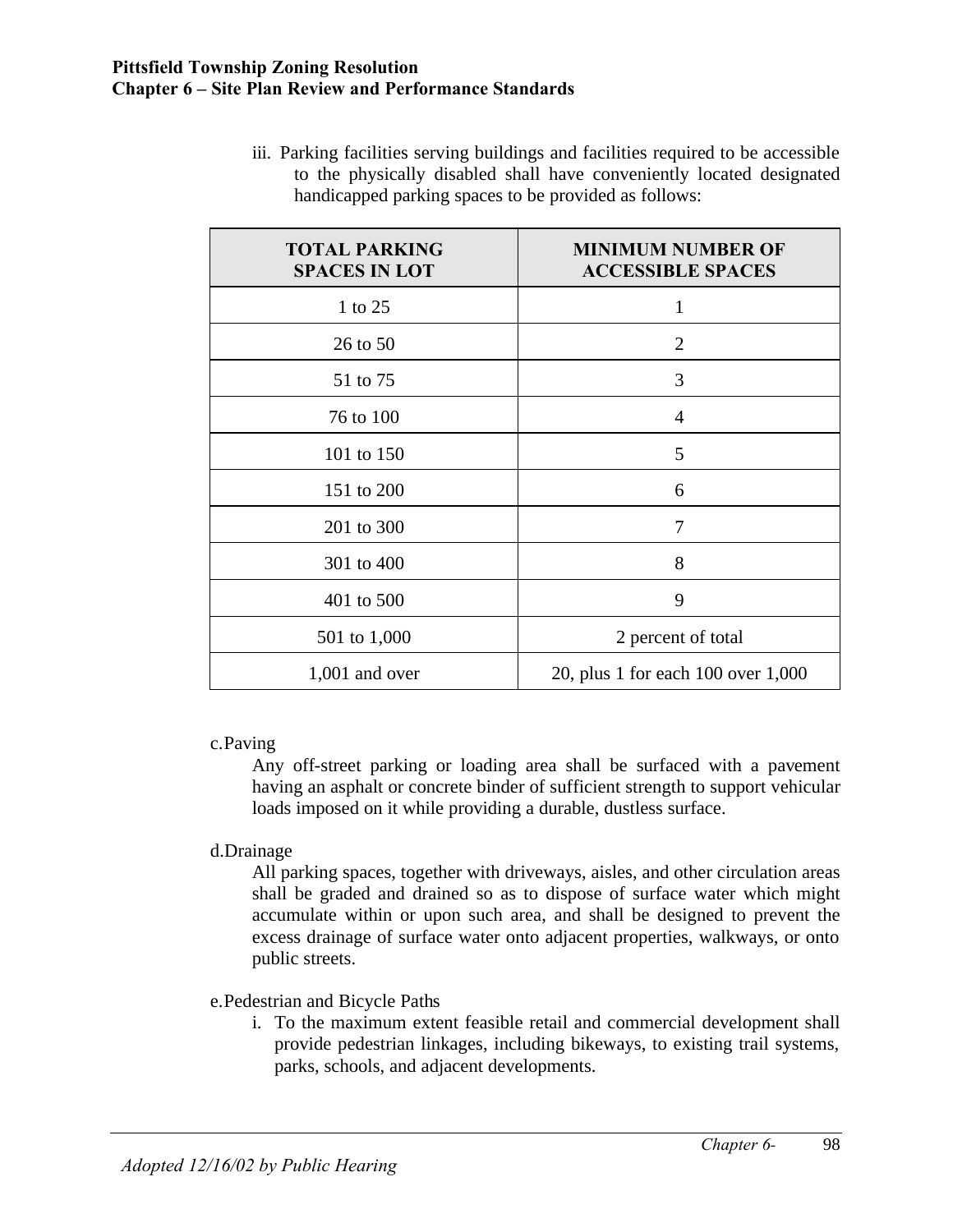iii. Parking facilities serving buildings and facilities required to be accessible to the physically disabled shall have conveniently located designated handicapped parking spaces to be provided as follows:

| <b>TOTAL PARKING</b><br><b>SPACES IN LOT</b> | <b>MINIMUM NUMBER OF</b><br><b>ACCESSIBLE SPACES</b> |
|----------------------------------------------|------------------------------------------------------|
| 1 to 25                                      | 1                                                    |
| 26 to 50                                     | $\overline{2}$                                       |
| 51 to 75                                     | 3                                                    |
| 76 to 100                                    | $\overline{4}$                                       |
| 101 to 150                                   | 5                                                    |
| 151 to 200                                   | 6                                                    |
| 201 to 300                                   | 7                                                    |
| 301 to 400                                   | 8                                                    |
| 401 to 500                                   | 9                                                    |
| 501 to 1,000                                 | 2 percent of total                                   |
| $1,001$ and over                             | 20, plus 1 for each 100 over 1,000                   |

c.Paving

Any off-street parking or loading area shall be surfaced with a pavement having an asphalt or concrete binder of sufficient strength to support vehicular loads imposed on it while providing a durable, dustless surface.

## d.Drainage

All parking spaces, together with driveways, aisles, and other circulation areas shall be graded and drained so as to dispose of surface water which might accumulate within or upon such area, and shall be designed to prevent the excess drainage of surface water onto adjacent properties, walkways, or onto public streets.

## e.Pedestrian and Bicycle Paths

i. To the maximum extent feasible retail and commercial development shall provide pedestrian linkages, including bikeways, to existing trail systems, parks, schools, and adjacent developments.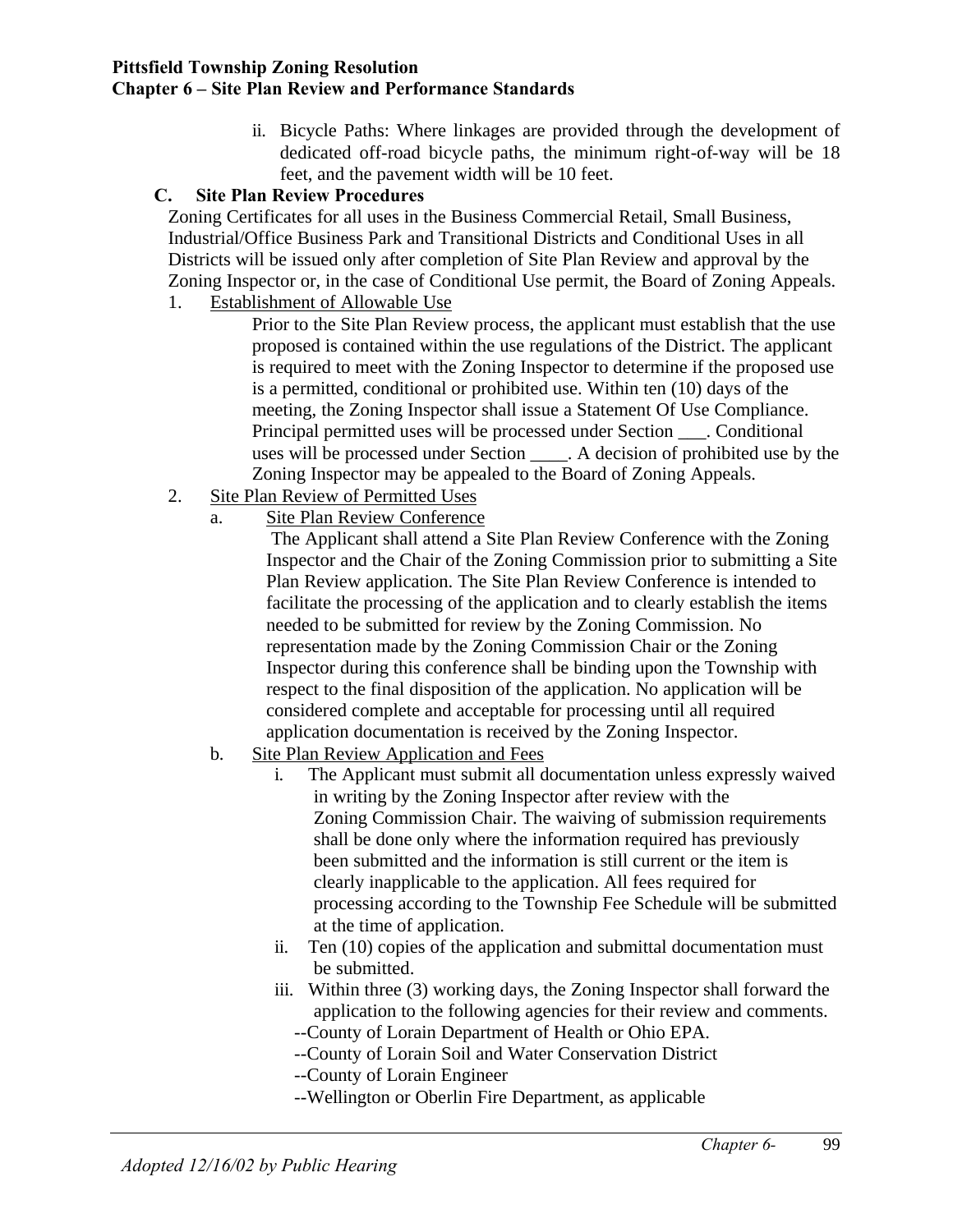ii. Bicycle Paths: Where linkages are provided through the development of dedicated off-road bicycle paths, the minimum right-of-way will be 18 feet, and the pavement width will be 10 feet.

## **C. Site Plan Review Procedures**

Zoning Certificates for all uses in the Business Commercial Retail, Small Business, Industrial/Office Business Park and Transitional Districts and Conditional Uses in all Districts will be issued only after completion of Site Plan Review and approval by the Zoning Inspector or, in the case of Conditional Use permit, the Board of Zoning Appeals.

1. Establishment of Allowable Use

Prior to the Site Plan Review process, the applicant must establish that the use proposed is contained within the use regulations of the District. The applicant is required to meet with the Zoning Inspector to determine if the proposed use is a permitted, conditional or prohibited use. Within ten (10) days of the meeting, the Zoning Inspector shall issue a Statement Of Use Compliance. Principal permitted uses will be processed under Section \_\_\_. Conditional uses will be processed under Section \_\_\_\_. A decision of prohibited use by the Zoning Inspector may be appealed to the Board of Zoning Appeals.

- 2. Site Plan Review of Permitted Uses
	- a. Site Plan Review Conference

 The Applicant shall attend a Site Plan Review Conference with the Zoning Inspector and the Chair of the Zoning Commission prior to submitting a Site Plan Review application. The Site Plan Review Conference is intended to facilitate the processing of the application and to clearly establish the items needed to be submitted for review by the Zoning Commission. No representation made by the Zoning Commission Chair or the Zoning Inspector during this conference shall be binding upon the Township with respect to the final disposition of the application. No application will be considered complete and acceptable for processing until all required application documentation is received by the Zoning Inspector.

- b. Site Plan Review Application and Fees
	- i. The Applicant must submit all documentation unless expressly waived in writing by the Zoning Inspector after review with the Zoning Commission Chair. The waiving of submission requirements shall be done only where the information required has previously been submitted and the information is still current or the item is clearly inapplicable to the application. All fees required for processing according to the Township Fee Schedule will be submitted at the time of application.
	- ii. Ten (10) copies of the application and submittal documentation must be submitted.
	- iii. Within three (3) working days, the Zoning Inspector shall forward the application to the following agencies for their review and comments.
		- --County of Lorain Department of Health or Ohio EPA.
		- --County of Lorain Soil and Water Conservation District
		- --County of Lorain Engineer
		- --Wellington or Oberlin Fire Department, as applicable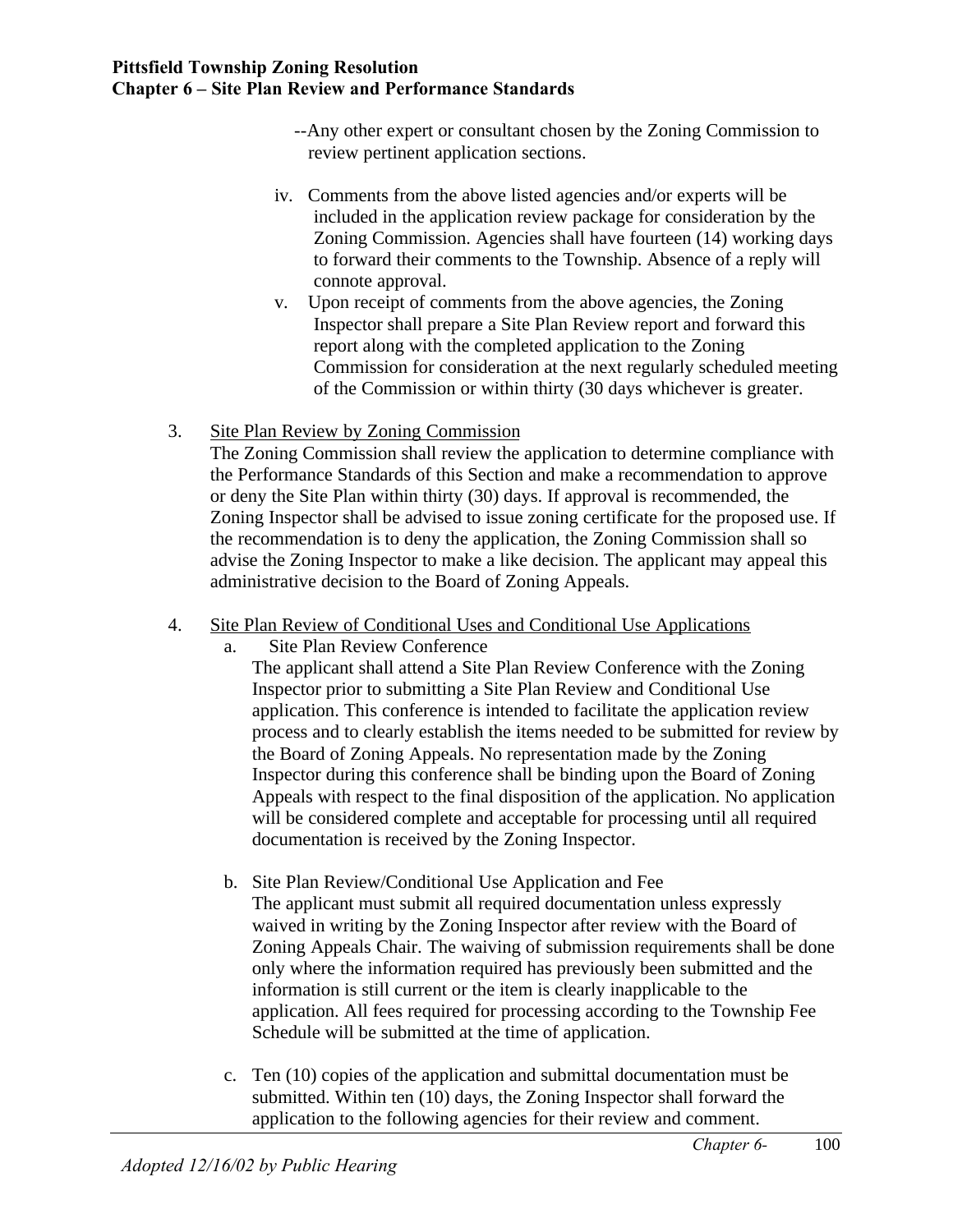- --Any other expert or consultant chosen by the Zoning Commission to review pertinent application sections.
- iv. Comments from the above listed agencies and/or experts will be included in the application review package for consideration by the Zoning Commission. Agencies shall have fourteen (14) working days to forward their comments to the Township. Absence of a reply will connote approval.
- v. Upon receipt of comments from the above agencies, the Zoning Inspector shall prepare a Site Plan Review report and forward this report along with the completed application to the Zoning Commission for consideration at the next regularly scheduled meeting of the Commission or within thirty (30 days whichever is greater.
- 3. Site Plan Review by Zoning Commission

The Zoning Commission shall review the application to determine compliance with the Performance Standards of this Section and make a recommendation to approve or deny the Site Plan within thirty (30) days. If approval is recommended, the Zoning Inspector shall be advised to issue zoning certificate for the proposed use. If the recommendation is to deny the application, the Zoning Commission shall so advise the Zoning Inspector to make a like decision. The applicant may appeal this administrative decision to the Board of Zoning Appeals.

- 4. Site Plan Review of Conditional Uses and Conditional Use Applications
	- a. Site Plan Review Conference

The applicant shall attend a Site Plan Review Conference with the Zoning Inspector prior to submitting a Site Plan Review and Conditional Use application. This conference is intended to facilitate the application review process and to clearly establish the items needed to be submitted for review by the Board of Zoning Appeals. No representation made by the Zoning Inspector during this conference shall be binding upon the Board of Zoning Appeals with respect to the final disposition of the application. No application will be considered complete and acceptable for processing until all required documentation is received by the Zoning Inspector.

- b. Site Plan Review/Conditional Use Application and Fee The applicant must submit all required documentation unless expressly waived in writing by the Zoning Inspector after review with the Board of Zoning Appeals Chair. The waiving of submission requirements shall be done only where the information required has previously been submitted and the information is still current or the item is clearly inapplicable to the application. All fees required for processing according to the Township Fee Schedule will be submitted at the time of application.
- c. Ten (10) copies of the application and submittal documentation must be submitted. Within ten (10) days, the Zoning Inspector shall forward the application to the following agencies for their review and comment.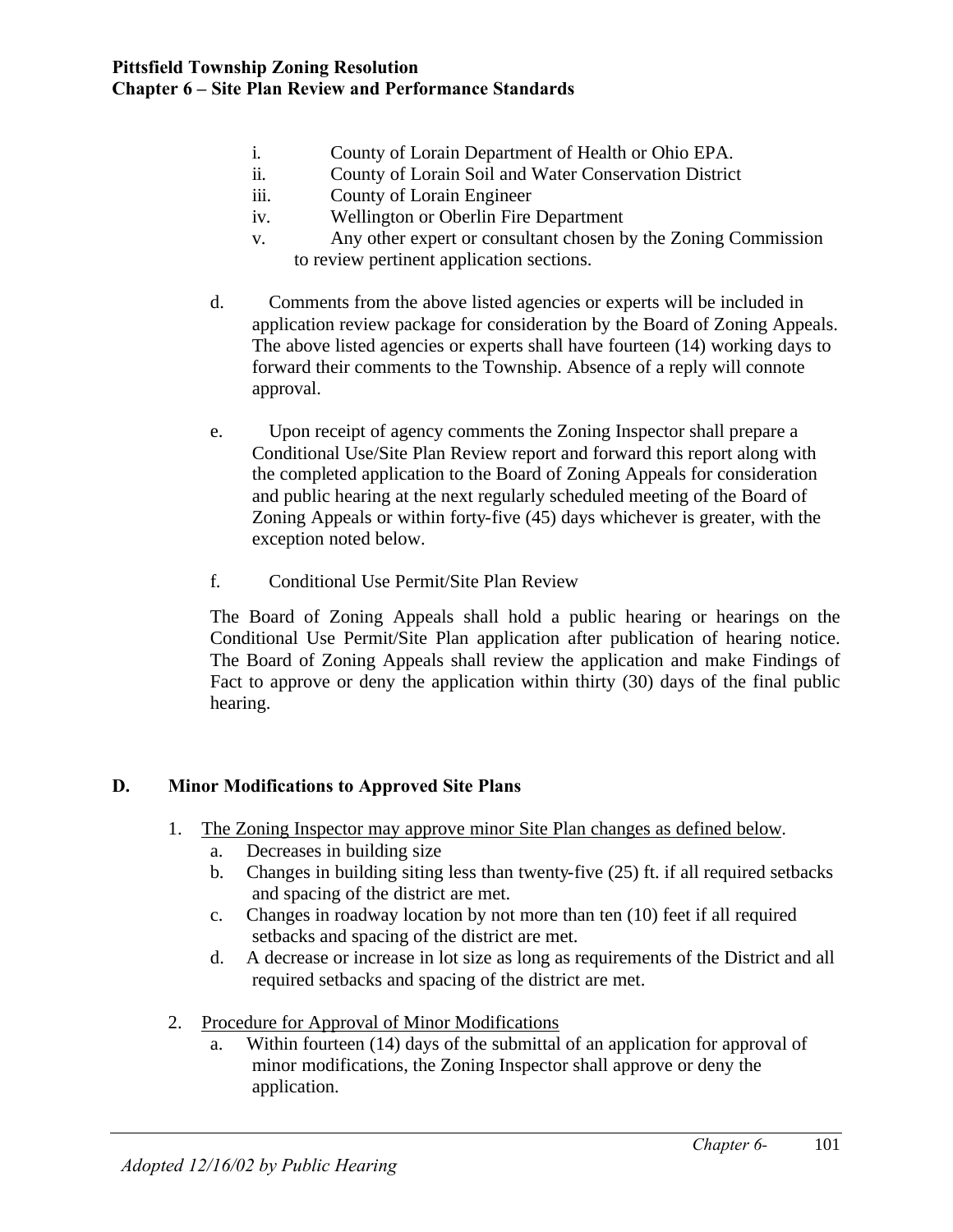- i. County of Lorain Department of Health or Ohio EPA.
- ii. County of Lorain Soil and Water Conservation District
- iii. County of Lorain Engineer
- iv. Wellington or Oberlin Fire Department
- v. Any other expert or consultant chosen by the Zoning Commission to review pertinent application sections.
- d. Comments from the above listed agencies or experts will be included in application review package for consideration by the Board of Zoning Appeals. The above listed agencies or experts shall have fourteen (14) working days to forward their comments to the Township. Absence of a reply will connote approval.
- e. Upon receipt of agency comments the Zoning Inspector shall prepare a Conditional Use/Site Plan Review report and forward this report along with the completed application to the Board of Zoning Appeals for consideration and public hearing at the next regularly scheduled meeting of the Board of Zoning Appeals or within forty-five (45) days whichever is greater, with the exception noted below.
- f. Conditional Use Permit/Site Plan Review

The Board of Zoning Appeals shall hold a public hearing or hearings on the Conditional Use Permit/Site Plan application after publication of hearing notice. The Board of Zoning Appeals shall review the application and make Findings of Fact to approve or deny the application within thirty (30) days of the final public hearing.

# **D. Minor Modifications to Approved Site Plans**

- 1. The Zoning Inspector may approve minor Site Plan changes as defined below.
	- a. Decreases in building size
	- b. Changes in building siting less than twenty-five (25) ft. if all required setbacks and spacing of the district are met.
	- c. Changes in roadway location by not more than ten (10) feet if all required setbacks and spacing of the district are met.
	- d. A decrease or increase in lot size as long as requirements of the District and all required setbacks and spacing of the district are met.
- 2. Procedure for Approval of Minor Modifications
	- a. Within fourteen (14) days of the submittal of an application for approval of minor modifications, the Zoning Inspector shall approve or deny the application.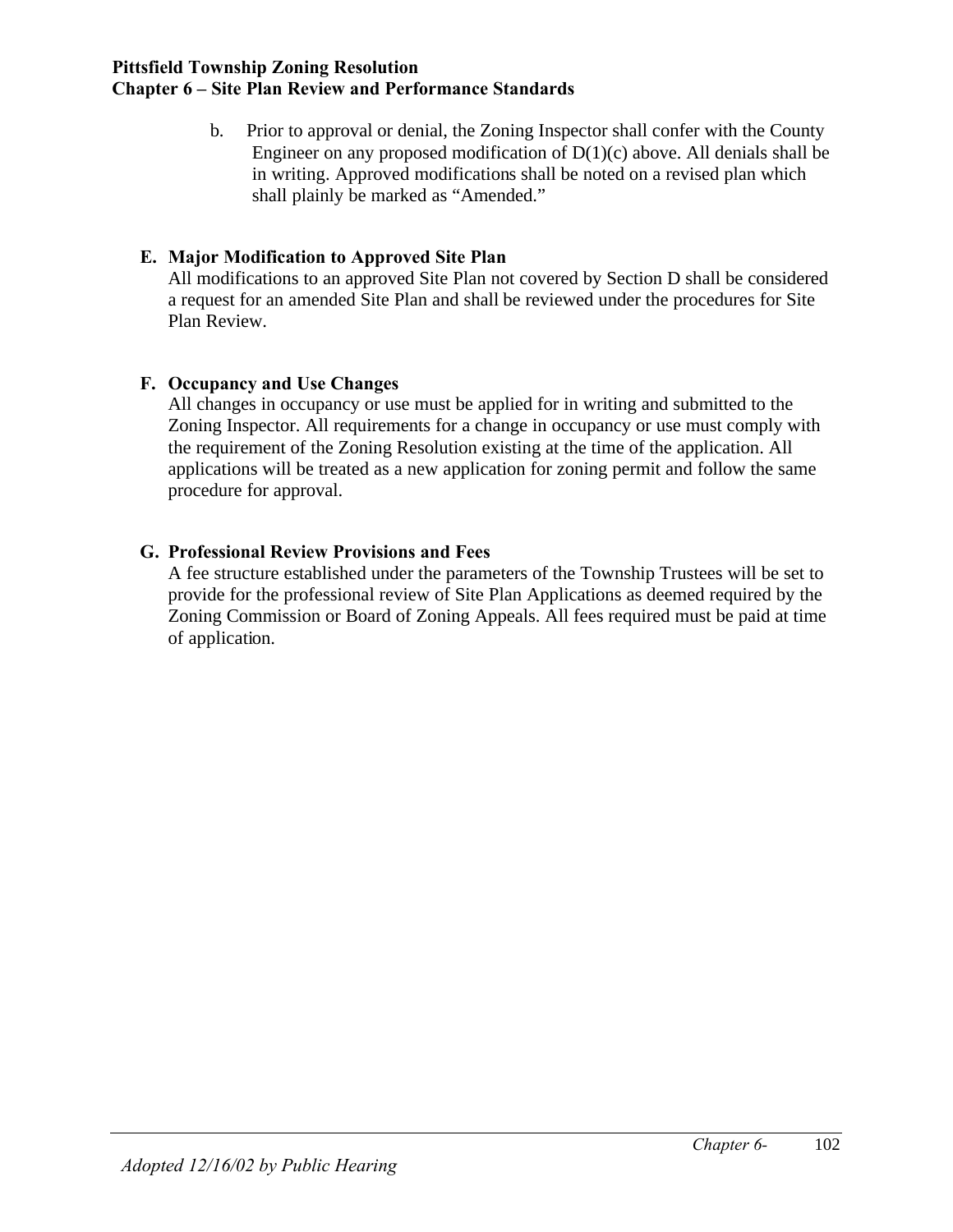b. Prior to approval or denial, the Zoning Inspector shall confer with the County Engineer on any proposed modification of  $D(1)(c)$  above. All denials shall be in writing. Approved modifications shall be noted on a revised plan which shall plainly be marked as "Amended."

# **E. Major Modification to Approved Site Plan**

All modifications to an approved Site Plan not covered by Section D shall be considered a request for an amended Site Plan and shall be reviewed under the procedures for Site Plan Review.

# **F. Occupancy and Use Changes**

All changes in occupancy or use must be applied for in writing and submitted to the Zoning Inspector. All requirements for a change in occupancy or use must comply with the requirement of the Zoning Resolution existing at the time of the application. All applications will be treated as a new application for zoning permit and follow the same procedure for approval.

# **G. Professional Review Provisions and Fees**

A fee structure established under the parameters of the Township Trustees will be set to provide for the professional review of Site Plan Applications as deemed required by the Zoning Commission or Board of Zoning Appeals. All fees required must be paid at time of application.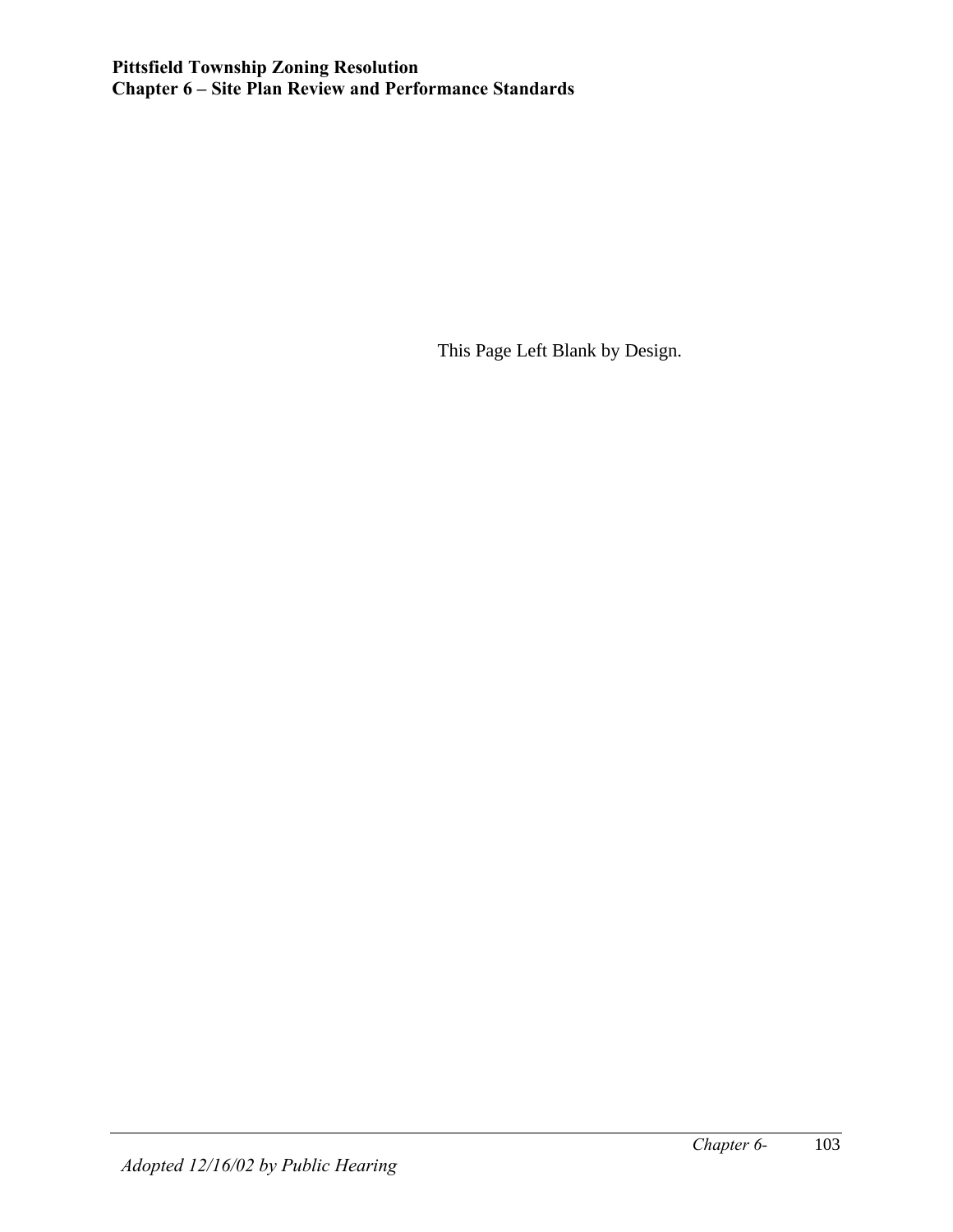This Page Left Blank by Design.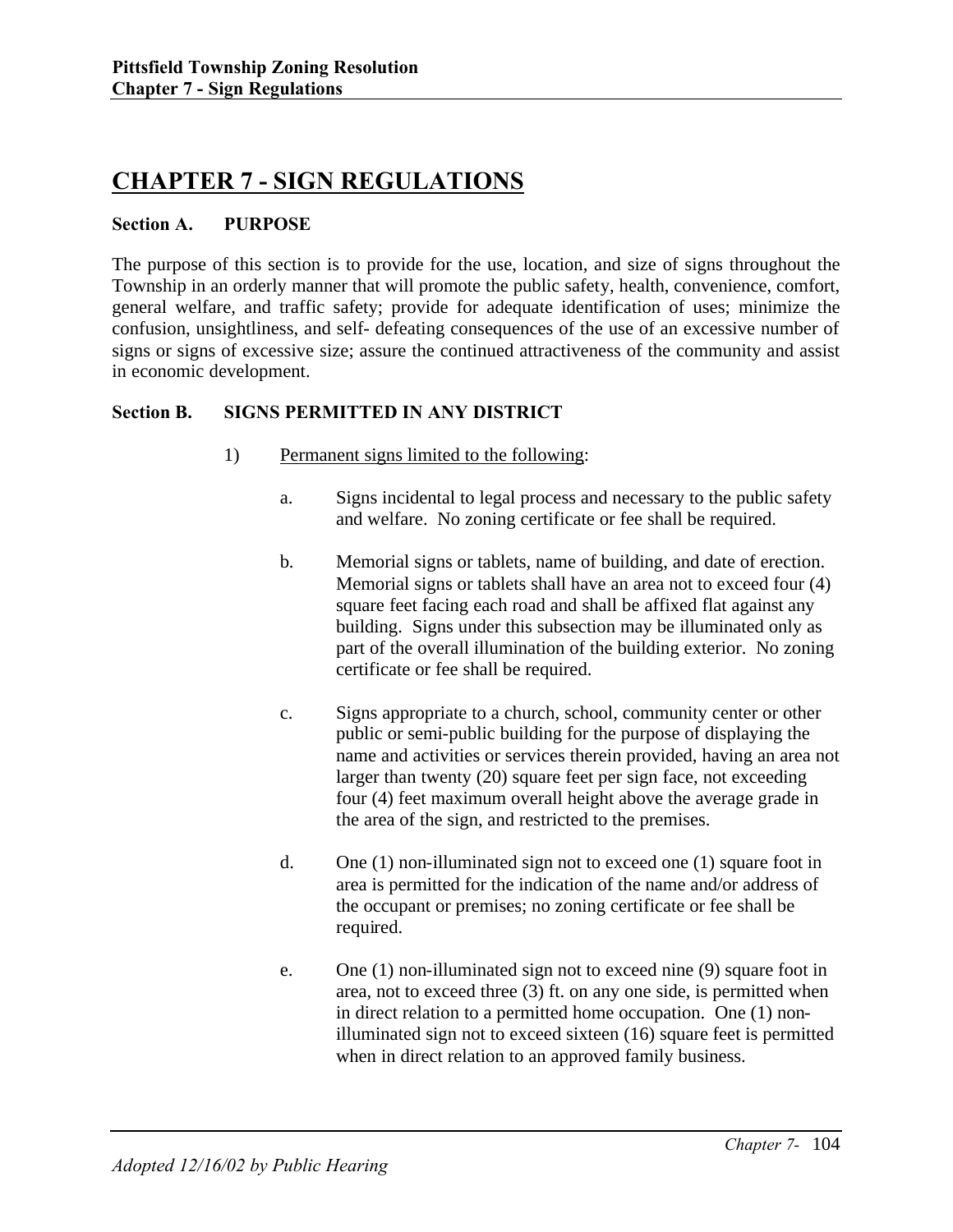# **CHAPTER 7 - SIGN REGULATIONS**

#### **Section A. PURPOSE**

The purpose of this section is to provide for the use, location, and size of signs throughout the Township in an orderly manner that will promote the public safety, health, convenience, comfort, general welfare, and traffic safety; provide for adequate identification of uses; minimize the confusion, unsightliness, and self- defeating consequences of the use of an excessive number of signs or signs of excessive size; assure the continued attractiveness of the community and assist in economic development.

#### **Section B. SIGNS PERMITTED IN ANY DISTRICT**

- 1) Permanent signs limited to the following:
	- a. Signs incidental to legal process and necessary to the public safety and welfare. No zoning certificate or fee shall be required.
	- b. Memorial signs or tablets, name of building, and date of erection. Memorial signs or tablets shall have an area not to exceed four (4) square feet facing each road and shall be affixed flat against any building. Signs under this subsection may be illuminated only as part of the overall illumination of the building exterior. No zoning certificate or fee shall be required.
	- c. Signs appropriate to a church, school, community center or other public or semi-public building for the purpose of displaying the name and activities or services therein provided, having an area not larger than twenty (20) square feet per sign face, not exceeding four (4) feet maximum overall height above the average grade in the area of the sign, and restricted to the premises.
	- d. One (1) non-illuminated sign not to exceed one (1) square foot in area is permitted for the indication of the name and/or address of the occupant or premises; no zoning certificate or fee shall be required.
	- e. One (1) non-illuminated sign not to exceed nine (9) square foot in area, not to exceed three (3) ft. on any one side, is permitted when in direct relation to a permitted home occupation. One (1) nonilluminated sign not to exceed sixteen (16) square feet is permitted when in direct relation to an approved family business.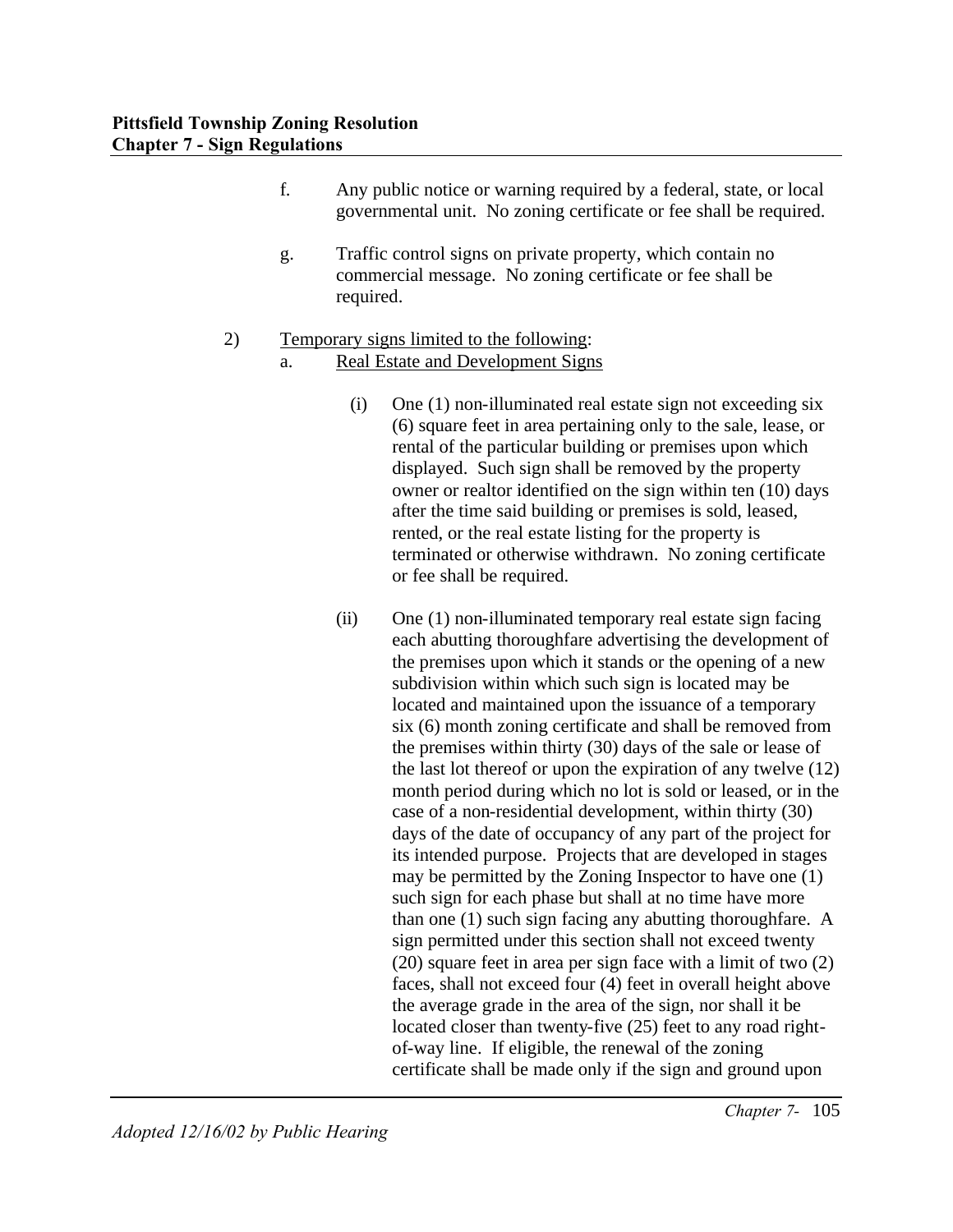- f. Any public notice or warning required by a federal, state, or local governmental unit. No zoning certificate or fee shall be required.
- g. Traffic control signs on private property, which contain no commercial message. No zoning certificate or fee shall be required.

# 2) Temporary signs limited to the following:

### a. Real Estate and Development Signs

- (i) One (1) non-illuminated real estate sign not exceeding six (6) square feet in area pertaining only to the sale, lease, or rental of the particular building or premises upon which displayed. Such sign shall be removed by the property owner or realtor identified on the sign within ten (10) days after the time said building or premises is sold, leased, rented, or the real estate listing for the property is terminated or otherwise withdrawn. No zoning certificate or fee shall be required.
- (ii) One (1) non-illuminated temporary real estate sign facing each abutting thoroughfare advertising the development of the premises upon which it stands or the opening of a new subdivision within which such sign is located may be located and maintained upon the issuance of a temporary six (6) month zoning certificate and shall be removed from the premises within thirty (30) days of the sale or lease of the last lot thereof or upon the expiration of any twelve (12) month period during which no lot is sold or leased, or in the case of a non-residential development, within thirty (30) days of the date of occupancy of any part of the project for its intended purpose. Projects that are developed in stages may be permitted by the Zoning Inspector to have one (1) such sign for each phase but shall at no time have more than one (1) such sign facing any abutting thoroughfare. A sign permitted under this section shall not exceed twenty (20) square feet in area per sign face with a limit of two (2) faces, shall not exceed four (4) feet in overall height above the average grade in the area of the sign, nor shall it be located closer than twenty-five (25) feet to any road rightof-way line. If eligible, the renewal of the zoning certificate shall be made only if the sign and ground upon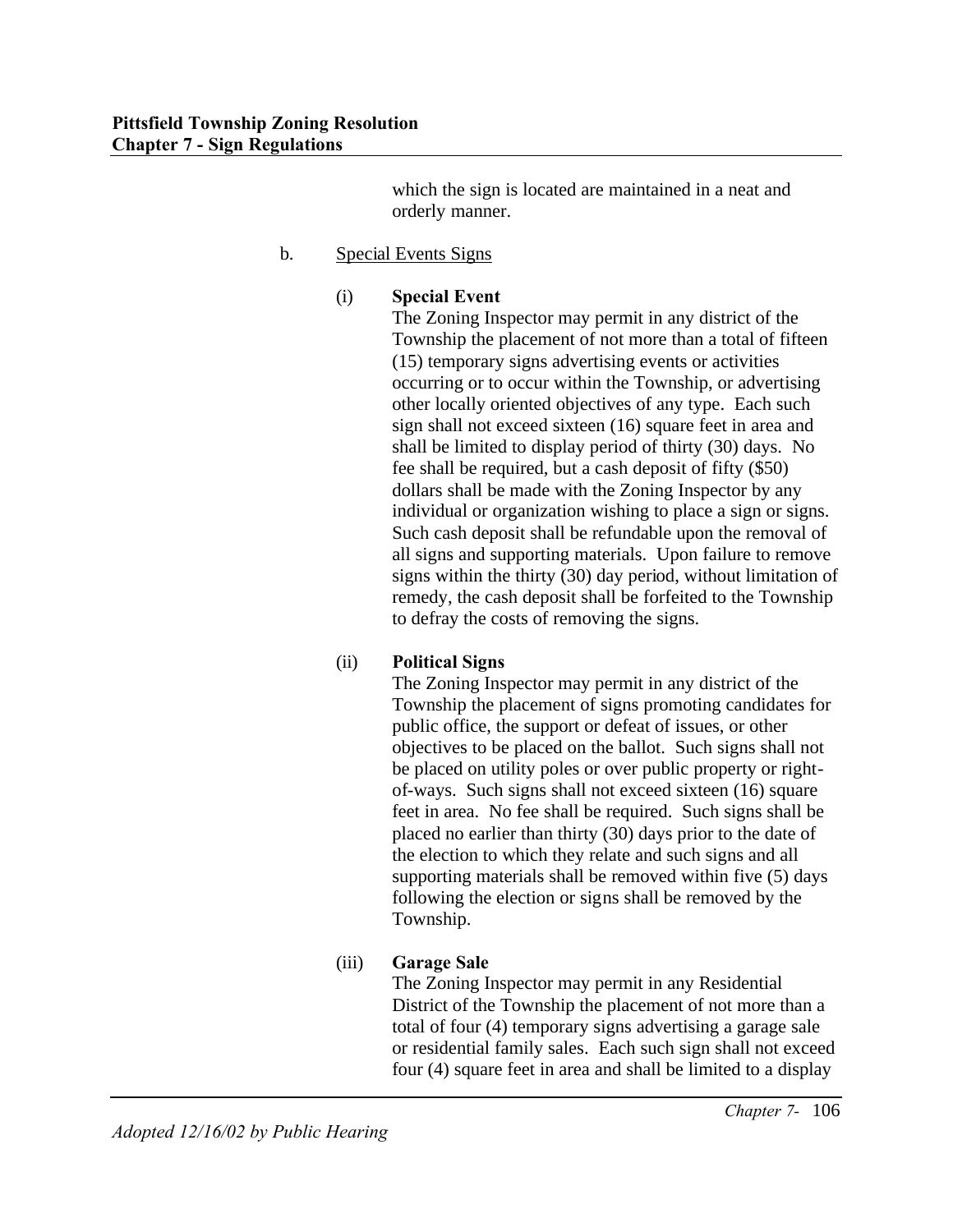which the sign is located are maintained in a neat and orderly manner.

# b. Special Events Signs

#### (i) **Special Event**

The Zoning Inspector may permit in any district of the Township the placement of not more than a total of fifteen (15) temporary signs advertising events or activities occurring or to occur within the Township, or advertising other locally oriented objectives of any type. Each such sign shall not exceed sixteen (16) square feet in area and shall be limited to display period of thirty (30) days. No fee shall be required, but a cash deposit of fifty (\$50) dollars shall be made with the Zoning Inspector by any individual or organization wishing to place a sign or signs. Such cash deposit shall be refundable upon the removal of all signs and supporting materials. Upon failure to remove signs within the thirty (30) day period, without limitation of remedy, the cash deposit shall be forfeited to the Township to defray the costs of removing the signs.

# (ii) **Political Signs**

The Zoning Inspector may permit in any district of the Township the placement of signs promoting candidates for public office, the support or defeat of issues, or other objectives to be placed on the ballot. Such signs shall not be placed on utility poles or over public property or rightof-ways. Such signs shall not exceed sixteen (16) square feet in area. No fee shall be required. Such signs shall be placed no earlier than thirty (30) days prior to the date of the election to which they relate and such signs and all supporting materials shall be removed within five (5) days following the election or signs shall be removed by the Township.

# (iii) **Garage Sale**

The Zoning Inspector may permit in any Residential District of the Township the placement of not more than a total of four (4) temporary signs advertising a garage sale or residential family sales. Each such sign shall not exceed four (4) square feet in area and shall be limited to a display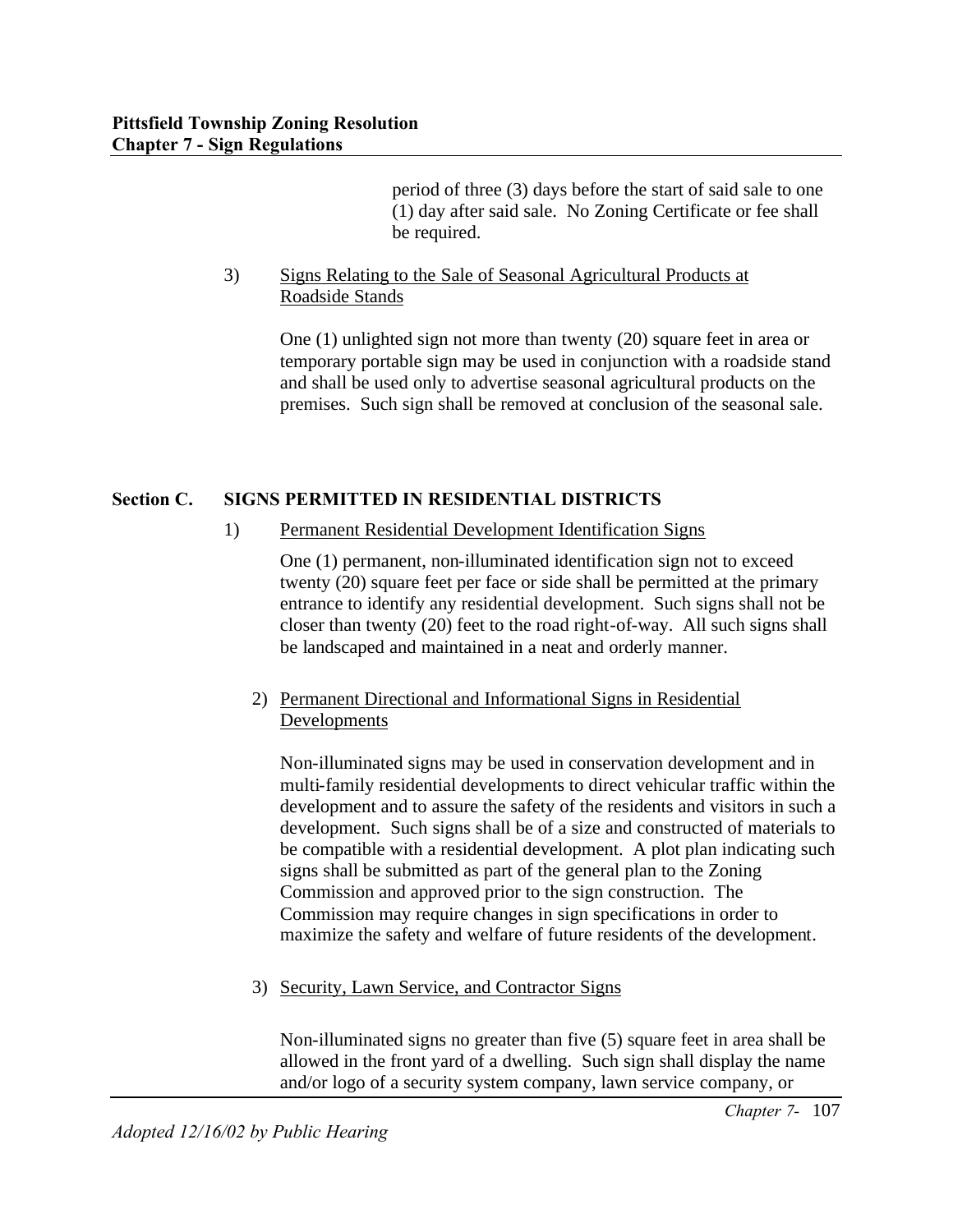period of three (3) days before the start of said sale to one (1) day after said sale. No Zoning Certificate or fee shall be required.

## 3) Signs Relating to the Sale of Seasonal Agricultural Products at Roadside Stands

One (1) unlighted sign not more than twenty (20) square feet in area or temporary portable sign may be used in conjunction with a roadside stand and shall be used only to advertise seasonal agricultural products on the premises. Such sign shall be removed at conclusion of the seasonal sale.

# **Section C. SIGNS PERMITTED IN RESIDENTIAL DISTRICTS**

1) Permanent Residential Development Identification Signs

One (1) permanent, non-illuminated identification sign not to exceed twenty (20) square feet per face or side shall be permitted at the primary entrance to identify any residential development. Such signs shall not be closer than twenty (20) feet to the road right-of-way. All such signs shall be landscaped and maintained in a neat and orderly manner.

# 2) Permanent Directional and Informational Signs in Residential **Developments**

Non-illuminated signs may be used in conservation development and in multi-family residential developments to direct vehicular traffic within the development and to assure the safety of the residents and visitors in such a development. Such signs shall be of a size and constructed of materials to be compatible with a residential development. A plot plan indicating such signs shall be submitted as part of the general plan to the Zoning Commission and approved prior to the sign construction. The Commission may require changes in sign specifications in order to maximize the safety and welfare of future residents of the development.

3) Security, Lawn Service, and Contractor Signs

Non-illuminated signs no greater than five (5) square feet in area shall be allowed in the front yard of a dwelling. Such sign shall display the name and/or logo of a security system company, lawn service company, or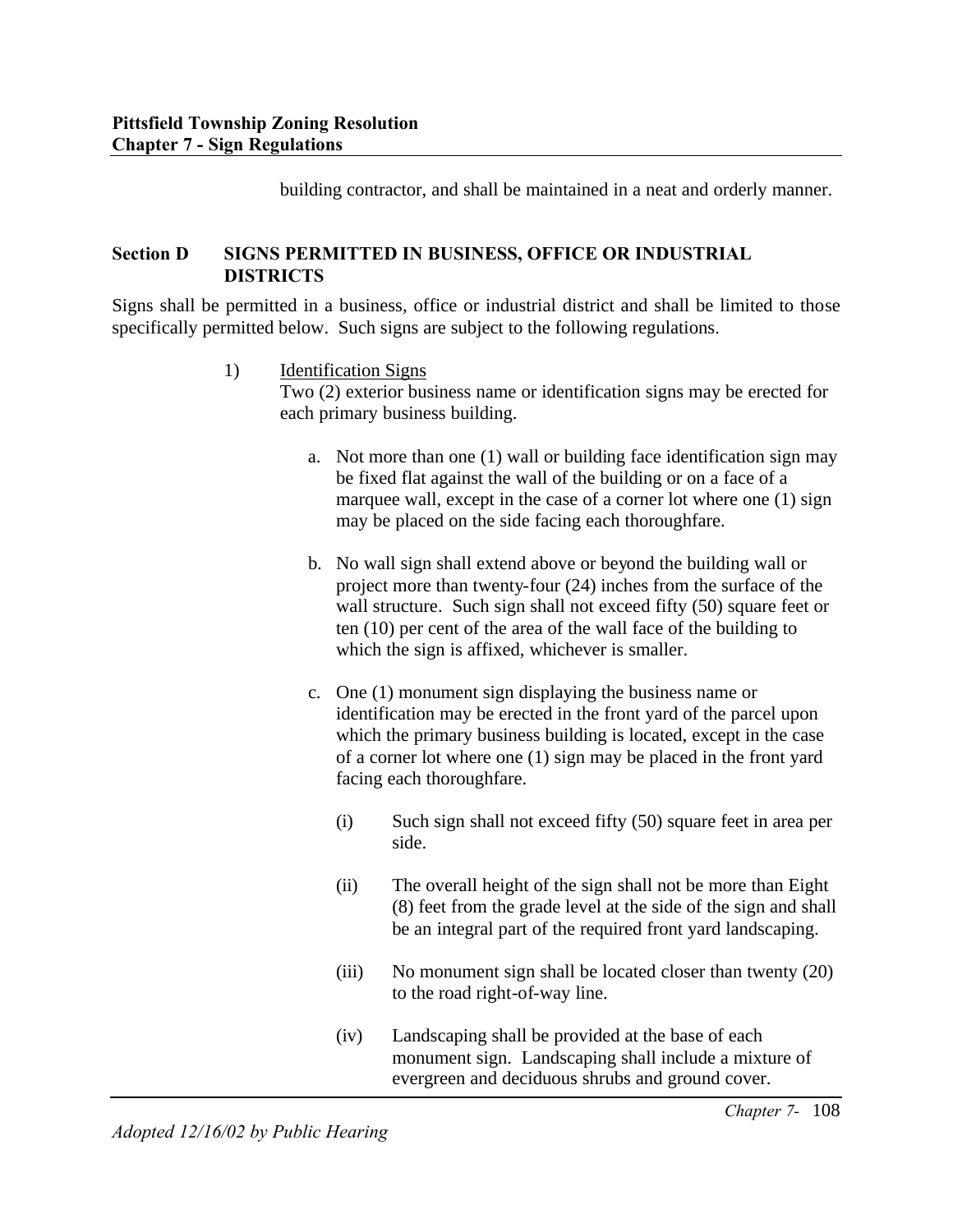building contractor, and shall be maintained in a neat and orderly manner.

#### **Section D SIGNS PERMITTED IN BUSINESS, OFFICE OR INDUSTRIAL DISTRICTS**

Signs shall be permitted in a business, office or industrial district and shall be limited to those specifically permitted below. Such signs are subject to the following regulations.

1) Identification Signs

Two (2) exterior business name or identification signs may be erected for each primary business building.

- a. Not more than one (1) wall or building face identification sign may be fixed flat against the wall of the building or on a face of a marquee wall, except in the case of a corner lot where one (1) sign may be placed on the side facing each thoroughfare.
- b. No wall sign shall extend above or beyond the building wall or project more than twenty-four (24) inches from the surface of the wall structure. Such sign shall not exceed fifty (50) square feet or ten (10) per cent of the area of the wall face of the building to which the sign is affixed, whichever is smaller.
- c. One (1) monument sign displaying the business name or identification may be erected in the front yard of the parcel upon which the primary business building is located, except in the case of a corner lot where one (1) sign may be placed in the front yard facing each thoroughfare.
	- (i) Such sign shall not exceed fifty (50) square feet in area per side.
	- (ii) The overall height of the sign shall not be more than Eight (8) feet from the grade level at the side of the sign and shall be an integral part of the required front yard landscaping.
	- (iii) No monument sign shall be located closer than twenty (20) to the road right-of-way line.
	- (iv) Landscaping shall be provided at the base of each monument sign. Landscaping shall include a mixture of evergreen and deciduous shrubs and ground cover.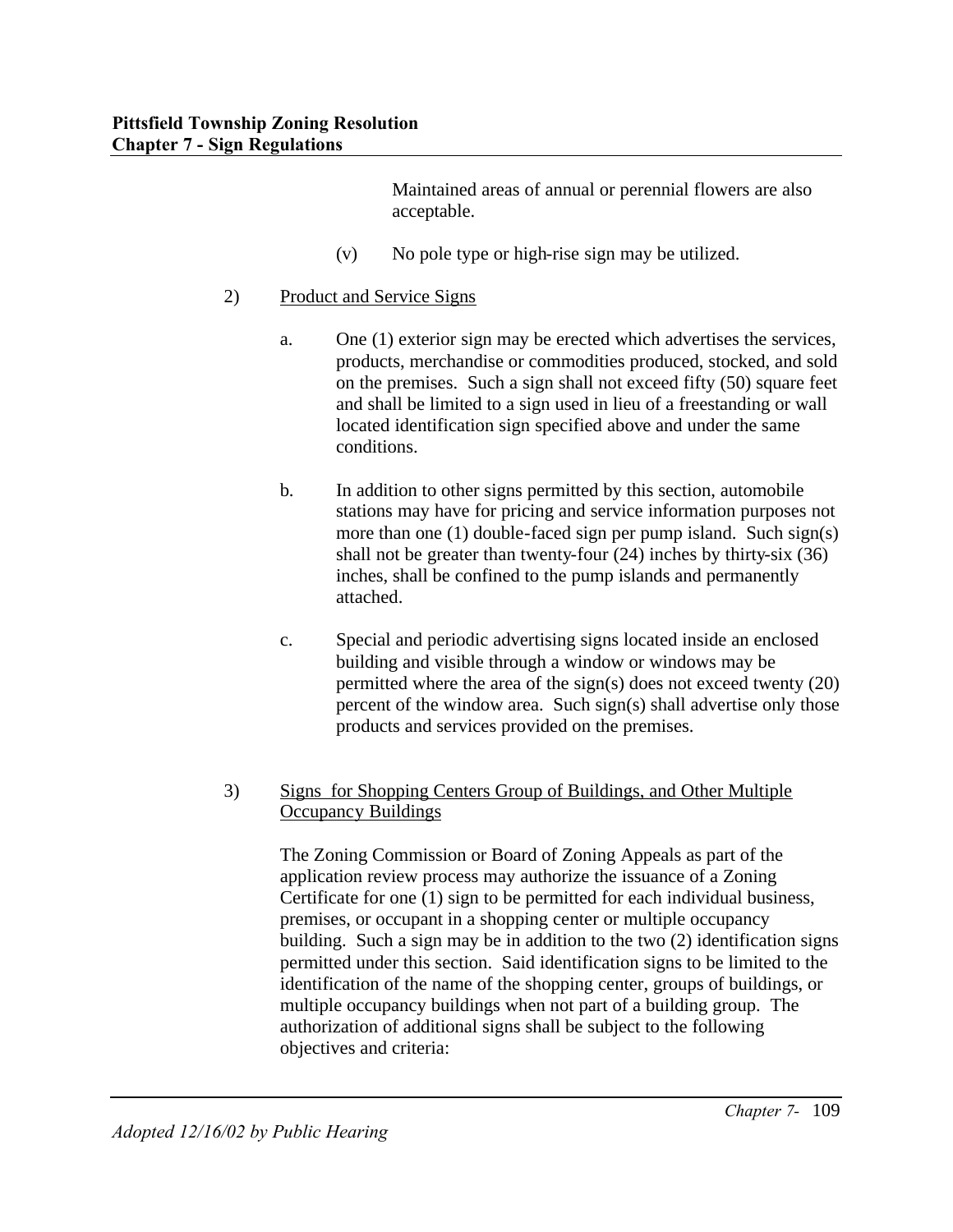Maintained areas of annual or perennial flowers are also acceptable.

- (v) No pole type or high-rise sign may be utilized.
- 2) Product and Service Signs
	- a. One (1) exterior sign may be erected which advertises the services, products, merchandise or commodities produced, stocked, and sold on the premises. Such a sign shall not exceed fifty (50) square feet and shall be limited to a sign used in lieu of a freestanding or wall located identification sign specified above and under the same conditions.
	- b. In addition to other signs permitted by this section, automobile stations may have for pricing and service information purposes not more than one (1) double-faced sign per pump island. Such sign(s) shall not be greater than twenty-four (24) inches by thirty-six (36) inches, shall be confined to the pump islands and permanently attached.
	- c. Special and periodic advertising signs located inside an enclosed building and visible through a window or windows may be permitted where the area of the sign(s) does not exceed twenty (20) percent of the window area. Such sign(s) shall advertise only those products and services provided on the premises.

### 3) Signs for Shopping Centers Group of Buildings, and Other Multiple Occupancy Buildings

The Zoning Commission or Board of Zoning Appeals as part of the application review process may authorize the issuance of a Zoning Certificate for one (1) sign to be permitted for each individual business, premises, or occupant in a shopping center or multiple occupancy building. Such a sign may be in addition to the two (2) identification signs permitted under this section. Said identification signs to be limited to the identification of the name of the shopping center, groups of buildings, or multiple occupancy buildings when not part of a building group. The authorization of additional signs shall be subject to the following objectives and criteria: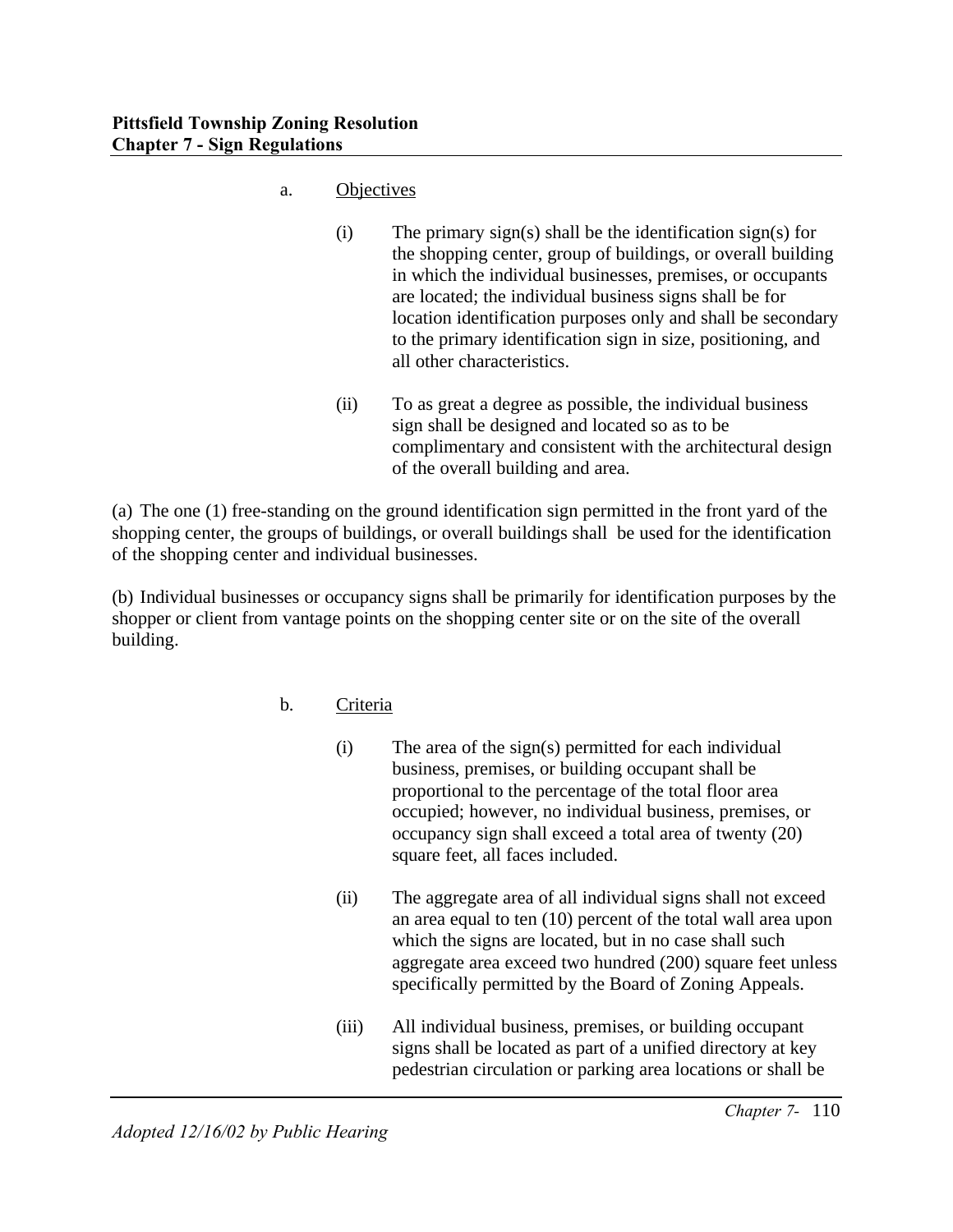- a. Objectives
	- $(i)$  The primary sign(s) shall be the identification sign(s) for the shopping center, group of buildings, or overall building in which the individual businesses, premises, or occupants are located; the individual business signs shall be for location identification purposes only and shall be secondary to the primary identification sign in size, positioning, and all other characteristics.
	- (ii) To as great a degree as possible, the individual business sign shall be designed and located so as to be complimentary and consistent with the architectural design of the overall building and area.

(a) The one (1) free-standing on the ground identification sign permitted in the front yard of the shopping center, the groups of buildings, or overall buildings shall be used for the identification of the shopping center and individual businesses.

(b) Individual businesses or occupancy signs shall be primarily for identification purposes by the shopper or client from vantage points on the shopping center site or on the site of the overall building.

- b. Criteria
	- (i) The area of the sign(s) permitted for each individual business, premises, or building occupant shall be proportional to the percentage of the total floor area occupied; however, no individual business, premises, or occupancy sign shall exceed a total area of twenty (20) square feet, all faces included.
	- (ii) The aggregate area of all individual signs shall not exceed an area equal to ten (10) percent of the total wall area upon which the signs are located, but in no case shall such aggregate area exceed two hundred (200) square feet unless specifically permitted by the Board of Zoning Appeals.
	- (iii) All individual business, premises, or building occupant signs shall be located as part of a unified directory at key pedestrian circulation or parking area locations or shall be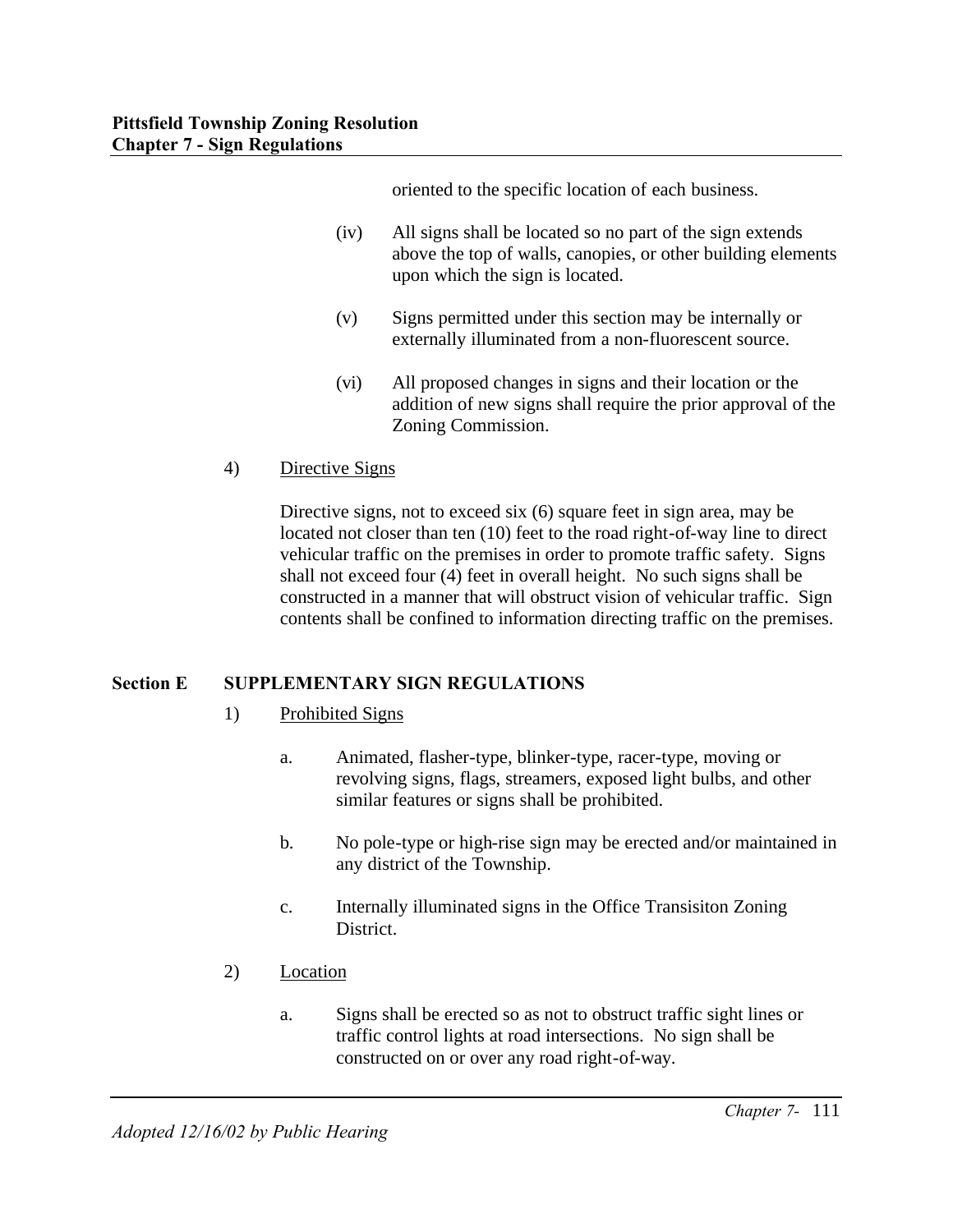oriented to the specific location of each business.

- (iv) All signs shall be located so no part of the sign extends above the top of walls, canopies, or other building elements upon which the sign is located.
- (v) Signs permitted under this section may be internally or externally illuminated from a non-fluorescent source.
- (vi) All proposed changes in signs and their location or the addition of new signs shall require the prior approval of the Zoning Commission.
- 4) Directive Signs

Directive signs, not to exceed six (6) square feet in sign area, may be located not closer than ten (10) feet to the road right-of-way line to direct vehicular traffic on the premises in order to promote traffic safety. Signs shall not exceed four (4) feet in overall height. No such signs shall be constructed in a manner that will obstruct vision of vehicular traffic. Sign contents shall be confined to information directing traffic on the premises.

# **Section E SUPPLEMENTARY SIGN REGULATIONS**

- 1) Prohibited Signs
	- a. Animated, flasher-type, blinker-type, racer-type, moving or revolving signs, flags, streamers, exposed light bulbs, and other similar features or signs shall be prohibited.
	- b. No pole-type or high-rise sign may be erected and/or maintained in any district of the Township.
	- c. Internally illuminated signs in the Office Transisiton Zoning District.
- 2) Location
	- a. Signs shall be erected so as not to obstruct traffic sight lines or traffic control lights at road intersections. No sign shall be constructed on or over any road right-of-way.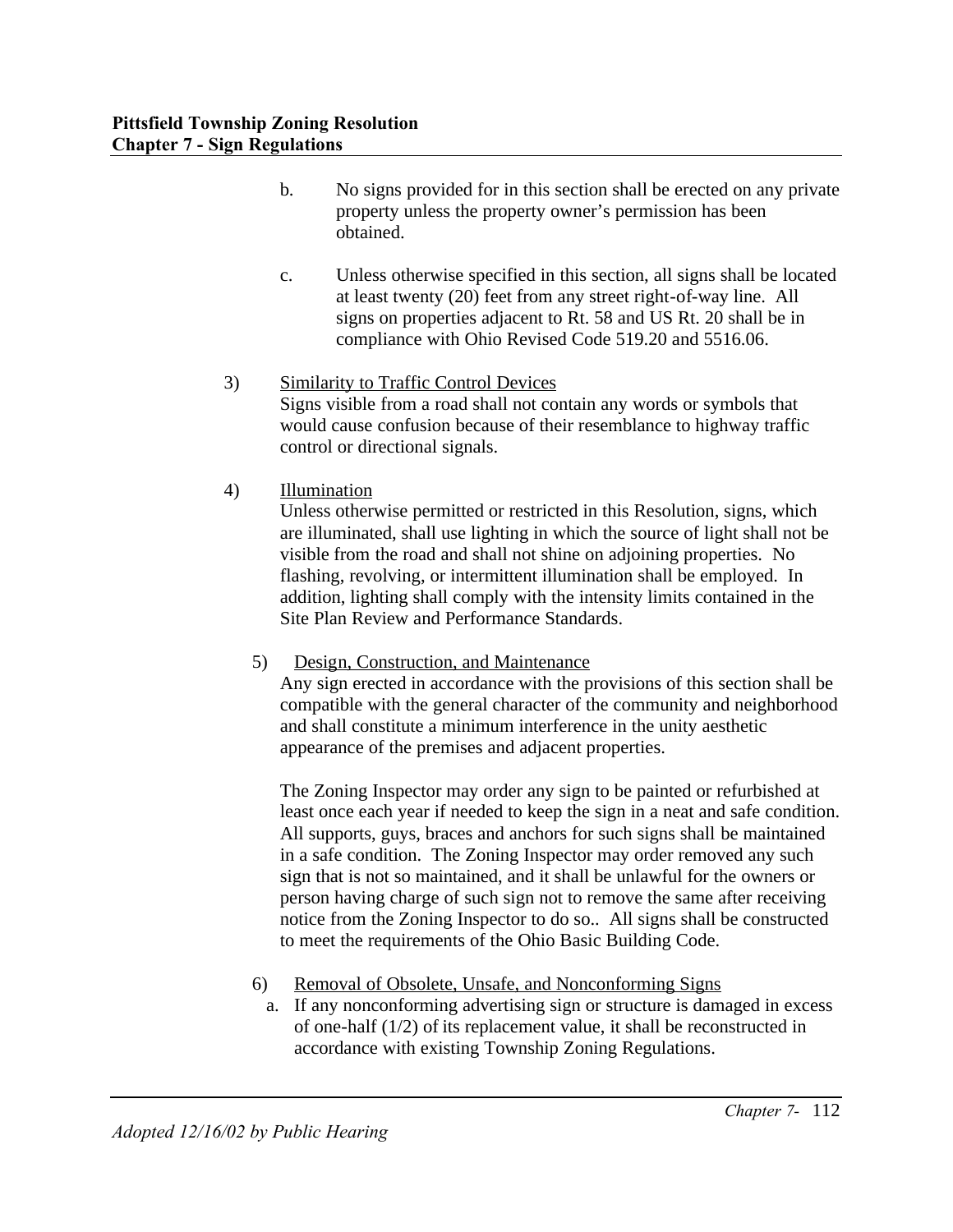- b. No signs provided for in this section shall be erected on any private property unless the property owner's permission has been obtained.
- c. Unless otherwise specified in this section, all signs shall be located at least twenty (20) feet from any street right-of-way line. All signs on properties adjacent to Rt. 58 and US Rt. 20 shall be in compliance with Ohio Revised Code 519.20 and 5516.06.
- 3) Similarity to Traffic Control Devices Signs visible from a road shall not contain any words or symbols that would cause confusion because of their resemblance to highway traffic control or directional signals.
- 4) Illumination

Unless otherwise permitted or restricted in this Resolution, signs, which are illuminated, shall use lighting in which the source of light shall not be visible from the road and shall not shine on adjoining properties. No flashing, revolving, or intermittent illumination shall be employed. In addition, lighting shall comply with the intensity limits contained in the Site Plan Review and Performance Standards.

5) Design, Construction, and Maintenance

Any sign erected in accordance with the provisions of this section shall be compatible with the general character of the community and neighborhood and shall constitute a minimum interference in the unity aesthetic appearance of the premises and adjacent properties.

The Zoning Inspector may order any sign to be painted or refurbished at least once each year if needed to keep the sign in a neat and safe condition. All supports, guys, braces and anchors for such signs shall be maintained in a safe condition. The Zoning Inspector may order removed any such sign that is not so maintained, and it shall be unlawful for the owners or person having charge of such sign not to remove the same after receiving notice from the Zoning Inspector to do so.. All signs shall be constructed to meet the requirements of the Ohio Basic Building Code.

- 6) Removal of Obsolete, Unsafe, and Nonconforming Signs
- a. If any nonconforming advertising sign or structure is damaged in excess of one-half (1/2) of its replacement value, it shall be reconstructed in accordance with existing Township Zoning Regulations.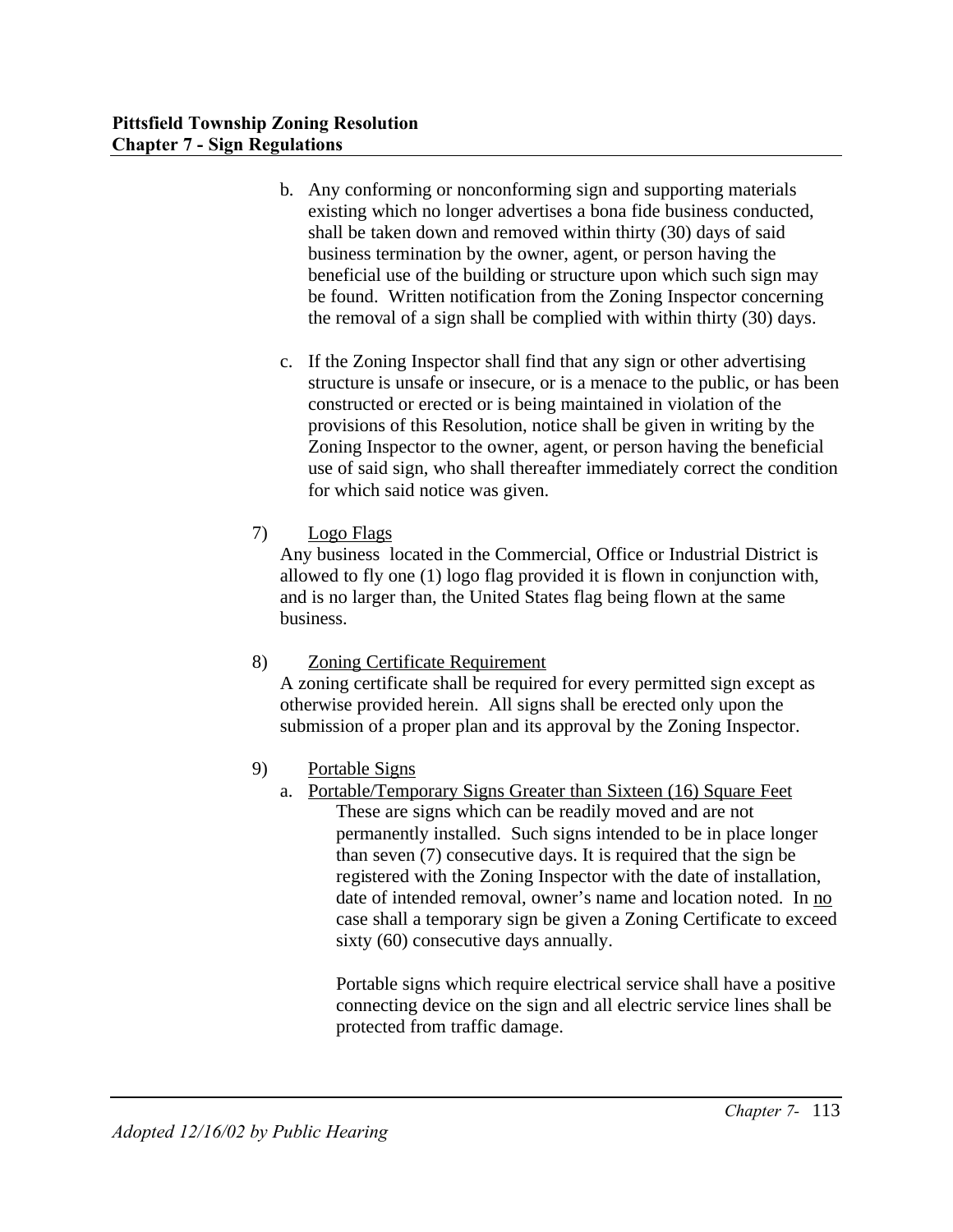- b. Any conforming or nonconforming sign and supporting materials existing which no longer advertises a bona fide business conducted, shall be taken down and removed within thirty (30) days of said business termination by the owner, agent, or person having the beneficial use of the building or structure upon which such sign may be found. Written notification from the Zoning Inspector concerning the removal of a sign shall be complied with within thirty (30) days.
- c. If the Zoning Inspector shall find that any sign or other advertising structure is unsafe or insecure, or is a menace to the public, or has been constructed or erected or is being maintained in violation of the provisions of this Resolution, notice shall be given in writing by the Zoning Inspector to the owner, agent, or person having the beneficial use of said sign, who shall thereafter immediately correct the condition for which said notice was given.
- 7) Logo Flags

Any business located in the Commercial, Office or Industrial District is allowed to fly one (1) logo flag provided it is flown in conjunction with, and is no larger than, the United States flag being flown at the same business.

8) Zoning Certificate Requirement

A zoning certificate shall be required for every permitted sign except as otherwise provided herein. All signs shall be erected only upon the submission of a proper plan and its approval by the Zoning Inspector.

- 9) Portable Signs
	- a. Portable/Temporary Signs Greater than Sixteen (16) Square Feet These are signs which can be readily moved and are not permanently installed. Such signs intended to be in place longer than seven (7) consecutive days. It is required that the sign be registered with the Zoning Inspector with the date of installation, date of intended removal, owner's name and location noted. In no case shall a temporary sign be given a Zoning Certificate to exceed sixty (60) consecutive days annually.

Portable signs which require electrical service shall have a positive connecting device on the sign and all electric service lines shall be protected from traffic damage.